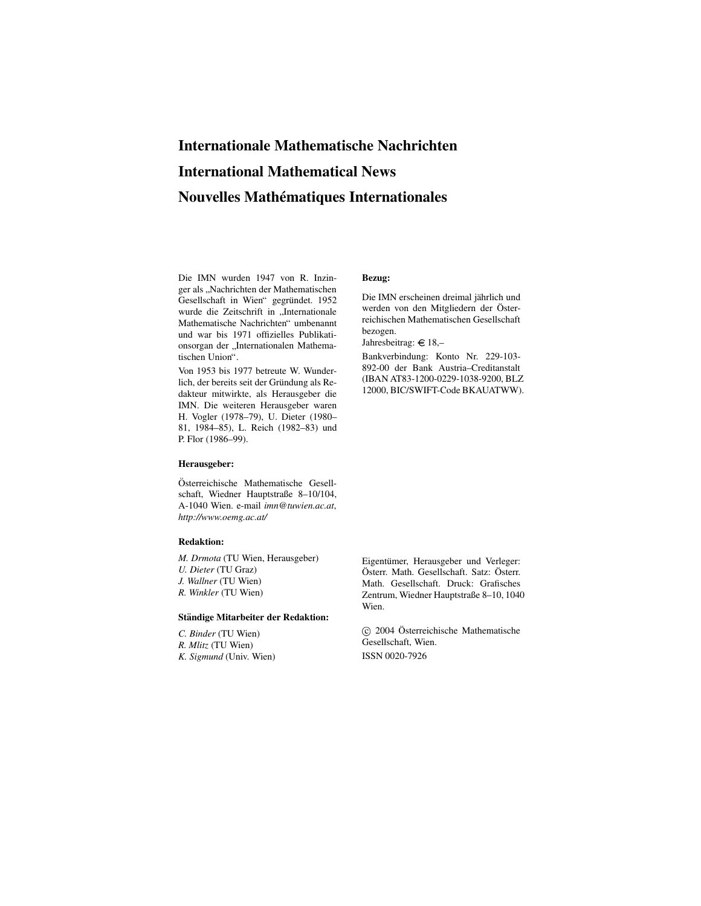## **Internationale Mathematische Nachrichten International Mathematical News Nouvelles Mathematiques ´ Internationales**

Die IMN wurden 1947 von R. Inzinger als "Nachrichten der Mathematischen<br>Gesellschaft in Wien" gesprünkt, 1052 Gesellschaft in Wien" gegründet. 1952 wurde die Zeitschrift in "Internationale Mathematische Nachrichten" umbenannt und war bis 1971 offizielles Publikationsorgan der "Internationalen Mathematischen Union".

Von 1953 bis 1977 betreute W. Wunderlich, der bereits seit der Gründung als Redakteur mitwirkte, als Herausgeber die IMN. Die weiteren Herausgeber waren H. Vogler (1978–79), U. Dieter (1980– 81, 1984–85), L. Reich (1982–83) und P. Flor (1986–99).

#### **Herausgeber:**

Österreichische Mathematische Gesellschaft, Wiedner Hauptstraße 8–10/104, A-1040 Wien. e-mail *imn@tuwien.ac.at*, *http://www.oemg.ac.at/*

#### **Redaktion:**

*M. Drmota* (TU Wien, Herausgeber) *U. Dieter* (TU Graz) *J. Wallner* (TU Wien) *R. Winkler* (TU Wien)

#### **Standige ¨ Mitarbeiter der Redaktion:**

*C. Binder* (TU Wien) *R. Mlitz* (TU Wien) *K. Sigmund* (Univ. Wien)

#### **Bezug:**

Die IMN erscheinen dreimal jährlich und werden von den Mitgliedern der Österreichischen Mathematischen Gesellschaft bezogen.

Jahresbeitrag:  $\in$  18,-

Bankverbindung: Konto Nr. 229-103- 892-00 der Bank Austria–Creditanstalt (IBAN AT83-1200-0229-1038-9200, BLZ 12000, BIC/SWIFT-Code BKAUATWW).

Eigentümer, Herausgeber und Verleger: Österr. Math. Gesellschaft. Satz: Österr. Math. Gesellschaft. Druck: Grafisches Zentrum, Wiedner Hauptstraße 8–10, 1040 Wien.

 $\odot$  2004 Österreichische Mathematische Gesellschaft, Wien. ISSN 0020-7926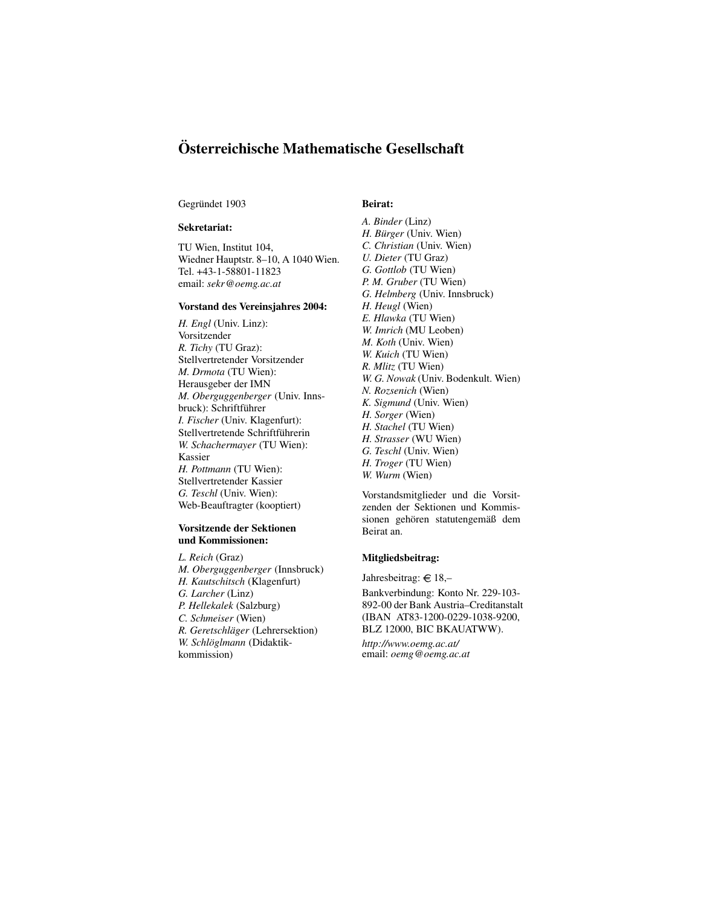### **Osterr ¨ eichische Mathematische Gesellschaft**

#### Gegründet 1903

#### **Sekretariat:**

TU Wien, Institut 104, Wiedner Hauptstr. 8–10, A 1040 Wien. Tel. +43-1-58801-11823 email: *sekr@oemg.ac.at*

#### **Vorstand des Vereinsjahres 2004:**

*H. Engl* (Univ. Linz): Vorsitzender *R. Tichy* (TU Graz): Stellvertretender Vorsitzender *M. Drmota* (TU Wien): Herausgeber der IMN *M. Oberguggenberger* (Univ. Innsbruck): Schriftführer *I. Fischer* (Univ. Klagenfurt): Stellvertretende Schriftführerin *W. Schachermayer* (TU Wien): Kassier *H. Pottmann* (TU Wien): Stellvertretender Kassier *G. Teschl* (Univ. Wien): Web-Beauftragter (kooptiert)

#### **Vorsitzende der Sektionen und Kommissionen:**

*L. Reich* (Graz) *M. Oberguggenberger* (Innsbruck) *H. Kautschitsch* (Klagenfurt) *G. Larcher* (Linz) *P. Hellekalek* (Salzburg) *C. Schmeiser* (Wien) *R. Geretschläger* (Lehrersektion) *W. Schloglmann ¨* (Didaktikkommission)

#### **Beirat:**

*A. Binder* (Linz) *H. Bürger* (Univ. Wien) *C. Christian* (Univ. Wien) *U. Dieter* (TU Graz) *G. Gottlob* (TU Wien) *P. M. Gruber* (TU Wien) *G. Helmberg* (Univ. Innsbruck) *H. Heugl* (Wien) *E. Hlawka* (TU Wien) *W. Imrich* (MU Leoben) *M. Koth* (Univ. Wien) *W. Kuich* (TU Wien) *R. Mlitz* (TU Wien) *W. G. Nowak* (Univ. Bodenkult. Wien) *N. Rozsenich* (Wien) *K. Sigmund* (Univ. Wien) *H. Sorger* (Wien) *H. Stachel* (TU Wien) *H. Strasser* (WU Wien) *G. Teschl* (Univ. Wien) *H. Troger* (TU Wien) *W. Wurm* (Wien)

Vorstandsmitglieder und die Vorsitzenden der Sektionen und Kommissionen gehören statutengemäß dem Beirat an.

#### **Mitgliedsbeitrag:**

Jahresbeitrag:  $\in$  18,-

Bankverbindung: Konto Nr. 229-103- 892-00 der Bank Austria–Creditanstalt (IBAN AT83-1200-0229-1038-9200, BLZ 12000, BIC BKAUATWW).

*http://www.oemg.ac.at/* email: *oemg@oemg.ac.at*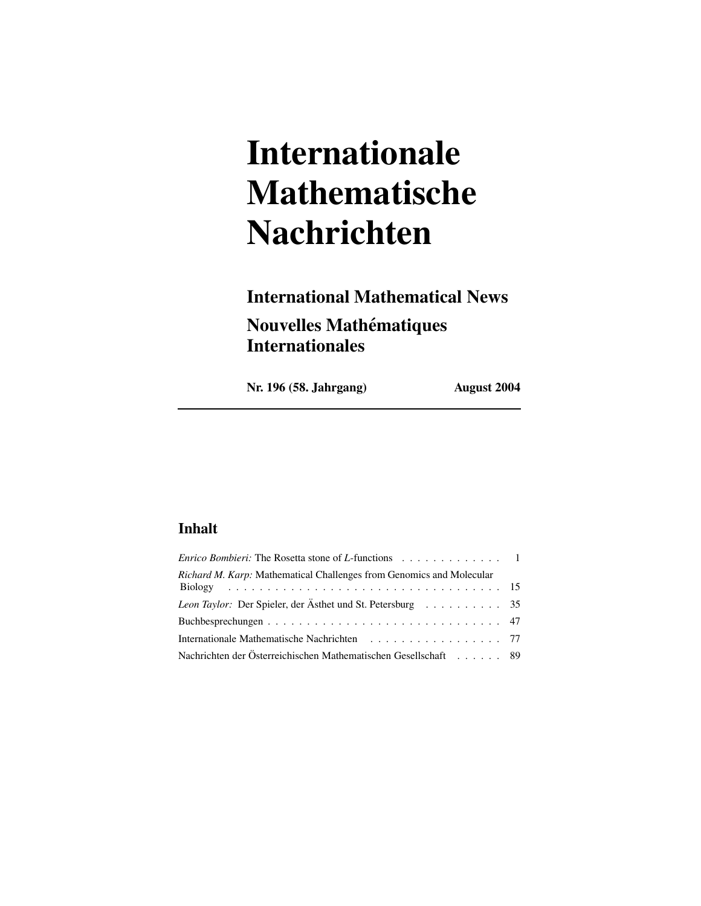# **Internationale Mathematische Nachrichten**

# **International Mathematical News Nouvelles Mathematiques ´ Internationales**

**Nr. 196 (58. Jahrgang) August 2004**

### **Inhalt**

| <i>Enrico Bombieri:</i> The Rosetta stone of <i>L</i> -functions $\ldots \ldots \ldots \ldots \ldots$ |  |
|-------------------------------------------------------------------------------------------------------|--|
| Richard M. Karp: Mathematical Challenges from Genomics and Molecular                                  |  |
| Leon Taylor: Der Spieler, der Ästhet und St. Petersburg 35                                            |  |
|                                                                                                       |  |
| Internationale Mathematische Nachrichten 77                                                           |  |
| Nachrichten der Österreichischen Mathematischen Gesellschaft 89                                       |  |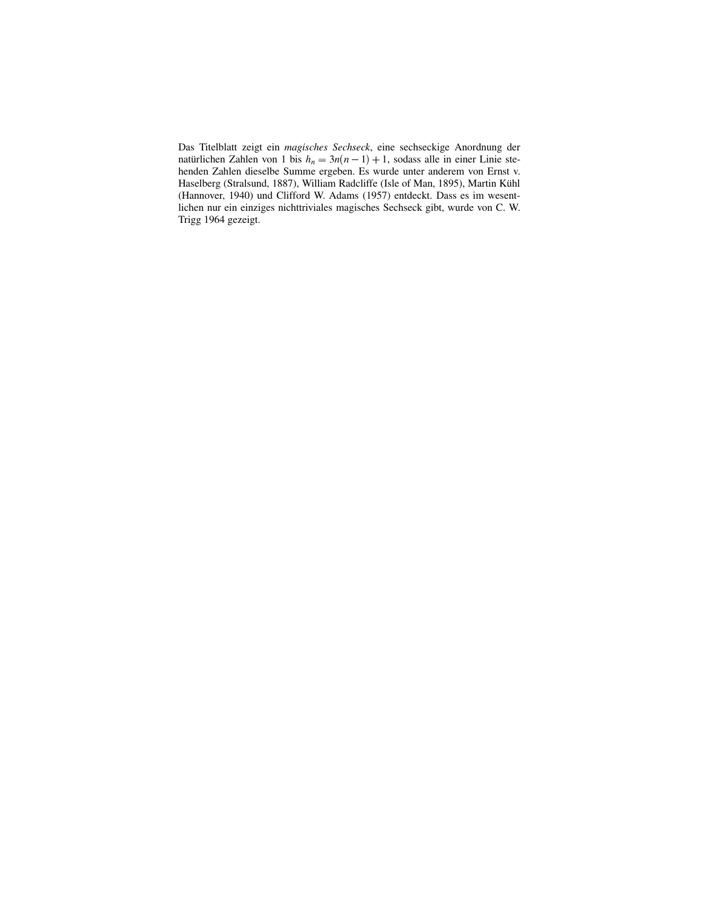Das Titelblatt zeigt ein *magisches Sechseck*, eine sechseckige Anordnung der natürlichen Zahlen von 1 bis  $h_n = 3n(n-1) + 1$ , sodass alle in einer Linie stehenden Zahlen dieselbe Summe ergeben. Es wurde unter anderem von Ernst v. Haselberg (Stralsund, 1887), William Radcliffe (Isle of Man, 1895), Martin Kühl (Hannover, 1940) und Clifford W. Adams (1957) entdeckt. Dass es im wesentlichen nur ein einziges nichttriviales magisches Sechseck gibt, wurde von C. W. Trigg 1964 gezeigt.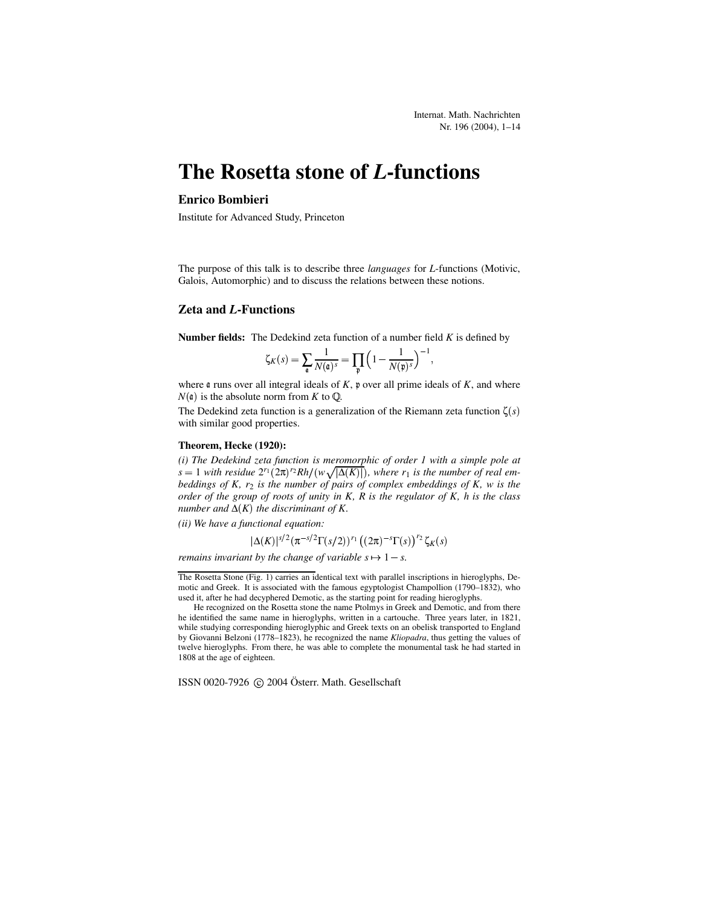### **The Rosetta stone of** *L***-functions**

#### **Enrico Bombieri**

Institute for Advanced Study, Princeton

The purpose of this talk is to describe three *languages* for *L*-functions (Motivic, Galois, Automorphic) and to discuss the relations between these notions.

#### **Zeta and** *L***-Functions**

**Number fields:** The Dedekind zeta function of a number field *K* is defined by

$$
\zeta_K(s) = \sum_{\mathfrak{a}} \frac{1}{N(\mathfrak{a})^s} = \prod_{\mathfrak{p}} \left(1 - \frac{1}{N(\mathfrak{p})^s}\right)^{-1},
$$

where  $\mathfrak a$  runs over all integral ideals of  $K$ ,  $\mathfrak p$  over all prime ideals of  $K$ , and where  $N(\mathfrak{a})$  is the absolute norm from *K* to Q.

The Dedekind zeta function is a generalization of the Riemann zeta function  $\zeta(s)$ with similar good properties.

#### **Theorem, Hecke (1920):**

*(i) The Dedekind zeta function is meromorphic of order 1 with a simple pole at*  $s = 1$  with residue  $2^{r_1}(2\pi)^{r_2}Rh/(w\sqrt{|\Delta(K)|})$ , where  $r_1$  is the number of real em*beddings of K, r*<sup>2</sup> *is the number of pairs of complex embeddings of K, w is the order of the group of roots of unity in K, R is the regulator of K, h is the class*  $m$ *umber and*  $\Delta(K)$  *the discriminant of*  $K$ .

*(ii) We have a functional equation:*

$$
|\Delta(K)|^{s/2} (\pi^{-s/2} \Gamma(s/2))^{r_1} ((2\pi)^{-s} \Gamma(s))^{r_2} \zeta_K(s)
$$

*remains invariant* by the *change of variable*  $s \mapsto 1 - s$ .

ISSN 0020-7926 © 2004 Österr. Math. Gesellschaft

The Rosetta Stone (Fig. 1) carries an identical text with parallel inscriptions in hieroglyphs, Demotic and Greek. It is associated with the famous egyptologist Champollion (1790–1832), who used it, after he had decyphered Demotic, as the starting point for reading hieroglyphs.

He recognized on the Rosetta stone the name Ptolmys in Greek and Demotic, and from there he identified the same name in hieroglyphs, written in a cartouche. Three years later, in 1821, while studying corresponding hieroglyphic and Greek texts on an obelisk transported to England by Giovanni Belzoni (1778–1823), he recognized the name *Kliopadra*, thus getting the values of twelve hieroglyphs. From there, he was able to complete the monumental task he had started in 1808 at the age of eighteen.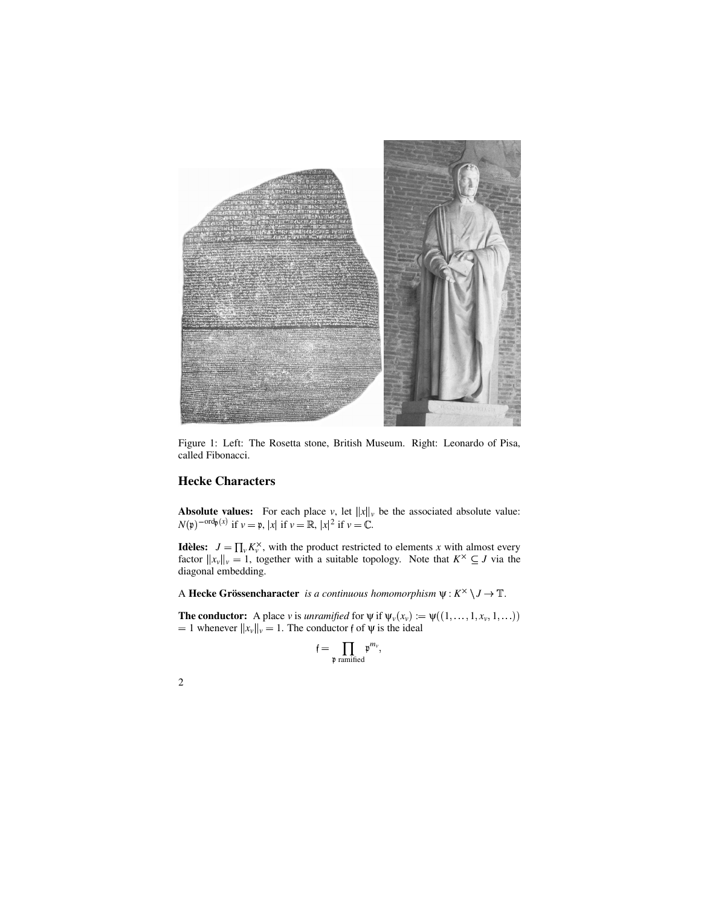

Figure 1: Left: The Rosetta stone, British Museum. Right: Leonardo of Pisa, called Fibonacci.

#### **Hecke Characters**

**Absolute values:** For each place *v*, let  $||x||_v$  be the associated absolute value:  $N(\mathfrak{p})^{-\text{ord}\mathfrak{p}}(x)$  if  $\nu = \mathfrak{p}, |x|$  if  $\nu = \mathbb{R}, |x|^2$  if  $\nu = \mathbb{C}.$ 

**Idèles:**  $J = \prod_{v} K_v^{\times}$ , with the product restricted to elements *x* with almost every factor  $||x_v||_v = 1$ , together with a suitable topology. Note that  $K^{\times} \subseteq J$  via the diagonal embedding.

A **Hecke Grössencharacter** *is a continuous homomorphism*  $\psi: K^{\times} \setminus J \to \mathbb{T}$ .

**The conductor:** A place *v* is *unramified* for  $\psi$  if  $\psi_v(x_v) := \psi((1, \dots, 1, x_v, 1, \dots))$ <br>= 1 whenever  $||x_v||_v = 1$ . The conductor f of  $\psi$  is the ideal

$$
\mathfrak{f}=\prod_{\mathfrak{p} \text{ ramified}} \mathfrak{p}^{m_{\mathfrak{p}}},
$$

| I      |
|--------|
| I<br>I |
|        |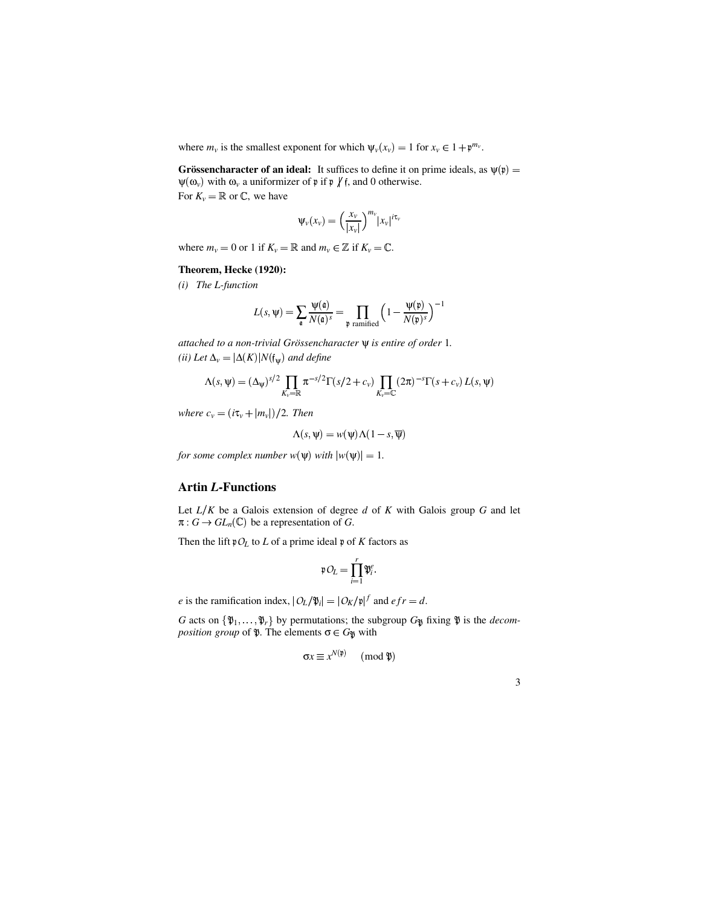where  $m_v$  is the smallest exponent for which  $\psi_v(x_v) = 1$  for  $x_v \in 1 + \mathfrak{p}^{m_v}$ .

**Grössencharacter of an ideal:** It suffices to define it on prime ideals, as  $\psi(\mathfrak{p}) =$  $\psi(\omega_{\nu})$  with  $\omega_{\nu}$  a uniformizer of  $\mathfrak{p}$  if  $\mathfrak{p}$  / f, and 0 otherwise. For  $K_v = \mathbb{R}$  or  $\mathbb{C}$ , we have

$$
\Psi_{\nu}(x_{\nu}) = \left(\frac{x_{\nu}}{|x_{\nu}|}\right)^{m_{\nu}} |x_{\nu}|^{i\tau_{\nu}}
$$

where  $m_v = 0$  or 1 if  $K_v = \mathbb{R}$  and  $m_v \in \mathbb{Z}$  if  $K_v = \mathbb{C}$ .

#### **Theorem, Hecke (1920):**

*(i) The L-function*

$$
L(s, \Psi) = \sum_{\mathfrak{a}} \frac{\Psi(\mathfrak{a})}{N(\mathfrak{a})^s} = \prod_{\mathfrak{p} \text{ ramified}} \left(1 - \frac{\Psi(\mathfrak{p})}{N(\mathfrak{p})^s}\right)^{-1}
$$

*attached to a non-trivial Grossenc ¨ haracter* ψ *is entire of order* 1*.*  $(iii)$  *Let*  $\Delta_v = |\Delta(K)| N(f_{\psi})$  and *define* 

$$
\Lambda(s,\psi) = (\Delta_{\psi})^{s/2} \prod_{K_{\nu} = \mathbb{R}} \pi^{-s/2} \Gamma(s/2 + c_{\nu}) \prod_{K_{\nu} = \mathbb{C}} (2\pi)^{-s} \Gamma(s + c_{\nu}) L(s, \psi)
$$

*where*  $c_v = (i\tau_v + |m_v|)/2$ . *Then* 

$$
\Lambda(s, \Psi) = w(\Psi) \Lambda(1 - s, \overline{\Psi})
$$

*for some complex number*  $w(\psi)$  *with*  $|w(\psi)| = 1$ .

#### **Artin** *L***-Functions**

Let *LK* be a Galois extension of degree *d* of *K* with Galois group *G* and let  $\pi: G \to GL_n(\mathbb{C})$  be a representation of *G*.

Then the lift  $pO_L$  to *L* of a prime ideal  $p$  of *K* factors as

$$
\mathfrak{p} O_L = \prod_{i=1}^r \mathfrak{P}_i^e.
$$

*e* is the ramification index,  $|O_L/\mathfrak{P}_i| = |O_K/\mathfrak{p}|^f$  and  $efr = d$ .

*G* acts on  $\{\mathfrak{P}_1, \ldots, \mathfrak{P}_r\}$  by permutations; the subgroup  $G_{\mathfrak{P}}$  fixing  $\mathfrak{P}$  is the *decom-*<br>*position group* of  $\mathfrak{P}$ . The elements  $\sigma \in G_{\mathfrak{P}}$  with *position group* of  $\mathfrak{P}$ . The elements  $\sigma \in G_{\mathfrak{P}}$  with

$$
\sigma x \equiv x^{N(\mathfrak{p})} \pmod{\mathfrak{P}}
$$

| I<br>I<br>I<br>i<br>×<br>v |    |  |
|----------------------------|----|--|
|                            | ۰, |  |
|                            |    |  |
|                            |    |  |
|                            |    |  |
|                            |    |  |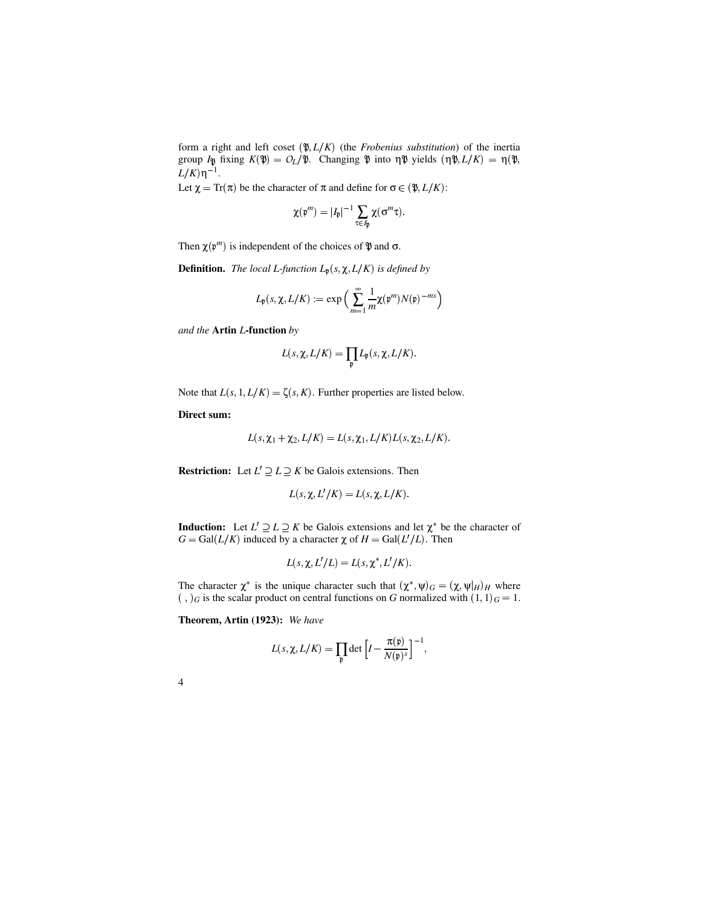form a right and left coset  $(\mathcal{X}, L/K)$  (the *Frobenius substitution*) of the inertia group  $I_{\mathcal{V}}$  fixing  $K(\mathcal{V}) = O_L/\mathcal{V}$ . Changing  $\mathcal{V}$  into  $\eta \mathcal{V}$  yields  $(\eta \mathcal{V}, L/K) = \eta(\mathcal{V}, L/K)$  $L/K$ ) η<sup>-1</sup>.

Let  $\chi = \text{Tr}(\pi)$  be the character of  $\pi$  and define for  $\sigma \in (\mathfrak{P}, L/K)$ :

$$
\chi(\mathfrak{p}^m)=|I_\mathfrak{p}|^{-1}\sum_{\tau\in I_\mathfrak{p}}\chi(\sigma^m\tau).
$$

Then  $\chi(\gamma^m)$  is independent of the choices of  $\mathfrak P$  and  $\sigma$ .

**Definition.** *The local L-function*  $L_p(s, \chi, L/K)$  *is defined by* 

$$
L_{\mathfrak{p}}(s,\chi,L/K) := \exp\Big(\sum_{m=1}^{\infty} \frac{1}{m} \chi(\mathfrak{p}^m) N(\mathfrak{p})^{-ms}\Big)
$$

*and the* **Artin** *L***-function** *by*

$$
L(s, \chi, L/K) = \prod_{\mathfrak{p}} L_{\mathfrak{p}}(s, \chi, L/K).
$$

Note that  $L(s, 1, L/K) = \zeta(s, K)$ . Further properties are listed below.

**Direct sum:**

$$
L(s, \chi_1 + \chi_2, L/K) = L(s, \chi_1, L/K)L(s, \chi_2, L/K).
$$

**Restriction:** Let  $L' \supseteq L \supseteq K$  be Galois extensions. Then

$$
L(s, \chi, L'/K) = L(s, \chi, L/K).
$$

**Induction:** Let  $L' \supseteq L \supseteq K$  be Galois extensions and let  $\chi^*$  be the character of  $G = \text{Gal}(L/K)$  induced by a character  $\chi$  of  $H = \text{Gal}(L'/L)$ . Then

$$
L(s, \chi, L'/L) = L(s, \chi^*, L'/K).
$$

The character  $\chi^*$  is the unique character such that  $(\chi^*, \psi)_G = (\chi, \psi|_H)_H$  where  $(g, g)$  is the scalar product on central functions on *G* normalized with  $(1, 1)_G = 1$ .

**Theorem, Artin (1923):** *We have*

$$
L(s, \chi, L/K) = \prod_{\mathfrak{p}} \det \left[ I - \frac{\pi(\mathfrak{p})}{N(\mathfrak{p})^s} \right]^{-1},
$$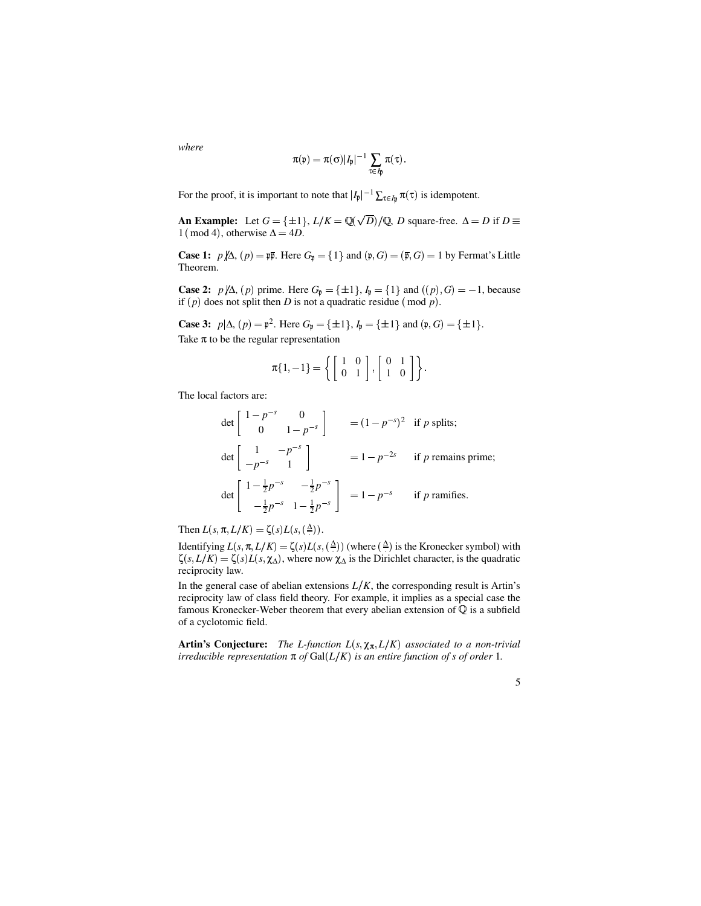*where*

$$
\pi(\mathfrak{p}) = \pi(\sigma)|I_{\mathfrak{p}}|^{-1} \sum_{\tau \in I_{\mathfrak{p}}} \pi(\tau).
$$

For the proof, it is important to note that  $|I_{\mathfrak{p}}|^{-1} \sum_{\tau \in I_{\mathfrak{p}}} \pi(\tau)$  is idempotent.

**An Example:** Let  $G = \{\pm 1\}$ ,  $L/K = \mathbb{Q}(\sqrt{D})/\mathbb{Q}$ , *D* square-free.  $\Delta = D$  if  $D \equiv$  $1 \text{ (mod 4)}$ , otherwise  $\Delta = 4D$ .

**Case 1:**  $p/\Delta$ ,  $(p) = p\overline{p}$ . Here  $G_p = \{1\}$  and  $(p, G) = (\overline{p}, G) = 1$  by Fermat's Little Theorem.

**Case 2:**  $p/\!\!\!/ \Delta$ ,  $(p)$  prime. Here  $G_p = \{\pm 1\}$ ,  $I_p = \{1\}$  and  $((p), G) = -1$ , because if  $(p)$  does not split then *D* is not a quadratic residue  $(\text{mod } p)$ .

**Case 3:**  $p|\Delta$ ,  $(p) = p^2$ . Here  $G_p = \{\pm 1\}$ ,  $I_p = \{\pm 1\}$  and  $(p, G) = \{\pm 1\}$ . Take  $\pi$  to be the regular representation

$$
\pi\{1,-1\}=\left\{\left[\begin{array}{cc}1&0\\0&1\end{array}\right],\left[\begin{array}{cc}0&1\\1&0\end{array}\right]\right\}.
$$

The local factors are:

$$
\det\begin{bmatrix} 1-p^{-s} & 0 \\ 0 & 1-p^{-s} \end{bmatrix} = (1-p^{-s})^2 \text{ if } p \text{ splits;}
$$
\n
$$
\det\begin{bmatrix} 1 & -p^{-s} \\ -p^{-s} & 1 \end{bmatrix} = 1 - p^{-2s} \text{ if } p \text{ remains prime;}
$$
\n
$$
\det\begin{bmatrix} 1-\frac{1}{2}p^{-s} & -\frac{1}{2}p^{-s} \\ -\frac{1}{2}p^{-s} & 1-\frac{1}{2}p^{-s} \end{bmatrix} = 1 - p^{-s} \text{ if } p \text{ ramifies.}
$$

Then  $L(s, \pi, L/K) = \zeta(s)L(s, (\triangle))$ .

Identifying  $L(s, \pi, L/K) = \zeta(s)L(s, \xi(\Delta))$  (where  $\xi(\Delta)$ ) is the Kronecker symbol) with  $\zeta(s, L/K) = \zeta(s)L(s, \chi_{\Delta})$ , where now  $\chi_{\Delta}$  is the Dirichlet character, is the quadratic reciprocity law.

In the general case of abelian extensions  $L/K$ , the corresponding result is Artin's reciprocity law of class field theory. For example, it implies as a special case the famous Kronecker-Weber theorem that every abelian extension of  $\mathbb Q$  is a subfield of a cyclotomic field.

**Artin's Conjecture:** The L-function  $L(s, \chi_{\pi}, L/K)$  associated to a non-trivial  $i$ *rreducible representation*  $\pi$  *of* Gal( $L/K$ ) *is an entire function of s of order* 1*.*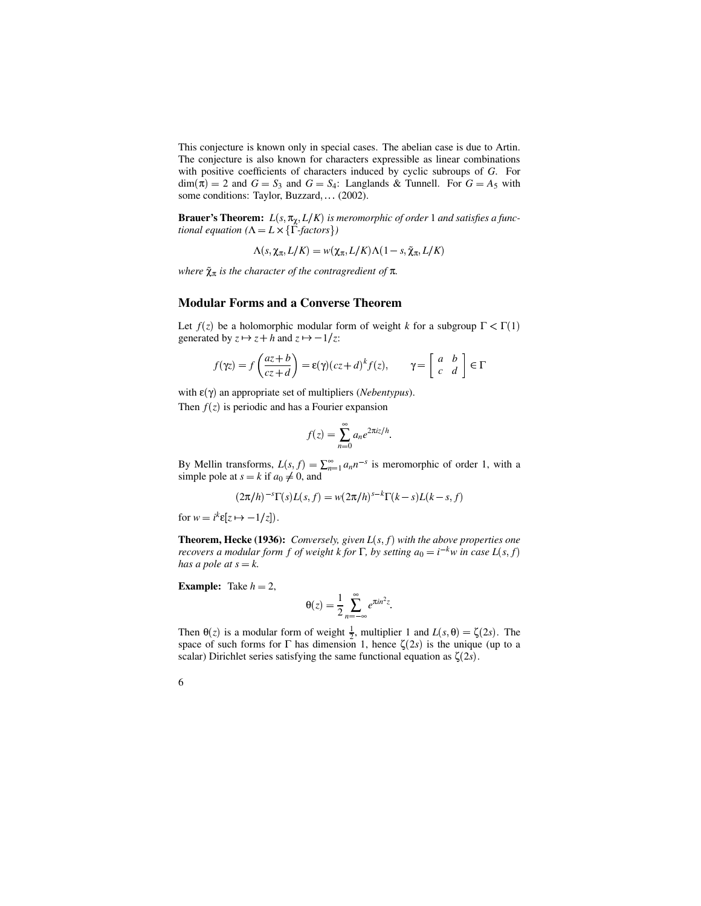This conjecture is known only in special cases. The abelian case is due to Artin. The conjecture is also known for characters expressible as linear combinations with positive coefficients of characters induced by cyclic subroups of *G*. For  $\dim(\pi) = 2$  and  $G = S_3$  and  $G = S_4$ : Langlands & Tunnell. For  $G = A_5$  with some conditions: Taylor, Buzzard, (2002).

**Brauer's Theorem:**  $L(s, \pi_{\chi}, L/K)$  is meromorphic of order 1 and satisfies a func*tional equation*  $(\Lambda = L \times {\{\Gamma \cdot \text{factors}\}})$ 

 $\Lambda(s,\chi_\pi,L/K) = w(\chi_\pi,L/K)\Lambda(1-s,\tilde{\chi}_\pi,L/K)$ 

*where*  $\tilde{\chi}_{\pi}$  *is the character of the contragredient of*  $\pi$ *.* 

#### **Modular Forms and a Converse Theorem**

Let  $f(z)$  be a holomorphic modular form of weight *k* for a subgroup  $\Gamma < \Gamma(1)$ generated by  $z \mapsto z + h$  and  $z \mapsto -1/z$ :

$$
f(\gamma z) = f\left(\frac{az+b}{cz+d}\right) = \varepsilon(\gamma)(cz+d)^k f(z), \qquad \gamma = \begin{bmatrix} a & b \\ c & d \end{bmatrix} \in \Gamma
$$

with  $ε(γ)$  an appropriate set of multipliers (*Nebentypus*). Then  $f(z)$  is periodic and has a Fourier expansion

$$
f(z) = \sum_{n=0}^{\infty} a_n e^{2\pi i z/h}.
$$

By Mellin transforms,  $L(s, f) = \sum_{n=1}^{\infty} a_n n^{-s}$  is meromorphic of order 1, with a simple pole at  $s = k$  if  $a_0 \neq 0$ , and

$$
(2\pi/h)^{-s}\Gamma(s)L(s,f) = w(2\pi/h)^{s-k}\Gamma(k-s)L(k-s,f)
$$

for  $w = i^k \varepsilon [z \mapsto -1/z]$ .

**Theorem, Hecke (1936):** Conversely, given  $L(s, f)$  with the above properties one recovers a modular form f of weight k for  $\Gamma$ , by setting  $a_0 = i^{-k}w$  in case  $L(s, f)$ *has a pole at*  $s = k$ .

**Example:** Take  $h = 2$ ,

$$
\Theta(z) = \frac{1}{2} \sum_{n=-\infty}^{\infty} e^{\pi i n^2 z}.
$$

Then  $\theta(z)$  is a modular form of weight  $\frac{1}{2}$ , multiplier 1 and  $L(s, \theta) = \zeta(2s)$ . The space of such forms for  $\Gamma$  has dimension 1, hence  $\zeta(2s)$  is the unique (up to a scalar) Dirichlet series satisfying the same functional equation as  $\zeta(2s)$ .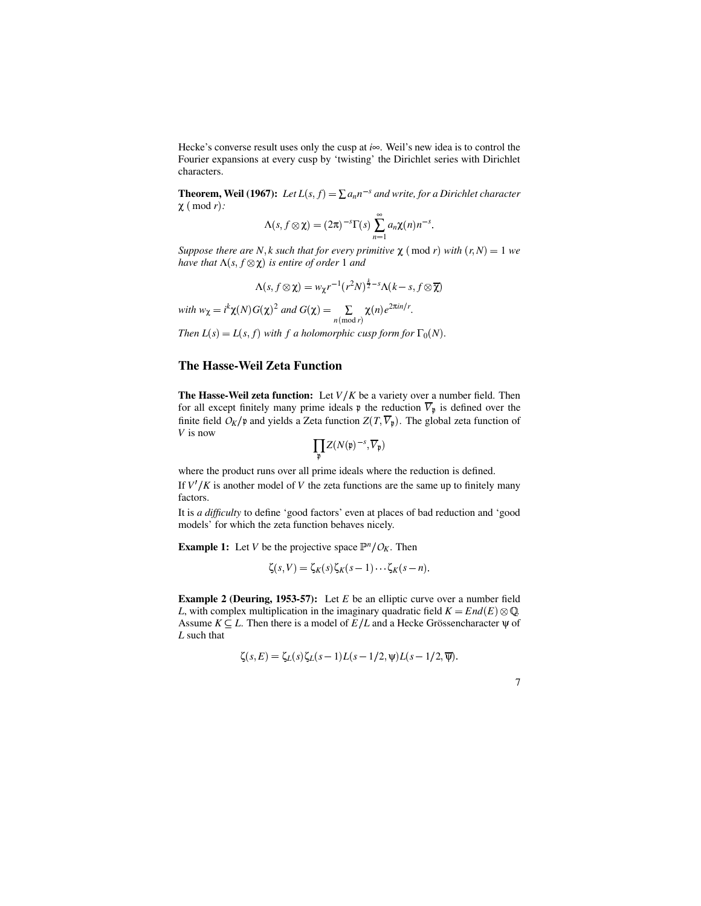Hecke's converse result uses only the cusp at *i*∞. Weil's new idea is to control the Fourier expansions at every cusp by 'twisting' the Dirichlet series with Dirichlet characters.

**Theorem, Weil (1967):** Let  $L(s, f) = \sum a_n n^{-s}$  and write, for a Dirichlet character  $\chi$  ( mod *r* ):

$$
\Lambda(s, f \otimes \chi) = (2\pi)^{-s} \Gamma(s) \sum_{n=1}^{\infty} a_n \chi(n) n^{-s}.
$$

*Suppose there are N*, *k such that for every primitive*  $\chi$  (*mod r*) *with*  $(r, N) = 1$  *we*  $h$ *ave that*  $\Lambda(s, f \otimes \chi)$  *is entire of order* 1 *and* 

$$
\Lambda(s, f \otimes \chi) = w_{\chi} r^{-1} (r^2 N)^{\frac{k}{2} - s} \Lambda(k - s, f \otimes \overline{\chi})
$$

with 
$$
w_{\chi} = i^{k} \chi(N) G(\chi)^{2}
$$
 and  $G(\chi) = \sum_{n \pmod{r}} \chi(n) e^{2\pi i n/r}$ .

*Then*  $L(s) = L(s, f)$  *with f a holomorphic cusp form for*  $\Gamma_0(N)$ *.* 

#### **The Hasse-Weil Zeta Function**

**The Hasse-Weil zeta function:** Let *V K* be a variety over a number field. Then for all except finitely many prime ideals  $\phi$  the reduction  $\overline{V}_{\phi}$  is defined over the finite field  $O_K/\mathfrak{p}$  and yields a Zeta function  $Z(T, \overline{V}_{\mathfrak{p}})$ . The global zeta function of *V* is now

$$
\prod_{\mathfrak{p}}Z(N(\mathfrak{p})^{-s},\overline{V}_{\mathfrak{p}})
$$

where the product runs over all prime ideals where the reduction is defined. If  $V'/K$  is another model of *V* the zeta functions are the same up to finitely many factors.

It is *a difficulty* to define 'good factors' even at places of bad reduction and 'good models' for which the zeta function behaves nicely.

**Example 1:** Let *V* be the projective space  $\mathbb{P}^n/\mathcal{O}_K$ . Then

$$
\zeta(s,V)=\zeta_K(s)\zeta_K(s-1)\cdots\zeta_K(s-n).
$$

**Example 2 (Deuring, 1953-57):** Let *E* be an elliptic curve over a number field *L*, with complex multiplication in the imaginary quadratic field  $K = End(E) \otimes \mathbb{Q}$ . Assume  $K \subseteq L$ . Then there is a model of  $E/L$  and a Hecke Grössencharacter  $\psi$  of *L* such that

$$
\zeta(s,E) = \zeta_L(s)\zeta_L(s-1)L(s-1/2,\Psi)L(s-1/2,\overline{\Psi}).
$$

| I |  |
|---|--|
|   |  |
|   |  |
| ۰ |  |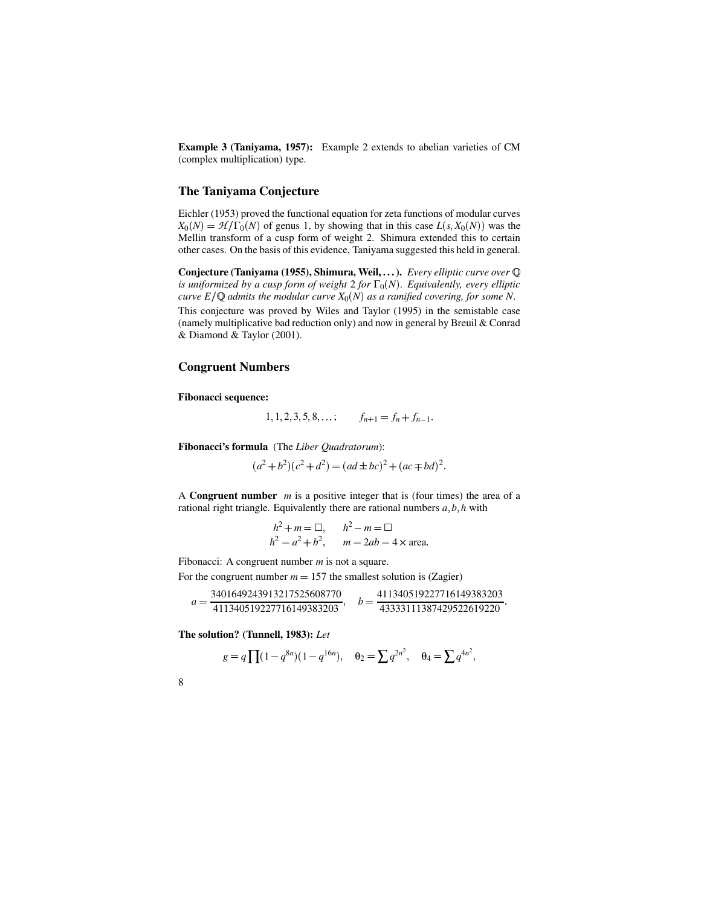**Example 3 (Taniyama, 1957):** Example 2 extends to abelian varieties of CM (complex multiplication) type.

#### **The Taniyama Conjecture**

Eichler (1953) proved the functional equation for zeta functions of modular curves  $X_0(N) = \mathcal{H}/\Gamma_0(N)$  of genus 1, by showing that in this case  $L(s, X_0(N))$  was the Mellin transform of a cusp form of weight 2. Shimura extended this to certain other cases. On the basis of this evidence, Taniyama suggested this held in general.

**Conjecture (Taniyama (1955), Shimura, Weil, . . .).** *Every elliptic curve over is uniformized by a cusp form of weight* 2 *for*  $\Gamma_0(N)$ *. Equivalently, every elliptic*  $curveE/\mathbb{Q}$  admits the modular  $curveX_0(N)$  as a ramified  $covering,$  for some N.

This conjecture was proved by Wiles and Taylor (1995) in the semistable case (namely multiplicative bad reduction only) and now in general by Breuil & Conrad & Diamond & Taylor (2001).

#### **Congruent Numbers**

**Fibonacci sequence:**

 $1, 1, 2, 3, 5, 8, \ldots;$   $f_{n+1} = f_n + f_{n-1}.$ 

**Fibonacci's formula** (The *Liber Quadratorum*):

$$
(a2 + b2)(c2 + d2) = (ad \pm bc)2 + (ac \mp bd)2.
$$

A **Congruent number** *m* is a positive integer that is (four times) the area of a rational right triangle. Equivalently there are rational numbers  $a, b, h$  with

$$
h2 + m = \square, \t h2 - m = \square
$$
  
 
$$
h2 = a2 + b2, \t m = 2ab = 4 \times \text{area}.
$$

Fibonacci: A congruent number *m* is not a square.

For the congruent number  $m = 157$  the smallest solution is (Zagier)

$$
a = \frac{3401649243913217525608770}{411340519227716149383203}, \quad b = \frac{411340519227716149383203}{43333111387429522619220}.
$$

**The solution? (Tunnell, 1983):** *Let*

$$
g = q \prod (1 - q^{8n})(1 - q^{16n}), \quad \theta_2 = \sum q^{2n^2}, \quad \theta_4 = \sum q^{4n^2},
$$

8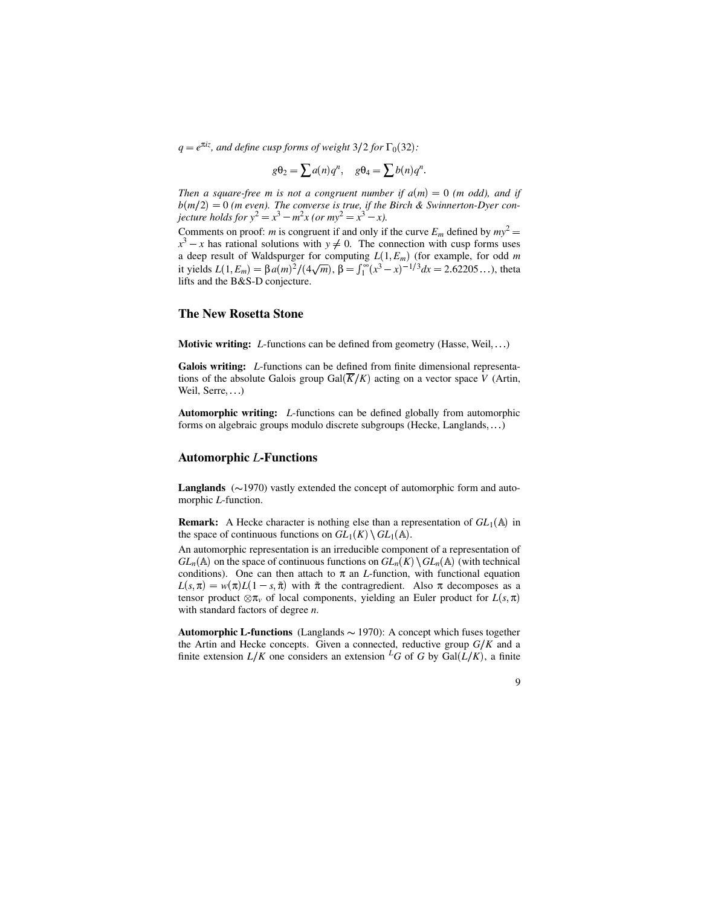$q = e^{\pi i z}$ , and *define cusp forms of weight*  $3/2$  *for*  $\Gamma_0(32)$ *:* 

$$
g\Theta_2 = \sum a(n)q^n, \quad g\Theta_4 = \sum b(n)q^n.
$$

*Then a square-free m is not a congruent number if*  $a(m) = 0$  (*m odd*), *and if*  $b(m/2) = 0$  (*m even*). The *converse* is *true,* if the Birch & Swinnerton-Dyer con*jecture holds for*  $y^2 = x^3 - m^2x$  *(or*  $my^2 = x^3 - x$ *).* 

Comments on proof: *m* is congruent if and only if the curve  $E_m$  defined by  $my^2 =$  $x^3 - x$  has rational solutions with  $y \neq 0$ . The connection with cusp forms uses a deep result of Waldspurger for computing  $L(1, E_m)$  (for example, for odd m it yields  $L(1, E_m) = \beta a(m)^2 / (4\sqrt{m}), \beta = \int_1^\infty (x^3 - x)^{-1/3} dx = 2.62205...$ , theta lifts and the B&S-D conjecture.

#### **The New Rosetta Stone**

**Motivic writing:** *L*-functions can be defined from geometry (Hasse, Weil, ...)

**Galois writing:** *L*-functions can be defined from finite dimensional representations of the absolute Galois group  $Gal(\overline{K}/K)$  acting on a vector space *V* (Artin, Weil, Serre

**Automorphic writing:** *L*-functions can be defined globally from automorphic forms on algebraic groups modulo discrete subgroups (Hecke, Langlands,  $\ldots$ )

#### **Automorphic** *L***-Functions**

**Langlands**  $(\sim 1970)$  vastly extended the concept of automorphic form and automorphic *L*-function.

**Remark:** A Hecke character is nothing else than a representation of  $GL_1(\mathbb{A})$  in the space of continuous functions on  $GL_1(K) \setminus GL_1(\mathbb{A})$ .

An automorphic representation is an irreducible component of a representation of  $GL_n(\mathbb{A})$  on the space of continuous functions on  $GL_n(K) \setminus GL_n(\mathbb{A})$  (with technical conditions). One can then attach to  $\pi$  an *L*-function, with functional equation  $L(s,\pi) = w(\pi)L(1-s,\tilde{\pi})$  with  $\tilde{\pi}$  the contragredient. Also  $\pi$  decomposes as a tensor product  $\otimes \pi_v$  of local components, yielding an Euler product for *L*(*s*,  $\pi$ ) with standard factors of degree *n*.

**Automorphic L-functions** (Langlands  $\sim$  1970): A concept which fuses together the Artin and Hecke concepts. Given a connected, reductive group  $G/K$  and a finite extension  $L/K$  one considers an extension <sup>L</sup>G of G by Gal( $\overline{L}/K$ ), a finite

| ×<br>i<br>I |  |
|-------------|--|
|             |  |
|             |  |
| ۰.<br>٦     |  |
| ٠<br>v      |  |
|             |  |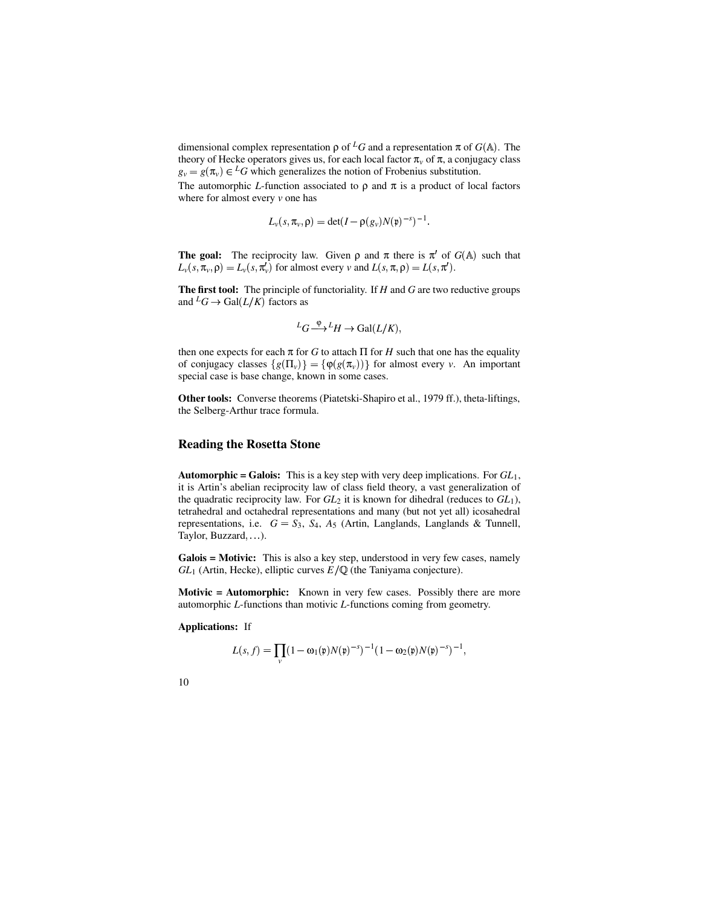dimensional complex representation  $\rho$  of <sup>L</sup>*G* and a representation  $\pi$  of *G*(A). The theory of Hecke operators gives us, for each local factor  $\pi$ <sub>*v*</sub> of  $\pi$ , a conjugacy class  $g_y = g(\pi_y) \in {}^L G$  which generalizes the notion of Frobenius substitution.

The automorphic *L*-function associated to  $\rho$  and  $\pi$  is a product of local factors where for almost every *v* one has

$$
L_{\nu}(s, \pi_{\nu}, \rho) = \det(I - \rho(g_{\nu})N(\mathfrak{p})^{-s})^{-1}.
$$

**The goal:** The reciprocity law. Given  $\rho$  and  $\pi$  there is  $\pi'$  of  $G(A)$  such that  $L_v(s, \pi_v, \rho) = L_v(s, \pi_v')$  for almost every *v* and  $L(s, \pi, \rho) = L(s, \pi')$ .

**The first tool:** The principle of functoriality. If *H* and *G* are two reductive groups and  ${}^L G \to \text{Gal}(L/K)$  factors as

$$
{}^L G \xrightarrow{\phi} {}^L H \to \text{Gal}(L/K),
$$

then one expects for each  $\pi$  for *G* to attach  $\Pi$  for *H* such that one has the equality of conjugacy classes  $\{g(\Pi_v)\} = \{\varphi(g(\pi_v))\}$  for almost every *v*. An important special case is base change, known in some cases.

**Other tools:** Converse theorems (Piatetski-Shapiro et al., 1979 ff.), theta-liftings, the Selberg-Arthur trace formula.

#### **Reading the Rosetta Stone**

**Automorphic = Galois:** This is a key step with very deep implications. For *GL*1, it is Artin's abelian reciprocity law of class field theory, a vast generalization of the quadratic reciprocity law. For *GL*<sup>2</sup> it is known for dihedral (reduces to *GL*1), tetrahedral and octahedral representations and many (but not yet all) icosahedral representations, i.e.  $G = S_3$ ,  $S_4$ ,  $A_5$  (Artin, Langlands, Langlands & Tunnell, Taylor, Buzzard, ...

**Galois = Motivic:** This is also a key step, understood in very few cases, namely  $GL_1$  (Artin, Hecke), elliptic curves  $E/\mathbb{Q}$  (the Taniyama conjecture).

**Motivic = Automorphic:** Known in very few cases. Possibly there are more automorphic *L*-functions than motivic *L*-functions coming from geometry.

#### **Applications:** If

$$
L(s, f) = \prod_{\nu} (1 - \omega_1(\mathfrak{p}) N(\mathfrak{p})^{-s})^{-1} (1 - \omega_2(\mathfrak{p}) N(\mathfrak{p})^{-s})^{-1},
$$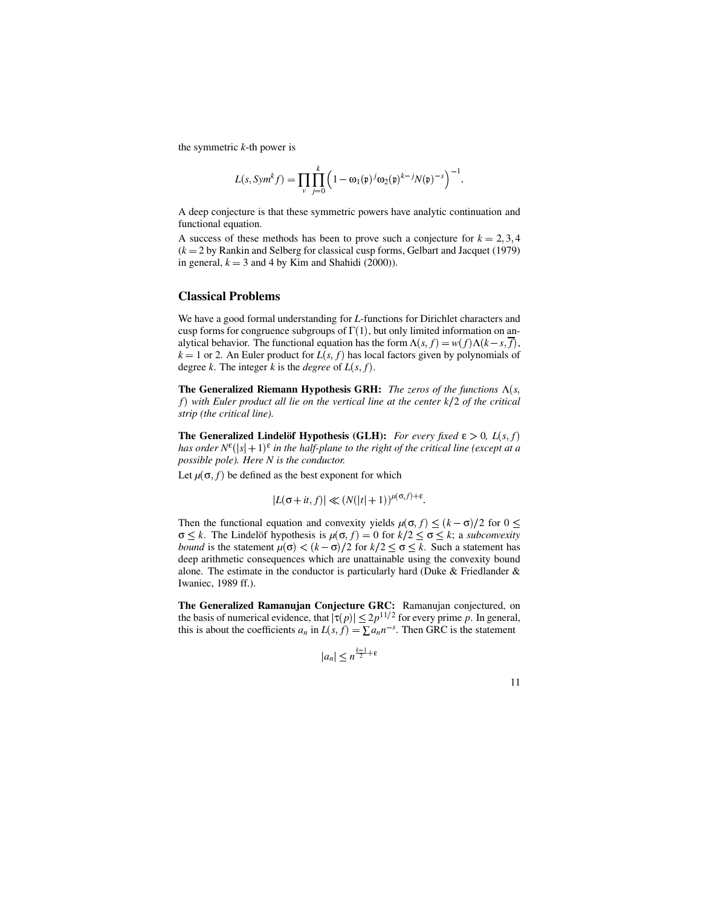the symmetric *k*-th power is

$$
L(s, Symk f) = \prod_{v} \prod_{j=0}^{k} \left(1 - \omega_1(\mathfrak{p})^{j} \omega_2(\mathfrak{p})^{k-j} N(\mathfrak{p})^{-s}\right)^{-1}.
$$

A deep conjecture is that these symmetric powers have analytic continuation and functional equation.

A success of these methods has been to prove such a conjecture for  $k = 2, 3, 4$  $(k = 2$  by Rankin and Selberg for classical cusp forms, Gelbart and Jacquet (1979) in general,  $k = 3$  and 4 by Kim and Shahidi (2000)).

#### **Classical Problems**

We have a good formal understanding for *L*-functions for Dirichlet characters and cusp forms for congruence subgroups of  $\Gamma(1)$ , but only limited information on analytical behavior. The functional equation has the form  $\Lambda(s, f) = w(f)\Lambda(k-s, \overline{f}),$  $k = 1$  or 2. An Euler product for  $L(s, f)$  has local factors given by polynomials of degree *k*. The integer *k* is the *degree* of  $L(s, f)$ .

**The Generalized Riemann Hypothesis GRH:** The zeros of the functions  $\Lambda(s)$ *f with Euler product all lie on the vertical line at the center k*2 *of the critical strip (the critical line).*

**The Generalized Lindelöf Hypothesis (GLH):** For every fixed  $\epsilon > 0$ ,  $L(s, f)$ *has order*  $N^{\varepsilon}(|s|+1)^{\varepsilon}$  *in the half-plane to the right of the critical line (except at a possible pole). Here N is the conductor.*

Let  $\mu(\sigma, f)$  be defined as the best exponent for which

$$
|L(\sigma+it, f)| \ll (N(|t|+1))^{\mu(\sigma, f)+\varepsilon}.
$$

Then the functional equation and convexity yields  $\mu(\sigma, f) \le (k - \sigma)/2$  for  $0 \le$  $\sigma \leq k$ . The Lindelöf hypothesis is  $\mu(\sigma, f) = 0$  for  $k/2 \leq \sigma \leq k$ ; a *subconvexity bound* is the statement  $\mu(\sigma) < (k - \sigma)/2$  for  $k/2 \le \sigma \le k$ . Such a statement has deep arithmetic consequences which are unattainable using the convexity bound alone. The estimate in the conductor is particularly hard (Duke & Friedlander & Iwaniec, 1989 ff.).

**The Generalized Ramanujan Conjecture GRC:** Ramanujan conjectured, on the basis of numerical evidence, that  $|\tau(p)| \leq 2p^{11/2}$  for every prime p. In general, this is about the coefficients  $a_n$  in  $L(s, f) = \sum a_n n^{-s}$ . Then GRC is the statement

$$
|a_n| \le n^{\frac{k-1}{2} + \varepsilon}
$$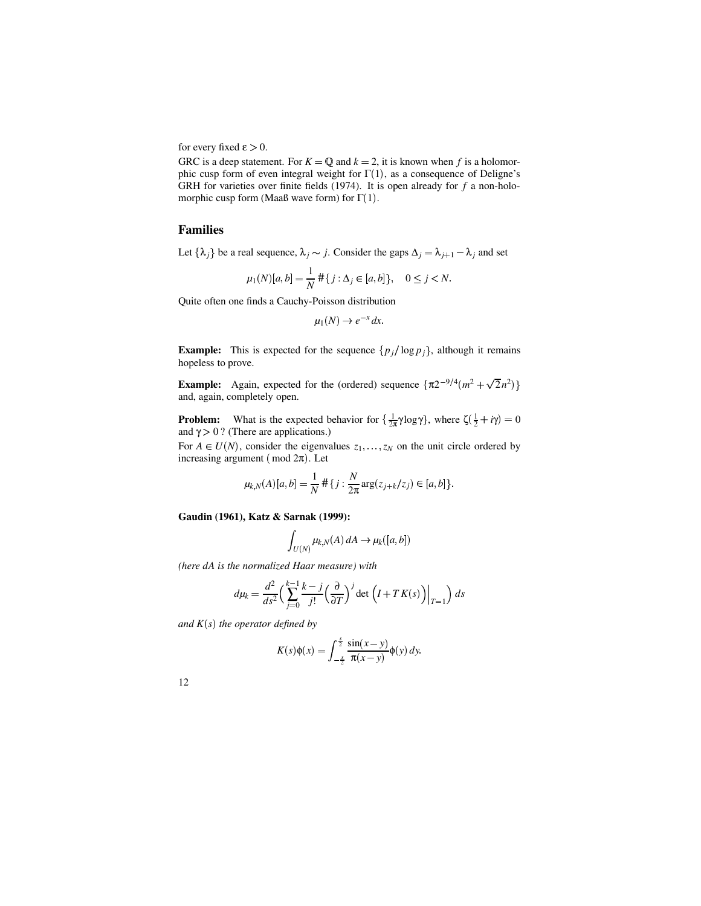for every fixed  $\varepsilon > 0$ .

GRC is a deep statement. For  $K = \mathbb{Q}$  and  $k = 2$ , it is known when f is a holomorphic cusp form of even integral weight for  $\Gamma(1)$ , as a consequence of Deligne's GRH for varieties over finite fields (1974). It is open already for *f* a non-holomorphic cusp form (Maaß wave form) for  $\Gamma(1)$ .

#### **Families**

Let  $\{\lambda_i\}$  be a real sequence,  $\lambda_i \sim j$ . Consider the gaps  $\Delta_i = \lambda_{i+1} - \lambda_i$  and set

$$
\mu_1(N)[a,b] = \frac{1}{N} \# \{ j : \Delta_j \in [a,b] \}, \quad 0 \le j < N.
$$

Quite often one finds a Cauchy-Poisson distribution

$$
\mu_1(N) \to e^{-x} dx
$$

**Example:** This is expected for the sequence  $\{p_j/\log p_j\}$ , although it remains hopeless to prove.

**Example:** Again, expected for the (ordered) sequence  $\{\pi 2^{-9/4} (m^2 + \sqrt{2}n^2)\}\$ and, again, completely open.

**Problem:** What is the expected behavior for  $\{\frac{1}{2\pi}\gamma\log\gamma\}$ , where  $\zeta(\frac{1}{2} + i\gamma) = 0$ and  $\gamma > 0$  ? (There are applications.)

For  $A \in U(N)$ , consider the eigenvalues  $z_1, \ldots, z_N$  on the unit circle ordered by increasing argument (mod  $2\pi$ ). Let

$$
\mu_{k,N}(A)[a,b] = \frac{1}{N} \# \{ j : \frac{N}{2\pi} \arg(z_{j+k}/z_j) \in [a,b] \}.
$$

**Gaudin (1961), Katz & Sarnak (1999):**

$$
\int_{U(N)} \mu_{k,N}(A) dA \to \mu_k([a,b])
$$

*(here dA is the normalized Haar measure) with*

$$
d\mu_k = \frac{d^2}{ds^2} \left( \sum_{j=0}^{k-1} \frac{k-j}{j!} \left( \frac{\partial}{\partial T} \right)^j \det \left( I + T K(s) \right) \Big|_{T=1} \right) ds
$$

 $and K(s)$  *the operator defined by* 

$$
K(s)\phi(x) = \int_{-\frac{s}{2}}^{\frac{s}{2}} \frac{\sin(x-y)}{\pi(x-y)} \phi(y) dy.
$$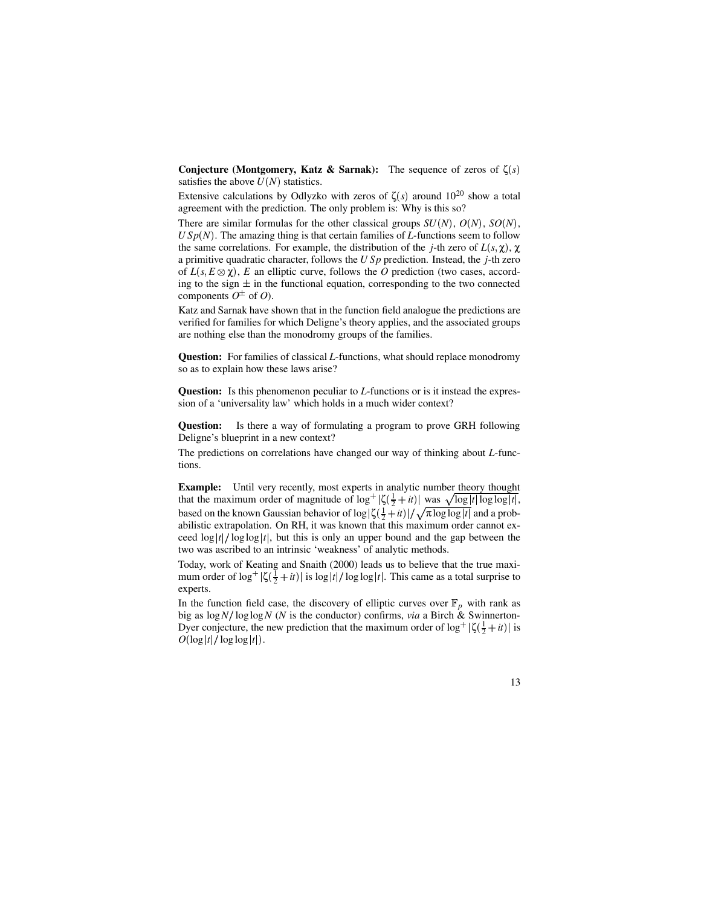**Conjecture** (Montgomery, Katz & Sarnak): The sequence of zeros of  $\zeta(s)$ satisfies the above  $U(N)$  statistics.

Extensive calculations by Odlyzko with zeros of  $\zeta(s)$  around  $10^{20}$  show a total agreement with the prediction. The only problem is: Why is this so?

There are similar formulas for the other classical groups  $SU(N)$ ,  $O(N)$ ,  $SO(N)$ ,  $USp(N)$ . The amazing thing is that certain families of *L*-functions seem to follow the same correlations. For example, the distribution of the *j*-th zero of  $L(s, \chi)$ ,  $\chi$ a primitive quadratic character, follows the *U Sp* prediction. Instead, the *j*-th zero of  $L(s, E \otimes \chi)$ , *E* an elliptic curve, follows the *O* prediction (two cases, according to the sign  $\pm$  in the functional equation, corresponding to the two connected components  $O^{\pm}$  of *O*).

Katz and Sarnak have shown that in the function field analogue the predictions are verified for families for which Deligne's theory applies, and the associated groups are nothing else than the monodromy groups of the families.

**Question:** For families of classical *L*-functions, what should replace monodromy so as to explain how these laws arise?

**Question:** Is this phenomenon peculiar to *L*-functions or is it instead the expression of a 'universality law' which holds in a much wider context?

**Question:** Is there a way of formulating a program to prove GRH following Deligne's blueprint in a new context?

The predictions on correlations have changed our way of thinking about *L*-functions.

**Example:** Until very recently, most experts in analytic number theory thought that the maximum order of magnitude of  $\log^+ |\zeta(\frac{1}{2} + it)|$  was  $\sqrt{\log |t| \log \log |t|}$ , based on the known Gaussian behavior of  $\log |\zeta(\frac{1}{2} + it)| / \sqrt{\pi \log \log |t|}$  and a probabilistic extrapolation. On RH, it was known that this maximum order cannot exceed  $\log |t| / \log \log |t|$ , but this is only an upper bound and the gap between the two was ascribed to an intrinsic 'weakness' of analytic methods.

Today, work of Keating and Snaith (2000) leads us to believe that the true maximum order of  $\log^+ |\zeta(\frac{1}{2} + it)|$  is  $\log |t| / \log \log |t|$ . This came as a total surprise to experts.

In the function field case, the discovery of elliptic curves over  $\mathbb{F}_p$  with rank as big as  $\log N / \log \log N$  (*N* is the conductor) confirms, *via* a Birch & Swinnerton-Dyer conjecture, the new prediction that the maximum order of  $\log^+ |\zeta(\frac{1}{2} + it)|$  is  $O(\log |t|/\log \log |t|).$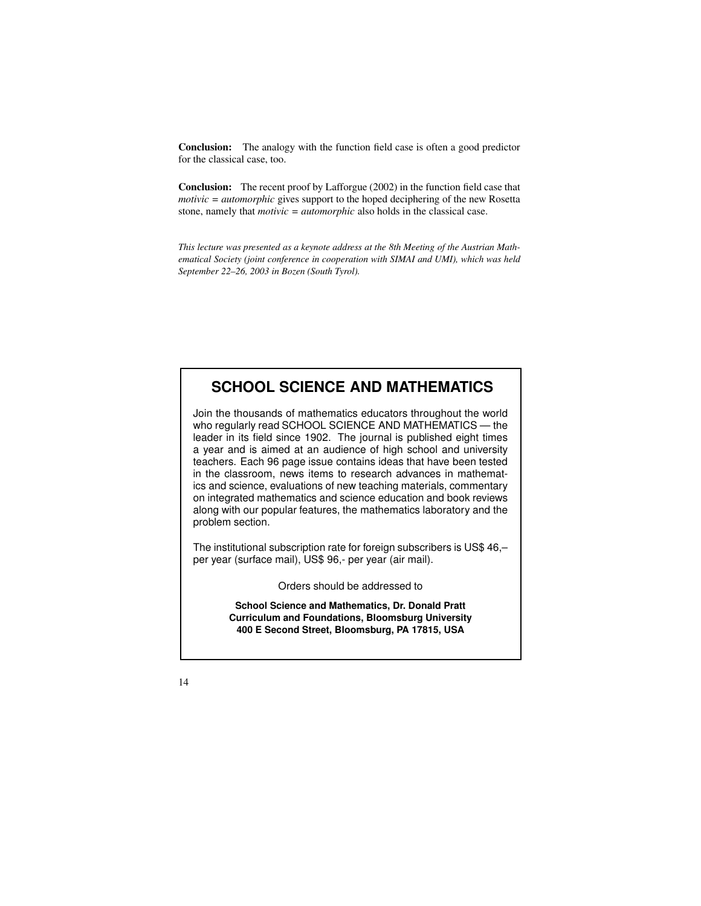**Conclusion:** The analogy with the function field case is often a good predictor for the classical case, too.

**Conclusion:** The recent proof by Lafforgue (2002) in the function field case that *motivic = automorphic* gives support to the hoped deciphering of the new Rosetta stone, namely that *motivic* = *automorphic* also holds in the classical case.

*This lecture was presented as a keynote address at the 8th Meeting of the Austrian Mathematical Society (joint conference in cooperation with SIMAI and UMI), which was held September 22–26, 2003 in Bozen (South Tyrol).*

### **SCHOOL SCIENCE AND MATHEMATICS**

Join the thousands of mathematics educators throughout the world who regularly read SCHOOL SCIENCE AND MATHEMATICS — the leader in its field since 1902. The journal is published eight times a year and is aimed at an audience of high school and university teachers. Each 96 page issue contains ideas that have been tested in the classroom, news items to research advances in mathematics and science, evaluations of new teaching materials, commentary on integrated mathematics and science education and book reviews along with our popular features, the mathematics laboratory and the problem section.

The institutional subscription rate for foreign subscribers is US\$ 46,– per year (surface mail), US\$ 96,- per year (air mail).

Orders should be addressed to

**School Science and Mathematics, Dr. Donald Pratt Curriculum and Foundations, Bloomsburg University 400 E Second Street, Bloomsburg, PA 17815, USA**

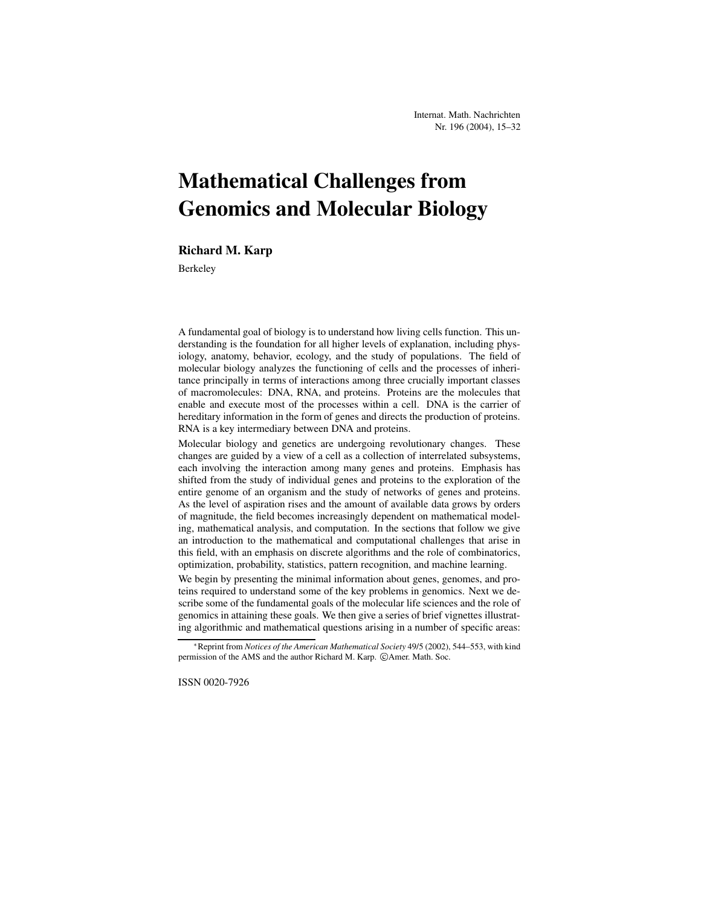# **Mathematical Challenges from Genomics and Molecular Biology**

#### **Richard M. Karp**

Berkeley

A fundamental goal of biology is to understand how living cells function. This understanding is the foundation for all higher levels of explanation, including physiology, anatomy, behavior, ecology, and the study of populations. The field of molecular biology analyzes the functioning of cells and the processes of inheritance principally in terms of interactions among three crucially important classes of macromolecules: DNA, RNA, and proteins. Proteins are the molecules that enable and execute most of the processes within a cell. DNA is the carrier of hereditary information in the form of genes and directs the production of proteins. RNA is a key intermediary between DNA and proteins.

Molecular biology and genetics are undergoing revolutionary changes. These changes are guided by a view of a cell as a collection of interrelated subsystems, each involving the interaction among many genes and proteins. Emphasis has shifted from the study of individual genes and proteins to the exploration of the entire genome of an organism and the study of networks of genes and proteins. As the level of aspiration rises and the amount of available data grows by orders of magnitude, the field becomes increasingly dependent on mathematical modeling, mathematical analysis, and computation. In the sections that follow we give an introduction to the mathematical and computational challenges that arise in this field, with an emphasis on discrete algorithms and the role of combinatorics, optimization, probability, statistics, pattern recognition, and machine learning.

We begin by presenting the minimal information about genes, genomes, and proteins required to understand some of the key problems in genomics. Next we describe some of the fundamental goals of the molecular life sciences and the role of genomics in attaining these goals. We then give a series of brief vignettes illustrating algorithmic and mathematical questions arising in a number of specific areas:

ISSN 0020-7926

Reprint from *Notices of the American Mathematical Society* 49/5 (2002), 544–553, with kind permission of the AMS and the author Richard M. Karp. © Amer. Math. Soc.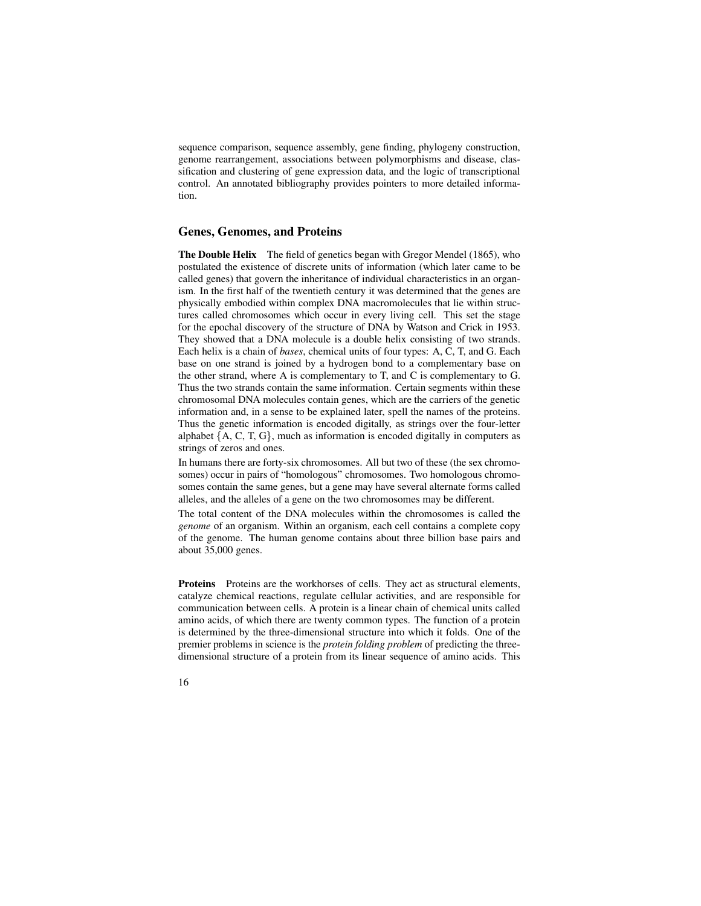sequence comparison, sequence assembly, gene finding, phylogeny construction, genome rearrangement, associations between polymorphisms and disease, classification and clustering of gene expression data, and the logic of transcriptional control. An annotated bibliography provides pointers to more detailed information.

#### **Genes, Genomes, and Proteins**

**The Double Helix** The field of genetics began with Gregor Mendel (1865), who postulated the existence of discrete units of information (which later came to be called genes) that govern the inheritance of individual characteristics in an organism. In the first half of the twentieth century it was determined that the genes are physically embodied within complex DNA macromolecules that lie within structures called chromosomes which occur in every living cell. This set the stage for the epochal discovery of the structure of DNA by Watson and Crick in 1953. They showed that a DNA molecule is a double helix consisting of two strands. Each helix is a chain of *bases*, chemical units of four types: A, C, T, and G. Each base on one strand is joined by a hydrogen bond to a complementary base on the other strand, where A is complementary to T, and C is complementary to G. Thus the two strands contain the same information. Certain segments within these chromosomal DNA molecules contain genes, which are the carriers of the genetic information and, in a sense to be explained later, spell the names of the proteins. Thus the genetic information is encoded digitally, as strings over the four-letter alphabet  $\{A, C, T, G\}$ , much as information is encoded digitally in computers as strings of zeros and ones.

In humans there are forty-six chromosomes. All but two of these (the sex chromosomes) occur in pairs of "homologous" chromosomes. Two homologous chromosomes contain the same genes, but a gene may have several alternate forms called alleles, and the alleles of a gene on the two chromosomes may be different.

The total content of the DNA molecules within the chromosomes is called the *genome* of an organism. Within an organism, each cell contains a complete copy of the genome. The human genome contains about three billion base pairs and about 35,000 genes.

**Proteins** Proteins are the workhorses of cells. They act as structural elements, catalyze chemical reactions, regulate cellular activities, and are responsible for communication between cells. A protein is a linear chain of chemical units called amino acids, of which there are twenty common types. The function of a protein is determined by the three-dimensional structure into which it folds. One of the premier problems in science is the *protein folding problem* of predicting the threedimensional structure of a protein from its linear sequence of amino acids. This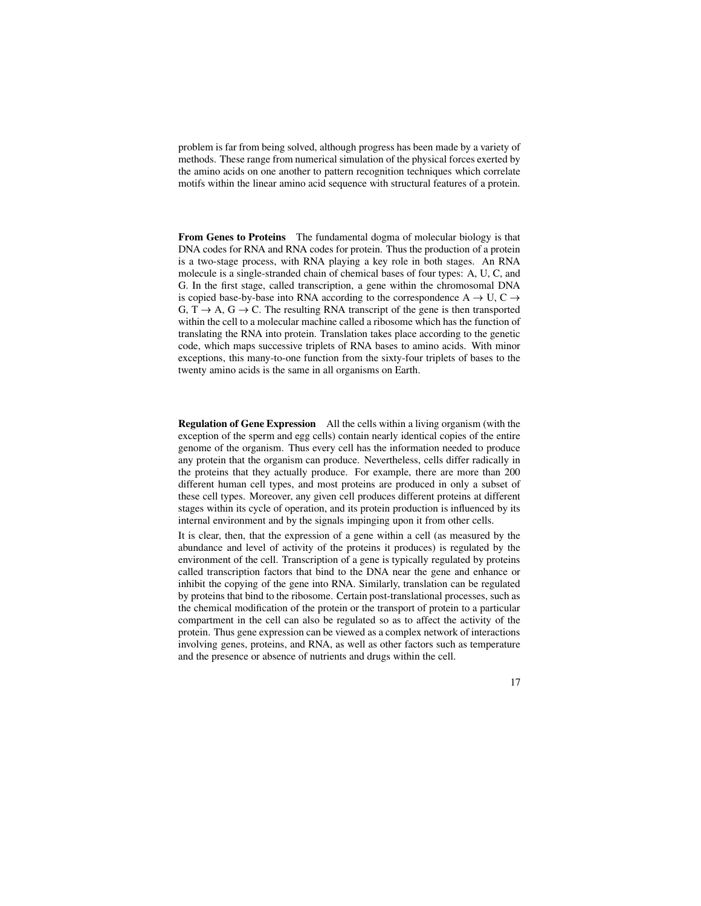problem is far from being solved, although progress has been made by a variety of methods. These range from numerical simulation of the physical forces exerted by the amino acids on one another to pattern recognition techniques which correlate motifs within the linear amino acid sequence with structural features of a protein.

**From Genes to Proteins** The fundamental dogma of molecular biology is that DNA codes for RNA and RNA codes for protein. Thus the production of a protein is a two-stage process, with RNA playing a key role in both stages. An RNA molecule is a single-stranded chain of chemical bases of four types: A, U, C, and G. In the first stage, called transcription, a gene within the chromosomal DNA is copied base-by-base into RNA according to the correspondence A  $\rightarrow$  U, C  $\rightarrow$ G,  $T \rightarrow A$ ,  $G \rightarrow C$ . The resulting RNA transcript of the gene is then transported within the cell to a molecular machine called a ribosome which has the function of translating the RNA into protein. Translation takes place according to the genetic code, which maps successive triplets of RNA bases to amino acids. With minor exceptions, this many-to-one function from the sixty-four triplets of bases to the twenty amino acids is the same in all organisms on Earth.

**Regulation of Gene Expression** All the cells within a living organism (with the exception of the sperm and egg cells) contain nearly identical copies of the entire genome of the organism. Thus every cell has the information needed to produce any protein that the organism can produce. Nevertheless, cells differ radically in the proteins that they actually produce. For example, there are more than 200 different human cell types, and most proteins are produced in only a subset of these cell types. Moreover, any given cell produces different proteins at different stages within its cycle of operation, and its protein production is influenced by its internal environment and by the signals impinging upon it from other cells.

It is clear, then, that the expression of a gene within a cell (as measured by the abundance and level of activity of the proteins it produces) is regulated by the environment of the cell. Transcription of a gene is typically regulated by proteins called transcription factors that bind to the DNA near the gene and enhance or inhibit the copying of the gene into RNA. Similarly, translation can be regulated by proteins that bind to the ribosome. Certain post-translational processes, such as the chemical modification of the protein or the transport of protein to a particular compartment in the cell can also be regulated so as to affect the activity of the protein. Thus gene expression can be viewed as a complex network of interactions involving genes, proteins, and RNA, as well as other factors such as temperature and the presence or absence of nutrients and drugs within the cell.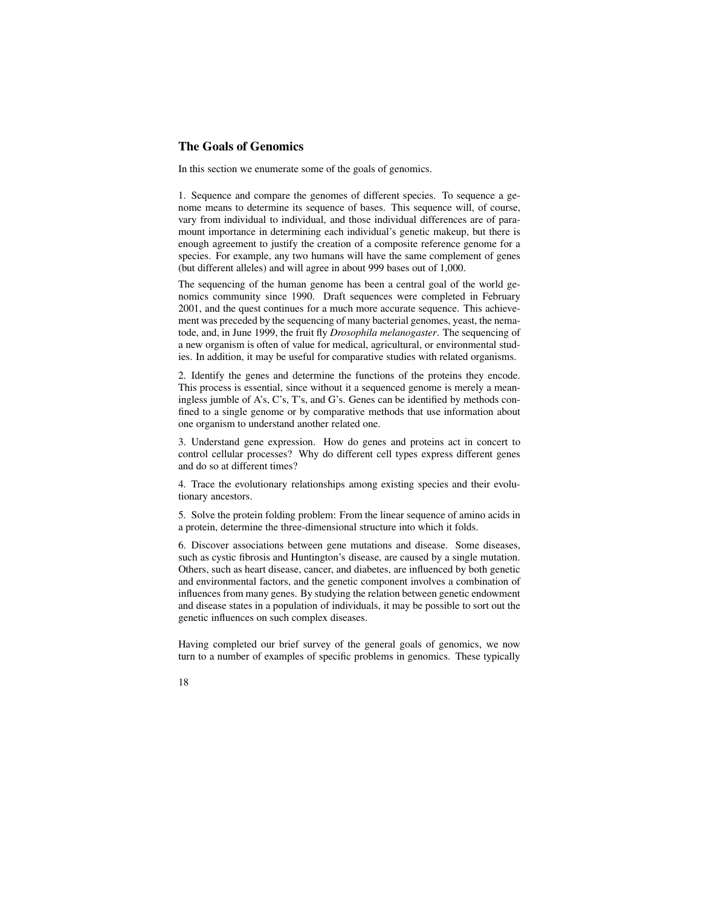#### **The Goals of Genomics**

In this section we enumerate some of the goals of genomics.

1. Sequence and compare the genomes of different species. To sequence a genome means to determine its sequence of bases. This sequence will, of course, vary from individual to individual, and those individual differences are of paramount importance in determining each individual's genetic makeup, but there is enough agreement to justify the creation of a composite reference genome for a species. For example, any two humans will have the same complement of genes (but different alleles) and will agree in about 999 bases out of 1,000.

The sequencing of the human genome has been a central goal of the world genomics community since 1990. Draft sequences were completed in February 2001, and the quest continues for a much more accurate sequence. This achievement was preceded by the sequencing of many bacterial genomes, yeast, the nematode, and, in June 1999, the fruit fly *Drosophila melanogaster*. The sequencing of a new organism is often of value for medical, agricultural, or environmental studies. In addition, it may be useful for comparative studies with related organisms.

2. Identify the genes and determine the functions of the proteins they encode. This process is essential, since without it a sequenced genome is merely a meaningless jumble of A's, C's, T's, and G's. Genes can be identified by methods confined to a single genome or by comparative methods that use information about one organism to understand another related one.

3. Understand gene expression. How do genes and proteins act in concert to control cellular processes? Why do different cell types express different genes and do so at different times?

4. Trace the evolutionary relationships among existing species and their evolutionary ancestors.

5. Solve the protein folding problem: From the linear sequence of amino acids in a protein, determine the three-dimensional structure into which it folds.

6. Discover associations between gene mutations and disease. Some diseases, such as cystic fibrosis and Huntington's disease, are caused by a single mutation. Others, such as heart disease, cancer, and diabetes, are influenced by both genetic and environmental factors, and the genetic component involves a combination of influences from many genes. By studying the relation between genetic endowment and disease states in a population of individuals, it may be possible to sort out the genetic influences on such complex diseases.

Having completed our brief survey of the general goals of genomics, we now turn to a number of examples of specific problems in genomics. These typically

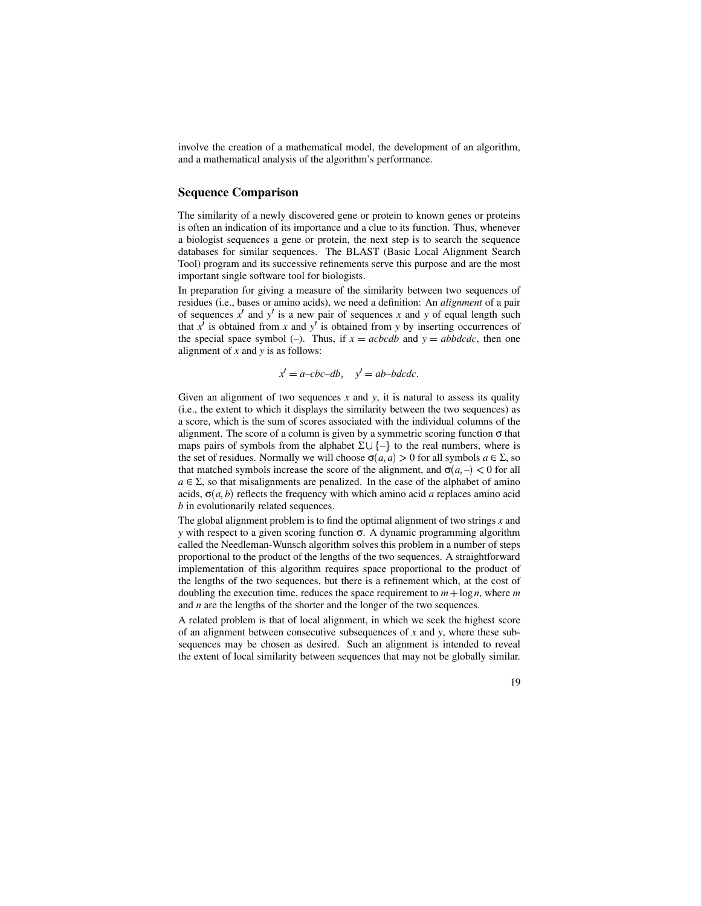involve the creation of a mathematical model, the development of an algorithm, and a mathematical analysis of the algorithm's performance.

#### **Sequence Comparison**

The similarity of a newly discovered gene or protein to known genes or proteins is often an indication of its importance and a clue to its function. Thus, whenever a biologist sequences a gene or protein, the next step is to search the sequence databases for similar sequences. The BLAST (Basic Local Alignment Search Tool) program and its successive refinements serve this purpose and are the most important single software tool for biologists.

In preparation for giving a measure of the similarity between two sequences of residues (i.e., bases or amino acids), we need a definition: An *alignment* of a pair of sequences  $x'$  and  $y'$  is a new pair of sequences  $x$  and  $y$  of equal length such that  $x^j$  is obtained from  $x$  and  $y^j$  is obtained from  $y$  by inserting occurrences of the special space symbol (-). Thus, if  $x = acbcdb$  and  $y = abbdcdc$ , then one alignment of *x* and *y* is as follows:

$$
x' = a - cbc - db
$$
,  $y' = ab - bdcdc$ .

Given an alignment of two sequences  $x$  and  $y$ , it is natural to assess its quality (i.e., the extent to which it displays the similarity between the two sequences) as a score, which is the sum of scores associated with the individual columns of the alignment. The score of a column is given by a symmetric scoring function  $\sigma$  that maps pairs of symbols from the alphabet  $\Sigma \cup \{-\}$  to the real numbers, where is the set of residues. Normally we will choose  $\sigma(a, a) > 0$  for all symbols  $a \in \Sigma$ , so that matched symbols increase the score of the alignment, and  $\sigma(a, -) < 0$  for all  $a \in \Sigma$ , so that misalignments are penalized. In the case of the alphabet of amino acids,  $\sigma(a, b)$  reflects the frequency with which amino acid *a* replaces amino acid *b* in evolutionarily related sequences.

The global alignment problem is to find the optimal alignment of two strings *x* and *y* with respect to a given scoring function σ. A dynamic programming algorithm called the Needleman-Wunsch algorithm solves this problem in a number of steps proportional to the product of the lengths of the two sequences. A straightforward implementation of this algorithm requires space proportional to the product of the lengths of the two sequences, but there is a refinement which, at the cost of doubling the execution time, reduces the space requirement to  $m + \log n$ , where *m* and *n* are the lengths of the shorter and the longer of the two sequences.

A related problem is that of local alignment, in which we seek the highest score of an alignment between consecutive subsequences of *x* and *y*, where these subsequences may be chosen as desired. Such an alignment is intended to reveal the extent of local similarity between sequences that may not be globally similar.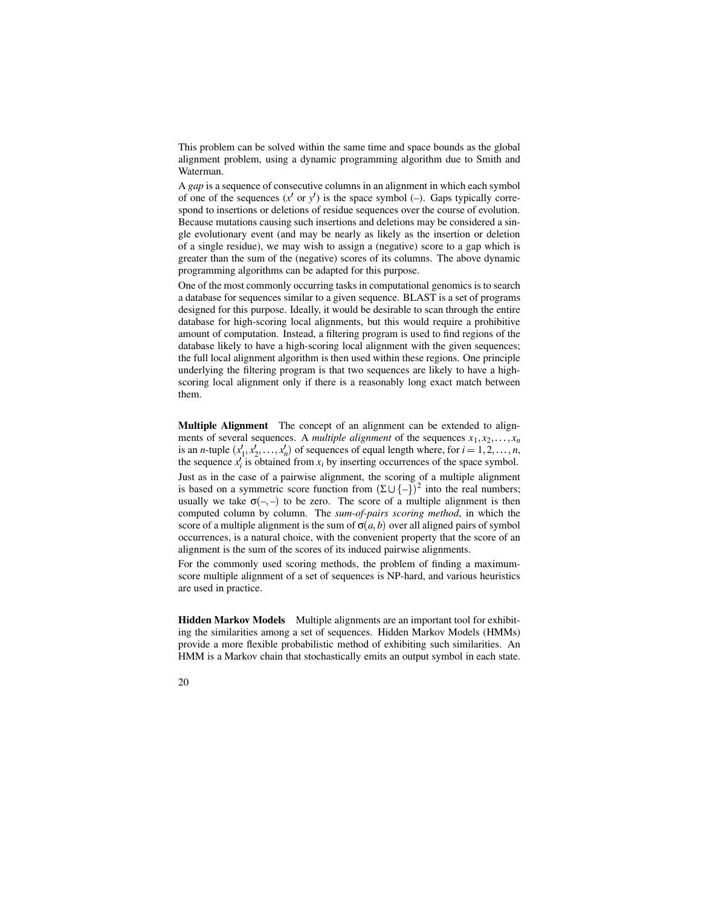This problem can be solved within the same time and space bounds as the global alignment problem, using a dynamic programming algorithm due to Smith and Waterman.

A *gap* is a sequence of consecutive columns in an alignment in which each symbol of one of the sequences  $(x' \text{ or } y')$  is the space symbol (–). Gaps typically correspond to insertions or deletions of residue sequences over the course of evolution. Because mutations causing such insertions and deletions may be considered a single evolutionary event (and may be nearly as likely as the insertion or deletion of a single residue), we may wish to assign a (negative) score to a gap which is greater than the sum of the (negative) scores of its columns. The above dynamic programming algorithms can be adapted for this purpose.

One of the most commonly occurring tasks in computational genomics is to search a database for sequences similar to a given sequence. BLAST is a set of programs designed for this purpose. Ideally, it would be desirable to scan through the entire database for high-scoring local alignments, but this would require a prohibitive amount of computation. Instead, a filtering program is used to find regions of the database likely to have a high-scoring local alignment with the given sequences; the full local alignment algorithm is then used within these regions. One principle underlying the filtering program is that two sequences are likely to have a highscoring local alignment only if there is a reasonably long exact match between them.

**Multiple Alignment** The concept of an alignment can be extended to alignments of several sequences. A *multiple alignment* of the sequences  $x_1, x_2, \ldots, x_n$ is an *n*-tuple  $(x'_1, x'_2, \ldots, x'_n)$  of sequences of equal length where, for  $i = 1, 2, \ldots, n$ , the sequence  $x_i$  is obtained from  $x_i$  by inserting occurrences of the space symbol. Just as in the case of a pairwise alignment, the scoring of a multiple alignment is based on a symmetric score function from  $(\Sigma \cup \{-\})^2$  into the real numbers; usually we take  $\sigma(-,-)$  to be zero. The score of a multiple alignment is then computed column by column. The *sum-of-pairs scoring method*, in which the score of a multiple alignment is the sum of  $\sigma(a, b)$  over all aligned pairs of symbol occurrences, is a natural choice, with the convenient property that the score of an alignment is the sum of the scores of its induced pairwise alignments.

For the commonly used scoring methods, the problem of finding a maximumscore multiple alignment of a set of sequences is NP-hard, and various heuristics are used in practice.

**Hidden Markov Models** Multiple alignments are an important tool for exhibiting the similarities among a set of sequences. Hidden Markov Models (HMMs) provide a more flexible probabilistic method of exhibiting such similarities. An HMM is a Markov chain that stochastically emits an output symbol in each state.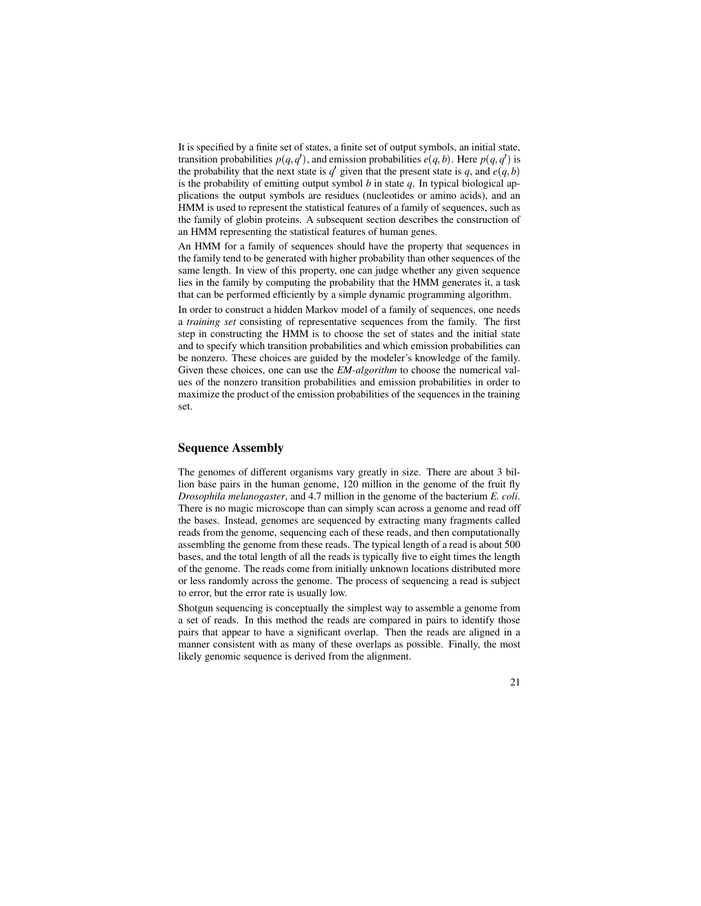It is specified by a finite set of states, a finite set of output symbols, an initial state, transition probabilities  $p(q, q')$ , and emission probabilities  $e(q, b)$ . Here  $p(q, q')$  is the probability that the next state is  $q'$  given that the present state is q, and  $e(q, b)$ is the probability of emitting output symbol *b* in state *q*. In typical biological applications the output symbols are residues (nucleotides or amino acids), and an HMM is used to represent the statistical features of a family of sequences, such as the family of globin proteins. A subsequent section describes the construction of an HMM representing the statistical features of human genes.

An HMM for a family of sequences should have the property that sequences in the family tend to be generated with higher probability than other sequences of the same length. In view of this property, one can judge whether any given sequence lies in the family by computing the probability that the HMM generates it, a task that can be performed efficiently by a simple dynamic programming algorithm.

In order to construct a hidden Markov model of a family of sequences, one needs a *training set* consisting of representative sequences from the family. The first step in constructing the HMM is to choose the set of states and the initial state and to specify which transition probabilities and which emission probabilities can be nonzero. These choices are guided by the modeler's knowledge of the family. Given these choices, one can use the *EM-algorithm* to choose the numerical values of the nonzero transition probabilities and emission probabilities in order to maximize the product of the emission probabilities of the sequences in the training set.

#### **Sequence Assembly**

The genomes of different organisms vary greatly in size. There are about 3 billion base pairs in the human genome, 120 million in the genome of the fruit fly *Drosophila melanogaster*, and 4.7 million in the genome of the bacterium *E. coli*. There is no magic microscope than can simply scan across a genome and read off the bases. Instead, genomes are sequenced by extracting many fragments called reads from the genome, sequencing each of these reads, and then computationally assembling the genome from these reads. The typical length of a read is about 500 bases, and the total length of all the reads is typically five to eight times the length of the genome. The reads come from initially unknown locations distributed more or less randomly across the genome. The process of sequencing a read is subject to error, but the error rate is usually low.

Shotgun sequencing is conceptually the simplest way to assemble a genome from a set of reads. In this method the reads are compared in pairs to identify those pairs that appear to have a significant overlap. Then the reads are aligned in a manner consistent with as many of these overlaps as possible. Finally, the most likely genomic sequence is derived from the alignment.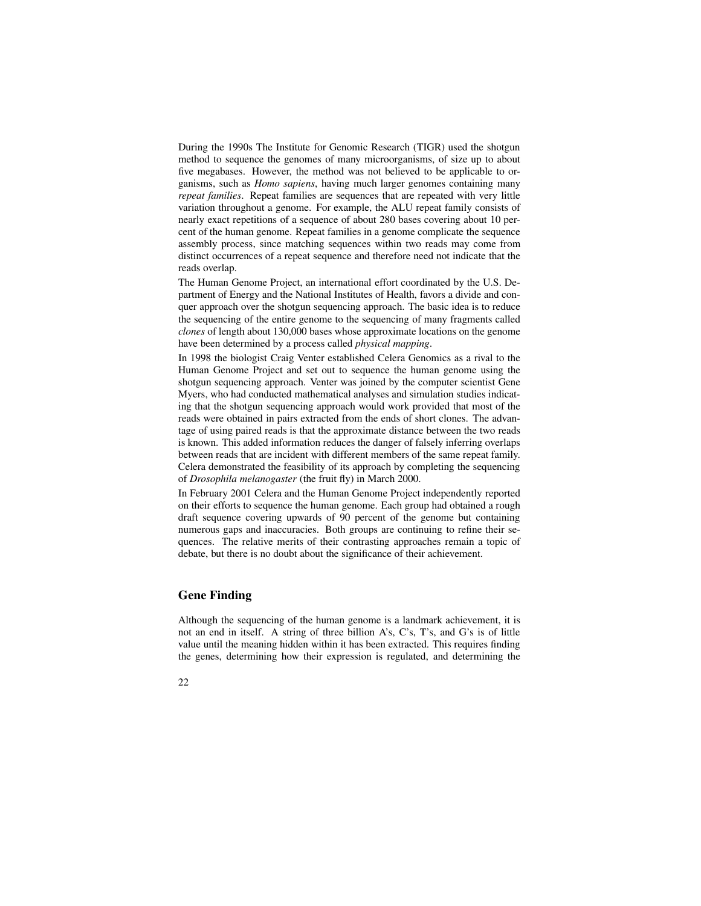During the 1990s The Institute for Genomic Research (TIGR) used the shotgun method to sequence the genomes of many microorganisms, of size up to about five megabases. However, the method was not believed to be applicable to organisms, such as *Homo sapiens*, having much larger genomes containing many *repeat families*. Repeat families are sequences that are repeated with very little variation throughout a genome. For example, the ALU repeat family consists of nearly exact repetitions of a sequence of about 280 bases covering about 10 percent of the human genome. Repeat families in a genome complicate the sequence assembly process, since matching sequences within two reads may come from distinct occurrences of a repeat sequence and therefore need not indicate that the reads overlap.

The Human Genome Project, an international effort coordinated by the U.S. Department of Energy and the National Institutes of Health, favors a divide and conquer approach over the shotgun sequencing approach. The basic idea is to reduce the sequencing of the entire genome to the sequencing of many fragments called *clones* of length about 130,000 bases whose approximate locations on the genome have been determined by a process called *physical mapping*.

In 1998 the biologist Craig Venter established Celera Genomics as a rival to the Human Genome Project and set out to sequence the human genome using the shotgun sequencing approach. Venter was joined by the computer scientist Gene Myers, who had conducted mathematical analyses and simulation studies indicating that the shotgun sequencing approach would work provided that most of the reads were obtained in pairs extracted from the ends of short clones. The advantage of using paired reads is that the approximate distance between the two reads is known. This added information reduces the danger of falsely inferring overlaps between reads that are incident with different members of the same repeat family. Celera demonstrated the feasibility of its approach by completing the sequencing of *Drosophila melanogaster* (the fruit fly) in March 2000.

In February 2001 Celera and the Human Genome Project independently reported on their efforts to sequence the human genome. Each group had obtained a rough draft sequence covering upwards of 90 percent of the genome but containing numerous gaps and inaccuracies. Both groups are continuing to refine their sequences. The relative merits of their contrasting approaches remain a topic of debate, but there is no doubt about the significance of their achievement.

#### **Gene Finding**

Although the sequencing of the human genome is a landmark achievement, it is not an end in itself. A string of three billion A's, C's, T's, and G's is of little value until the meaning hidden within it has been extracted. This requires finding the genes, determining how their expression is regulated, and determining the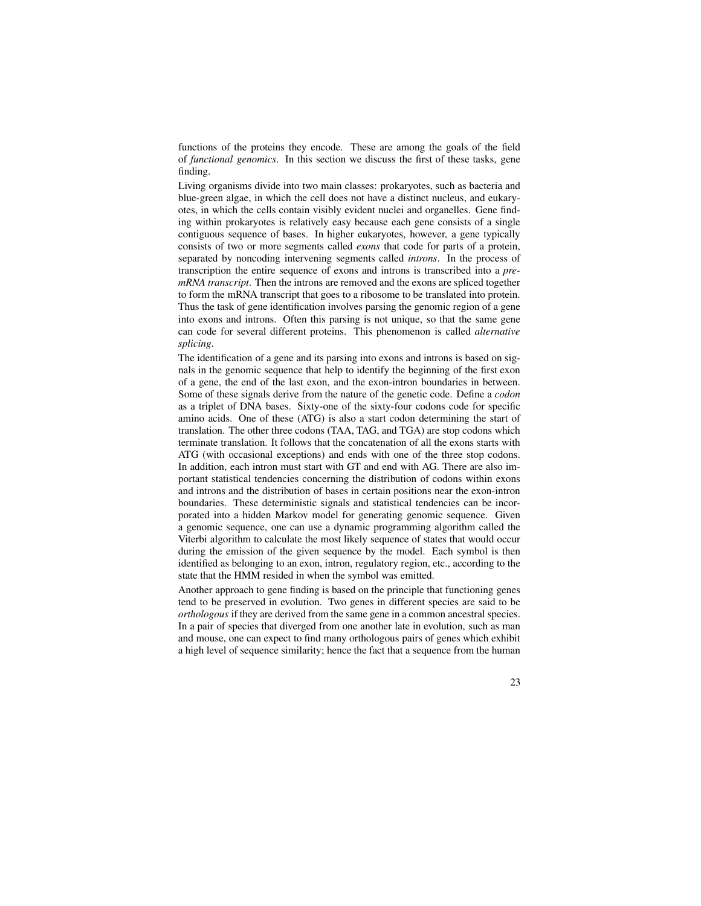functions of the proteins they encode. These are among the goals of the field of *functional genomics*. In this section we discuss the first of these tasks, gene finding.

Living organisms divide into two main classes: prokaryotes, such as bacteria and blue-green algae, in which the cell does not have a distinct nucleus, and eukaryotes, in which the cells contain visibly evident nuclei and organelles. Gene finding within prokaryotes is relatively easy because each gene consists of a single contiguous sequence of bases. In higher eukaryotes, however, a gene typically consists of two or more segments called *exons* that code for parts of a protein, separated by noncoding intervening segments called *introns*. In the process of transcription the entire sequence of exons and introns is transcribed into a *premRNA transcript*. Then the introns are removed and the exons are spliced together to form the mRNA transcript that goes to a ribosome to be translated into protein. Thus the task of gene identification involves parsing the genomic region of a gene into exons and introns. Often this parsing is not unique, so that the same gene can code for several different proteins. This phenomenon is called *alternative splicing*.

The identification of a gene and its parsing into exons and introns is based on signals in the genomic sequence that help to identify the beginning of the first exon of a gene, the end of the last exon, and the exon-intron boundaries in between. Some of these signals derive from the nature of the genetic code. Define a *codon* as a triplet of DNA bases. Sixty-one of the sixty-four codons code for specific amino acids. One of these (ATG) is also a start codon determining the start of translation. The other three codons (TAA, TAG, and TGA) are stop codons which terminate translation. It follows that the concatenation of all the exons starts with ATG (with occasional exceptions) and ends with one of the three stop codons. In addition, each intron must start with GT and end with AG. There are also important statistical tendencies concerning the distribution of codons within exons and introns and the distribution of bases in certain positions near the exon-intron boundaries. These deterministic signals and statistical tendencies can be incorporated into a hidden Markov model for generating genomic sequence. Given a genomic sequence, one can use a dynamic programming algorithm called the Viterbi algorithm to calculate the most likely sequence of states that would occur during the emission of the given sequence by the model. Each symbol is then identified as belonging to an exon, intron, regulatory region, etc., according to the state that the HMM resided in when the symbol was emitted.

Another approach to gene finding is based on the principle that functioning genes tend to be preserved in evolution. Two genes in different species are said to be *orthologous* if they are derived from the same gene in a common ancestral species. In a pair of species that diverged from one another late in evolution, such as man and mouse, one can expect to find many orthologous pairs of genes which exhibit a high level of sequence similarity; hence the fact that a sequence from the human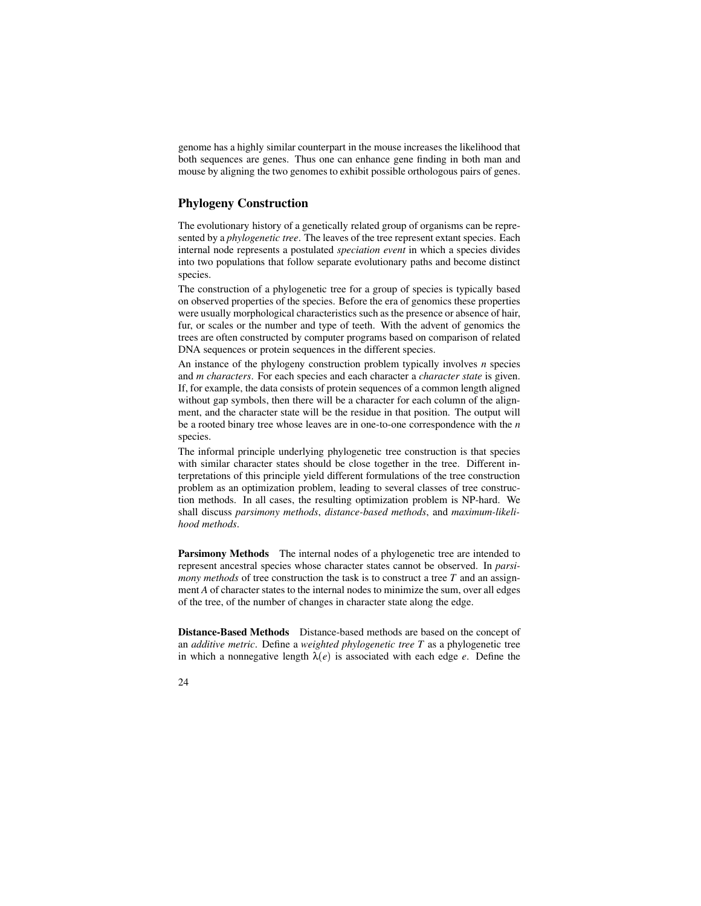genome has a highly similar counterpart in the mouse increases the likelihood that both sequences are genes. Thus one can enhance gene finding in both man and mouse by aligning the two genomes to exhibit possible orthologous pairs of genes.

#### **Phylogeny Construction**

The evolutionary history of a genetically related group of organisms can be represented by a *phylogenetic tree*. The leaves of the tree represent extant species. Each internal node represents a postulated *speciation event* in which a species divides into two populations that follow separate evolutionary paths and become distinct species.

The construction of a phylogenetic tree for a group of species is typically based on observed properties of the species. Before the era of genomics these properties were usually morphological characteristics such as the presence or absence of hair, fur, or scales or the number and type of teeth. With the advent of genomics the trees are often constructed by computer programs based on comparison of related DNA sequences or protein sequences in the different species.

An instance of the phylogeny construction problem typically involves *n* species and *m characters*. For each species and each character a *character state* is given. If, for example, the data consists of protein sequences of a common length aligned without gap symbols, then there will be a character for each column of the alignment, and the character state will be the residue in that position. The output will be a rooted binary tree whose leaves are in one-to-one correspondence with the *n* species.

The informal principle underlying phylogenetic tree construction is that species with similar character states should be close together in the tree. Different interpretations of this principle yield different formulations of the tree construction problem as an optimization problem, leading to several classes of tree construction methods. In all cases, the resulting optimization problem is NP-hard. We shall discuss *parsimony methods*, *distance-based methods*, and *maximum-likelihood methods*.

**Parsimony Methods** The internal nodes of a phylogenetic tree are intended to represent ancestral species whose character states cannot be observed. In *parsimony methods* of tree construction the task is to construct a tree *T* and an assignment *A* of character states to the internal nodes to minimize the sum, over all edges of the tree, of the number of changes in character state along the edge.

**Distance-Based Methods** Distance-based methods are based on the concept of an *additive metric*. Define a *weighted phylogenetic tree T* as a phylogenetic tree in which a nonnegative length  $\lambda(e)$  is associated with each edge *e*. Define the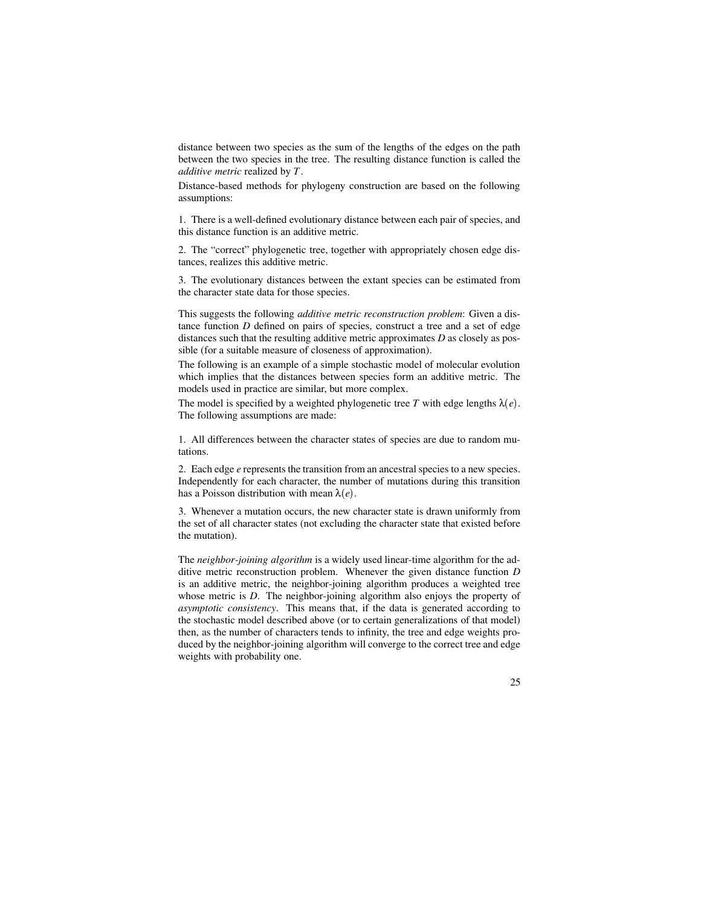distance between two species as the sum of the lengths of the edges on the path between the two species in the tree. The resulting distance function is called the *additive metric* realized by *T*.

Distance-based methods for phylogeny construction are based on the following assumptions:

1. There is a well-defined evolutionary distance between each pair of species, and this distance function is an additive metric.

2. The "correct" phylogenetic tree, together with appropriately chosen edge distances, realizes this additive metric.

3. The evolutionary distances between the extant species can be estimated from the character state data for those species.

This suggests the following *additive metric reconstruction problem*: Given a distance function *D* defined on pairs of species, construct a tree and a set of edge distances such that the resulting additive metric approximates *D* as closely as possible (for a suitable measure of closeness of approximation).

The following is an example of a simple stochastic model of molecular evolution which implies that the distances between species form an additive metric. The models used in practice are similar, but more complex.

The model is specified by a weighted phylogenetic tree T with edge lengths  $\lambda(e)$ . The following assumptions are made:

1. All differences between the character states of species are due to random mutations.

2. Each edge *e* represents the transition from an ancestral species to a new species. Independently for each character, the number of mutations during this transition has a Poisson distribution with mean  $\lambda(e)$ .

3. Whenever a mutation occurs, the new character state is drawn uniformly from the set of all character states (not excluding the character state that existed before the mutation).

The *neighbor-joining algorithm* is a widely used linear-time algorithm for the additive metric reconstruction problem. Whenever the given distance function *D* is an additive metric, the neighbor-joining algorithm produces a weighted tree whose metric is *D*. The neighbor-joining algorithm also enjoys the property of *asymptotic consistency*. This means that, if the data is generated according to the stochastic model described above (or to certain generalizations of that model) then, as the number of characters tends to infinity, the tree and edge weights produced by the neighbor-joining algorithm will converge to the correct tree and edge weights with probability one.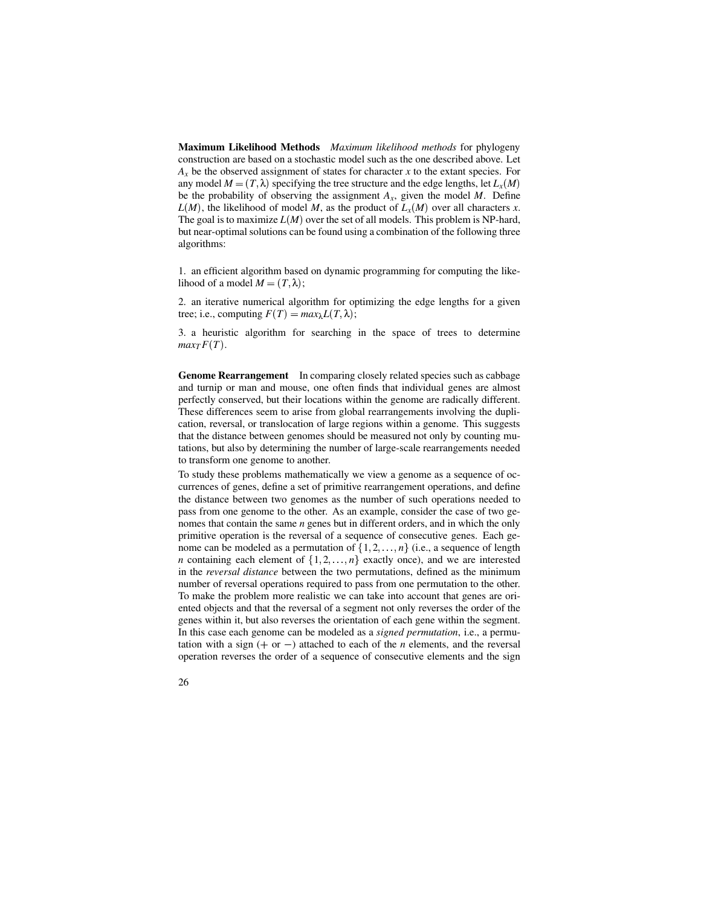**Maximum Likelihood Methods** *Maximum likelihood methods* for phylogeny construction are based on a stochastic model such as the one described above. Let *A<sup>x</sup>* be the observed assignment of states for character *x* to the extant species. For any model  $M = (T, \lambda)$  specifying the tree structure and the edge lengths, let  $L_x(M)$ be the probability of observing the assignment  $A_x$ , given the model  $M$ . Define  $L(M)$ , the likelihood of model *M*, as the product of  $L_x(M)$  over all characters *x*. The goal is to maximize  $L(M)$  over the set of all models. This problem is NP-hard, but near-optimal solutions can be found using a combination of the following three algorithms:

1. an efficient algorithm based on dynamic programming for computing the likelihood of a model  $M = (T, \lambda)$ ;

2. an iterative numerical algorithm for optimizing the edge lengths for a given tree; i.e., computing  $F(T) = max_{\lambda} L(T, \lambda);$ 

3. a heuristic algorithm for searching in the space of trees to determine  $max_T F(T)$ .

**Genome Rearrangement** In comparing closely related species such as cabbage and turnip or man and mouse, one often finds that individual genes are almost perfectly conserved, but their locations within the genome are radically different. These differences seem to arise from global rearrangements involving the duplication, reversal, or translocation of large regions within a genome. This suggests that the distance between genomes should be measured not only by counting mutations, but also by determining the number of large-scale rearrangements needed to transform one genome to another.

To study these problems mathematically we view a genome as a sequence of occurrences of genes, define a set of primitive rearrangement operations, and define the distance between two genomes as the number of such operations needed to pass from one genome to the other. As an example, consider the case of two genomes that contain the same *n* genes but in different orders, and in which the only primitive operation is the reversal of a sequence of consecutive genes. Each genome can be modeled as a permutation of  $\{1, 2, ..., n\}$  (i.e., a sequence of length *n* containing each element of  $\{1, 2, ..., n\}$  exactly once), and we are interested in the *reversal distance* between the two permutations, defined as the minimum number of reversal operations required to pass from one permutation to the other. To make the problem more realistic we can take into account that genes are oriented objects and that the reversal of a segment not only reverses the order of the genes within it, but also reverses the orientation of each gene within the segment. In this case each genome can be modeled as a *signed permutation*, i.e., a permutation with a sign  $(+)$  or  $-)$  attached to each of the *n* elements, and the reversal operation reverses the order of a sequence of consecutive elements and the sign

26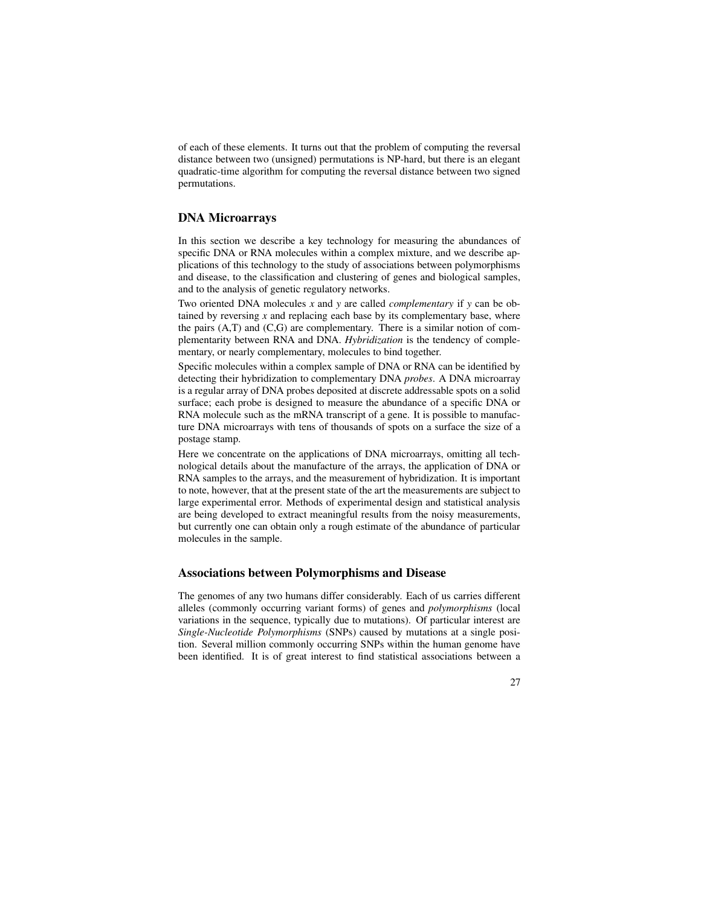of each of these elements. It turns out that the problem of computing the reversal distance between two (unsigned) permutations is NP-hard, but there is an elegant quadratic-time algorithm for computing the reversal distance between two signed permutations.

#### **DNA Microarrays**

In this section we describe a key technology for measuring the abundances of specific DNA or RNA molecules within a complex mixture, and we describe applications of this technology to the study of associations between polymorphisms and disease, to the classification and clustering of genes and biological samples, and to the analysis of genetic regulatory networks.

Two oriented DNA molecules *x* and *y* are called *complementary* if *y* can be obtained by reversing *x* and replacing each base by its complementary base, where the pairs (A,T) and (C,G) are complementary. There is a similar notion of complementarity between RNA and DNA. *Hybridization* is the tendency of complementary, or nearly complementary, molecules to bind together.

Specific molecules within a complex sample of DNA or RNA can be identified by detecting their hybridization to complementary DNA *probes*. A DNA microarray is a regular array of DNA probes deposited at discrete addressable spots on a solid surface; each probe is designed to measure the abundance of a specific DNA or RNA molecule such as the mRNA transcript of a gene. It is possible to manufacture DNA microarrays with tens of thousands of spots on a surface the size of a postage stamp.

Here we concentrate on the applications of DNA microarrays, omitting all technological details about the manufacture of the arrays, the application of DNA or RNA samples to the arrays, and the measurement of hybridization. It is important to note, however, that at the present state of the art the measurements are subject to large experimental error. Methods of experimental design and statistical analysis are being developed to extract meaningful results from the noisy measurements, but currently one can obtain only a rough estimate of the abundance of particular molecules in the sample.

#### **Associations between Polymorphisms and Disease**

The genomes of any two humans differ considerably. Each of us carries different alleles (commonly occurring variant forms) of genes and *polymorphisms* (local variations in the sequence, typically due to mutations). Of particular interest are *Single-Nucleotide Polymorphisms* (SNPs) caused by mutations at a single position. Several million commonly occurring SNPs within the human genome have been identified. It is of great interest to find statistical associations between a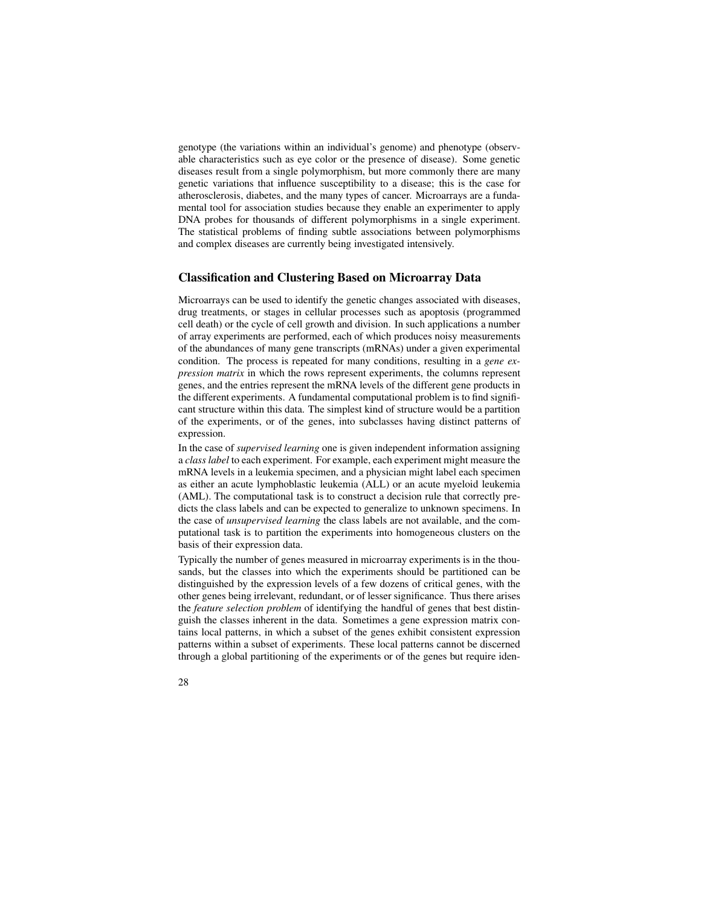genotype (the variations within an individual's genome) and phenotype (observable characteristics such as eye color or the presence of disease). Some genetic diseases result from a single polymorphism, but more commonly there are many genetic variations that influence susceptibility to a disease; this is the case for atherosclerosis, diabetes, and the many types of cancer. Microarrays are a fundamental tool for association studies because they enable an experimenter to apply DNA probes for thousands of different polymorphisms in a single experiment. The statistical problems of finding subtle associations between polymorphisms and complex diseases are currently being investigated intensively.

#### **Classification and Clustering Based on Microarray Data**

Microarrays can be used to identify the genetic changes associated with diseases, drug treatments, or stages in cellular processes such as apoptosis (programmed cell death) or the cycle of cell growth and division. In such applications a number of array experiments are performed, each of which produces noisy measurements of the abundances of many gene transcripts (mRNAs) under a given experimental condition. The process is repeated for many conditions, resulting in a *gene expression matrix* in which the rows represent experiments, the columns represent genes, and the entries represent the mRNA levels of the different gene products in the different experiments. A fundamental computational problem is to find significant structure within this data. The simplest kind of structure would be a partition of the experiments, or of the genes, into subclasses having distinct patterns of expression.

In the case of *supervised learning* one is given independent information assigning a *class label* to each experiment. For example, each experiment might measure the mRNA levels in a leukemia specimen, and a physician might label each specimen as either an acute lymphoblastic leukemia (ALL) or an acute myeloid leukemia (AML). The computational task is to construct a decision rule that correctly predicts the class labels and can be expected to generalize to unknown specimens. In the case of *unsupervised learning* the class labels are not available, and the computational task is to partition the experiments into homogeneous clusters on the basis of their expression data.

Typically the number of genes measured in microarray experiments is in the thousands, but the classes into which the experiments should be partitioned can be distinguished by the expression levels of a few dozens of critical genes, with the other genes being irrelevant, redundant, or of lesser significance. Thus there arises the *feature selection problem* of identifying the handful of genes that best distinguish the classes inherent in the data. Sometimes a gene expression matrix contains local patterns, in which a subset of the genes exhibit consistent expression patterns within a subset of experiments. These local patterns cannot be discerned through a global partitioning of the experiments or of the genes but require iden-

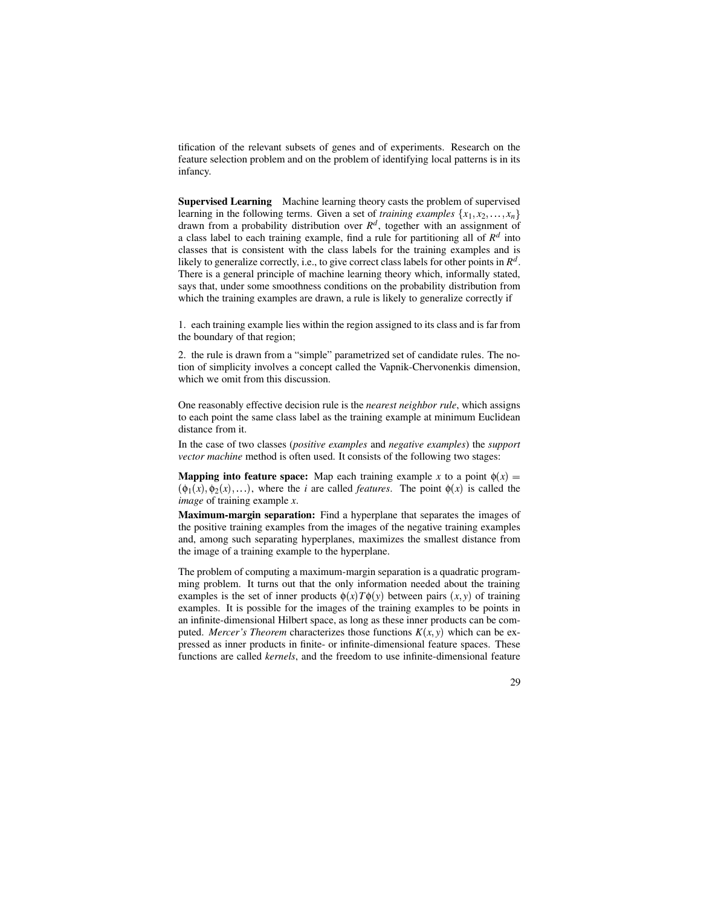tification of the relevant subsets of genes and of experiments. Research on the feature selection problem and on the problem of identifying local patterns is in its infancy.

**Supervised Learning** Machine learning theory casts the problem of supervised learning in the following terms. Given a set of *training examples*  $\{x_1, x_2, \ldots, x_n\}$ drawn from a probability distribution over  $R<sup>d</sup>$ , together with an assignment of a class label to each training example, find a rule for partitioning all of  $R<sup>d</sup>$  into classes that is consistent with the class labels for the training examples and is likely to generalize correctly, i.e., to give correct class labels for other points in *R d* . There is a general principle of machine learning theory which, informally stated, says that, under some smoothness conditions on the probability distribution from which the training examples are drawn, a rule is likely to generalize correctly if

1. each training example lies within the region assigned to its class and is far from the boundary of that region;

2. the rule is drawn from a "simple" parametrized set of candidate rules. The notion of simplicity involves a concept called the Vapnik-Chervonenkis dimension, which we omit from this discussion.

One reasonably effective decision rule is the *nearest neighbor rule*, which assigns to each point the same class label as the training example at minimum Euclidean distance from it.

In the case of two classes (*positive examples* and *negative examples*) the *support vector machine* method is often used. It consists of the following two stages:

**Mapping into feature space:** Map each training example *x* to a point  $\phi(x) =$  $(\phi_1(x), \phi_2(x), \ldots)$ , where the *i* are called *features*. The point  $\phi(x)$  is called the *image* of training example *x*.

**Maximum-margin separation:** Find a hyperplane that separates the images of the positive training examples from the images of the negative training examples and, among such separating hyperplanes, maximizes the smallest distance from the image of a training example to the hyperplane.

The problem of computing a maximum-margin separation is a quadratic programming problem. It turns out that the only information needed about the training examples is the set of inner products  $\phi(x)T\phi(y)$  between pairs  $(x, y)$  of training examples. It is possible for the images of the training examples to be points in an infinite-dimensional Hilbert space, as long as these inner products can be computed. *Mercer's Theorem* characterizes those functions  $K(x, y)$  which can be expressed as inner products in finite- or infinite-dimensional feature spaces. These functions are called *kernels*, and the freedom to use infinite-dimensional feature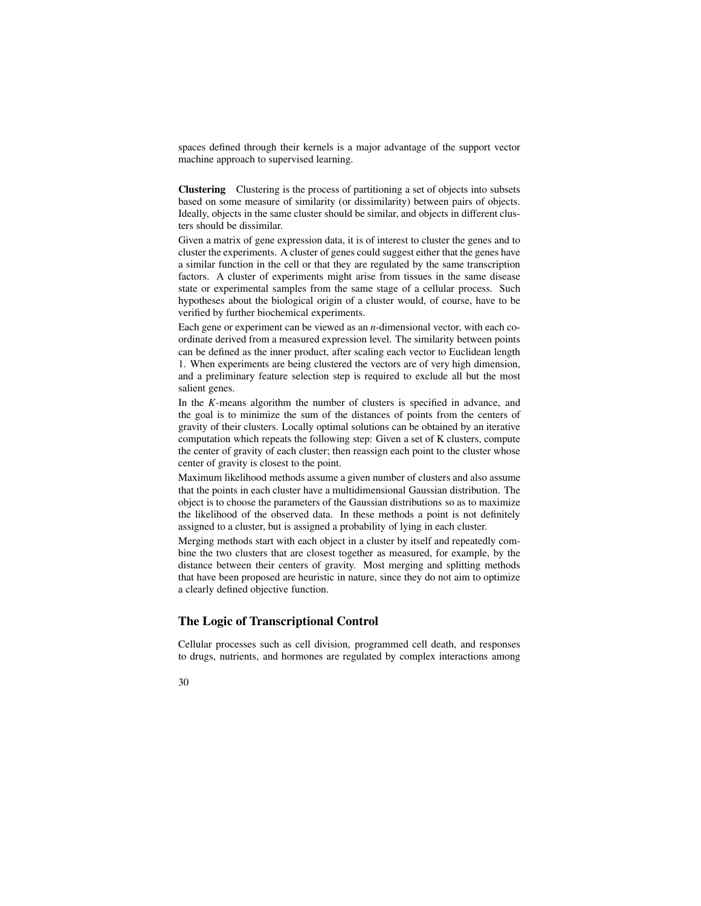spaces defined through their kernels is a major advantage of the support vector machine approach to supervised learning.

**Clustering** Clustering is the process of partitioning a set of objects into subsets based on some measure of similarity (or dissimilarity) between pairs of objects. Ideally, objects in the same cluster should be similar, and objects in different clusters should be dissimilar.

Given a matrix of gene expression data, it is of interest to cluster the genes and to cluster the experiments. A cluster of genes could suggest either that the genes have a similar function in the cell or that they are regulated by the same transcription factors. A cluster of experiments might arise from tissues in the same disease state or experimental samples from the same stage of a cellular process. Such hypotheses about the biological origin of a cluster would, of course, have to be verified by further biochemical experiments.

Each gene or experiment can be viewed as an *n*-dimensional vector, with each coordinate derived from a measured expression level. The similarity between points can be defined as the inner product, after scaling each vector to Euclidean length 1. When experiments are being clustered the vectors are of very high dimension, and a preliminary feature selection step is required to exclude all but the most salient genes.

In the *K*-means algorithm the number of clusters is specified in advance, and the goal is to minimize the sum of the distances of points from the centers of gravity of their clusters. Locally optimal solutions can be obtained by an iterative computation which repeats the following step: Given a set of K clusters, compute the center of gravity of each cluster; then reassign each point to the cluster whose center of gravity is closest to the point.

Maximum likelihood methods assume a given number of clusters and also assume that the points in each cluster have a multidimensional Gaussian distribution. The object is to choose the parameters of the Gaussian distributions so as to maximize the likelihood of the observed data. In these methods a point is not definitely assigned to a cluster, but is assigned a probability of lying in each cluster.

Merging methods start with each object in a cluster by itself and repeatedly combine the two clusters that are closest together as measured, for example, by the distance between their centers of gravity. Most merging and splitting methods that have been proposed are heuristic in nature, since they do not aim to optimize a clearly defined objective function.

#### **The Logic of Transcriptional Control**

Cellular processes such as cell division, programmed cell death, and responses to drugs, nutrients, and hormones are regulated by complex interactions among

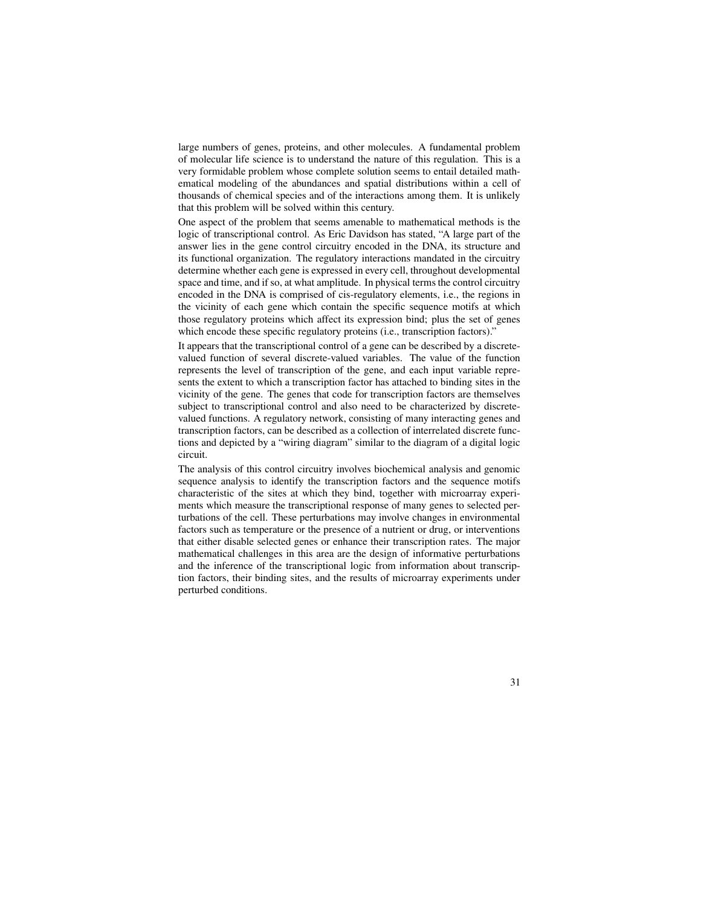large numbers of genes, proteins, and other molecules. A fundamental problem of molecular life science is to understand the nature of this regulation. This is a very formidable problem whose complete solution seems to entail detailed mathematical modeling of the abundances and spatial distributions within a cell of thousands of chemical species and of the interactions among them. It is unlikely that this problem will be solved within this century.

One aspect of the problem that seems amenable to mathematical methods is the logic of transcriptional control. As Eric Davidson has stated, "A large part of the answer lies in the gene control circuitry encoded in the DNA, its structure and its functional organization. The regulatory interactions mandated in the circuitry determine whether each gene is expressed in every cell, throughout developmental space and time, and if so, at what amplitude. In physical terms the control circuitry encoded in the DNA is comprised of cis-regulatory elements, i.e., the regions in the vicinity of each gene which contain the specific sequence motifs at which those regulatory proteins which affect its expression bind; plus the set of genes which encode these specific regulatory proteins (i.e., transcription factors)."

It appears that the transcriptional control of a gene can be described by a discretevalued function of several discrete-valued variables. The value of the function represents the level of transcription of the gene, and each input variable represents the extent to which a transcription factor has attached to binding sites in the vicinity of the gene. The genes that code for transcription factors are themselves subject to transcriptional control and also need to be characterized by discretevalued functions. A regulatory network, consisting of many interacting genes and transcription factors, can be described as a collection of interrelated discrete functions and depicted by a "wiring diagram" similar to the diagram of a digital logic circuit.

The analysis of this control circuitry involves biochemical analysis and genomic sequence analysis to identify the transcription factors and the sequence motifs characteristic of the sites at which they bind, together with microarray experiments which measure the transcriptional response of many genes to selected perturbations of the cell. These perturbations may involve changes in environmental factors such as temperature or the presence of a nutrient or drug, or interventions that either disable selected genes or enhance their transcription rates. The major mathematical challenges in this area are the design of informative perturbations and the inference of the transcriptional logic from information about transcription factors, their binding sites, and the results of microarray experiments under perturbed conditions.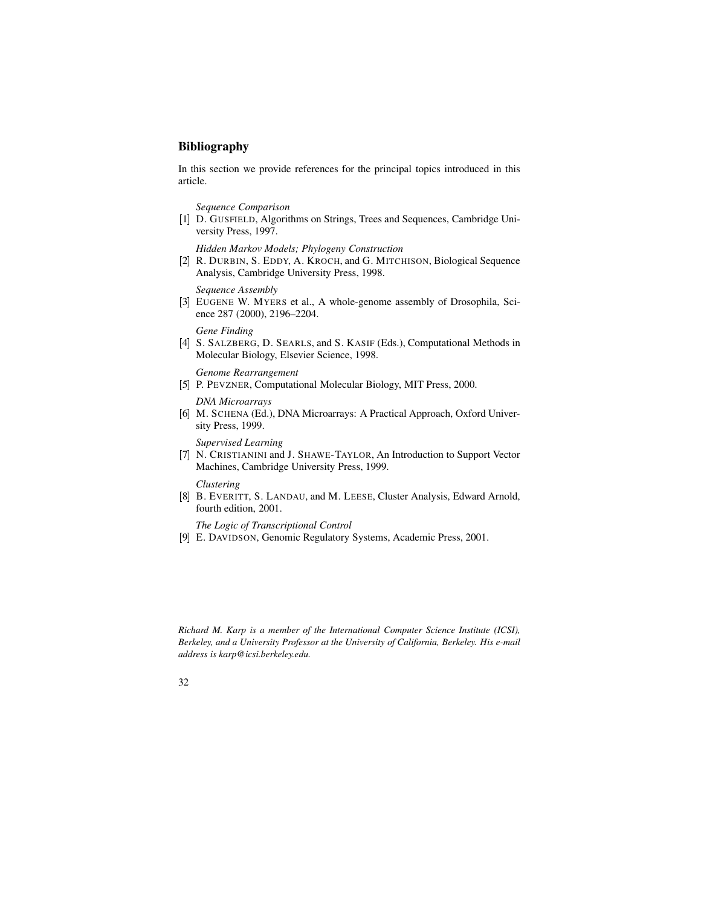# **Bibliography**

In this section we provide references for the principal topics introduced in this article.

*Sequence Comparison*

[1] D. GUSFIELD, Algorithms on Strings, Trees and Sequences, Cambridge University Press, 1997.

*Hidden Markov Models; Phylogeny Construction*

[2] R. DURBIN, S. EDDY, A. KROCH, and G. MITCHISON, Biological Sequence Analysis, Cambridge University Press, 1998.

*Sequence Assembly*

[3] EUGENE W. MYERS et al., A whole-genome assembly of Drosophila, Science 287 (2000), 2196–2204.

*Gene Finding*

[4] S. SALZBERG, D. SEARLS, and S. KASIF (Eds.), Computational Methods in Molecular Biology, Elsevier Science, 1998.

*Genome Rearrangement*

[5] P. PEVZNER, Computational Molecular Biology, MIT Press, 2000.

*DNA Microarrays*

[6] M. SCHENA (Ed.), DNA Microarrays: A Practical Approach, Oxford University Press, 1999.

*Supervised Learning*

[7] N. CRISTIANINI and J. SHAWE-TAYLOR, An Introduction to Support Vector Machines, Cambridge University Press, 1999.

*Clustering*

[8] B. EVERITT, S. LANDAU, and M. LEESE, Cluster Analysis, Edward Arnold, fourth edition, 2001.

*The Logic of Transcriptional Control*

[9] E. DAVIDSON, Genomic Regulatory Systems, Academic Press, 2001.

*Richard M. Karp is a member of the International Computer Science Institute (ICSI), Berkeley, and a University Professor at the University of California, Berkeley. His e-mail address is karp@icsi.berkeley.edu.*

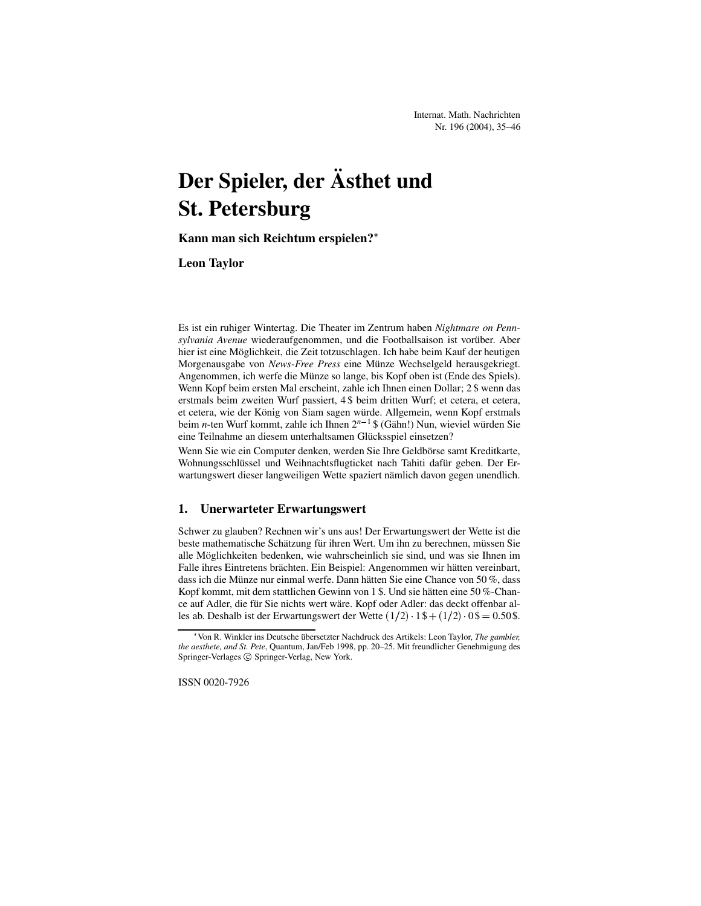# **Der Spieler, der Asthet ¨ und St. Petersburg**

**Kann man sich Reichtum erspielen?**

**Leon Taylor**

Es ist ein ruhiger Wintertag. Die Theater im Zentrum haben *Nightmare on Penn* $sylvania$  *Avenue* wiederaufgenommen, und die Footballsaison ist vorüber. Aber hier ist eine Möglichkeit, die Zeit totzuschlagen. Ich habe beim Kauf der heutigen Morgenausgabe von *News-Free Press* eine Münze Wechselgeld herausgekriegt. Angenommen, ich werfe die Münze so lange, bis Kopf oben ist (Ende des Spiels). Wenn Kopf beim ersten Mal erscheint, zahle ich Ihnen einen Dollar; 2 \$ wenn das erstmals beim zweiten Wurf passiert, 4 \$ beim dritten Wurf; et cetera, et cetera, et cetera, wie der König von Siam sagen würde. Allgemein, wenn Kopf erstmals beim *n*-ten Wurf kommt, zahle ich Ihnen  $2^{n-1}$  \$ (Gähn!) Nun, wieviel würden Sie eine Teilnahme an diesem unterhaltsamen Glücksspiel einsetzen?

Wenn Sie wie ein Computer denken, werden Sie Ihre Geldbörse samt Kreditkarte, Wohnungsschlüssel und Weihnachtsflugticket nach Tahiti dafür geben. Der Erwartungswert dieser langweiligen Wette spaziert nämlich davon gegen unendlich.

## **1. Unerwarteter Erwartungswert**

Schwer zu glauben? Rechnen wir's uns aus! Der Erwartungswert der Wette ist die beste mathematische Schätzung für ihren Wert. Um ihn zu berechnen, müssen Sie alle Möglichkeiten bedenken, wie wahrscheinlich sie sind, und was sie Ihnen im Falle ihres Eintretens brächten. Ein Beispiel: Angenommen wir hätten vereinbart, dass ich die Münze nur einmal werfe. Dann hätten Sie eine Chance von 50 %, dass Kopf kommt, mit dem stattlichen Gewinn von 1 \$. Und sie hätten eine 50 %-Chance auf Adler, die für Sie nichts wert wäre. Kopf oder Adler: das deckt offenbar alles ab. Deshalb ist der Erwartungswert der Wette  $(1/2)$   $1\frac{1}{5} + (1/2)$   $0\frac{1}{5} = 0.50\frac{1}{5}$ .

<sup>\*</sup> Von R. Winkler ins Deutsche übersetzter Nachdruck des Artikels: Leon Taylor, *The gambler*, *the aesthete, and St. Pete*, Quantum, Jan/Feb 1998, pp. 20–25. Mit freundlicher Genehmigung des Springer-Verlages © Springer-Verlag, New York.

ISSN 0020-7926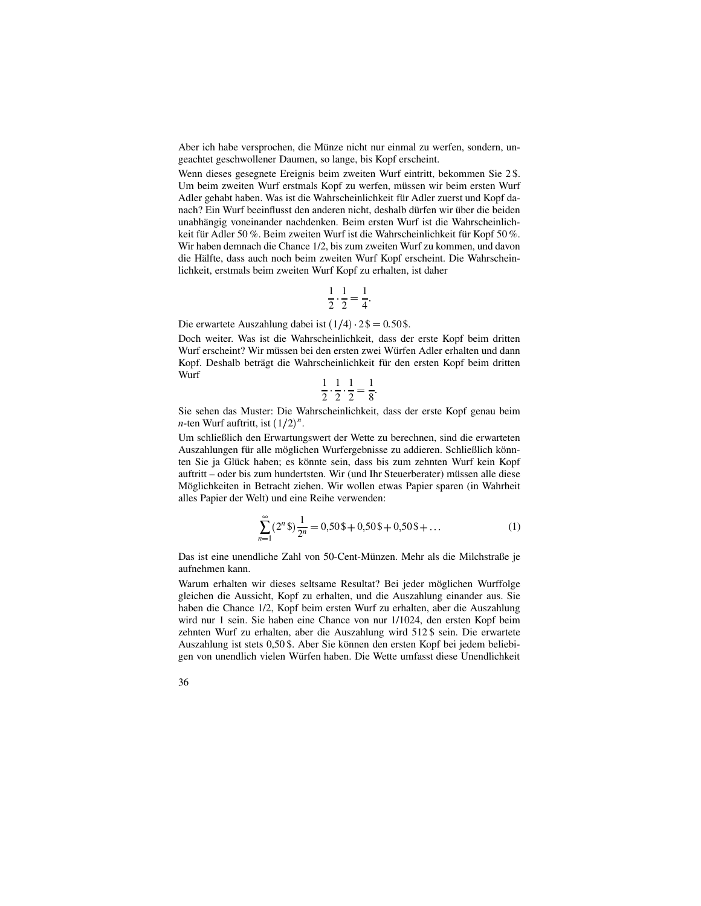Aber ich habe versprochen, die Münze nicht nur einmal zu werfen, sondern, ungeachtet geschwollener Daumen, so lange, bis Kopf erscheint.

Wenn dieses gesegnete Ereignis beim zweiten Wurf eintritt, bekommen Sie 2 \$. Um beim zweiten Wurf erstmals Kopf zu werfen, müssen wir beim ersten Wurf Adler gehabt haben. Was ist die Wahrscheinlichkeit für Adler zuerst und Kopf danach? Ein Wurf beeinflusst den anderen nicht, deshalb dürfen wir über die beiden unabhängig voneinander nachdenken. Beim ersten Wurf ist die Wahrscheinlichkeit für Adler 50 %. Beim zweiten Wurf ist die Wahrscheinlichkeit für Kopf 50 %. Wir haben demnach die Chance 1/2, bis zum zweiten Wurf zu kommen, und davon die Hälfte, dass auch noch beim zweiten Wurf Kopf erscheint. Die Wahrscheinlichkeit, erstmals beim zweiten Wurf Kopf zu erhalten, ist daher

$$
\frac{1}{2} \cdot \frac{1}{2} = \frac{1}{4}
$$

Die erwartete Auszahlung dabei ist  $(1/4)$   $2\$  = 0.50 \$.

Doch weiter. Was ist die Wahrscheinlichkeit, dass der erste Kopf beim dritten Wurf erscheint? Wir müssen bei den ersten zwei Würfen Adler erhalten und dann Kopf. Deshalb beträgt die Wahrscheinlichkeit für den ersten Kopf beim dritten Wurf

$$
\frac{1}{2} \cdot \frac{1}{2} \cdot \frac{1}{2} = \frac{1}{8}
$$

Sie sehen das Muster: Die Wahrscheinlichkeit, dass der erste Kopf genau beim *n*-ten Wurf auftritt, ist  $(1/2)^n$ .

Um schließlich den Erwartungswert der Wette zu berechnen, sind die erwarteten Auszahlungen für alle möglichen Wurfergebnisse zu addieren. Schließlich könnten Sie ja Glück haben; es könnte sein, dass bis zum zehnten Wurf kein Kopf auftritt – oder bis zum hundertsten. Wir (und Ihr Steuerberater) müssen alle diese Möglichkeiten in Betracht ziehen. Wir wollen etwas Papier sparen (in Wahrheit alles Papier der Welt) und eine Reihe verwenden:

$$
\sum_{n=1}^{\infty} (2^n \text{ s}) \frac{1}{2^n} = 0,50 \text{ s} + 0,50 \text{ s} + 0,50 \text{ s} + \dots \tag{1}
$$

Das ist eine unendliche Zahl von 50-Cent-Münzen. Mehr als die Milchstraße je aufnehmen kann.

Warum erhalten wir dieses seltsame Resultat? Bei jeder möglichen Wurffolge gleichen die Aussicht, Kopf zu erhalten, und die Auszahlung einander aus. Sie haben die Chance 1/2, Kopf beim ersten Wurf zu erhalten, aber die Auszahlung wird nur 1 sein. Sie haben eine Chance von nur 1/1024, den ersten Kopf beim zehnten Wurf zu erhalten, aber die Auszahlung wird 512 \$ sein. Die erwartete Auszahlung ist stets 0,50 \$. Aber Sie können den ersten Kopf bei jedem beliebigen von unendlich vielen Würfen haben. Die Wette umfasst diese Unendlichkeit

36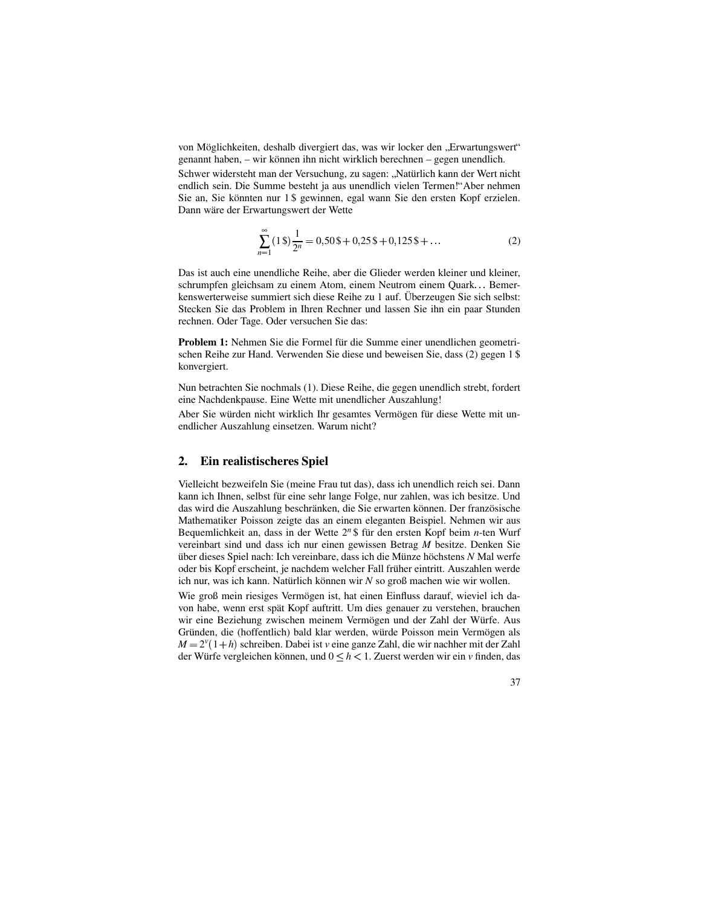von Möglichkeiten, deshalb divergiert das, was wir locker den "Erwartungswert"<br>cananyt heben – wir können ihn nicht wirklich berechnen – seson unendlich genannt haben, – wir können ihn nicht wirklich berechnen – gegen unendlich.

Schwer widersteht man der Versuchung, zu sagen: "Natürlich kann der Wert nicht andlich sein. Die Summa besteht is aus ungardlich vielen Terman!" Aber nahmen endlich sein. Die Summe besteht ja aus unendlich vielen Termen!"Aber nehmen Sie an, Sie könnten nur 1 \$ gewinnen, egal wann Sie den ersten Kopf erzielen. Dann wäre der Erwartungswert der Wette

$$
\sum_{n=1}^{\infty} (1 \text{ s}) \frac{1}{2^n} = 0,50 \text{ s} + 0,25 \text{ s} + 0,125 \text{ s} + \dots
$$
 (2)

Das ist auch eine unendliche Reihe, aber die Glieder werden kleiner und kleiner, schrumpfen gleichsam zu einem Atom, einem Neutrom einem Quark . Bemerkenswerterweise summiert sich diese Reihe zu 1 auf. Überzeugen Sie sich selbst: Stecken Sie das Problem in Ihren Rechner und lassen Sie ihn ein paar Stunden rechnen. Oder Tage. Oder versuchen Sie das:

**Problem 1:** Nehmen Sie die Formel für die Summe einer unendlichen geometrischen Reihe zur Hand. Verwenden Sie diese und beweisen Sie, dass (2) gegen 1 \$ konvergiert.

Nun betrachten Sie nochmals (1). Diese Reihe, die gegen unendlich strebt, fordert eine Nachdenkpause. Eine Wette mit unendlicher Auszahlung!

Aber Sie würden nicht wirklich Ihr gesamtes Vermögen für diese Wette mit unendlicher Auszahlung einsetzen. Warum nicht?

### **2. Ein realistischeres Spiel**

Vielleicht bezweifeln Sie (meine Frau tut das), dass ich unendlich reich sei. Dann kann ich Ihnen, selbst für eine sehr lange Folge, nur zahlen, was ich besitze. Und das wird die Auszahlung beschränken, die Sie erwarten können. Der französische Mathematiker Poisson zeigte das an einem eleganten Beispiel. Nehmen wir aus Bequemlichkeit an, dass in der Wette 2<sup>n</sup> \$ für den ersten Kopf beim *n*-ten Wurf vereinbart sind und dass ich nur einen gewissen Betrag *M* besitze. Denken Sie über dieses Spiel nach: Ich vereinbare, dass ich die Münze höchstens N Mal werfe oder bis Kopf erscheint, je nachdem welcher Fall früher eintritt. Auszahlen werde ich nur, was ich kann. Natürlich können wir  $N$  so groß machen wie wir wollen.

Wie groß mein riesiges Vermögen ist, hat einen Einfluss darauf, wieviel ich davon habe, wenn erst spät Kopf auftritt. Um dies genauer zu verstehen, brauchen wir eine Beziehung zwischen meinem Vermögen und der Zahl der Würfe. Aus Gründen, die (hoffentlich) bald klar werden, würde Poisson mein Vermögen als  $M = 2^{\nu}(1+h)$  schreiben. Dabei ist *v* eine ganze Zahl, die wir nachher mit der Zahl der Würfe vergleichen können, und  $0 \leq h < 1$ . Zuerst werden wir ein *v* finden, das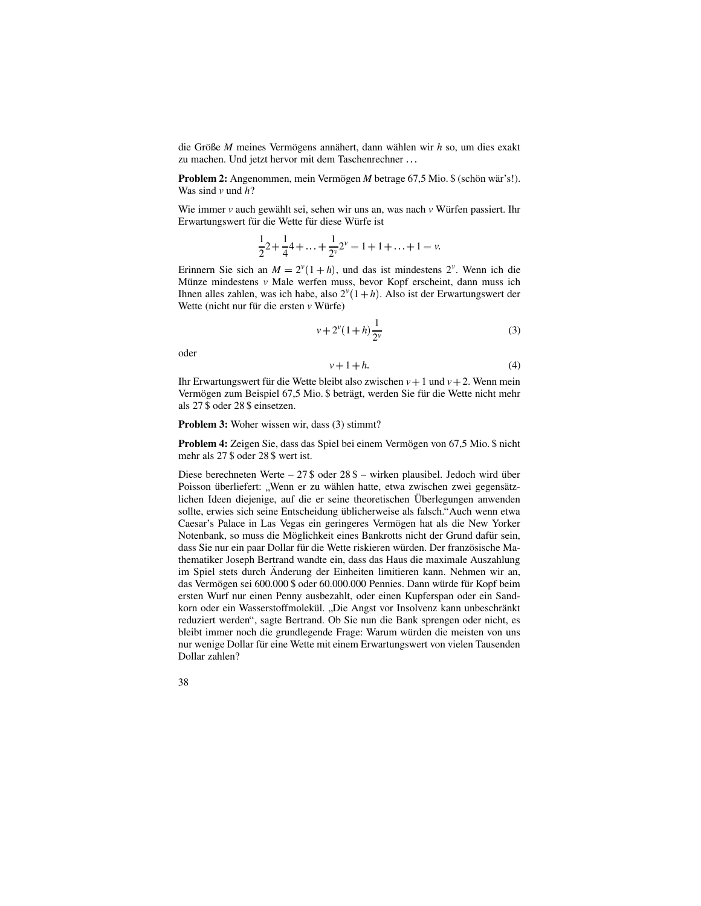die Größe M meines Vermögens annähert, dann wählen wir *h* so, um dies exakt zu machen. Und jetzt hervor mit dem Taschenrechner...

**Problem 2:** Angenommen, mein Vermögen *M* betrage 67,5 Mio. \$ (schön wär's!). Was sind *v* und *h*?

Wie immer  $\nu$  auch gewählt sei, sehen wir uns an, was nach  $\nu$  Würfen passiert. Ihr Erwartungswert für die Wette für diese Würfe ist

$$
\frac{1}{2}2 + \frac{1}{4}4 + \ldots + \frac{1}{2^{\nu}}2^{\nu} = 1 + 1 + \ldots + 1 = \nu.
$$

Erinnern Sie sich an  $M = 2^{\nu}(1 + h)$ , und das ist mindestens  $2^{\nu}$ . Wenn ich die Münze mindestens *v* Male werfen muss, bevor Kopf erscheint, dann muss ich Ihnen alles zahlen, was ich habe, also  $2^{\nu}(1+h)$ . Also ist der Erwartungswert der Wette (nicht nur für die ersten *v* Würfe)

$$
v + 2^{v}(1+h)\frac{1}{2^{v}}
$$
 (3)

oder

$$
v + 1 + h \tag{4}
$$

Ihr Erwartungswert für die Wette bleibt also zwischen  $v + 1$  und  $v + 2$ . Wenn mein Vermögen zum Beispiel 67,5 Mio. \$ beträgt, werden Sie für die Wette nicht mehr als 27 \$ oder 28 \$ einsetzen.

**Problem 3:** Woher wissen wir, dass (3) stimmt?

**Problem 4:** Zeigen Sie, dass das Spiel bei einem Vermögen von 67,5 Mio. \$ nicht mehr als 27 \$ oder 28 \$ wert ist.

Diese berechneten Werte – 27 \$ oder  $28\frac{1}{3}$  – wirken plausibel. Jedoch wird über Poisson überliefert: "Wenn er zu wählen hatte, etwa zwischen zwei gegensätzlichen Ideen diejenige, auf die er seine theoretischen Überlegungen anwenden sollte, erwies sich seine Entscheidung üblicherweise als falsch."Auch wenn etwa Caesar's Palace in Las Vegas ein geringeres Vermögen hat als die New Yorker Notenbank, so muss die Möglichkeit eines Bankrotts nicht der Grund dafür sein, dass Sie nur ein paar Dollar für die Wette riskieren würden. Der französische Mathematiker Joseph Bertrand wandte ein, dass das Haus die maximale Auszahlung im Spiel stets durch Änderung der Einheiten limitieren kann. Nehmen wir an, das Vermögen sei 600.000 \$ oder 60.000.000 Pennies. Dann würde für Kopf beim ersten Wurf nur einen Penny ausbezahlt, oder einen Kupferspan oder ein Sandkorn oder ein Wasserstoffmolekül. "Die Angst vor Insolvenz kann unbeschränkt reduziert werden", sagte Bertrand. Ob Sie nun die Bank sprengen oder nicht, es bleibt immer noch die grundlegende Frage: Warum würden die meisten von uns nur wenige Dollar für eine Wette mit einem Erwartungswert von vielen Tausenden Dollar zahlen?

38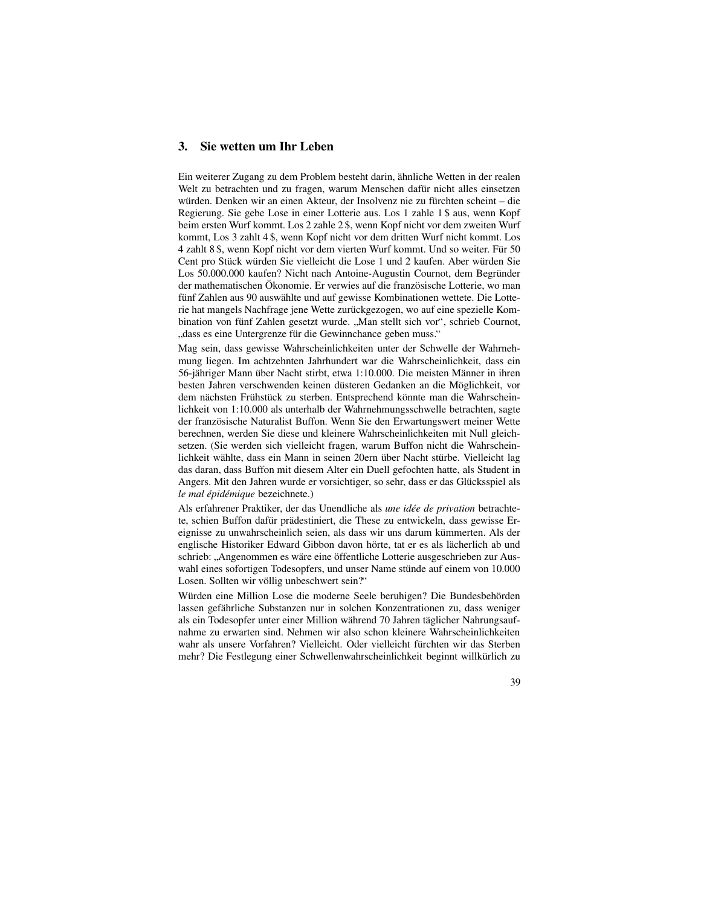# **3. Sie wetten um Ihr Leben**

Ein weiterer Zugang zu dem Problem besteht darin, ähnliche Wetten in der realen Welt zu betrachten und zu fragen, warum Menschen dafür nicht alles einsetzen würden. Denken wir an einen Akteur, der Insolvenz nie zu fürchten scheint – die Regierung. Sie gebe Lose in einer Lotterie aus. Los 1 zahle 1 \$ aus, wenn Kopf beim ersten Wurf kommt. Los 2 zahle 2 \$, wenn Kopf nicht vor dem zweiten Wurf kommt, Los 3 zahlt 4 \$, wenn Kopf nicht vor dem dritten Wurf nicht kommt. Los 4 zahlt 8 \$, wenn Kopf nicht vor dem vierten Wurf kommt. Und so weiter. Für 50 Cent pro Stück würden Sie vielleicht die Lose 1 und 2 kaufen. Aber würden Sie Los 50.000.000 kaufen? Nicht nach Antoine-Augustin Cournot, dem Begründer der mathematischen Ökonomie. Er verwies auf die französische Lotterie, wo man fünf Zahlen aus 90 auswählte und auf gewisse Kombinationen wettete. Die Lotterie hat mangels Nachfrage jene Wette zurückgezogen, wo auf eine spezielle Kombination von fünf Zahlen gesetzt wurde. "Man stellt sich vor", schrieb Cournot, dass as eine Untergrappe für die Cournobense geben muss " "dass es eine Untergrenze für die Gewinnchance geben muss."

<sub>waass</sub> es eine einergreize für die Gewinnenance geben mass.<br>Mag sein, dass gewisse Wahrscheinlichkeiten unter der Schwelle der Wahrnehmung liegen. Im achtzehnten Jahrhundert war die Wahrscheinlichkeit, dass ein 56-jähriger Mann über Nacht stirbt, etwa 1:10.000. Die meisten Männer in ihren besten Jahren verschwenden keinen düsteren Gedanken an die Möglichkeit, vor dem nächsten Frühstück zu sterben. Entsprechend könnte man die Wahrscheinlichkeit von 1:10.000 als unterhalb der Wahrnehmungsschwelle betrachten, sagte der französische Naturalist Buffon. Wenn Sie den Erwartungswert meiner Wette berechnen, werden Sie diese und kleinere Wahrscheinlichkeiten mit Null gleichsetzen. (Sie werden sich vielleicht fragen, warum Buffon nicht die Wahrscheinlichkeit wählte, dass ein Mann in seinen 20ern über Nacht stürbe. Vielleicht lag das daran, dass Buffon mit diesem Alter ein Duell gefochten hatte, als Student in Angers. Mit den Jahren wurde er vorsichtiger, so sehr, dass er das Glücksspiel als *le mal epid ´ emique ´* bezeichnete.)

Als erfahrener Praktiker, der das Unendliche als *une idée de privation* betrachtete, schien Buffon dafür prädestiniert, die These zu entwickeln, dass gewisse Ereignisse zu unwahrscheinlich seien, als dass wir uns darum kümmerten. Als der englische Historiker Edward Gibbon davon hörte, tat er es als lächerlich ab und schrieb: "Angenommen es wäre eine öffentliche Lotterie ausgeschrieben zur Aus-<br>webl eines sofertigen Todesenfers, und unser Neme stünde suf einem von 10 000 wahl eines sofortigen Todesopfers, und unser Name stünde auf einem von 10.000 Losen. Sollten wir völlig unbeschwert sein?"

Würden eine Million Lose die moderne Seele beruhigen? Die Bundesbehörden lassen gefährliche Substanzen nur in solchen Konzentrationen zu, dass weniger als ein Todesopfer unter einer Million während 70 Jahren täglicher Nahrungsaufnahme zu erwarten sind. Nehmen wir also schon kleinere Wahrscheinlichkeiten wahr als unsere Vorfahren? Vielleicht. Oder vielleicht fürchten wir das Sterben mehr? Die Festlegung einer Schwellenwahrscheinlichkeit beginnt willkürlich zu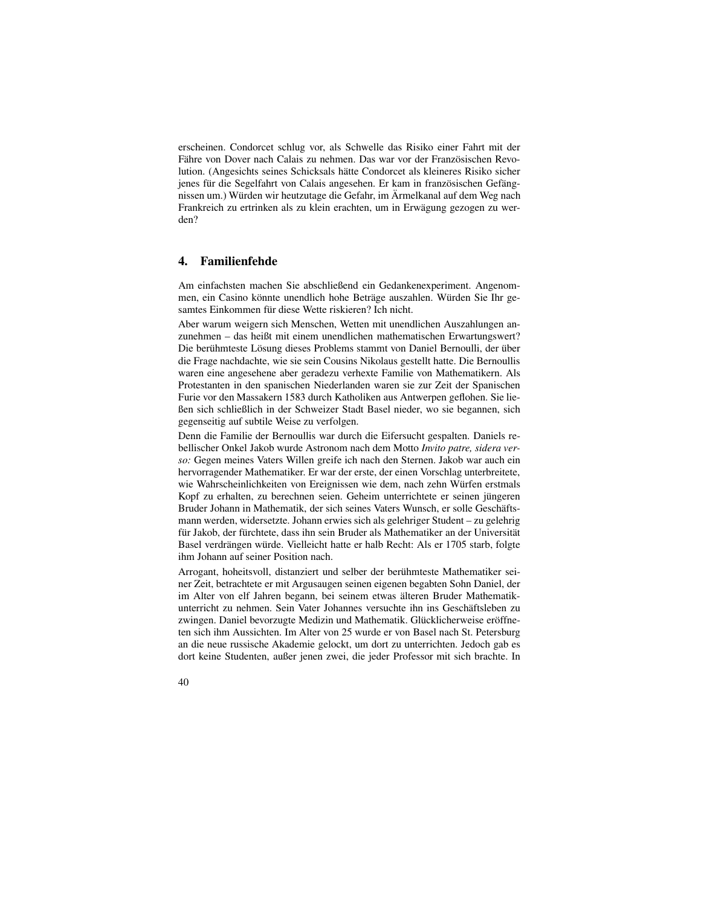erscheinen. Condorcet schlug vor, als Schwelle das Risiko einer Fahrt mit der Fähre von Dover nach Calais zu nehmen. Das war vor der Französischen Revolution. (Angesichts seines Schicksals hätte Condorcet als kleineres Risiko sicher jenes für die Segelfahrt von Calais angesehen. Er kam in französischen Gefängnissen um.) Würden wir heutzutage die Gefahr, im Ärmelkanal auf dem Weg nach Frankreich zu ertrinken als zu klein erachten, um in Erwägung gezogen zu werden?

# **4. Familienfehde**

Am einfachsten machen Sie abschließend ein Gedankenexperiment. Angenommen, ein Casino könnte unendlich hohe Beträge auszahlen. Würden Sie Ihr gesamtes Einkommen für diese Wette riskieren? Ich nicht.

Aber warum weigern sich Menschen, Wetten mit unendlichen Auszahlungen anzunehmen – das heißt mit einem unendlichen mathematischen Erwartungswert? Die berühmteste Lösung dieses Problems stammt von Daniel Bernoulli, der über die Frage nachdachte, wie sie sein Cousins Nikolaus gestellt hatte. Die Bernoullis waren eine angesehene aber geradezu verhexte Familie von Mathematikern. Als Protestanten in den spanischen Niederlanden waren sie zur Zeit der Spanischen Furie vor den Massakern 1583 durch Katholiken aus Antwerpen geflohen. Sie ließen sich schließlich in der Schweizer Stadt Basel nieder, wo sie begannen, sich gegenseitig auf subtile Weise zu verfolgen.

Denn die Familie der Bernoullis war durch die Eifersucht gespalten. Daniels rebellischer Onkel Jakob wurde Astronom nach dem Motto *Invito patre, sidera verso:* Gegen meines Vaters Willen greife ich nach den Sternen. Jakob war auch ein hervorragender Mathematiker. Er war der erste, der einen Vorschlag unterbreitete, wie Wahrscheinlichkeiten von Ereignissen wie dem, nach zehn Würfen erstmals Kopf zu erhalten, zu berechnen seien. Geheim unterrichtete er seinen jüngeren Bruder Johann in Mathematik, der sich seines Vaters Wunsch, er solle Geschäftsmann werden, widersetzte. Johann erwies sich als gelehriger Student – zu gelehrig für Jakob, der fürchtete, dass ihn sein Bruder als Mathematiker an der Universität Basel verdrängen würde. Vielleicht hatte er halb Recht: Als er 1705 starb, folgte ihm Johann auf seiner Position nach.

Arrogant, hoheitsvoll, distanziert und selber der berühmteste Mathematiker seiner Zeit, betrachtete er mit Argusaugen seinen eigenen begabten Sohn Daniel, der im Alter von elf Jahren begann, bei seinem etwas älteren Bruder Mathematikunterricht zu nehmen. Sein Vater Johannes versuchte ihn ins Geschäftsleben zu zwingen. Daniel bevorzugte Medizin und Mathematik. Glücklicherweise eröffneten sich ihm Aussichten. Im Alter von 25 wurde er von Basel nach St. Petersburg an die neue russische Akademie gelockt, um dort zu unterrichten. Jedoch gab es dort keine Studenten, außer jenen zwei, die jeder Professor mit sich brachte. In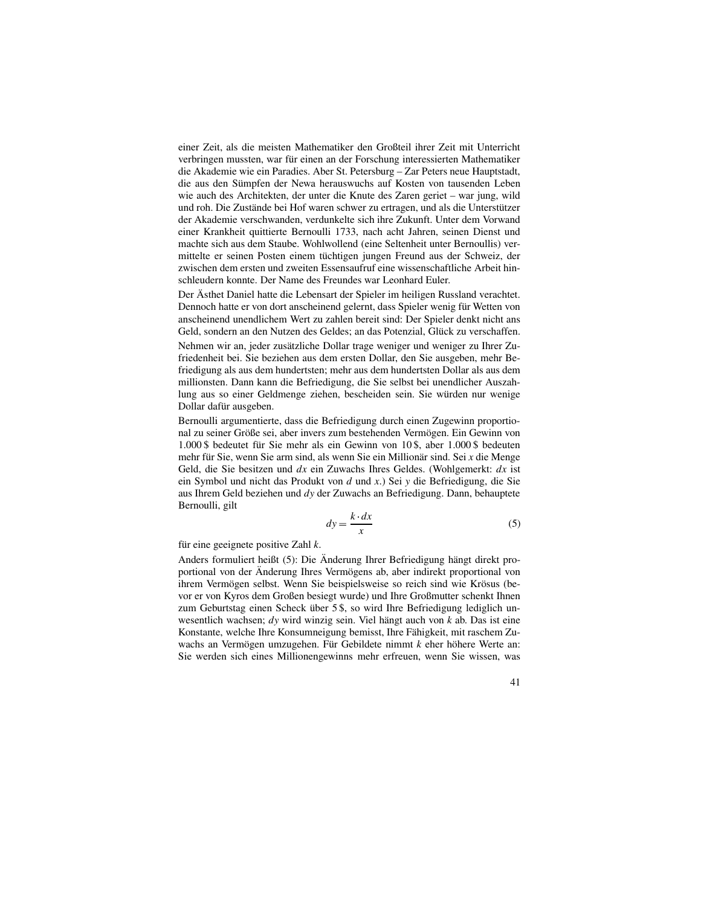einer Zeit, als die meisten Mathematiker den Großteil ihrer Zeit mit Unterricht verbringen mussten, war für einen an der Forschung interessierten Mathematiker die Akademie wie ein Paradies. Aber St. Petersburg – Zar Peters neue Hauptstadt, die aus den Sümpfen der Newa herauswuchs auf Kosten von tausenden Leben wie auch des Architekten, der unter die Knute des Zaren geriet – war jung, wild und roh. Die Zustände bei Hof waren schwer zu ertragen, und als die Unterstützer der Akademie verschwanden, verdunkelte sich ihre Zukunft. Unter dem Vorwand einer Krankheit quittierte Bernoulli 1733, nach acht Jahren, seinen Dienst und machte sich aus dem Staube. Wohlwollend (eine Seltenheit unter Bernoullis) vermittelte er seinen Posten einem tüchtigen jungen Freund aus der Schweiz, der zwischen dem ersten und zweiten Essensaufruf eine wissenschaftliche Arbeit hinschleudern konnte. Der Name des Freundes war Leonhard Euler.

Der Ästhet Daniel hatte die Lebensart der Spieler im heiligen Russland verachtet. Dennoch hatte er von dort anscheinend gelernt, dass Spieler wenig für Wetten von anscheinend unendlichem Wert zu zahlen bereit sind: Der Spieler denkt nicht ans Geld, sondern an den Nutzen des Geldes; an das Potenzial, Glück zu verschaffen. Nehmen wir an, jeder zusätzliche Dollar trage weniger und weniger zu Ihrer Zufriedenheit bei. Sie beziehen aus dem ersten Dollar, den Sie ausgeben, mehr Befriedigung als aus dem hundertsten; mehr aus dem hundertsten Dollar als aus dem millionsten. Dann kann die Befriedigung, die Sie selbst bei unendlicher Auszahlung aus so einer Geldmenge ziehen, bescheiden sein. Sie würden nur wenige Dollar dafür ausgeben.

Bernoulli argumentierte, dass die Befriedigung durch einen Zugewinn proportional zu seiner Größe sei, aber invers zum bestehenden Vermögen. Ein Gewinn von 1.000 \$ bedeutet für Sie mehr als ein Gewinn von 10 \$, aber 1.000 \$ bedeuten mehr für Sie, wenn Sie arm sind, als wenn Sie ein Millionär sind. Sei *x* die Menge Geld, die Sie besitzen und *dx* ein Zuwachs Ihres Geldes. (Wohlgemerkt: *dx* ist ein Symbol und nicht das Produkt von *d* und *x*.) Sei *y* die Befriedigung, die Sie aus Ihrem Geld beziehen und *dy* der Zuwachs an Befriedigung. Dann, behauptete Bernoulli, gilt

$$
dy = \frac{k \cdot dx}{x} \tag{5}
$$

für eine geeignete positive Zahl *k*.

Anders formuliert heißt (5): Die Änderung Ihrer Befriedigung hängt direkt proportional von der Änderung Ihres Vermögens ab, aber indirekt proportional von ihrem Vermögen selbst. Wenn Sie beispielsweise so reich sind wie Krösus (bevor er von Kyros dem Großen besiegt wurde) und Ihre Großmutter schenkt Ihnen zum Geburtstag einen Scheck über 5 \$, so wird Ihre Befriedigung lediglich unwesentlich wachsen; *dy* wird winzig sein. Viel hängt auch von *k* ab. Das ist eine Konstante, welche Ihre Konsumneigung bemisst, Ihre Fähigkeit, mit raschem Zuwachs an Vermögen umzugehen. Für Gebildete nimmt *k* eher höhere Werte an: Sie werden sich eines Millionengewinns mehr erfreuen, wenn Sie wissen, was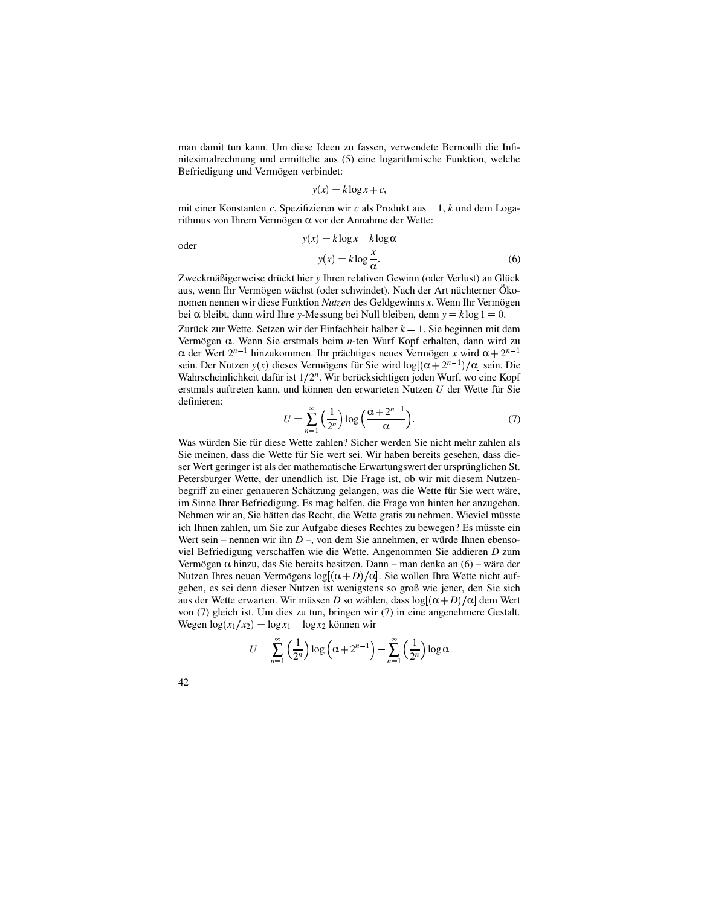man damit tun kann. Um diese Ideen zu fassen, verwendete Bernoulli die Infinitesimalrechnung und ermittelte aus (5) eine logarithmische Funktion, welche Befriedigung und Vermögen verbindet:

$$
y(x) = k \log x + c,
$$

mit einer Konstanten *c*. Spezifizieren wir *c* als Produkt aus  $-1$ , *k* und dem Logarithmus von Ihrem Vermögen  $\alpha$  vor der Annahme der Wette:

oder

$$
y(x) = k \log x - k \log \alpha
$$
  

$$
y(x) = k \log \frac{x}{\alpha}.
$$
 (6)

Zweckmäßigerweise drückt hier *y* Ihren relativen Gewinn (oder Verlust) an Glück aus, wenn Ihr Vermögen wächst (oder schwindet). Nach der Art nüchterner Ökonomen nennen wir diese Funktion *Nutzen* des Geldgewinns *x*. Wenn Ihr Vermogen ¨ bei  $\alpha$  bleibt, dann wird Ihre *y*-Messung bei Null bleiben, denn  $y = k \log 1 = 0$ .

Zurück zur Wette. Setzen wir der Einfachheit halber  $k = 1$ . Sie beginnen mit dem Vermögen α. Wenn Sie erstmals beim *n*-ten Wurf Kopf erhalten, dann wird zu  $\alpha$  der Wert  $2^{n-1}$  hinzukommen. Ihr prächtiges neues Vermögen x wird  $\alpha + 2^{n-1}$ sein. Der Nutzen  $y(x)$  dieses Vermögens für Sie wird  $log[(\alpha + 2^{n-1})/\alpha]$  sein. Die Wahrscheinlichkeit dafür ist 1/2<sup>n</sup>. Wir berücksichtigen jeden Wurf, wo eine Kopf erstmals auftreten kann, und können den erwarteten Nutzen *U* der Wette für Sie definieren:

$$
U = \sum_{n=1}^{\infty} \left(\frac{1}{2^n}\right) \log \left(\frac{\alpha + 2^{n-1}}{\alpha}\right).
$$
 (7)

Was würden Sie für diese Wette zahlen? Sicher werden Sie nicht mehr zahlen als Sie meinen, dass die Wette für Sie wert sei. Wir haben bereits gesehen, dass dieser Wert geringer ist als der mathematische Erwartungswert der ursprünglichen St. Petersburger Wette, der unendlich ist. Die Frage ist, ob wir mit diesem Nutzenbegriff zu einer genaueren Schätzung gelangen, was die Wette für Sie wert wäre, im Sinne Ihrer Befriedigung. Es mag helfen, die Frage von hinten her anzugehen. Nehmen wir an, Sie hätten das Recht, die Wette gratis zu nehmen. Wieviel müsste ich Ihnen zahlen, um Sie zur Aufgabe dieses Rechtes zu bewegen? Es müsste ein Wert sein – nennen wir ihn  $D$  –, von dem Sie annehmen, er würde Ihnen ebensoviel Befriedigung verschaffen wie die Wette. Angenommen Sie addieren *D* zum Vermögen  $\alpha$  hinzu, das Sie bereits besitzen. Dann – man denke an (6) – wäre der Nutzen Ihres neuen Vermögens  $log[(α + D)/α]$ . Sie wollen Ihre Wette nicht aufgeben, es sei denn dieser Nutzen ist wenigstens so groß wie jener, den Sie sich aus der Wette erwarten. Wir müssen D so wählen, dass  $\log[(\alpha + D)/\alpha]$  dem Wert von (7) gleich ist. Um dies zu tun, bringen wir (7) in eine angenehmere Gestalt.  $Wegen log(x_1/x_2) = log x_1 - log x_2$  können wir

$$
U = \sum_{n=1}^{\infty} \left(\frac{1}{2^n}\right) \log \left(\alpha + 2^{n-1}\right) - \sum_{n=1}^{\infty} \left(\frac{1}{2^n}\right) \log \alpha
$$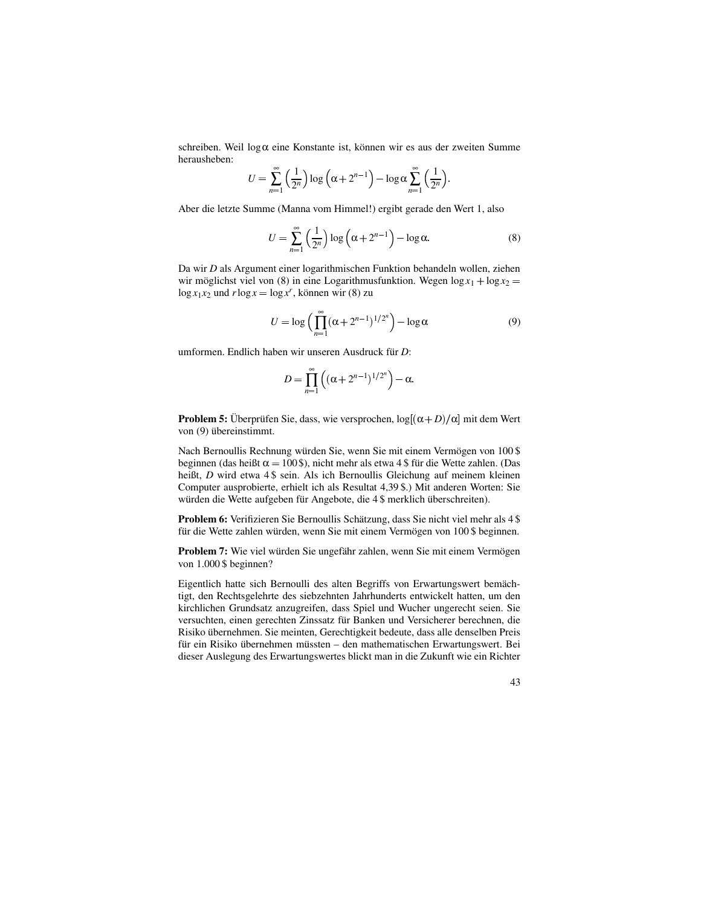schreiben. Weil  $log \alpha$  eine Konstante ist, können wir es aus der zweiten Summe herausheben:

$$
U = \sum_{n=1}^{\infty} \left(\frac{1}{2^n}\right) \log \left(\alpha + 2^{n-1}\right) - \log \alpha \sum_{n=1}^{\infty} \left(\frac{1}{2^n}\right).
$$

Aber die letzte Summe (Manna vom Himmel!) ergibt gerade den Wert 1, also

$$
U = \sum_{n=1}^{\infty} \left(\frac{1}{2^n}\right) \log \left(\alpha + 2^{n-1}\right) - \log \alpha. \tag{8}
$$

Da wir *D* als Argument einer logarithmischen Funktion behandeln wollen, ziehen wir möglichst viel von (8) in eine Logarithmusfunktion. Wegen  $\log x_1 + \log x_2 =$  $\log x_1 x_2$  und  $r \log x = \log x^r$ , können wir (8) zu

$$
U = \log\left(\prod_{n=1}^{\infty} (\alpha + 2^{n-1})^{1/2^n}\right) - \log \alpha \tag{9}
$$

umformen. Endlich haben wir unseren Ausdruck für *D*:

$$
D=\prod_{n=1}^{\infty}\left((\alpha+2^{n-1})^{1/2^n}\right)-\alpha.
$$

**Problem 5:** Überprüfen Sie, dass, wie versprochen,  $\log[(\alpha + D)/\alpha]$  mit dem Wert von (9) übereinstimmt.

Nach Bernoullis Rechnung würden Sie, wenn Sie mit einem Vermögen von 100 \$ beginnen (das heißt  $\alpha = 100$ \$), nicht mehr als etwa 4 \$ für die Wette zahlen. (Das heißt, *D* wird etwa 4 \$ sein. Als ich Bernoullis Gleichung auf meinem kleinen Computer ausprobierte, erhielt ich als Resultat 4,39 \$.) Mit anderen Worten: Sie würden die Wette aufgeben für Angebote, die 4 \$ merklich überschreiten).

**Problem 6:** Verifizieren Sie Bernoullis Schätzung, dass Sie nicht viel mehr als 4 \$ für die Wette zahlen würden, wenn Sie mit einem Vermögen von 100 \$ beginnen.

**Problem 7:** Wie viel würden Sie ungefähr zahlen, wenn Sie mit einem Vermögen von 1.000 \$ beginnen?

Eigentlich hatte sich Bernoulli des alten Begriffs von Erwartungswert bemächtigt, den Rechtsgelehrte des siebzehnten Jahrhunderts entwickelt hatten, um den kirchlichen Grundsatz anzugreifen, dass Spiel und Wucher ungerecht seien. Sie versuchten, einen gerechten Zinssatz für Banken und Versicherer berechnen, die Risiko übernehmen. Sie meinten, Gerechtigkeit bedeute, dass alle denselben Preis für ein Risiko übernehmen müssten – den mathematischen Erwartungswert. Bei dieser Auslegung des Erwartungswertes blickt man in die Zukunft wie ein Richter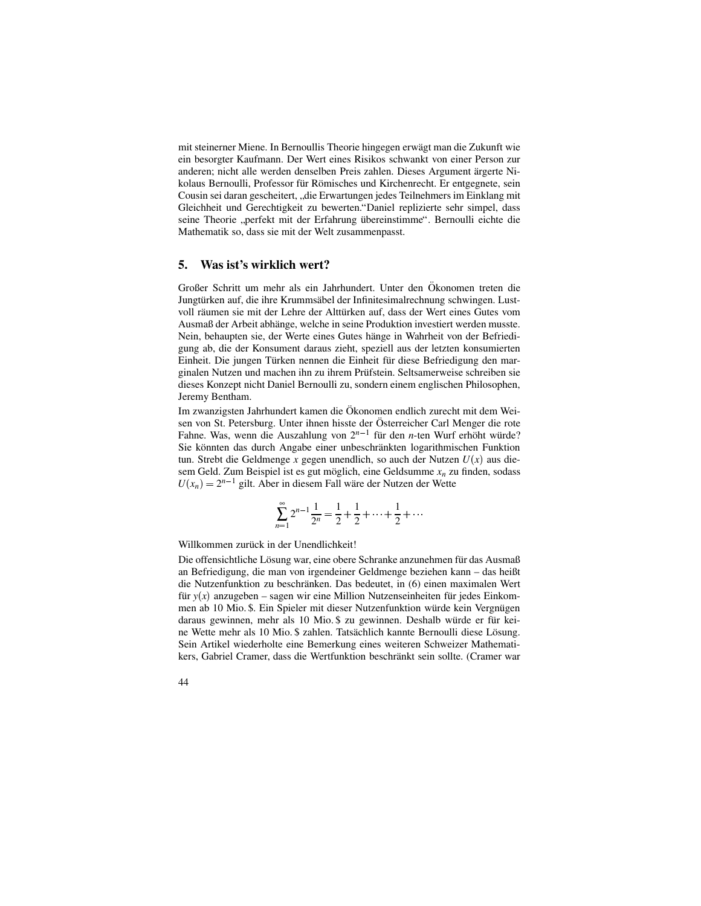mit steinerner Miene. In Bernoullis Theorie hingegen erwägt man die Zukunft wie ein besorgter Kaufmann. Der Wert eines Risikos schwankt von einer Person zur anderen; nicht alle werden denselben Preis zahlen. Dieses Argument ärgerte Nikolaus Bernoulli, Professor für Römisches und Kirchenrecht. Er entgegnete, sein Cousin sei daran gescheitert, "die Erwartungen jedes Teilnehmers im Einklang mit<br>Gleichheit und Gerschtielseit zu heuterten "Daniel geplizierte sehr eimpal, dass Gleichheit und Gerechtigkeit zu bewerten."Daniel replizierte sehr simpel, dass seine Theorie "perfekt mit der Erfahrung übereinstimme". Bernoulli eichte die Mathematik so, dass sie mit der Welt zusammenpasst.

### **5. Was ist's wirklich wert?**

Großer Schritt um mehr als ein Jahrhundert. Unter den Ökonomen treten die Jungtürken auf, die ihre Krummsäbel der Infinitesimalrechnung schwingen. Lustvoll räumen sie mit der Lehre der Alttürken auf, dass der Wert eines Gutes vom Ausmaß der Arbeit abhänge, welche in seine Produktion investiert werden musste. Nein, behaupten sie, der Werte eines Gutes hänge in Wahrheit von der Befriedigung ab, die der Konsument daraus zieht, speziell aus der letzten konsumierten Einheit. Die jungen Türken nennen die Einheit für diese Befriedigung den marginalen Nutzen und machen ihn zu ihrem Prüfstein. Seltsamerweise schreiben sie dieses Konzept nicht Daniel Bernoulli zu, sondern einem englischen Philosophen, Jeremy Bentham.

Im zwanzigsten Jahrhundert kamen die Ökonomen endlich zurecht mit dem Weisen von St. Petersburg. Unter ihnen hisste der Österreicher Carl Menger die rote Fahne. Was, wenn die Auszahlung von  $2^{n-1}$  für den *n*-ten Wurf erhöht würde? Sie könnten das durch Angabe einer unbeschränkten logarithmischen Funktion  $t$ un. Strebt die Geldmenge *x* gegen unendlich, so auch der Nutzen  $U(x)$  aus diesem Geld. Zum Beispiel ist es gut möglich, eine Geldsumme  $x_n$  zu finden, sodass  $U(x_n) = 2^{n-1}$  gilt. Aber in diesem Fall wäre der Nutzen der Wette

$$
\sum_{n=1}^{\infty} 2^{n-1} \frac{1}{2^n} = \frac{1}{2} + \frac{1}{2} + \dots + \frac{1}{2} + \dots
$$

Willkommen zurück in der Unendlichkeit!

Die offensichtliche Lösung war, eine obere Schranke anzunehmen für das Ausmaß an Befriedigung, die man von irgendeiner Geldmenge beziehen kann – das heißt die Nutzenfunktion zu beschränken. Das bedeutet, in (6) einen maximalen Wert für  $y(x)$  anzugeben – sagen wir eine Million Nutzenseinheiten für jedes Einkommen ab 10 Mio. \$. Ein Spieler mit dieser Nutzenfunktion würde kein Vergnügen daraus gewinnen, mehr als 10 Mio. \$ zu gewinnen. Deshalb würde er für keine Wette mehr als 10 Mio. \$ zahlen. Tatsächlich kannte Bernoulli diese Lösung. Sein Artikel wiederholte eine Bemerkung eines weiteren Schweizer Mathematikers, Gabriel Cramer, dass die Wertfunktion beschränkt sein sollte. (Cramer war

44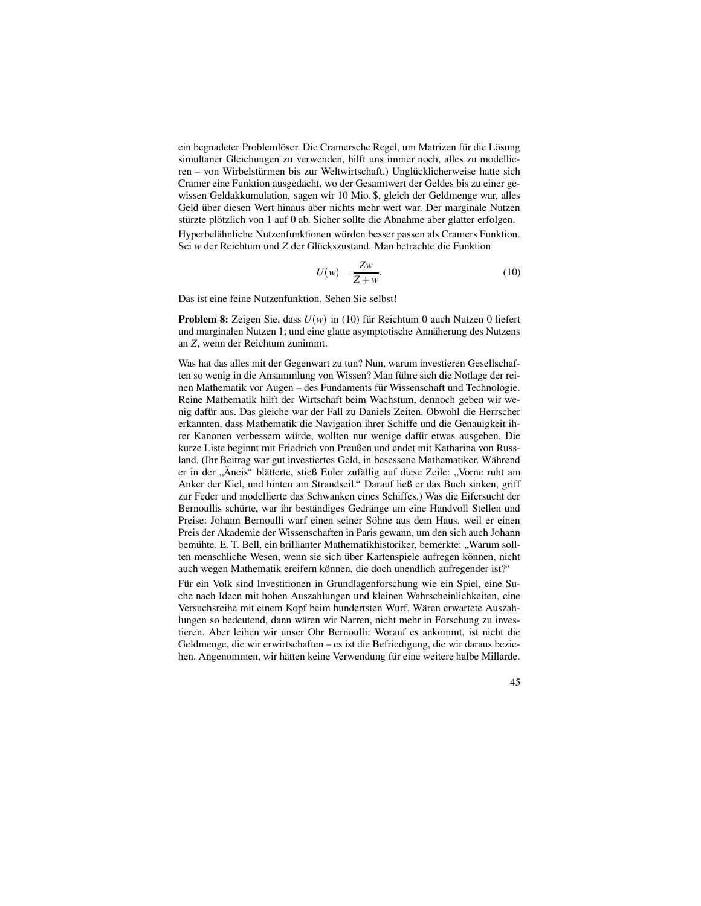ein begnadeter Problemlöser. Die Cramersche Regel, um Matrizen für die Lösung simultaner Gleichungen zu verwenden, hilft uns immer noch, alles zu modellieren – von Wirbelstürmen bis zur Weltwirtschaft.) Unglücklicherweise hatte sich Cramer eine Funktion ausgedacht, wo der Gesamtwert der Geldes bis zu einer gewissen Geldakkumulation, sagen wir 10 Mio. \$, gleich der Geldmenge war, alles Geld über diesen Wert hinaus aber nichts mehr wert war. Der marginale Nutzen stürzte plötzlich von 1 auf 0 ab. Sicher sollte die Abnahme aber glatter erfolgen.

Hyperbelähnliche Nutzenfunktionen würden besser passen als Cramers Funktion. Sei *w* der Reichtum und *Z* der Glückszustand. Man betrachte die Funktion

$$
U(w) = \frac{Zw}{Z+w}.\tag{10}
$$

Das ist eine feine Nutzenfunktion. Sehen Sie selbst!

**Problem 8:** Zeigen Sie, dass  $U(w)$  in (10) für Reichtum 0 auch Nutzen 0 liefert und marginalen Nutzen 1; und eine glatte asymptotische Annäherung des Nutzens an *Z*, wenn der Reichtum zunimmt.

Was hat das alles mit der Gegenwart zu tun? Nun, warum investieren Gesellschaften so wenig in die Ansammlung von Wissen? Man führe sich die Notlage der reinen Mathematik vor Augen – des Fundaments für Wissenschaft und Technologie. Reine Mathematik hilft der Wirtschaft beim Wachstum, dennoch geben wir wenig dafür aus. Das gleiche war der Fall zu Daniels Zeiten. Obwohl die Herrscher erkannten, dass Mathematik die Navigation ihrer Schiffe und die Genauigkeit ihrer Kanonen verbessern würde, wollten nur wenige dafür etwas ausgeben. Die kurze Liste beginnt mit Friedrich von Preußen und endet mit Katharina von Russland. (Ihr Beitrag war gut investiertes Geld, in besessene Mathematiker. Während er in der "Äneis" blätterte, stieß Euler zufällig auf diese Zeile: "Vorne ruht am Anker der Kiel, und hinten am Strandseil." Darauf ließ er das Buch sinken, griff zur Feder und modellierte das Schwanken eines Schiffes.) Was die Eifersucht der Bernoullis schürte, war ihr beständiges Gedränge um eine Handvoll Stellen und Preise: Johann Bernoulli warf einen seiner Söhne aus dem Haus, weil er einen Preis der Akademie der Wissenschaften in Paris gewann, um den sich auch Johann bemühte. E. T. Bell, ein brillianter Mathematikhistoriker, bemerkte: "Warum soll-<br>ten manschliche Wesen, wann ein sich über Kertanspiele sufragen kännen, nicht ten menschliche Wesen, wenn sie sich über Kartenspiele aufregen können, nicht auch wegen Mathematik ereifern können, die doch unendlich aufregender ist?"

Für ein Volk sind Investitionen in Grundlagenforschung wie ein Spiel, eine Suche nach Ideen mit hohen Auszahlungen und kleinen Wahrscheinlichkeiten, eine Versuchsreihe mit einem Kopf beim hundertsten Wurf. Wären erwartete Auszahlungen so bedeutend, dann wären wir Narren, nicht mehr in Forschung zu investieren. Aber leihen wir unser Ohr Bernoulli: Worauf es ankommt, ist nicht die Geldmenge, die wir erwirtschaften – es ist die Befriedigung, die wir daraus beziehen. Angenommen, wir hätten keine Verwendung für eine weitere halbe Millarde.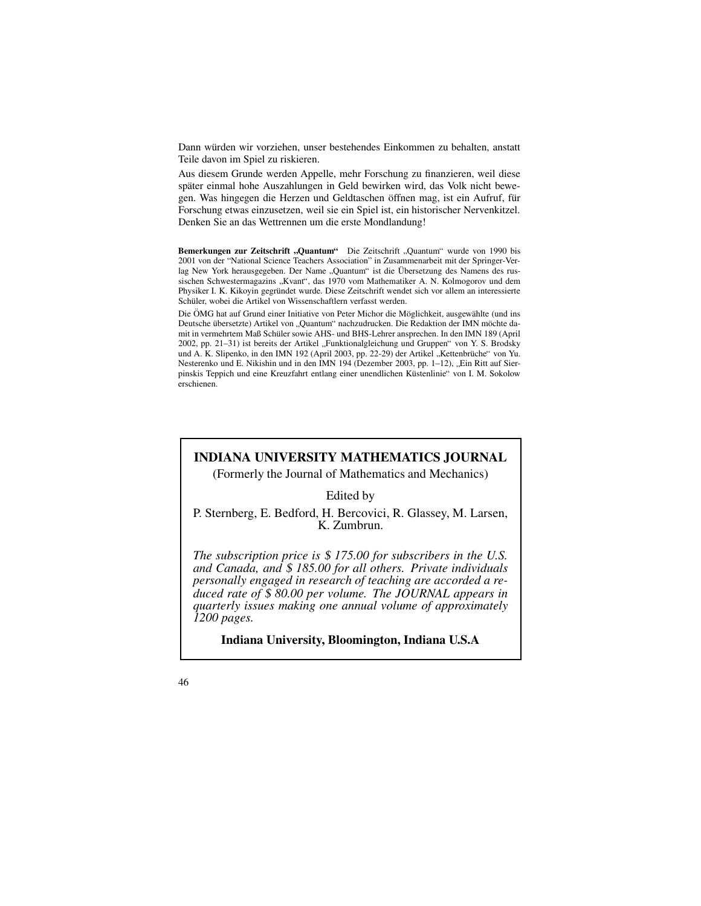Dann würden wir vorziehen, unser bestehendes Einkommen zu behalten, anstatt Teile davon im Spiel zu riskieren.

Aus diesem Grunde werden Appelle, mehr Forschung zu finanzieren, weil diese später einmal hohe Auszahlungen in Geld bewirken wird, das Volk nicht bewegen. Was hingegen die Herzen und Geldtaschen öffnen mag, ist ein Aufruf, für Forschung etwas einzusetzen, weil sie ein Spiel ist, ein historischer Nervenkitzel. Denken Sie an das Wettrennen um die erste Mondlandung!

**Bemerkungen zur Zeitschrift "Quantum"** Die Zeitschrift "Quantum" wurde von 1990 bis 2001 von der "National Science Teachers Association" in Zusammenarbeit mit der Springer-Verlag New York herausgegeben. Der Name "Quantum" ist die Übersetzung des Namens des rus-<br>Geologischen Schwestermagezing, Kuant" des 1970 vom Methematiker A. N. Kolmogorov und dem sischen Schwestermagazins "Kvant", das 1970 vom Mathematiker A. N. Kolmogorov und dem<br>Physiker L.K. Kikovin gegründet wurde. Diese Zeitschrift wordet sich vor allem en interessierte Physiker I. K. Kikoyin gegründet wurde. Diese Zeitschrift wendet sich vor allem an interessierte Schüler, wobei die Artikel von Wissenschaftlern verfasst werden.

Die ÖMG hat auf Grund einer Initiative von Peter Michor die Möglichkeit, ausgewählte (und ins Deutsche übersetzte) Artikel von "Quantum" nachzudrucken. Die Redaktion der IMN möchte da-<br>mit in unwehrtem Meß Schülengauen AUS, und DUS Lahrengangrachen. In den DAN 180 (Anril mit in vermehrtem Maß Schüler sowie AHS- und BHS-Lehrer ansprechen. In den IMN 189 (April 2002, pp. 21–31) ist bereits der Artikel "Funktionalgleichung und Gruppen" von Y. S. Brodsky und A. K. Slipenko, in den IMN 192 (April 2003, pp. 22-29) der Artikel "Kettenbrüche" von Yu.<br>Nestererke und E. Nikishin und in den IMN 104 (Dezember 2003, pp. 1–12). Ein Bitt euf Sier Nesterenko und E. Nikishin und in den IMN 194 (Dezember 2003, pp. 1–12), "Ein Ritt auf Sier-<br>ninskis Tennish und eine Krouzfehrt antlang einer unendlichen Küsterlinie" von L.M. Sekelow pinskis Teppich und eine Kreuzfahrt entlang einer unendlichen Küstenlinie" von I. M. Sokolow erschienen.

# **INDIANA UNIVERSITY MATHEMATICS JOURNAL**

(Formerly the Journal of Mathematics and Mechanics)

Edited by

P. Sternberg, E. Bedford, H. Bercovici, R. Glassey, M. Larsen, K. Zumbrun.

*The subscription price is* \$ *175.00 for subscribers in the U.S. and Canada, and* \$ *185.00 for all others. Private individuals personally engaged in research of teaching are accorded a reduced rate of* \$ *80.00 per volume. The JOURNAL appears in quarterly issues making one annual volume of approximately 1200 pages.*

**Indiana University, Bloomington, Indiana U.S.A**

<sup>46</sup>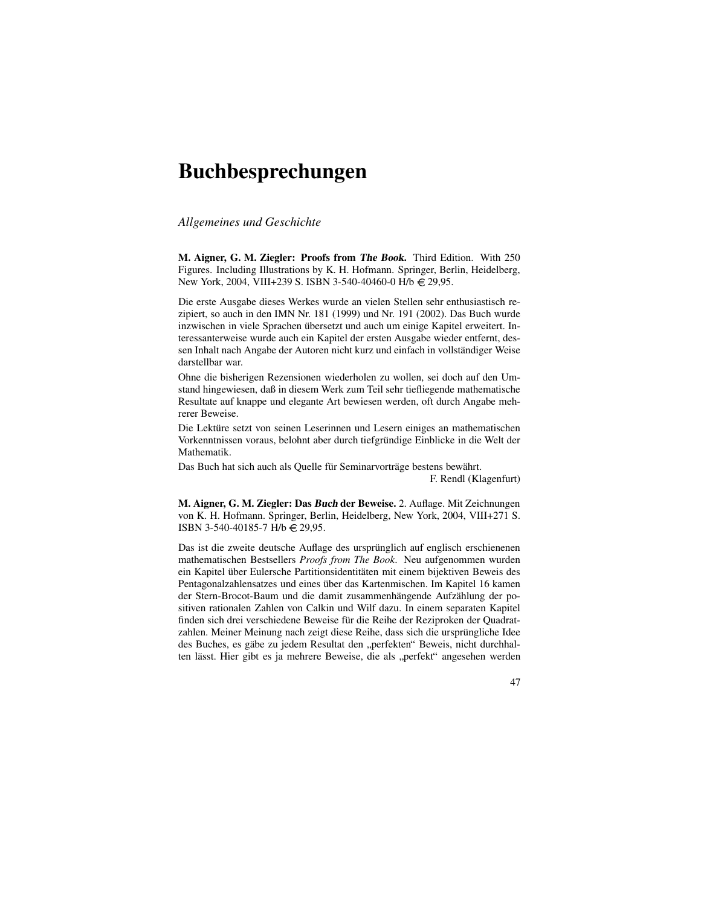# **Buchbesprechungen**

*Allgemeines und Geschichte*

**M. Aigner, G. M. Ziegler: Proofs from The Book.** Third Edition. With 250 Figures. Including Illustrations by K. H. Hofmann. Springer, Berlin, Heidelberg, New York, 2004, VIII+239 S. ISBN 3-540-40460-0 H/b € 29,95.

Die erste Ausgabe dieses Werkes wurde an vielen Stellen sehr enthusiastisch rezipiert, so auch in den IMN Nr. 181 (1999) und Nr. 191 (2002). Das Buch wurde inzwischen in viele Sprachen übersetzt und auch um einige Kapitel erweitert. Interessanterweise wurde auch ein Kapitel der ersten Ausgabe wieder entfernt, dessen Inhalt nach Angabe der Autoren nicht kurz und einfach in vollständiger Weise darstellbar war.

Ohne die bisherigen Rezensionen wiederholen zu wollen, sei doch auf den Umstand hingewiesen, daß in diesem Werk zum Teil sehr tiefliegende mathematische Resultate auf knappe und elegante Art bewiesen werden, oft durch Angabe mehrerer Beweise.

Die Lektüre setzt von seinen Leserinnen und Lesern einiges an mathematischen Vorkenntnissen voraus, belohnt aber durch tiefgründige Einblicke in die Welt der Mathematik.

Das Buch hat sich auch als Quelle für Seminarvorträge bestens bewährt. F. Rendl (Klagenfurt)

**M. Aigner, G. M. Ziegler: Das Buch der Beweise.** 2. Auflage. Mit Zeichnungen von K. H. Hofmann. Springer, Berlin, Heidelberg, New York, 2004, VIII+271 S. ISBN 3-540-40185-7 H/b 29,95.

Das ist die zweite deutsche Auflage des ursprünglich auf englisch erschienenen mathematischen Bestsellers *Proofs from The Book*. Neu aufgenommen wurden ein Kapitel über Eulersche Partitionsidentitäten mit einem bijektiven Beweis des Pentagonalzahlensatzes und eines über das Kartenmischen. Im Kapitel 16 kamen der Stern-Brocot-Baum und die damit zusammenhängende Aufzählung der positiven rationalen Zahlen von Calkin und Wilf dazu. In einem separaten Kapitel finden sich drei verschiedene Beweise für die Reihe der Reziproken der Quadratzahlen. Meiner Meinung nach zeigt diese Reihe, dass sich die ursprüngliche Idee des Buches, es gäbe zu jedem Resultat den "perfekten" Beweis, nicht durchhal-<br>ten lässt. Hier siht es is mahnare Beweise, die als "perfekt" engeschen werden ten lässt. Hier gibt es ja mehrere Beweise, die als "perfekt" angesehen werden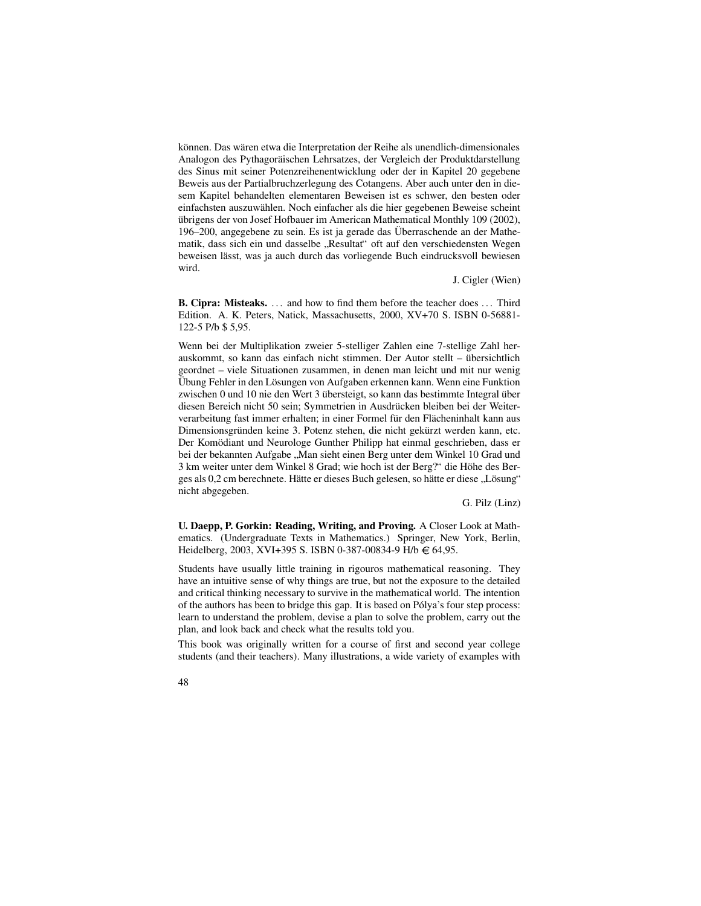können. Das wären etwa die Interpretation der Reihe als unendlich-dimensionales Analogon des Pythagoräischen Lehrsatzes, der Vergleich der Produktdarstellung des Sinus mit seiner Potenzreihenentwicklung oder der in Kapitel 20 gegebene Beweis aus der Partialbruchzerlegung des Cotangens. Aber auch unter den in diesem Kapitel behandelten elementaren Beweisen ist es schwer, den besten oder einfachsten auszuwählen. Noch einfacher als die hier gegebenen Beweise scheint übrigens der von Josef Hofbauer im American Mathematical Monthly 109 (2002), 196–200, angegebene zu sein. Es ist ja gerade das Überraschende an der Mathematik, dass sich ein und dasselbe "Resultat" oft auf den verschiedensten Wegen<br>hausigen lässt une is auch durch des verliegende Buch eindmaksuell hausigen beweisen lässt, was ja auch durch das vorliegende Buch eindrucksvoll bewiesen wird.

J. Cigler (Wien)

**B. Cipra: Misteaks.** . . . and how to find them before the teacher does . . . Third Edition. A. K. Peters, Natick, Massachusetts, 2000, XV+70 S. ISBN 0-56881- 122-5 P/b \$ 5,95.

Wenn bei der Multiplikation zweier 5-stelliger Zahlen eine 7-stellige Zahl herauskommt, so kann das einfach nicht stimmen. Der Autor stellt – ubersichtlich ¨ geordnet – viele Situationen zusammen, in denen man leicht und mit nur wenig Übung Fehler in den Lösungen von Aufgaben erkennen kann. Wenn eine Funktion zwischen 0 und 10 nie den Wert 3 übersteigt, so kann das bestimmte Integral über diesen Bereich nicht 50 sein; Symmetrien in Ausdrücken bleiben bei der Weiterverarbeitung fast immer erhalten; in einer Formel für den Flächeninhalt kann aus Dimensionsgründen keine 3. Potenz stehen, die nicht gekürzt werden kann, etc. Der Komödiant und Neurologe Gunther Philipp hat einmal geschrieben, dass er bei der bekannten Aufgabe "Man sieht einen Berg unter dem Winkel 10 Grad und<br>3 km weiter unter dem Winkel 8 Grad: wie boeb ist der Berg?" die Höhe des Ber 3 km weiter unter dem Winkel 8 Grad; wie hoch ist der Berg?" die Höhe des Berges als 0,2 cm berechnete. Hätte er dieses Buch gelesen, so hätte er diese "Lösung"<br>nicht ebeseeken nicht abgegeben.

G. Pilz (Linz)

**U. Daepp, P. Gorkin: Reading, Writing, and Proving.** A Closer Look at Mathematics. (Undergraduate Texts in Mathematics.) Springer, New York, Berlin, Heidelberg, 2003, XVI+395 S. ISBN 0-387-00834-9 H/b  $\in$  64,95.

Students have usually little training in rigouros mathematical reasoning. They have an intuitive sense of why things are true, but not the exposure to the detailed and critical thinking necessary to survive in the mathematical world. The intention of the authors has been to bridge this gap. It is based on Pólya's four step process: learn to understand the problem, devise a plan to solve the problem, carry out the plan, and look back and check what the results told you.

This book was originally written for a course of first and second year college students (and their teachers). Many illustrations, a wide variety of examples with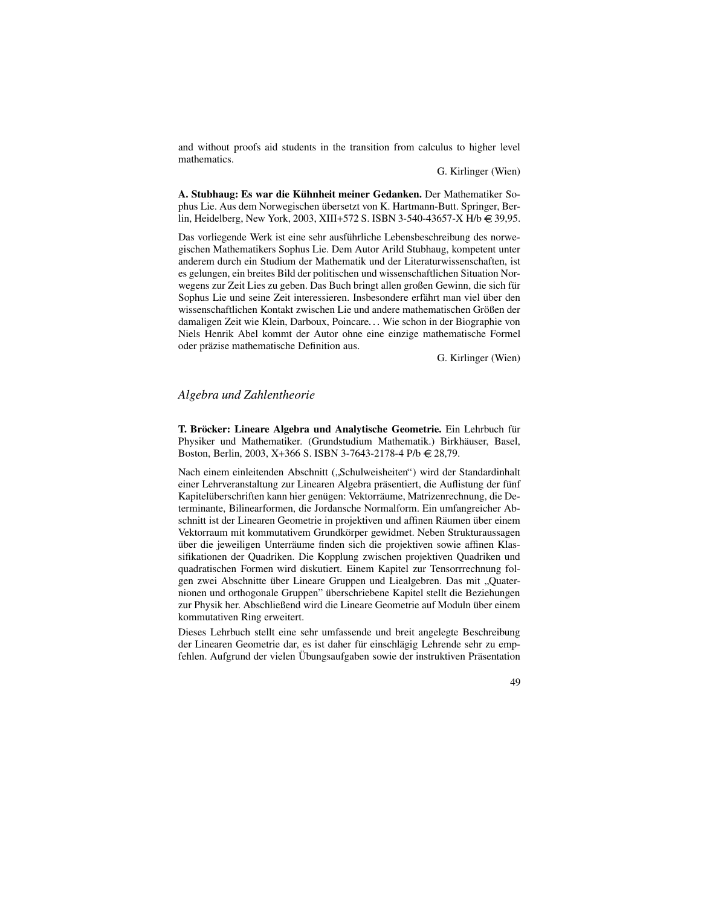and without proofs aid students in the transition from calculus to higher level mathematics.

G. Kirlinger (Wien)

**A. Stubhaug: Es war die Kuhnheit ¨ meiner Gedanken.** Der Mathematiker Sophus Lie. Aus dem Norwegischen übersetzt von K. Hartmann-Butt. Springer, Berlin, Heidelberg, New York, 2003, XIII+572 S. ISBN 3-540-43657-X H/b  $\in$  39,95.

Das vorliegende Werk ist eine sehr ausführliche Lebensbeschreibung des norwegischen Mathematikers Sophus Lie. Dem Autor Arild Stubhaug, kompetent unter anderem durch ein Studium der Mathematik und der Literaturwissenschaften, ist es gelungen, ein breites Bild der politischen und wissenschaftlichen Situation Norwegens zur Zeit Lies zu geben. Das Buch bringt allen großen Gewinn, die sich für Sophus Lie und seine Zeit interessieren. Insbesondere erfährt man viel über den wissenschaftlichen Kontakt zwischen Lie und andere mathematischen Größen der damaligen Zeit wie Klein, Darboux, Poincare... Wie schon in der Biographie von Niels Henrik Abel kommt der Autor ohne eine einzige mathematische Formel oder präzise mathematische Definition aus.

G. Kirlinger (Wien)

# *Algebra und Zahlentheorie*

**T. Brock ¨ er: Lineare Algebra und Analytische Geometrie.** Ein Lehrbuch fur¨ Physiker und Mathematiker. (Grundstudium Mathematik.) Birkhäuser, Basel, Boston, Berlin, 2003, X+366 S. ISBN 3-7643-2178-4 P/b 28,79.

Nach einem einleitenden Abschnitt ( Schulweisheiten") wird der Standardinhalt einer Lehrveranstaltung zur Linearen Algebra präsentiert, die Auflistung der fünf Kapitelüberschriften kann hier genügen: Vektorräume, Matrizenrechnung, die Determinante, Bilinearformen, die Jordansche Normalform. Ein umfangreicher Abschnitt ist der Linearen Geometrie in projektiven und affinen Räumen über einem Vektorraum mit kommutativem Grundkörper gewidmet. Neben Strukturaussagen über die jeweiligen Unterräume finden sich die projektiven sowie affinen Klassifikationen der Quadriken. Die Kopplung zwischen projektiven Quadriken und quadratischen Formen wird diskutiert. Einem Kapitel zur Tensorrrechnung folgen zwei Abschnitte über Lineare Gruppen und Liealgebren. Das mit "Quater-<br>nienen und erthogenele Gruppen" überschriebene Kenitel stellt die Beziehungen nionen und orthogonale Gruppen" überschriebene Kapitel stellt die Beziehungen zur Physik her. Abschließend wird die Lineare Geometrie auf Moduln über einem kommutativen Ring erweitert.

Dieses Lehrbuch stellt eine sehr umfassende und breit angelegte Beschreibung der Linearen Geometrie dar, es ist daher für einschlägig Lehrende sehr zu empfehlen. Aufgrund der vielen Übungsaufgaben sowie der instruktiven Präsentation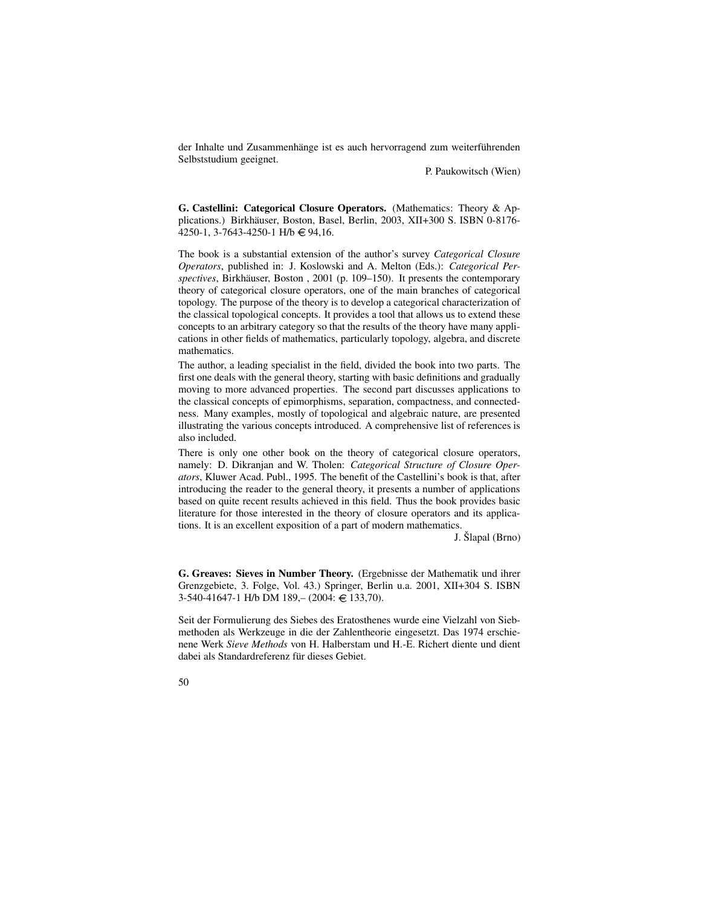der Inhalte und Zusammenhänge ist es auch hervorragend zum weiterführenden Selbststudium geeignet.

P. Paukowitsch (Wien)

**G. Castellini: Categorical Closure Operators.** (Mathematics: Theory & Applications.) Birkhäuser, Boston, Basel, Berlin, 2003, XII+300 S. ISBN 0-8176-4250-1, 3-7643-4250-1 H/b  $\in$  94,16.

The book is a substantial extension of the author's survey *Categorical Closure Operators*, published in: J. Koslowski and A. Melton (Eds.): *Categorical Per*spectives, Birkhäuser, Boston , 2001 (p. 109–150). It presents the contemporary theory of categorical closure operators, one of the main branches of categorical topology. The purpose of the theory is to develop a categorical characterization of the classical topological concepts. It provides a tool that allows us to extend these concepts to an arbitrary category so that the results of the theory have many applications in other fields of mathematics, particularly topology, algebra, and discrete mathematics.

The author, a leading specialist in the field, divided the book into two parts. The first one deals with the general theory, starting with basic definitions and gradually moving to more advanced properties. The second part discusses applications to the classical concepts of epimorphisms, separation, compactness, and connectedness. Many examples, mostly of topological and algebraic nature, are presented illustrating the various concepts introduced. A comprehensive list of references is also included.

There is only one other book on the theory of categorical closure operators, namely: D. Dikranjan and W. Tholen: *Categorical Structure of Closure Operators*, Kluwer Acad. Publ., 1995. The benefit of the Castellini's book is that, after introducing the reader to the general theory, it presents a number of applications based on quite recent results achieved in this field. Thus the book provides basic literature for those interested in the theory of closure operators and its applications. It is an excellent exposition of a part of modern mathematics.

J. Šlapal (Brno)

**G. Greaves: Sieves in Number Theory.** (Ergebnisse der Mathematik und ihrer Grenzgebiete, 3. Folge, Vol. 43.) Springer, Berlin u.a. 2001, XII+304 S. ISBN  $3-540-41647-1$  H/b DM  $189- (2004 \div 133,70)$ .

Seit der Formulierung des Siebes des Eratosthenes wurde eine Vielzahl von Siebmethoden als Werkzeuge in die der Zahlentheorie eingesetzt. Das 1974 erschienene Werk *Sieve Methods* von H. Halberstam und H.-E. Richert diente und dient dabei als Standardreferenz für dieses Gebiet.

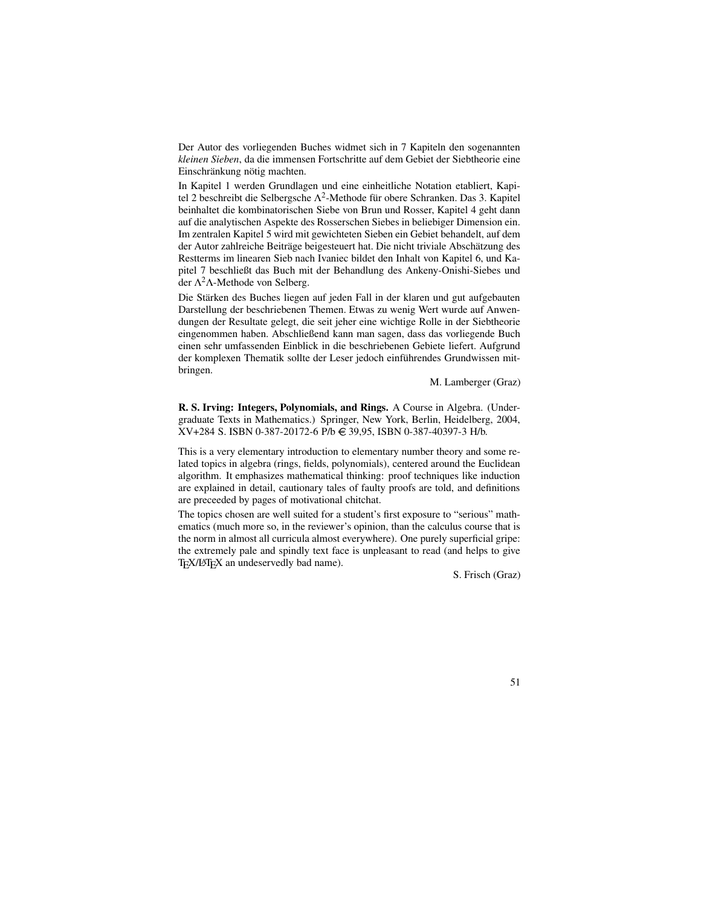Der Autor des vorliegenden Buches widmet sich in 7 Kapiteln den sogenannten *kleinen Sieben*, da die immensen Fortschritte auf dem Gebiet der Siebtheorie eine Einschränkung nötig machten.

In Kapitel 1 werden Grundlagen und eine einheitliche Notation etabliert, Kapitel 2 beschreibt die Selbergsche  $\Lambda^2$ -Methode für obere Schranken. Das 3. Kapitel beinhaltet die kombinatorischen Siebe von Brun und Rosser, Kapitel 4 geht dann auf die analytischen Aspekte des Rosserschen Siebes in beliebiger Dimension ein. Im zentralen Kapitel 5 wird mit gewichteten Sieben ein Gebiet behandelt, auf dem der Autor zahlreiche Beiträge beigesteuert hat. Die nicht triviale Abschätzung des Restterms im linearen Sieb nach Ivaniec bildet den Inhalt von Kapitel 6, und Kapitel 7 beschließt das Buch mit der Behandlung des Ankeny-Onishi-Siebes und der  $Λ<sup>2</sup>Λ$ -Methode von Selberg.

Die Stärken des Buches liegen auf jeden Fall in der klaren und gut aufgebauten Darstellung der beschriebenen Themen. Etwas zu wenig Wert wurde auf Anwendungen der Resultate gelegt, die seit jeher eine wichtige Rolle in der Siebtheorie eingenommen haben. Abschließend kann man sagen, dass das vorliegende Buch einen sehr umfassenden Einblick in die beschriebenen Gebiete liefert. Aufgrund der komplexen Thematik sollte der Leser jedoch einführendes Grundwissen mitbringen.

M. Lamberger (Graz)

**R. S. Irving: Integers, Polynomials, and Rings.** A Course in Algebra. (Undergraduate Texts in Mathematics.) Springer, New York, Berlin, Heidelberg, 2004, XV+284 S. ISBN 0-387-20172-6 P/b € 39,95, ISBN 0-387-40397-3 H/b.

This is a very elementary introduction to elementary number theory and some related topics in algebra (rings, fields, polynomials), centered around the Euclidean algorithm. It emphasizes mathematical thinking: proof techniques like induction are explained in detail, cautionary tales of faulty proofs are told, and definitions are preceeded by pages of motivational chitchat.

The topics chosen are well suited for a student's first exposure to "serious" mathematics (much more so, in the reviewer's opinion, than the calculus course that is the norm in almost all curricula almost everywhere). One purely superficial gripe: the extremely pale and spindly text face is unpleasant to read (and helps to give T<sub>E</sub>X/LAT<sub>E</sub>X an undeservedly bad name).

S. Frisch (Graz)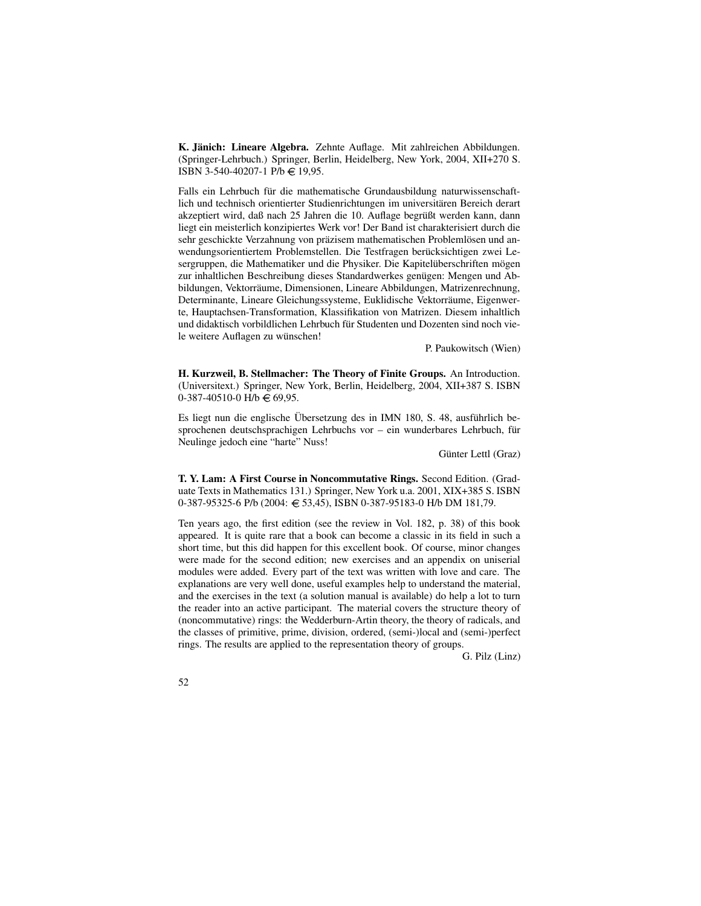**K. Janich: ¨ Lineare Algebra.** Zehnte Auflage. Mit zahlreichen Abbildungen. (Springer-Lehrbuch.) Springer, Berlin, Heidelberg, New York, 2004, XII+270 S. ISBN 3-540-40207-1 P/b  $\in$  19,95.

Falls ein Lehrbuch für die mathematische Grundausbildung naturwissenschaftlich und technisch orientierter Studienrichtungen im universitären Bereich derart akzeptiert wird, daß nach 25 Jahren die 10. Auflage begrüßt werden kann, dann liegt ein meisterlich konzipiertes Werk vor! Der Band ist charakterisiert durch die sehr geschickte Verzahnung von präzisem mathematischen Problemlösen und anwendungsorientiertem Problemstellen. Die Testfragen berücksichtigen zwei Lesergruppen, die Mathematiker und die Physiker. Die Kapitelüberschriften mögen zur inhaltlichen Beschreibung dieses Standardwerkes genügen: Mengen und Abbildungen, Vektorräume, Dimensionen, Lineare Abbildungen, Matrizenrechnung, Determinante, Lineare Gleichungssysteme, Euklidische Vektorräume, Eigenwerte, Hauptachsen-Transformation, Klassifikation von Matrizen. Diesem inhaltlich und didaktisch vorbildlichen Lehrbuch für Studenten und Dozenten sind noch viele weitere Auflagen zu wünschen!

P. Paukowitsch (Wien)

**H. Kurzweil, B. Stellmacher: The Theory of Finite Groups.** An Introduction. (Universitext.) Springer, New York, Berlin, Heidelberg, 2004, XII+387 S. ISBN  $0-387-40510-0$  H/b  $\in 69,95$ .

Es liegt nun die englische Übersetzung des in IMN 180, S. 48, ausführlich besprochenen deutschsprachigen Lehrbuchs vor – ein wunderbares Lehrbuch, für Neulinge jedoch eine "harte" Nuss!

Günter Lettl (Graz)

**T. Y. Lam: A First Course in Noncommutative Rings.** Second Edition. (Graduate Texts in Mathematics 131.) Springer, New York u.a. 2001, XIX+385 S. ISBN 0-387-95325-6 P/b (2004: 53,45), ISBN 0-387-95183-0 H/b DM 181,79.

Ten years ago, the first edition (see the review in Vol. 182, p. 38) of this book appeared. It is quite rare that a book can become a classic in its field in such a short time, but this did happen for this excellent book. Of course, minor changes were made for the second edition; new exercises and an appendix on uniserial modules were added. Every part of the text was written with love and care. The explanations are very well done, useful examples help to understand the material, and the exercises in the text (a solution manual is available) do help a lot to turn the reader into an active participant. The material covers the structure theory of (noncommutative) rings: the Wedderburn-Artin theory, the theory of radicals, and the classes of primitive, prime, division, ordered, (semi-)local and (semi-)perfect rings. The results are applied to the representation theory of groups.

G. Pilz (Linz)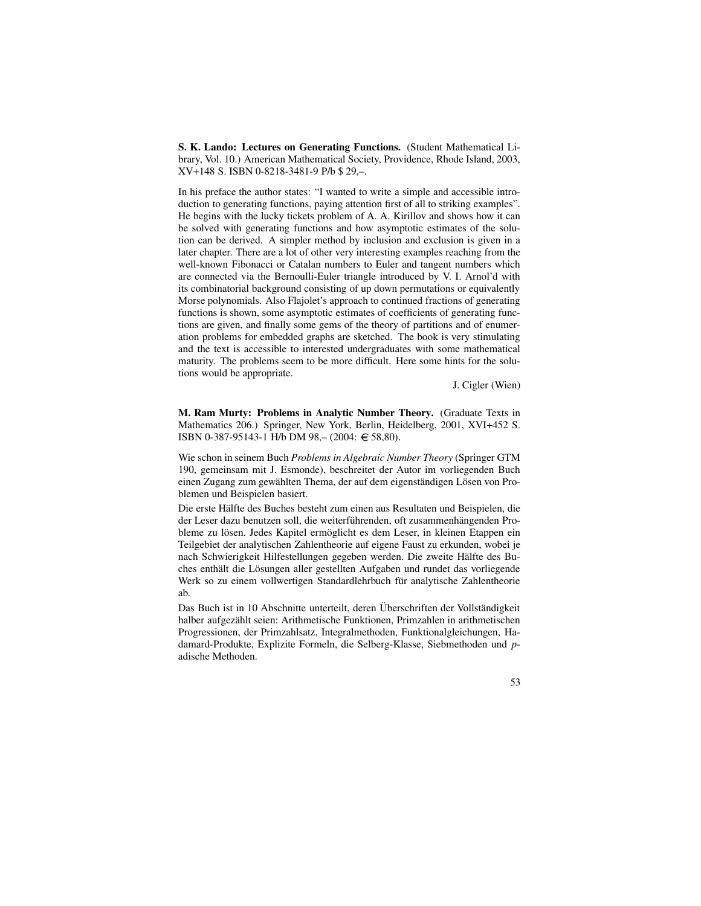**S. K. Lando: Lectures on Generating Functions.** (Student Mathematical Library, Vol. 10.) American Mathematical Society, Providence, Rhode Island, 2003, XV+148 S. ISBN 0-8218-3481-9 P/b \$ 29,–.

In his preface the author states: "I wanted to write a simple and accessible introduction to generating functions, paying attention first of all to striking examples". He begins with the lucky tickets problem of A. A. Kirillov and shows how it can be solved with generating functions and how asymptotic estimates of the solution can be derived. A simpler method by inclusion and exclusion is given in a later chapter. There are a lot of other very interesting examples reaching from the well-known Fibonacci or Catalan numbers to Euler and tangent numbers which are connected via the Bernoulli-Euler triangle introduced by V. I. Arnol'd with its combinatorial background consisting of up down permutations or equivalently Morse polynomials. Also Flajolet's approach to continued fractions of generating functions is shown, some asymptotic estimates of coefficients of generating functions are given, and finally some gems of the theory of partitions and of enumeration problems for embedded graphs are sketched. The book is very stimulating and the text is accessible to interested undergraduates with some mathematical maturity. The problems seem to be more difficult. Here some hints for the solutions would be appropriate.

J. Cigler (Wien)

**M. Ram Murty: Problems in Analytic Number Theory.** (Graduate Texts in Mathematics 206.) Springer, New York, Berlin, Heidelberg, 2001, XVI+452 S. ISBN 0-387-95143-1 H/b DM 98,– (2004: 58,80).

Wie schon in seinem Buch *Problems in Algebraic Number Theory* (Springer GTM 190, gemeinsam mit J. Esmonde), beschreitet der Autor im vorliegenden Buch einen Zugang zum gewählten Thema, der auf dem eigenständigen Lösen von Problemen und Beispielen basiert.

Die erste Hälfte des Buches besteht zum einen aus Resultaten und Beispielen, die der Leser dazu benutzen soll, die weiterführenden, oft zusammenhängenden Probleme zu lösen. Jedes Kapitel ermöglicht es dem Leser, in kleinen Etappen ein Teilgebiet der analytischen Zahlentheorie auf eigene Faust zu erkunden, wobei je nach Schwierigkeit Hilfestellungen gegeben werden. Die zweite Hälfte des Buches enthält die Lösungen aller gestellten Aufgaben und rundet das vorliegende Werk so zu einem vollwertigen Standardlehrbuch für analytische Zahlentheorie ab.

Das Buch ist in 10 Abschnitte unterteilt, deren Überschriften der Vollständigkeit halber aufgezählt seien: Arithmetische Funktionen, Primzahlen in arithmetischen Progressionen, der Primzahlsatz, Integralmethoden, Funktionalgleichungen, Hadamard-Produkte, Explizite Formeln, die Selberg-Klasse, Siebmethoden und *p*adische Methoden.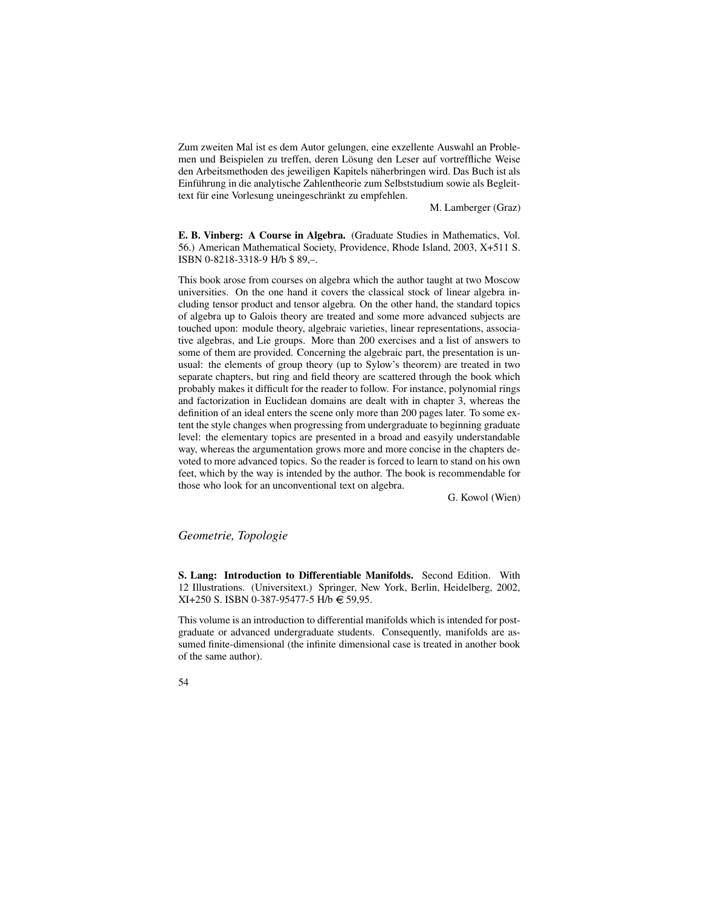Zum zweiten Mal ist es dem Autor gelungen, eine exzellente Auswahl an Problemen und Beispielen zu treffen, deren Lösung den Leser auf vortreffliche Weise den Arbeitsmethoden des jeweiligen Kapitels näherbringen wird. Das Buch ist als Einführung in die analytische Zahlentheorie zum Selbststudium sowie als Begleittext für eine Vorlesung uneingeschränkt zu empfehlen.

M. Lamberger (Graz)

**E. B. Vinberg: A Course in Algebra.** (Graduate Studies in Mathematics, Vol. 56.) American Mathematical Society, Providence, Rhode Island, 2003, X+511 S. ISBN 0-8218-3318-9 H/b \$ 89,–.

This book arose from courses on algebra which the author taught at two Moscow universities. On the one hand it covers the classical stock of linear algebra including tensor product and tensor algebra. On the other hand, the standard topics of algebra up to Galois theory are treated and some more advanced subjects are touched upon: module theory, algebraic varieties, linear representations, associative algebras, and Lie groups. More than 200 exercises and a list of answers to some of them are provided. Concerning the algebraic part, the presentation is unusual: the elements of group theory (up to Sylow's theorem) are treated in two separate chapters, but ring and field theory are scattered through the book which probably makes it difficult for the reader to follow. For instance, polynomial rings and factorization in Euclidean domains are dealt with in chapter 3, whereas the definition of an ideal enters the scene only more than 200 pages later. To some extent the style changes when progressing from undergraduate to beginning graduate level: the elementary topics are presented in a broad and easyily understandable way, whereas the argumentation grows more and more concise in the chapters devoted to more advanced topics. So the reader is forced to learn to stand on his own feet, which by the way is intended by the author. The book is recommendable for those who look for an unconventional text on algebra.

G. Kowol (Wien)

# *Geometrie, Topologie*

**S. Lang: Introduction to Differentiable Manifolds.** Second Edition. With 12 Illustrations. (Universitext.) Springer, New York, Berlin, Heidelberg, 2002,  $XI+250$  S. ISBN 0-387-95477-5 H/b  $\in$  59,95.

This volume is an introduction to differential manifolds which is intended for postgraduate or advanced undergraduate students. Consequently, manifolds are assumed finite-dimensional (the infinite dimensional case is treated in another book of the same author).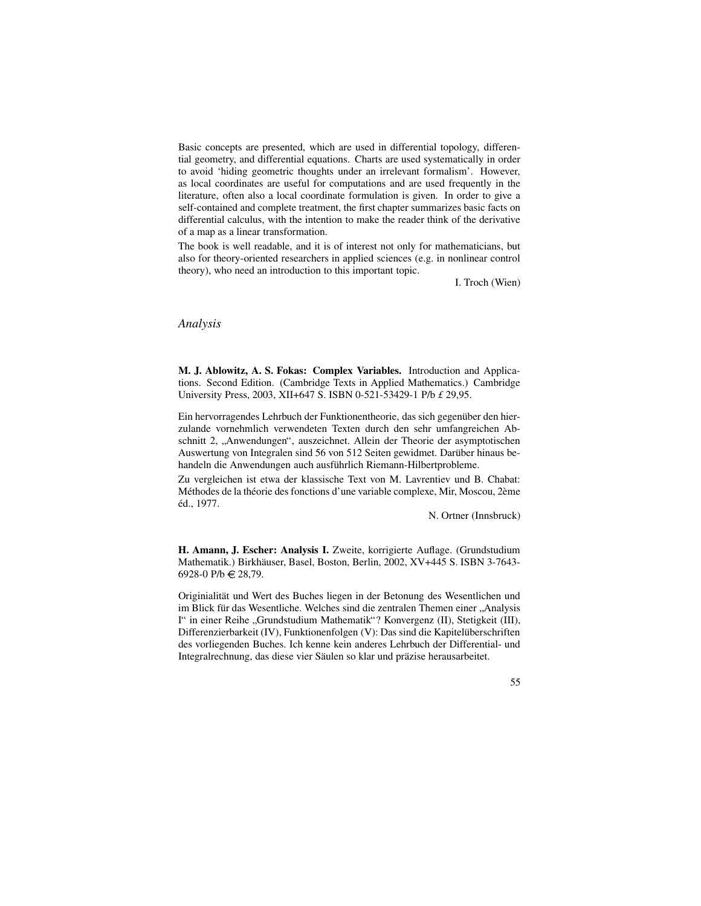Basic concepts are presented, which are used in differential topology, differential geometry, and differential equations. Charts are used systematically in order to avoid 'hiding geometric thoughts under an irrelevant formalism'. However, as local coordinates are useful for computations and are used frequently in the literature, often also a local coordinate formulation is given. In order to give a self-contained and complete treatment, the first chapter summarizes basic facts on differential calculus, with the intention to make the reader think of the derivative of a map as a linear transformation.

The book is well readable, and it is of interest not only for mathematicians, but also for theory-oriented researchers in applied sciences (e.g. in nonlinear control theory), who need an introduction to this important topic.

I. Troch (Wien)

#### *Analysis*

**M. J. Ablowitz, A. S. Fokas: Complex Variables.** Introduction and Applications. Second Edition. (Cambridge Texts in Applied Mathematics.) Cambridge University Press, 2003, XII+647 S. ISBN 0-521-53429-1 P/b *£* 29,95.

Ein hervorragendes Lehrbuch der Funktionentheorie, das sich gegenüber den hierzulande vornehmlich verwendeten Texten durch den sehr umfangreichen Abschnitt 2, "Anwendungen", auszeichnet. Allein der Theorie der asymptotischen<br>Auswertung von Integralen sind 56 von 512 Seiten gewidmet. Derüber binaus be Auswertung von Integralen sind 56 von 512 Seiten gewidmet. Darüber hinaus behandeln die Anwendungen auch ausführlich Riemann-Hilbertprobleme.

Zu vergleichen ist etwa der klassische Text von M. Lavrentiev und B. Chabat: Méthodes de la théorie des fonctions d'une variable complexe, Mir, Moscou, 2ème éd., 1977.

N. Ortner (Innsbruck)

**H. Amann, J. Escher: Analysis I.** Zweite, korrigierte Auflage. (Grundstudium Mathematik.) Birkhäuser, Basel, Boston, Berlin, 2002, XV+445 S. ISBN 3-7643-6928-0 P/b € 28,79.

Originialität und Wert des Buches liegen in der Betonung des Wesentlichen und im Blick für das Wesentliche. Welches sind die zentralen Themen einer "Analysis<br>I" in einer Beihe. Grundstudium Methemetik"? Konvergenz (II) Statiskeit (III) I" in einer Reihe "Grundstudium Mathematik"? Konvergenz (II), Stetigkeit (III), Differenzierberkeit (IV), Eunktionenfolgen (V); Des sind die Koniteliiberschriften Differenzierbarkeit (IV), Funktionenfolgen (V): Das sind die Kapitelüberschriften des vorliegenden Buches. Ich kenne kein anderes Lehrbuch der Differential- und Integralrechnung, das diese vier Säulen so klar und präzise herausarbeitet.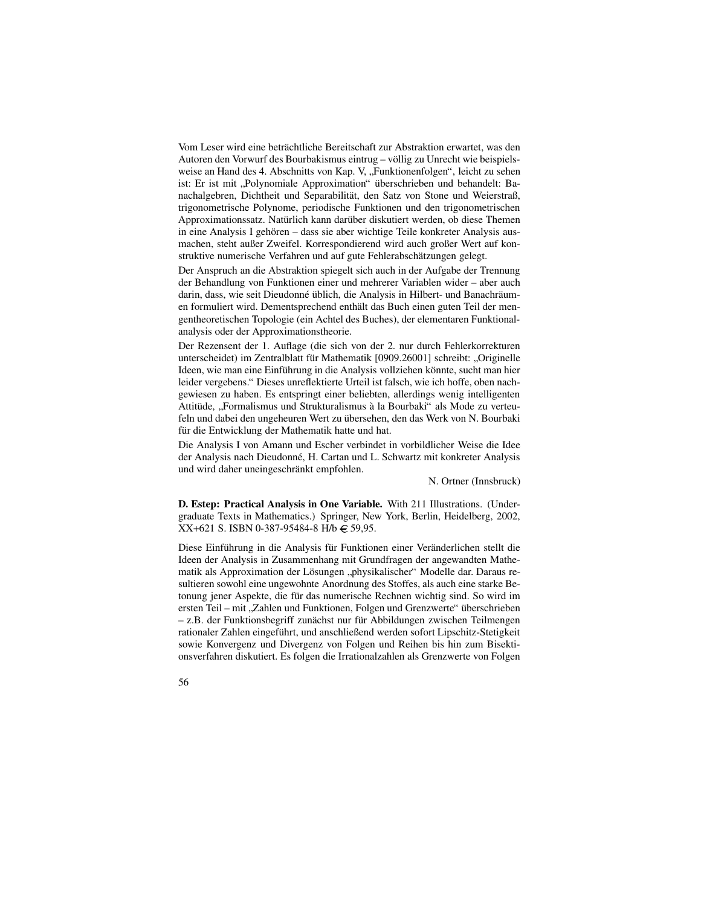Vom Leser wird eine beträchtliche Bereitschaft zur Abstraktion erwartet, was den Autoren den Vorwurf des Bourbakismus eintrug – völlig zu Unrecht wie beispielsweise an Hand des 4. Abschnitts von Kap. V, "Funktionenfolgen", leicht zu sehen ist: Er ist mit "Polynomiale Approximation" überschrieben und behandelt: Ba-<br>ist: Er ist mit "Polynomiale Approximation" überschrieben und behandelt: Banachalgebren, Dichtheit und Separabilität, den Satz von Stone und Weierstraß, trigonometrische Polynome, periodische Funktionen und den trigonometrischen Approximationssatz. Natürlich kann darüber diskutiert werden, ob diese Themen in eine Analysis I gehören – dass sie aber wichtige Teile konkreter Analysis ausmachen, steht außer Zweifel. Korrespondierend wird auch großer Wert auf konstruktive numerische Verfahren und auf gute Fehlerabschätzungen gelegt.

Der Anspruch an die Abstraktion spiegelt sich auch in der Aufgabe der Trennung der Behandlung von Funktionen einer und mehrerer Variablen wider – aber auch darin, dass, wie seit Dieudonné üblich, die Analysis in Hilbert- und Banachräumen formuliert wird. Dementsprechend enthält das Buch einen guten Teil der mengentheoretischen Topologie (ein Achtel des Buches), der elementaren Funktionalanalysis oder der Approximationstheorie.

Der Rezensent der 1. Auflage (die sich von der 2. nur durch Fehlerkorrekturen unterscheidet) im Zentralblatt für Mathematik [0909.26001] schreibt: "Originelle<br>Ideen wie men eine Einführung in die Anglysis vollziehen könnte, sucht men bien Ideen, wie man eine Einführung in die Analysis vollziehen könnte, sucht man hier leider vergebens." Dieses unreflektierte Urteil ist falsch, wie ich hoffe, oben nachgewiesen zu haben. Es entspringt einer beliebten, allerdings wenig intelligenten Attitüde, "Formalismus und Strukturalismus à la Bourbaki" als Mode zu verteu-Feln und dabei den ungeheuren Wert zu übersehen, den das Werk von N. Bourbaki für die Entwicklung der Mathematik hatte und hat.

Die Analysis I von Amann und Escher verbindet in vorbildlicher Weise die Idee der Analysis nach Dieudonné, H. Cartan und L. Schwartz mit konkreter Analysis und wird daher uneingeschränkt empfohlen.

N. Ortner (Innsbruck)

**D. Estep: Practical Analysis in One Variable.** With 211 Illustrations. (Undergraduate Texts in Mathematics.) Springer, New York, Berlin, Heidelberg, 2002,  $XX+621$  S. ISBN 0-387-95484-8 H/b  $\in$  59,95.

Diese Einführung in die Analysis für Funktionen einer Veränderlichen stellt die Ideen der Analysis in Zusammenhang mit Grundfragen der angewandten Mathematik als Approximation der Lösungen "physikalischer" Modelle dar. Daraus remank als Approximation der Eosungen "physikalischer" Modelle dar. Daraus te-<br>sultieren sowohl eine ungewohnte Anordnung des Stoffes, als auch eine starke Betonung jener Aspekte, die für das numerische Rechnen wichtig sind. So wird im ersten Teil – mit "Zahlen und Funktionen, Folgen und Grenzwerte" überschrieben<br>In Buder Funktionebegriff zunächst nur für Abbildungen zwischen Teilmengen – z.B. der Funktionsbegriff zunächst nur für Abbildungen zwischen Teilmengen rationaler Zahlen eingeführt, und anschließend werden sofort Lipschitz-Stetigkeit sowie Konvergenz und Divergenz von Folgen und Reihen bis hin zum Bisektionsverfahren diskutiert. Es folgen die Irrationalzahlen als Grenzwerte von Folgen

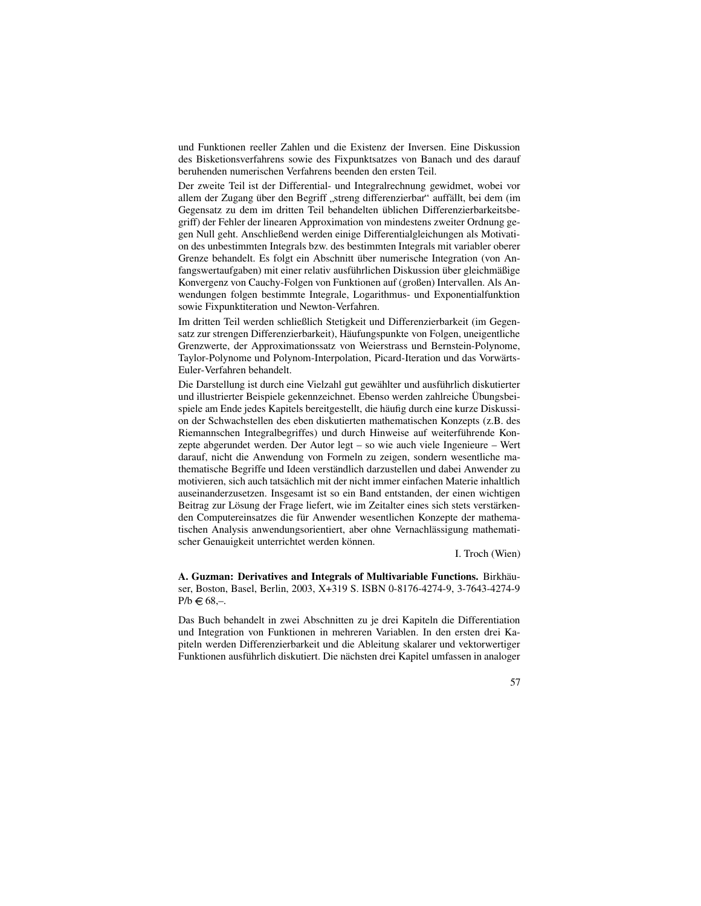und Funktionen reeller Zahlen und die Existenz der Inversen. Eine Diskussion des Bisketionsverfahrens sowie des Fixpunktsatzes von Banach und des darauf beruhenden numerischen Verfahrens beenden den ersten Teil.

Der zweite Teil ist der Differential- und Integralrechnung gewidmet, wobei vor allem der Zugang über den Begriff "streng differenzierbar" auffällt, bei dem (im Gegensatz zu dem im dritten Teil behandelten üblichen Differenzierbarkeitsbegriff) der Fehler der linearen Approximation von mindestens zweiter Ordnung gegen Null geht. Anschließend werden einige Differentialgleichungen als Motivation des unbestimmten Integrals bzw. des bestimmten Integrals mit variabler oberer Grenze behandelt. Es folgt ein Abschnitt über numerische Integration (von Anfangswertaufgaben) mit einer relativ ausführlichen Diskussion über gleichmäßige Konvergenz von Cauchy-Folgen von Funktionen auf (großen) Intervallen. Als Anwendungen folgen bestimmte Integrale, Logarithmus- und Exponentialfunktion sowie Fixpunktiteration und Newton-Verfahren.

Im dritten Teil werden schließlich Stetigkeit und Differenzierbarkeit (im Gegensatz zur strengen Differenzierbarkeit), Häufungspunkte von Folgen, uneigentliche Grenzwerte, der Approximationssatz von Weierstrass und Bernstein-Polynome, Taylor-Polynome und Polynom-Interpolation, Picard-Iteration und das Vorwärts-Euler-Verfahren behandelt.

Die Darstellung ist durch eine Vielzahl gut gewählter und ausführlich diskutierter und illustrierter Beispiele gekennzeichnet. Ebenso werden zahlreiche Übungsbeispiele am Ende jedes Kapitels bereitgestellt, die häufig durch eine kurze Diskussion der Schwachstellen des eben diskutierten mathematischen Konzepts (z.B. des Riemannschen Integralbegriffes) und durch Hinweise auf weiterführende Konzepte abgerundet werden. Der Autor legt – so wie auch viele Ingenieure – Wert darauf, nicht die Anwendung von Formeln zu zeigen, sondern wesentliche mathematische Begriffe und Ideen verständlich darzustellen und dabei Anwender zu motivieren, sich auch tatsächlich mit der nicht immer einfachen Materie inhaltlich auseinanderzusetzen. Insgesamt ist so ein Band entstanden, der einen wichtigen Beitrag zur Lösung der Frage liefert, wie im Zeitalter eines sich stets verstärkenden Computereinsatzes die für Anwender wesentlichen Konzepte der mathematischen Analysis anwendungsorientiert, aber ohne Vernachlässigung mathematischer Genauigkeit unterrichtet werden können.

I. Troch (Wien)

**A. Guzman: Derivatives and Integrals of Multivariable Functions.** Birkhau- ¨ ser, Boston, Basel, Berlin, 2003, X+319 S. ISBN 0-8176-4274-9, 3-7643-4274-9  $P/b \in 68, -$ .

Das Buch behandelt in zwei Abschnitten zu je drei Kapiteln die Differentiation und Integration von Funktionen in mehreren Variablen. In den ersten drei Kapiteln werden Differenzierbarkeit und die Ableitung skalarer und vektorwertiger Funktionen ausführlich diskutiert. Die nächsten drei Kapitel umfassen in analoger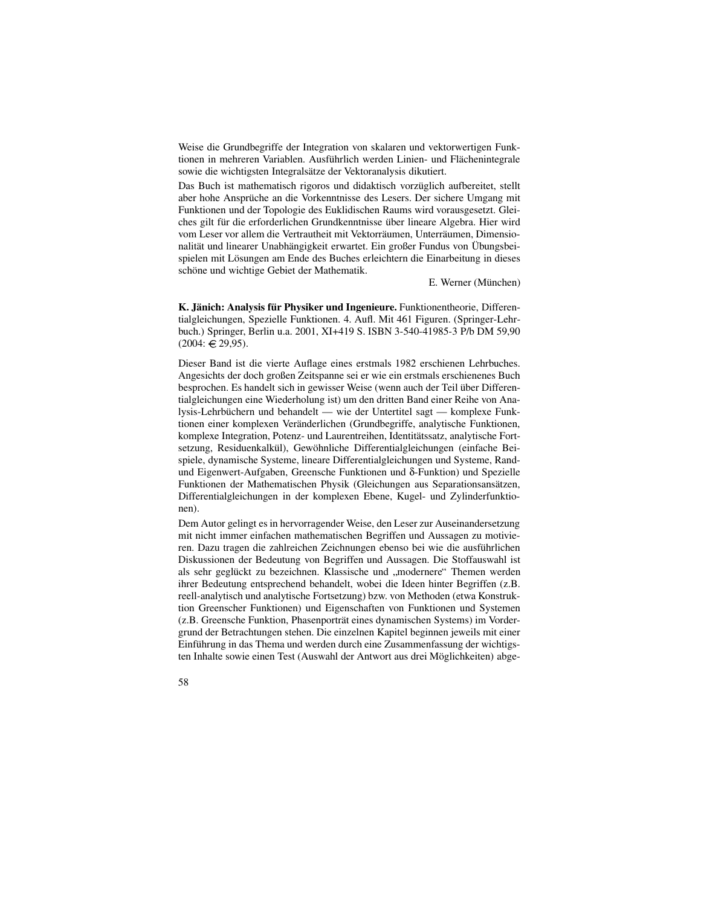Weise die Grundbegriffe der Integration von skalaren und vektorwertigen Funktionen in mehreren Variablen. Ausführlich werden Linien- und Flächenintegrale sowie die wichtigsten Integralsätze der Vektoranalysis dikutiert.

Das Buch ist mathematisch rigoros und didaktisch vorzüglich aufbereitet, stellt aber hohe Ansprüche an die Vorkenntnisse des Lesers. Der sichere Umgang mit Funktionen und der Topologie des Euklidischen Raums wird vorausgesetzt. Gleiches gilt für die erforderlichen Grundkenntnisse über lineare Algebra. Hier wird vom Leser vor allem die Vertrautheit mit Vektorräumen, Unterräumen, Dimensionalität und linearer Unabhängigkeit erwartet. Ein großer Fundus von Übungsbeispielen mit Lösungen am Ende des Buches erleichtern die Einarbeitung in dieses schöne und wichtige Gebiet der Mathematik.

E. Werner (München)

**K. Janich: ¨ Analysis fur¨ Physiker und Ingenieure.** Funktionentheorie, Differentialgleichungen, Spezielle Funktionen. 4. Aufl. Mit 461 Figuren. (Springer-Lehrbuch.) Springer, Berlin u.a. 2001, XI+419 S. ISBN 3-540-41985-3 P/b DM 59,90  $(2004: \bigoplus 29,95).$ 

Dieser Band ist die vierte Auflage eines erstmals 1982 erschienen Lehrbuches. Angesichts der doch großen Zeitspanne sei er wie ein erstmals erschienenes Buch besprochen. Es handelt sich in gewisser Weise (wenn auch der Teil über Differentialgleichungen eine Wiederholung ist) um den dritten Band einer Reihe von Analysis-Lehrbüchern und behandelt — wie der Untertitel sagt — komplexe Funktionen einer komplexen Veränderlichen (Grundbegriffe, analytische Funktionen, komplexe Integration, Potenz- und Laurentreihen, Identitätssatz, analytische Fortsetzung, Residuenkalkül), Gewöhnliche Differentialgleichungen (einfache Beispiele, dynamische Systeme, lineare Differentialgleichungen und Systeme, Randund Eigenwert-Aufgaben, Greensche Funktionen und δ-Funktion) und Spezielle Funktionen der Mathematischen Physik (Gleichungen aus Separationsansätzen, Differentialgleichungen in der komplexen Ebene, Kugel- und Zylinderfunktionen).

Dem Autor gelingt es in hervorragender Weise, den Leser zur Auseinandersetzung mit nicht immer einfachen mathematischen Begriffen und Aussagen zu motivieren. Dazu tragen die zahlreichen Zeichnungen ebenso bei wie die ausfuhrlichen ¨ Diskussionen der Bedeutung von Begriffen und Aussagen. Die Stoffauswahl ist als sehr geglückt zu bezeichnen. Klassische und "modernere" Themen werden ihrer Bedeutung entsprechend behandelt, wobei die Ideen hinter Begriffen (z.B. reell-analytisch und analytische Fortsetzung) bzw. von Methoden (etwa Konstruktion Greenscher Funktionen) und Eigenschaften von Funktionen und Systemen (z.B. Greensche Funktion, Phasenporträt eines dynamischen Systems) im Vordergrund der Betrachtungen stehen. Die einzelnen Kapitel beginnen jeweils mit einer Einführung in das Thema und werden durch eine Zusammenfassung der wichtigsten Inhalte sowie einen Test (Auswahl der Antwort aus drei Möglichkeiten) abge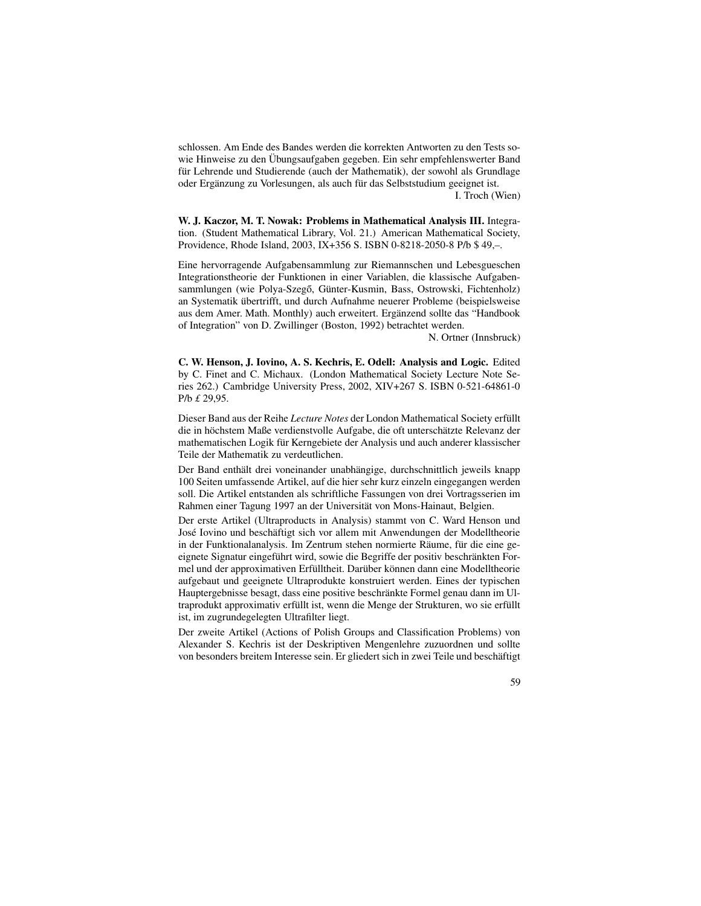schlossen. Am Ende des Bandes werden die korrekten Antworten zu den Tests sowie Hinweise zu den Übungsaufgaben gegeben. Ein sehr empfehlenswerter Band für Lehrende und Studierende (auch der Mathematik), der sowohl als Grundlage oder Ergänzung zu Vorlesungen, als auch für das Selbststudium geeignet ist. I. Troch (Wien)

**W. J. Kaczor, M. T. Nowak: Problems in Mathematical Analysis III.** Integration. (Student Mathematical Library, Vol. 21.) American Mathematical Society, Providence, Rhode Island, 2003, IX+356 S. ISBN 0-8218-2050-8 P/b \$ 49,–.

Eine hervorragende Aufgabensammlung zur Riemannschen und Lebesgueschen Integrationstheorie der Funktionen in einer Variablen, die klassische Aufgabensammlungen (wie Polya-Szegő, Günter-Kusmin, Bass, Ostrowski, Fichtenholz) an Systematik übertrifft, und durch Aufnahme neuerer Probleme (beispielsweise aus dem Amer. Math. Monthly) auch erweitert. Ergänzend sollte das "Handbook of Integration" von D. Zwillinger (Boston, 1992) betrachtet werden.

N. Ortner (Innsbruck)

**C. W. Henson, J. Iovino, A. S. Kechris, E. Odell: Analysis and Logic.** Edited by C. Finet and C. Michaux. (London Mathematical Society Lecture Note Series 262.) Cambridge University Press, 2002, XIV+267 S. ISBN 0-521-64861-0 P/b *£* 29,95.

Dieser Band aus der Reihe *Lecture Notes* der London Mathematical Society erfullt ¨ die in höchstem Maße verdienstvolle Aufgabe, die oft unterschätzte Relevanz der mathematischen Logik für Kerngebiete der Analysis und auch anderer klassischer Teile der Mathematik zu verdeutlichen.

Der Band enthält drei voneinander unabhängige, durchschnittlich jeweils knapp 100 Seiten umfassende Artikel, auf die hier sehr kurz einzeln eingegangen werden soll. Die Artikel entstanden als schriftliche Fassungen von drei Vortragsserien im Rahmen einer Tagung 1997 an der Universität von Mons-Hainaut, Belgien.

Der erste Artikel (Ultraproducts in Analysis) stammt von C. Ward Henson und José Iovino und beschäftigt sich vor allem mit Anwendungen der Modelltheorie in der Funktionalanalysis. Im Zentrum stehen normierte Räume, für die eine geeignete Signatur eingeführt wird, sowie die Begriffe der positiv beschränkten Formel und der approximativen Erfülltheit. Darüber können dann eine Modelltheorie aufgebaut und geeignete Ultraprodukte konstruiert werden. Eines der typischen Hauptergebnisse besagt, dass eine positive beschränkte Formel genau dann im Ultraprodukt approximativ erfüllt ist, wenn die Menge der Strukturen, wo sie erfüllt ist, im zugrundegelegten Ultrafilter liegt.

Der zweite Artikel (Actions of Polish Groups and Classification Problems) von Alexander S. Kechris ist der Deskriptiven Mengenlehre zuzuordnen und sollte von besonders breitem Interesse sein. Er gliedert sich in zwei Teile und beschäftigt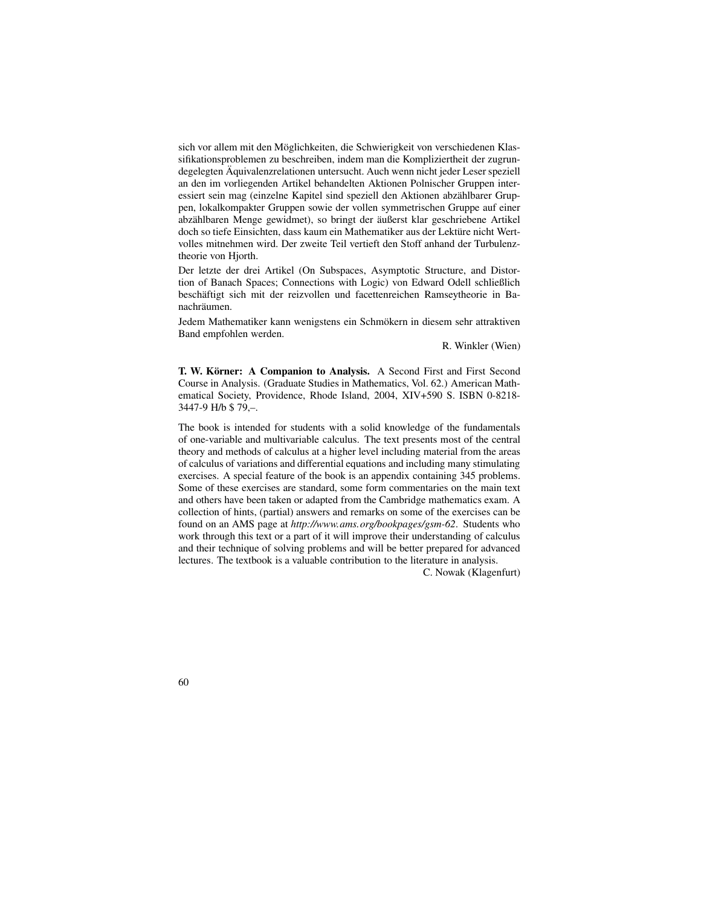sich vor allem mit den Möglichkeiten, die Schwierigkeit von verschiedenen Klassifikationsproblemen zu beschreiben, indem man die Kompliziertheit der zugrundegelegten Aquivalenzrelationen untersucht. Auch wenn nicht jeder Leser speziell an den im vorliegenden Artikel behandelten Aktionen Polnischer Gruppen interessiert sein mag (einzelne Kapitel sind speziell den Aktionen abzählbarer Gruppen, lokalkompakter Gruppen sowie der vollen symmetrischen Gruppe auf einer abzählbaren Menge gewidmet), so bringt der äußerst klar geschriebene Artikel doch so tiefe Einsichten, dass kaum ein Mathematiker aus der Lektüre nicht Wertvolles mitnehmen wird. Der zweite Teil vertieft den Stoff anhand der Turbulenztheorie von Hjorth.

Der letzte der drei Artikel (On Subspaces, Asymptotic Structure, and Distortion of Banach Spaces; Connections with Logic) von Edward Odell schließlich beschäftigt sich mit der reizvollen und facettenreichen Ramseytheorie in Banachräumen.

Jedem Mathematiker kann wenigstens ein Schmökern in diesem sehr attraktiven Band empfohlen werden.

R. Winkler (Wien)

**T. W. Körner: A Companion to Analysis.** A Second First and First Second Course in Analysis. (Graduate Studies in Mathematics, Vol. 62.) American Mathematical Society, Providence, Rhode Island, 2004, XIV+590 S. ISBN 0-8218- 3447-9 H/b \$ 79,–.

The book is intended for students with a solid knowledge of the fundamentals of one-variable and multivariable calculus. The text presents most of the central theory and methods of calculus at a higher level including material from the areas of calculus of variations and differential equations and including many stimulating exercises. A special feature of the book is an appendix containing 345 problems. Some of these exercises are standard, some form commentaries on the main text and others have been taken or adapted from the Cambridge mathematics exam. A collection of hints, (partial) answers and remarks on some of the exercises can be found on an AMS page at *http://www.ams.org/bookpages/gsm-62*. Students who work through this text or a part of it will improve their understanding of calculus and their technique of solving problems and will be better prepared for advanced lectures. The textbook is a valuable contribution to the literature in analysis.

C. Nowak (Klagenfurt)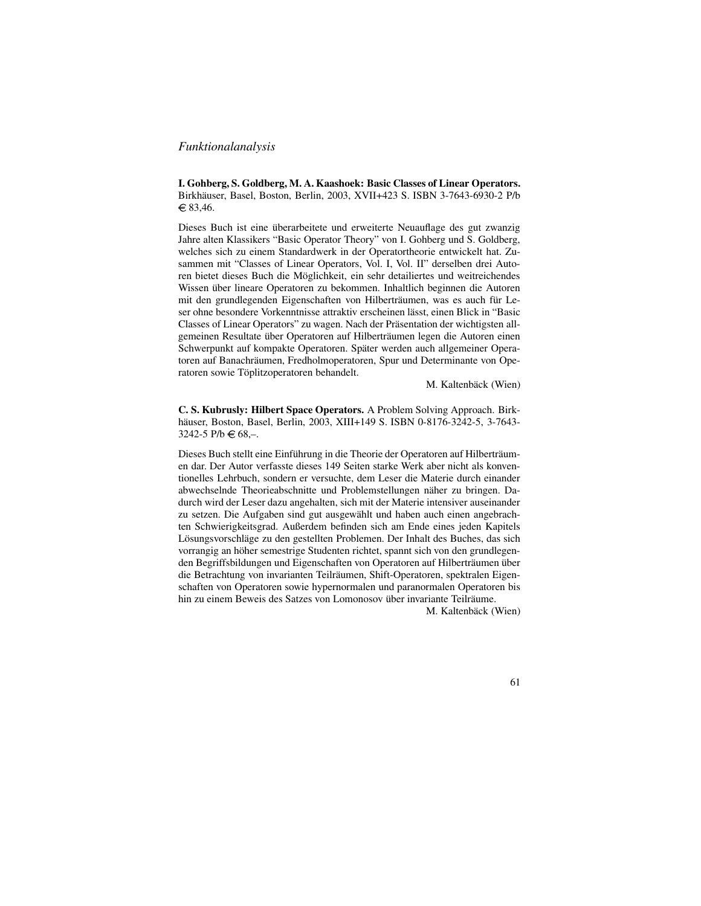## *Funktionalanalysis*

**I. Gohberg, S. Goldberg, M. A. Kaashoek: Basic Classes of Linear Operators.** Birkhäuser, Basel, Boston, Berlin, 2003, XVII+423 S. ISBN 3-7643-6930-2 P/b  $\in$  83,46.

Dieses Buch ist eine überarbeitete und erweiterte Neuauflage des gut zwanzig Jahre alten Klassikers "Basic Operator Theory" von I. Gohberg und S. Goldberg, welches sich zu einem Standardwerk in der Operatortheorie entwickelt hat. Zusammen mit "Classes of Linear Operators, Vol. I, Vol. II" derselben drei Autoren bietet dieses Buch die Möglichkeit, ein sehr detailiertes und weitreichendes Wissen über lineare Operatoren zu bekommen. Inhaltlich beginnen die Autoren mit den grundlegenden Eigenschaften von Hilberträumen, was es auch für Leser ohne besondere Vorkenntnisse attraktiv erscheinen lässt, einen Blick in "Basic Classes of Linear Operators" zu wagen. Nach der Präsentation der wichtigsten allgemeinen Resultate über Operatoren auf Hilberträumen legen die Autoren einen Schwerpunkt auf kompakte Operatoren. Später werden auch allgemeiner Operatoren auf Banachräumen, Fredholmoperatoren, Spur und Determinante von Operatoren sowie Töplitzoperatoren behandelt.

M. Kaltenbäck (Wien)

**C. S. Kubrusly: Hilbert Space Operators.** A Problem Solving Approach. Birkhäuser, Boston, Basel, Berlin, 2003, XIII+149 S. ISBN 0-8176-3242-5, 3-7643-3242-5 P/b  $\in 68$ ,-.

Dieses Buch stellt eine Einführung in die Theorie der Operatoren auf Hilberträumen dar. Der Autor verfasste dieses 149 Seiten starke Werk aber nicht als konventionelles Lehrbuch, sondern er versuchte, dem Leser die Materie durch einander abwechselnde Theorieabschnitte und Problemstellungen näher zu bringen. Dadurch wird der Leser dazu angehalten, sich mit der Materie intensiver auseinander zu setzen. Die Aufgaben sind gut ausgewählt und haben auch einen angebrachten Schwierigkeitsgrad. Außerdem befinden sich am Ende eines jeden Kapitels Lösungsvorschläge zu den gestellten Problemen. Der Inhalt des Buches, das sich vorrangig an höher semestrige Studenten richtet, spannt sich von den grundlegenden Begriffsbildungen und Eigenschaften von Operatoren auf Hilberträumen über die Betrachtung von invarianten Teilräumen, Shift-Operatoren, spektralen Eigenschaften von Operatoren sowie hypernormalen und paranormalen Operatoren bis hin zu einem Beweis des Satzes von Lomonosov über invariante Teilräume.

M. Kaltenbäck (Wien)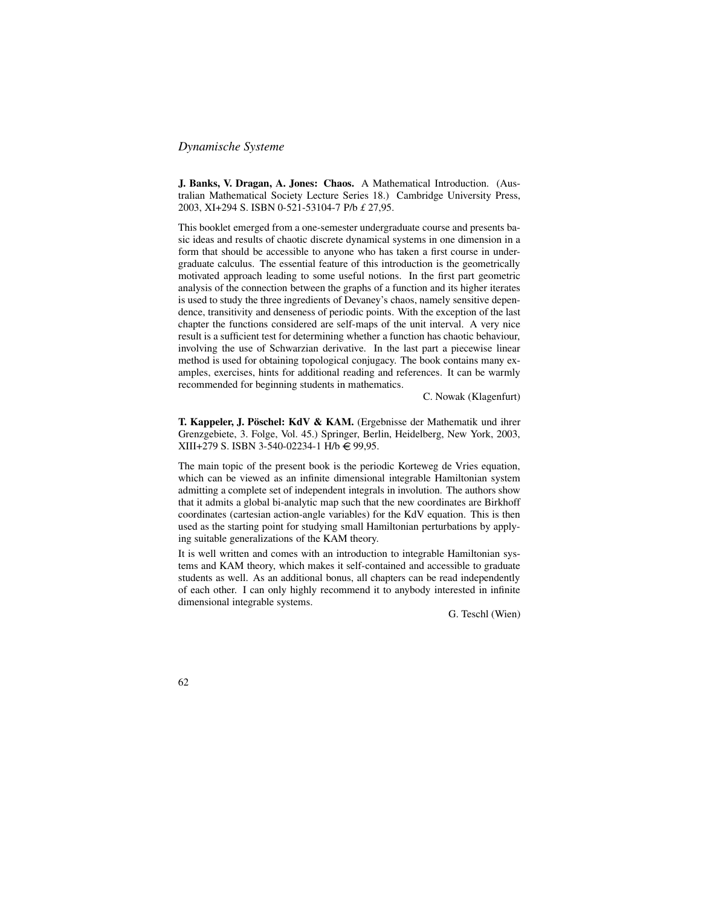## *Dynamische Systeme*

**J. Banks, V. Dragan, A. Jones: Chaos.** A Mathematical Introduction. (Australian Mathematical Society Lecture Series 18.) Cambridge University Press, 2003, XI+294 S. ISBN 0-521-53104-7 P/b *£* 27,95.

This booklet emerged from a one-semester undergraduate course and presents basic ideas and results of chaotic discrete dynamical systems in one dimension in a form that should be accessible to anyone who has taken a first course in undergraduate calculus. The essential feature of this introduction is the geometrically motivated approach leading to some useful notions. In the first part geometric analysis of the connection between the graphs of a function and its higher iterates is used to study the three ingredients of Devaney's chaos, namely sensitive dependence, transitivity and denseness of periodic points. With the exception of the last chapter the functions considered are self-maps of the unit interval. A very nice result is a sufficient test for determining whether a function has chaotic behaviour, involving the use of Schwarzian derivative. In the last part a piecewise linear method is used for obtaining topological conjugacy. The book contains many examples, exercises, hints for additional reading and references. It can be warmly recommended for beginning students in mathematics.

C. Nowak (Klagenfurt)

**T. Kappeler, J. Poschel: ¨ KdV & KAM.** (Ergebnisse der Mathematik und ihrer Grenzgebiete, 3. Folge, Vol. 45.) Springer, Berlin, Heidelberg, New York, 2003, XIII+279 S. ISBN 3-540-02234-1 H/b € 99,95.

The main topic of the present book is the periodic Korteweg de Vries equation, which can be viewed as an infinite dimensional integrable Hamiltonian system admitting a complete set of independent integrals in involution. The authors show that it admits a global bi-analytic map such that the new coordinates are Birkhoff coordinates (cartesian action-angle variables) for the KdV equation. This is then used as the starting point for studying small Hamiltonian perturbations by applying suitable generalizations of the KAM theory.

It is well written and comes with an introduction to integrable Hamiltonian systems and KAM theory, which makes it self-contained and accessible to graduate students as well. As an additional bonus, all chapters can be read independently of each other. I can only highly recommend it to anybody interested in infinite dimensional integrable systems.

G. Teschl (Wien)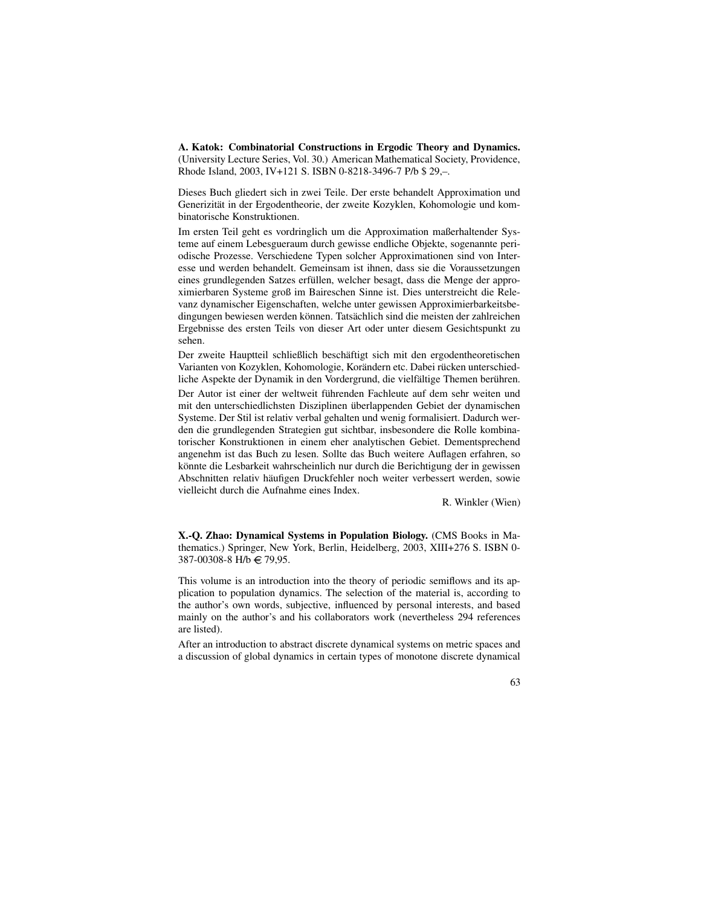**A. Katok: Combinatorial Constructions in Ergodic Theory and Dynamics.** (University Lecture Series, Vol. 30.) American Mathematical Society, Providence, Rhode Island, 2003, IV+121 S. ISBN 0-8218-3496-7 P/b \$ 29,–.

Dieses Buch gliedert sich in zwei Teile. Der erste behandelt Approximation und Generizität in der Ergodentheorie, der zweite Kozyklen, Kohomologie und kombinatorische Konstruktionen.

Im ersten Teil geht es vordringlich um die Approximation maßerhaltender Systeme auf einem Lebesgueraum durch gewisse endliche Objekte, sogenannte periodische Prozesse. Verschiedene Typen solcher Approximationen sind von Interesse und werden behandelt. Gemeinsam ist ihnen, dass sie die Voraussetzungen eines grundlegenden Satzes erfüllen, welcher besagt, dass die Menge der approximierbaren Systeme groß im Baireschen Sinne ist. Dies unterstreicht die Relevanz dynamischer Eigenschaften, welche unter gewissen Approximierbarkeitsbedingungen bewiesen werden können. Tatsächlich sind die meisten der zahlreichen Ergebnisse des ersten Teils von dieser Art oder unter diesem Gesichtspunkt zu sehen.

Der zweite Hauptteil schließlich beschäftigt sich mit den ergodentheoretischen Varianten von Kozyklen, Kohomologie, Korändern etc. Dabei rücken unterschiedliche Aspekte der Dynamik in den Vordergrund, die vielfältige Themen berühren. Der Autor ist einer der weltweit führenden Fachleute auf dem sehr weiten und mit den unterschiedlichsten Disziplinen überlappenden Gebiet der dynamischen Systeme. Der Stil ist relativ verbal gehalten und wenig formalisiert. Dadurch werden die grundlegenden Strategien gut sichtbar, insbesondere die Rolle kombinatorischer Konstruktionen in einem eher analytischen Gebiet. Dementsprechend angenehm ist das Buch zu lesen. Sollte das Buch weitere Auflagen erfahren, so könnte die Lesbarkeit wahrscheinlich nur durch die Berichtigung der in gewissen Abschnitten relativ häufigen Druckfehler noch weiter verbessert werden, sowie vielleicht durch die Aufnahme eines Index.

R. Winkler (Wien)

**X.-Q. Zhao: Dynamical Systems in Population Biology.** (CMS Books in Mathematics.) Springer, New York, Berlin, Heidelberg, 2003, XIII+276 S. ISBN 0- 387-00308-8 H/b € 79,95.

This volume is an introduction into the theory of periodic semiflows and its application to population dynamics. The selection of the material is, according to the author's own words, subjective, influenced by personal interests, and based mainly on the author's and his collaborators work (nevertheless 294 references are listed).

After an introduction to abstract discrete dynamical systems on metric spaces and a discussion of global dynamics in certain types of monotone discrete dynamical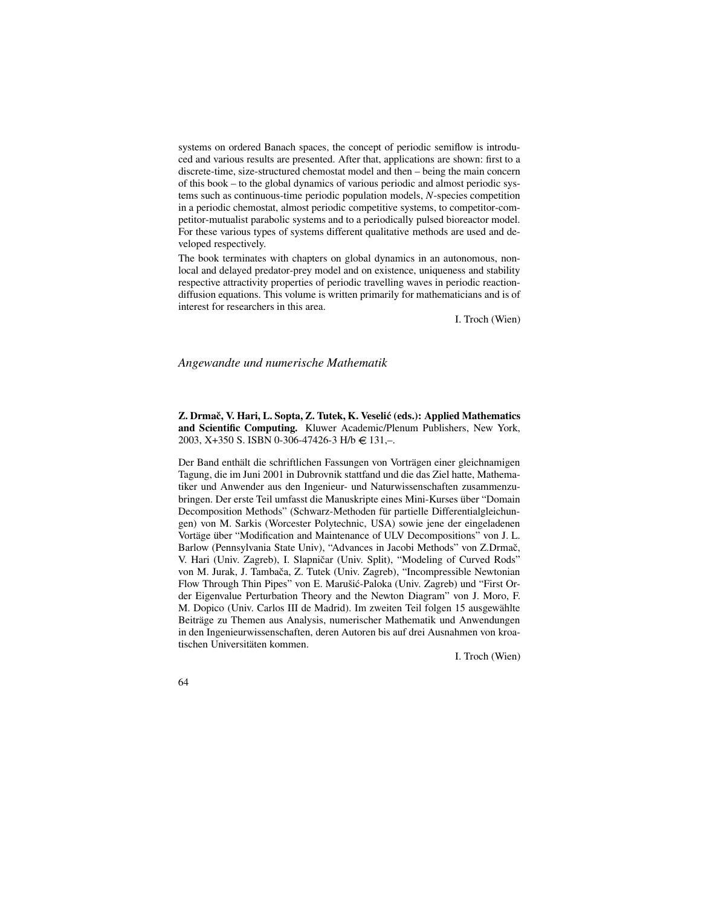systems on ordered Banach spaces, the concept of periodic semiflow is introduced and various results are presented. After that, applications are shown: first to a discrete-time, size-structured chemostat model and then – being the main concern of this book – to the global dynamics of various periodic and almost periodic systems such as continuous-time periodic population models, *N*-species competition in a periodic chemostat, almost periodic competitive systems, to competitor-competitor-mutualist parabolic systems and to a periodically pulsed bioreactor model. For these various types of systems different qualitative methods are used and developed respectively.

The book terminates with chapters on global dynamics in an autonomous, nonlocal and delayed predator-prey model and on existence, uniqueness and stability respective attractivity properties of periodic travelling waves in periodic reactiondiffusion equations. This volume is written primarily for mathematicians and is of interest for researchers in this area.

I. Troch (Wien)

### *Angewandte und numerische Mathematik*

**Z. Drmac,ˇ V. Hari, L. Sopta, Z. Tutek, K. Veselic´ (eds.): Applied Mathematics and Scientific Computing.** Kluwer Academic/Plenum Publishers, New York, 2003, X+350 S. ISBN 0-306-47426-3 H/b  $\in$  131,-.

Der Band enthält die schriftlichen Fassungen von Vorträgen einer gleichnamigen Tagung, die im Juni 2001 in Dubrovnik stattfand und die das Ziel hatte, Mathematiker und Anwender aus den Ingenieur- und Naturwissenschaften zusammenzubringen. Der erste Teil umfasst die Manuskripte eines Mini-Kurses uber ¨ "Domain Decomposition Methods" (Schwarz-Methoden für partielle Differentialgleichungen) von M. Sarkis (Worcester Polytechnic, USA) sowie jene der eingeladenen Vortäge über "Modification and Maintenance of ULV Decompositions" von J. L. Barlow (Pennsylvania State Univ), "Advances in Jacobi Methods" von Z.Drmač, V. Hari (Univ. Zagreb), I. Slapničar (Univ. Split), "Modeling of Curved Rods" von M. Jurak, J. Tambača, Z. Tutek (Univ. Zagreb), "Incompressible Newtonian Flow Through Thin Pipes" von E. Marušić-Paloka (Univ. Zagreb) und "First Order Eigenvalue Perturbation Theory and the Newton Diagram" von J. Moro, F. M. Dopico (Univ. Carlos III de Madrid). Im zweiten Teil folgen 15 ausgewählte Beiträge zu Themen aus Analysis, numerischer Mathematik und Anwendungen in den Ingenieurwissenschaften, deren Autoren bis auf drei Ausnahmen von kroatischen Universitäten kommen.

I. Troch (Wien)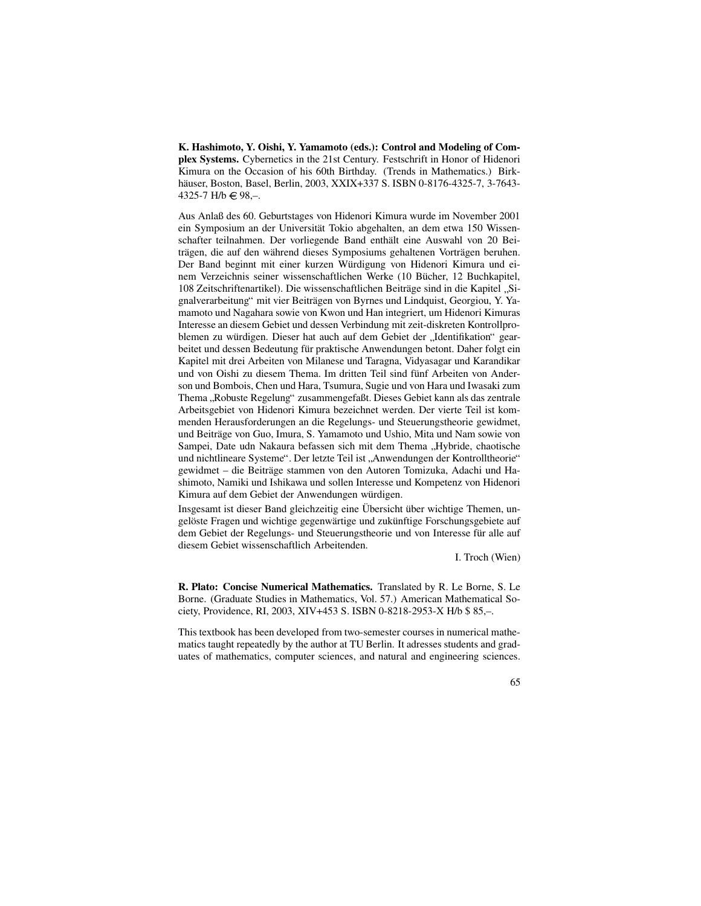**K. Hashimoto, Y. Oishi, Y. Yamamoto (eds.): Control and Modeling of Complex Systems.** Cybernetics in the 21st Century. Festschrift in Honor of Hidenori Kimura on the Occasion of his 60th Birthday. (Trends in Mathematics.) Birkhäuser, Boston, Basel, Berlin, 2003, XXIX+337 S. ISBN 0-8176-4325-7, 3-7643-4325-7 H/b  $\in$  98,-.

Aus Anlaß des 60. Geburtstages von Hidenori Kimura wurde im November 2001 ein Symposium an der Universität Tokio abgehalten, an dem etwa 150 Wissenschafter teilnahmen. Der vorliegende Band enthält eine Auswahl von 20 Beiträgen, die auf den während dieses Symposiums gehaltenen Vorträgen beruhen. Der Band beginnt mit einer kurzen Würdigung von Hidenori Kimura und einem Verzeichnis seiner wissenschaftlichen Werke (10 Bücher, 12 Buchkapitel, 108 Zeitschriftenartikel). Die wissenschaftlichen Beiträge sind in die Kapitel "Si-<br>gralverschaftung" mit vier Beiträgen von Byrnes und Lindquist, Georgieu, V. Va gnalverarbeitung" mit vier Beiträgen von Byrnes und Lindquist, Georgiou, Y. Yamamoto und Nagahara sowie von Kwon und Han integriert, um Hidenori Kimuras Interesse an diesem Gebiet und dessen Verbindung mit zeit-diskreten Kontrollproblemen zu würdigen. Dieser hat auch auf dem Gebiet der "Identifikation" gear-<br>beitet und dessen Bedautung für prektische Anwendungen betent. Deber felst ein beitet und dessen Bedeutung für praktische Anwendungen betont. Daher folgt ein Kapitel mit drei Arbeiten von Milanese und Taragna, Vidyasagar und Karandikar und von Oishi zu diesem Thema. Im dritten Teil sind fünf Arbeiten von Anderson und Bombois, Chen und Hara, Tsumura, Sugie und von Hara und Iwasaki zum Thema "Robuste Regelung" zusammengefaßt. Dieses Gebiet kann als das zentrale<br>Arbeitsgebiet von Hidapori Kimure bezeighnet werden. Der vierte Teil ist kom Arbeitsgebiet von Hidenori Kimura bezeichnet werden. Der vierte Teil ist kommenden Herausforderungen an die Regelungs- und Steuerungstheorie gewidmet, und Beiträge von Guo, Imura, S. Yamamoto und Ushio, Mita und Nam sowie von Sampei, Date udn Nakaura befassen sich mit dem Thema "Hybride, chaotische<br>und nichtlingen Systeme". Der latzte Teil ist, Anwendungen der Kontralltheorie" und nichtlineare Systeme". Der letzte Teil ist "Anwendungen der Kontrolltheorie"<br>gewidmet – die Beiträge stemmen von den Auteren Temizuke. Adeebi und He gewidmet – die Beiträge stammen von den Autoren Tomizuka, Adachi und Hashimoto, Namiki und Ishikawa und sollen Interesse und Kompetenz von Hidenori Kimura auf dem Gebiet der Anwendungen würdigen.

Insgesamt ist dieser Band gleichzeitig eine Übersicht über wichtige Themen, ungelöste Fragen und wichtige gegenwärtige und zukünftige Forschungsgebiete auf dem Gebiet der Regelungs- und Steuerungstheorie und von Interesse für alle auf diesem Gebiet wissenschaftlich Arbeitenden.

I. Troch (Wien)

**R. Plato: Concise Numerical Mathematics.** Translated by R. Le Borne, S. Le Borne. (Graduate Studies in Mathematics, Vol. 57.) American Mathematical Society, Providence, RI, 2003, XIV+453 S. ISBN 0-8218-2953-X H/b \$ 85,–.

This textbook has been developed from two-semester courses in numerical mathematics taught repeatedly by the author at TU Berlin. It adresses students and graduates of mathematics, computer sciences, and natural and engineering sciences.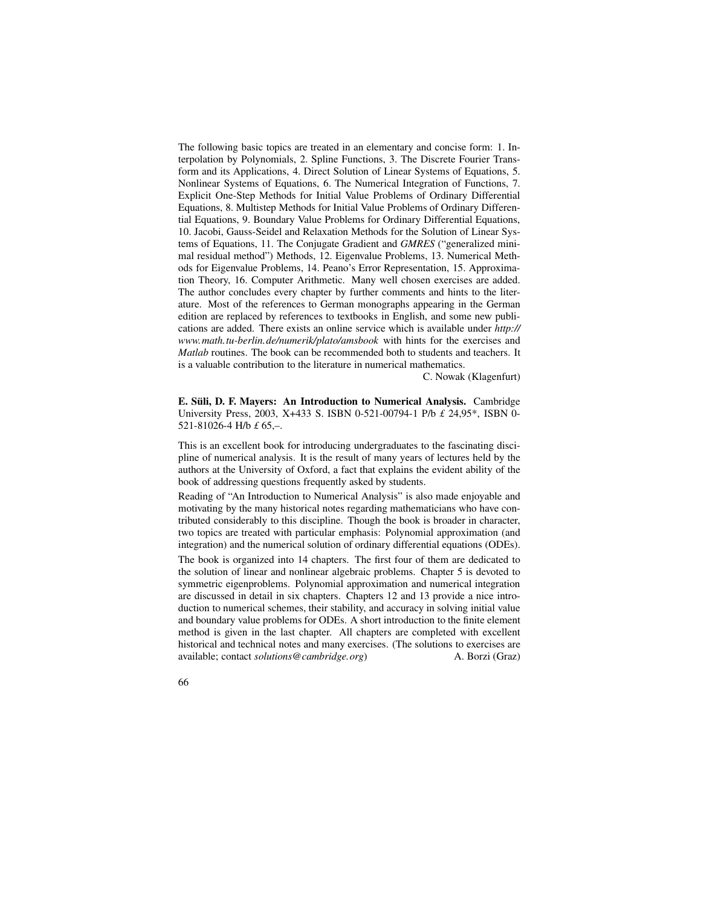The following basic topics are treated in an elementary and concise form: 1. Interpolation by Polynomials, 2. Spline Functions, 3. The Discrete Fourier Transform and its Applications, 4. Direct Solution of Linear Systems of Equations, 5. Nonlinear Systems of Equations, 6. The Numerical Integration of Functions, 7. Explicit One-Step Methods for Initial Value Problems of Ordinary Differential Equations, 8. Multistep Methods for Initial Value Problems of Ordinary Differential Equations, 9. Boundary Value Problems for Ordinary Differential Equations, 10. Jacobi, Gauss-Seidel and Relaxation Methods for the Solution of Linear Systems of Equations, 11. The Conjugate Gradient and *GMRES* ("generalized minimal residual method") Methods, 12. Eigenvalue Problems, 13. Numerical Methods for Eigenvalue Problems, 14. Peano's Error Representation, 15. Approximation Theory, 16. Computer Arithmetic. Many well chosen exercises are added. The author concludes every chapter by further comments and hints to the literature. Most of the references to German monographs appearing in the German edition are replaced by references to textbooks in English, and some new publications are added. There exists an online service which is available under *http:// www.math.tu-berlin.de/numerik/plato/amsbook* with hints for the exercises and *Matlab* routines. The book can be recommended both to students and teachers. It is a valuable contribution to the literature in numerical mathematics.

C. Nowak (Klagenfurt)

**E. Suli, ¨ D. F. Mayers: An Introduction to Numerical Analysis.** Cambridge University Press, 2003, X+433 S. ISBN 0-521-00794-1 P/b *£* 24,95\*, ISBN 0- 521-81026-4 H/b *£* 65,–.

This is an excellent book for introducing undergraduates to the fascinating discipline of numerical analysis. It is the result of many years of lectures held by the authors at the University of Oxford, a fact that explains the evident ability of the book of addressing questions frequently asked by students.

Reading of "An Introduction to Numerical Analysis" is also made enjoyable and motivating by the many historical notes regarding mathematicians who have contributed considerably to this discipline. Though the book is broader in character, two topics are treated with particular emphasis: Polynomial approximation (and integration) and the numerical solution of ordinary differential equations (ODEs).

The book is organized into 14 chapters. The first four of them are dedicated to the solution of linear and nonlinear algebraic problems. Chapter 5 is devoted to symmetric eigenproblems. Polynomial approximation and numerical integration are discussed in detail in six chapters. Chapters 12 and 13 provide a nice introduction to numerical schemes, their stability, and accuracy in solving initial value and boundary value problems for ODEs. A short introduction to the finite element method is given in the last chapter. All chapters are completed with excellent historical and technical notes and many exercises. (The solutions to exercises are available; contact *solutions@cambridge.org*) A. Borzi (Graz)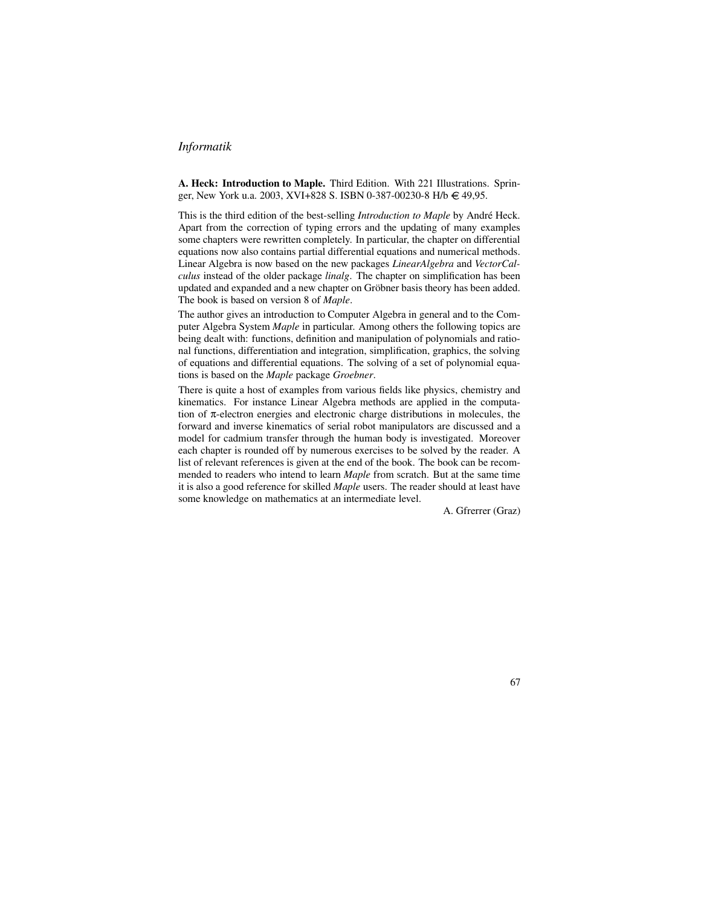### *Informatik*

**A. Heck: Introduction to Maple.** Third Edition. With 221 Illustrations. Springer, New York u.a. 2003, XVI+828 S. ISBN 0-387-00230-8 H/b € 49,95.

This is the third edition of the best-selling *Introduction to Maple* by André Heck. Apart from the correction of typing errors and the updating of many examples some chapters were rewritten completely. In particular, the chapter on differential equations now also contains partial differential equations and numerical methods. Linear Algebra is now based on the new packages *LinearAlgebra* and *VectorCalculus* instead of the older package *linalg*. The chapter on simplification has been updated and expanded and a new chapter on Gröbner basis theory has been added. The book is based on version 8 of *Maple*.

The author gives an introduction to Computer Algebra in general and to the Computer Algebra System *Maple* in particular. Among others the following topics are being dealt with: functions, definition and manipulation of polynomials and rational functions, differentiation and integration, simplification, graphics, the solving of equations and differential equations. The solving of a set of polynomial equations is based on the *Maple* package *Groebner*.

There is quite a host of examples from various fields like physics, chemistry and kinematics. For instance Linear Algebra methods are applied in the computation of π-electron energies and electronic charge distributions in molecules, the forward and inverse kinematics of serial robot manipulators are discussed and a model for cadmium transfer through the human body is investigated. Moreover each chapter is rounded off by numerous exercises to be solved by the reader. A list of relevant references is given at the end of the book. The book can be recommended to readers who intend to learn *Maple* from scratch. But at the same time it is also a good reference for skilled *Maple* users. The reader should at least have some knowledge on mathematics at an intermediate level.

A. Gfrerrer (Graz)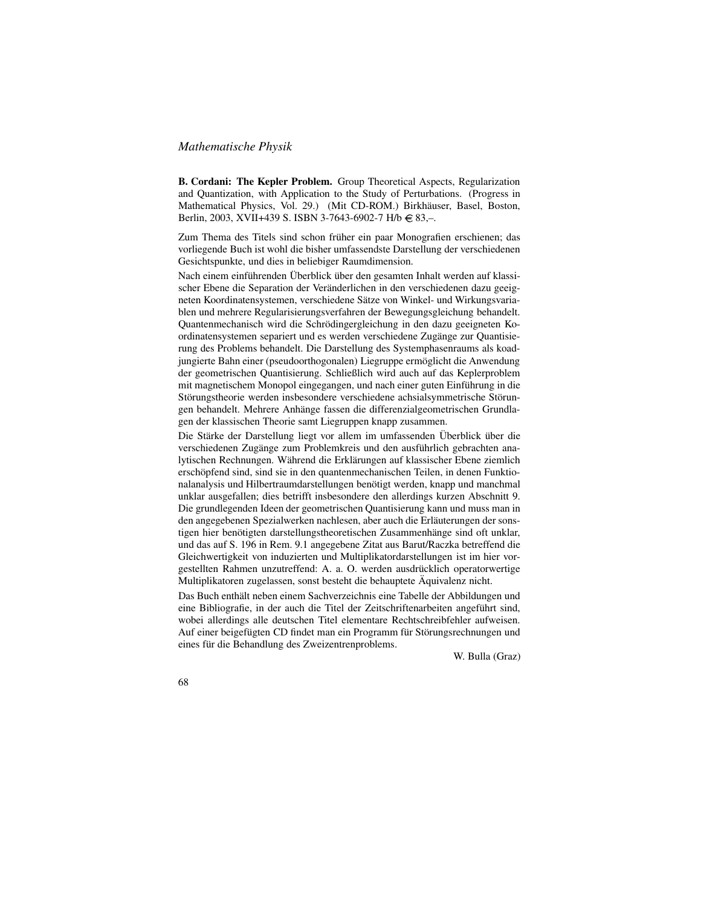### *Mathematische Physik*

**B. Cordani: The Kepler Problem.** Group Theoretical Aspects, Regularization and Quantization, with Application to the Study of Perturbations. (Progress in Mathematical Physics, Vol. 29.) (Mit CD-ROM.) Birkhäuser, Basel, Boston, Berlin, 2003, XVII+439 S. ISBN 3-7643-6902-7 H/b  $\in$  83,-.

Zum Thema des Titels sind schon früher ein paar Monografien erschienen; das vorliegende Buch ist wohl die bisher umfassendste Darstellung der verschiedenen Gesichtspunkte, und dies in beliebiger Raumdimension.

Nach einem einführenden Überblick über den gesamten Inhalt werden auf klassischer Ebene die Separation der Veränderlichen in den verschiedenen dazu geeigneten Koordinatensystemen, verschiedene Sätze von Winkel- und Wirkungsvariablen und mehrere Regularisierungsverfahren der Bewegungsgleichung behandelt. Quantenmechanisch wird die Schrödingergleichung in den dazu geeigneten Koordinatensystemen separiert und es werden verschiedene Zugänge zur Quantisierung des Problems behandelt. Die Darstellung des Systemphasenraums als koadjungierte Bahn einer (pseudoorthogonalen) Liegruppe ermöglicht die Anwendung der geometrischen Quantisierung. Schließlich wird auch auf das Keplerproblem mit magnetischem Monopol eingegangen, und nach einer guten Einführung in die Störungstheorie werden insbesondere verschiedene achsialsymmetrische Störungen behandelt. Mehrere Anhänge fassen die differenzialgeometrischen Grundlagen der klassischen Theorie samt Liegruppen knapp zusammen.

Die Stärke der Darstellung liegt vor allem im umfassenden Überblick über die verschiedenen Zugänge zum Problemkreis und den ausführlich gebrachten analytischen Rechnungen. Während die Erklärungen auf klassischer Ebene ziemlich erschöpfend sind, sind sie in den quantenmechanischen Teilen, in denen Funktionalanalysis und Hilbertraumdarstellungen benötigt werden, knapp und manchmal unklar ausgefallen; dies betrifft insbesondere den allerdings kurzen Abschnitt 9. Die grundlegenden Ideen der geometrischen Quantisierung kann und muss man in den angegebenen Spezialwerken nachlesen, aber auch die Erläuterungen der sonstigen hier benötigten darstellungstheoretischen Zusammenhänge sind oft unklar, und das auf S. 196 in Rem. 9.1 angegebene Zitat aus Barut/Raczka betreffend die Gleichwertigkeit von induzierten und Multiplikatordarstellungen ist im hier vorgestellten Rahmen unzutreffend: A. a. O. werden ausdrücklich operatorwertige Multiplikatoren zugelassen, sonst besteht die behauptete Äquivalenz nicht.

Das Buch enthält neben einem Sachverzeichnis eine Tabelle der Abbildungen und eine Bibliografie, in der auch die Titel der Zeitschriftenarbeiten angeführt sind, wobei allerdings alle deutschen Titel elementare Rechtschreibfehler aufweisen. Auf einer beigefügten CD findet man ein Programm für Störungsrechnungen und eines für die Behandlung des Zweizentrenproblems.

W. Bulla (Graz)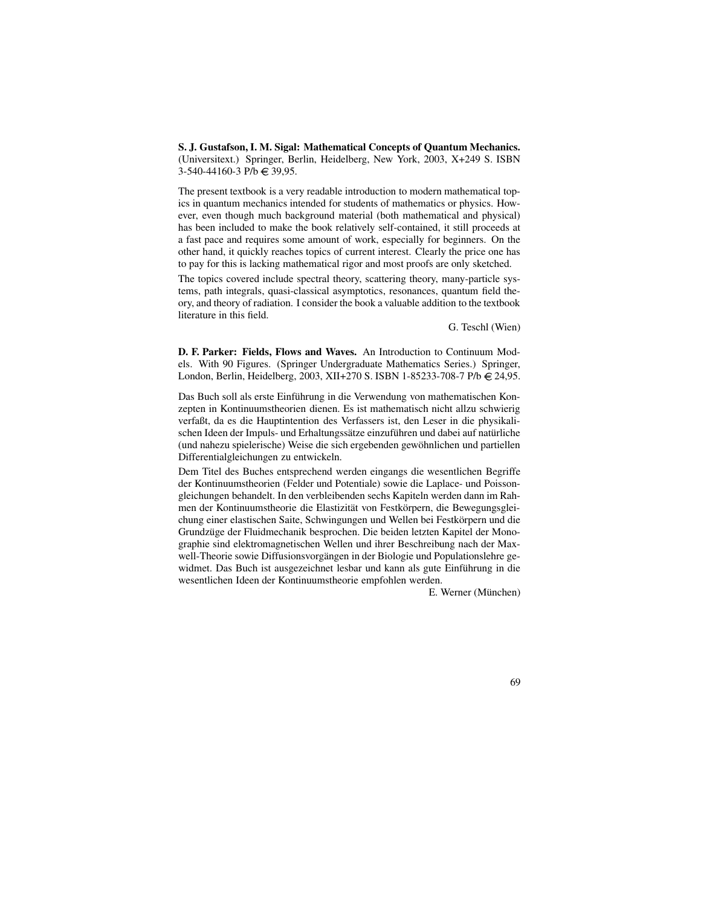**S. J. Gustafson, I. M. Sigal: Mathematical Concepts of Quantum Mechanics.** (Universitext.) Springer, Berlin, Heidelberg, New York, 2003, X+249 S. ISBN  $3-540-44160-3$  P/b  $\in$  39,95.

The present textbook is a very readable introduction to modern mathematical topics in quantum mechanics intended for students of mathematics or physics. However, even though much background material (both mathematical and physical) has been included to make the book relatively self-contained, it still proceeds at a fast pace and requires some amount of work, especially for beginners. On the other hand, it quickly reaches topics of current interest. Clearly the price one has to pay for this is lacking mathematical rigor and most proofs are only sketched.

The topics covered include spectral theory, scattering theory, many-particle systems, path integrals, quasi-classical asymptotics, resonances, quantum field theory, and theory of radiation. I consider the book a valuable addition to the textbook literature in this field.

G. Teschl (Wien)

**D. F. Parker: Fields, Flows and Waves.** An Introduction to Continuum Models. With 90 Figures. (Springer Undergraduate Mathematics Series.) Springer, London, Berlin, Heidelberg, 2003, XII+270 S. ISBN 1-85233-708-7 P/b € 24,95.

Das Buch soll als erste Einführung in die Verwendung von mathematischen Konzepten in Kontinuumstheorien dienen. Es ist mathematisch nicht allzu schwierig verfaßt, da es die Hauptintention des Verfassers ist, den Leser in die physikalischen Ideen der Impuls- und Erhaltungssätze einzuführen und dabei auf natürliche (und nahezu spielerische) Weise die sich ergebenden gewöhnlichen und partiellen Differentialgleichungen zu entwickeln.

Dem Titel des Buches entsprechend werden eingangs die wesentlichen Begriffe der Kontinuumstheorien (Felder und Potentiale) sowie die Laplace- und Poissongleichungen behandelt. In den verbleibenden sechs Kapiteln werden dann im Rahmen der Kontinuumstheorie die Elastizität von Festkörpern, die Bewegungsgleichung einer elastischen Saite, Schwingungen und Wellen bei Festkörpern und die Grundzüge der Fluidmechanik besprochen. Die beiden letzten Kapitel der Monographie sind elektromagnetischen Wellen und ihrer Beschreibung nach der Maxwell-Theorie sowie Diffusionsvorgängen in der Biologie und Populationslehre gewidmet. Das Buch ist ausgezeichnet lesbar und kann als gute Einführung in die wesentlichen Ideen der Kontinuumstheorie empfohlen werden.

E. Werner (München)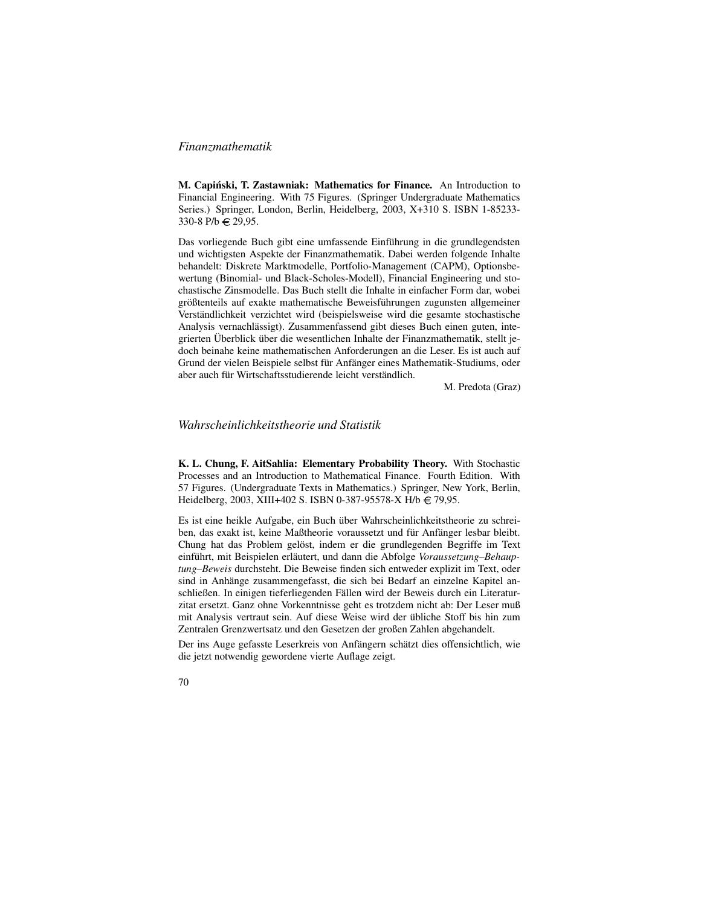### *Finanzmathematik*

**M. Capinski, ´ T. Zastawniak: Mathematics for Finance.** An Introduction to Financial Engineering. With 75 Figures. (Springer Undergraduate Mathematics Series.) Springer, London, Berlin, Heidelberg, 2003, X+310 S. ISBN 1-85233- 330-8 P/b € 29,95.

Das vorliegende Buch gibt eine umfassende Einführung in die grundlegendsten und wichtigsten Aspekte der Finanzmathematik. Dabei werden folgende Inhalte behandelt: Diskrete Marktmodelle, Portfolio-Management (CAPM), Optionsbewertung (Binomial- und Black-Scholes-Modell), Financial Engineering und stochastische Zinsmodelle. Das Buch stellt die Inhalte in einfacher Form dar, wobei größtenteils auf exakte mathematische Beweisführungen zugunsten allgemeiner Verständlichkeit verzichtet wird (beispielsweise wird die gesamte stochastische Analysis vernachlässigt). Zusammenfassend gibt dieses Buch einen guten, integrierten Überblick über die wesentlichen Inhalte der Finanzmathematik, stellt jedoch beinahe keine mathematischen Anforderungen an die Leser. Es ist auch auf Grund der vielen Beispiele selbst für Anfänger eines Mathematik-Studiums, oder aber auch für Wirtschaftsstudierende leicht verständlich.

M. Predota (Graz)

### *Wahrscheinlichkeitstheorie und Statistik*

**K. L. Chung, F. AitSahlia: Elementary Probability Theory.** With Stochastic Processes and an Introduction to Mathematical Finance. Fourth Edition. With 57 Figures. (Undergraduate Texts in Mathematics.) Springer, New York, Berlin, Heidelberg, 2003, XIII+402 S. ISBN 0-387-95578-X H/b  $\in$  79,95.

Es ist eine heikle Aufgabe, ein Buch über Wahrscheinlichkeitstheorie zu schreiben, das exakt ist, keine Maßtheorie voraussetzt und für Anfänger lesbar bleibt. Chung hat das Problem gelöst, indem er die grundlegenden Begriffe im Text einführt, mit Beispielen erläutert, und dann die Abfolge Voraussetzung-Behaup*tung–Beweis* durchsteht. Die Beweise finden sich entweder explizit im Text, oder sind in Anhänge zusammengefasst, die sich bei Bedarf an einzelne Kapitel anschließen. In einigen tieferliegenden Fällen wird der Beweis durch ein Literaturzitat ersetzt. Ganz ohne Vorkenntnisse geht es trotzdem nicht ab: Der Leser muß mit Analysis vertraut sein. Auf diese Weise wird der übliche Stoff bis hin zum Zentralen Grenzwertsatz und den Gesetzen der großen Zahlen abgehandelt.

Der ins Auge gefasste Leserkreis von Anfängern schätzt dies offensichtlich, wie die jetzt notwendig gewordene vierte Auflage zeigt.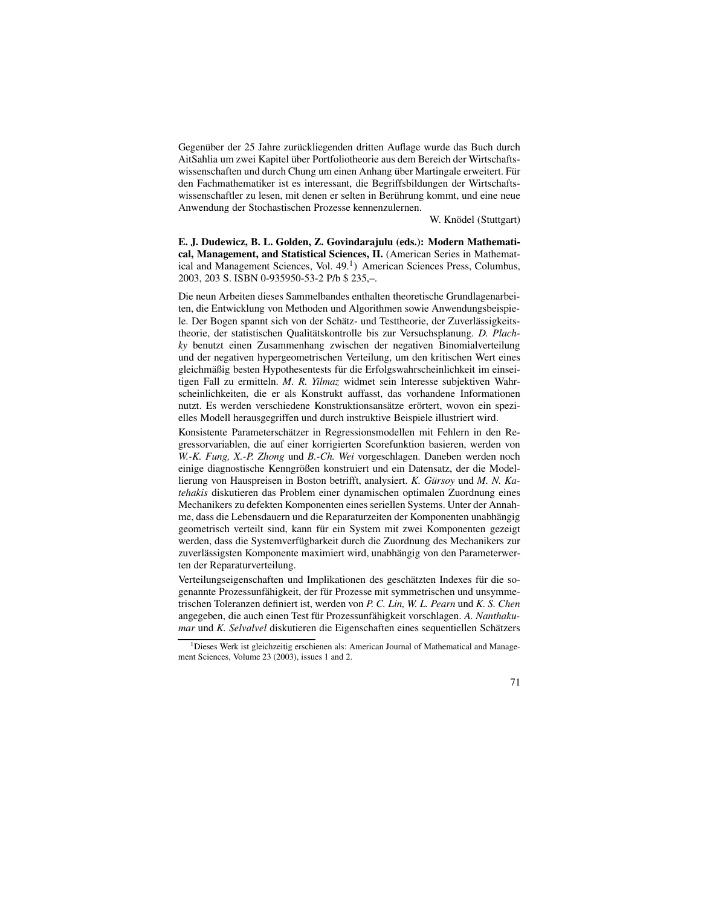Gegenüber der 25 Jahre zurückliegenden dritten Auflage wurde das Buch durch AitSahlia um zwei Kapitel über Portfoliotheorie aus dem Bereich der Wirtschaftswissenschaften und durch Chung um einen Anhang über Martingale erweitert. Für den Fachmathematiker ist es interessant, die Begriffsbildungen der Wirtschaftswissenschaftler zu lesen, mit denen er selten in Berührung kommt, und eine neue Anwendung der Stochastischen Prozesse kennenzulernen.

W. Knödel (Stuttgart)

**E. J. Dudewicz, B. L. Golden, Z. Govindarajulu (eds.): Modern Mathematical, Management, and Statistical Sciences, II.** (American Series in Mathematical and Management Sciences, Vol. 49.<sup>1</sup>) American Sciences Press, Columbus, 2003, 203 S. ISBN 0-935950-53-2 P/b \$ 235,–.

Die neun Arbeiten dieses Sammelbandes enthalten theoretische Grundlagenarbeiten, die Entwicklung von Methoden und Algorithmen sowie Anwendungsbeispiele. Der Bogen spannt sich von der Schätz- und Testtheorie, der Zuverlässigkeitstheorie, der statistischen Qualitätskontrolle bis zur Versuchsplanung. *D. Plachky* benutzt einen Zusammenhang zwischen der negativen Binomialverteilung und der negativen hypergeometrischen Verteilung, um den kritischen Wert eines gleichmäßig besten Hypothesentests für die Erfolgswahrscheinlichkeit im einseitigen Fall zu ermitteln. *M. R. Yilmaz* widmet sein Interesse subjektiven Wahrscheinlichkeiten, die er als Konstrukt auffasst, das vorhandene Informationen nutzt. Es werden verschiedene Konstruktionsansätze erörtert, wovon ein spezielles Modell herausgegriffen und durch instruktive Beispiele illustriert wird.

Konsistente Parameterschätzer in Regressionsmodellen mit Fehlern in den Regressorvariablen, die auf einer korrigierten Scorefunktion basieren, werden von *W.-K. Fung, X.-P. Zhong* und *B.-Ch. Wei* vorgeschlagen. Daneben werden noch einige diagnostische Kenngrößen konstruiert und ein Datensatz, der die Modellierung von Hauspreisen in Boston betrifft, analysiert. *K. Gürsoy* und *M. N. Katehakis* diskutieren das Problem einer dynamischen optimalen Zuordnung eines Mechanikers zu defekten Komponenten eines seriellen Systems. Unter der Annahme, dass die Lebensdauern und die Reparaturzeiten der Komponenten unabhängig geometrisch verteilt sind, kann für ein System mit zwei Komponenten gezeigt werden, dass die Systemverfügbarkeit durch die Zuordnung des Mechanikers zur zuverlässigsten Komponente maximiert wird, unabhängig von den Parameterwerten der Reparaturverteilung.

Verteilungseigenschaften und Implikationen des geschätzten Indexes für die sogenannte Prozessunfähigkeit, der für Prozesse mit symmetrischen und unsymmetrischen Toleranzen definiert ist, werden von *P. C. Lin, W. L. Pearn* und *K. S. Chen* angegeben, die auch einen Test für Prozessunfähigkeit vorschlagen. A. Nanthaku*mar* und *K. Selvalvel* diskutieren die Eigenschaften eines sequentiellen Schätzers

<sup>&</sup>lt;sup>1</sup>Dieses Werk ist gleichzeitig erschienen als: American Journal of Mathematical and Management Sciences, Volume 23 (2003), issues 1 and 2.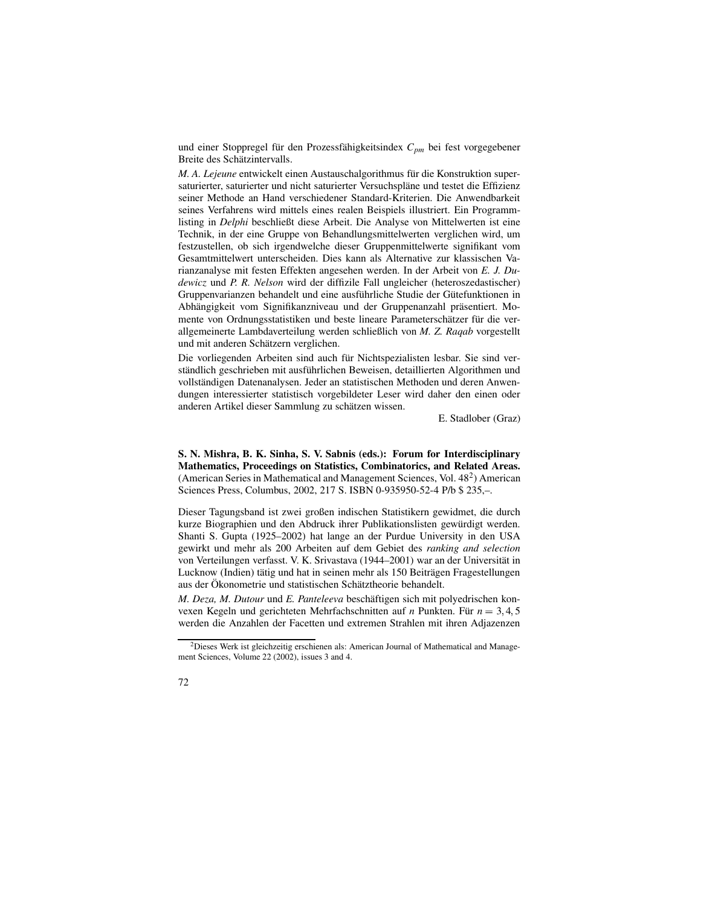und einer Stoppregel für den Prozessfähigkeitsindex  $C_{pm}$  bei fest vorgegebener Breite des Schätzintervalls.

*M. A. Lejeune* entwickelt einen Austauschalgorithmus für die Konstruktion supersaturierter, saturierter und nicht saturierter Versuchspläne und testet die Effizienz seiner Methode an Hand verschiedener Standard-Kriterien. Die Anwendbarkeit seines Verfahrens wird mittels eines realen Beispiels illustriert. Ein Programmlisting in *Delphi* beschließt diese Arbeit. Die Analyse von Mittelwerten ist eine Technik, in der eine Gruppe von Behandlungsmittelwerten verglichen wird, um festzustellen, ob sich irgendwelche dieser Gruppenmittelwerte signifikant vom Gesamtmittelwert unterscheiden. Dies kann als Alternative zur klassischen Varianzanalyse mit festen Effekten angesehen werden. In der Arbeit von *E. J. Dudewicz* und *P. R. Nelson* wird der diffizile Fall ungleicher (heteroszedastischer) Gruppenvarianzen behandelt und eine ausführliche Studie der Gütefunktionen in Abhängigkeit vom Signifikanzniveau und der Gruppenanzahl präsentiert. Momente von Ordnungsstatistiken und beste lineare Parameterschätzer für die verallgemeinerte Lambdaverteilung werden schließlich von *M. Z. Raqab* vorgestellt und mit anderen Schätzern verglichen.

Die vorliegenden Arbeiten sind auch für Nichtspezialisten lesbar. Sie sind verständlich geschrieben mit ausführlichen Beweisen, detaillierten Algorithmen und vollständigen Datenanalysen. Jeder an statistischen Methoden und deren Anwendungen interessierter statistisch vorgebildeter Leser wird daher den einen oder anderen Artikel dieser Sammlung zu schätzen wissen.

E. Stadlober (Graz)

**S. N. Mishra, B. K. Sinha, S. V. Sabnis (eds.): Forum for Interdisciplinary Mathematics, Proceedings on Statistics, Combinatorics, and Related Areas.** (American Series in Mathematical and Management Sciences, Vol.  $48<sup>2</sup>$ ) American Sciences Press, Columbus, 2002, 217 S. ISBN 0-935950-52-4 P/b \$ 235,–.

Dieser Tagungsband ist zwei großen indischen Statistikern gewidmet, die durch kurze Biographien und den Abdruck ihrer Publikationslisten gewürdigt werden. Shanti S. Gupta (1925–2002) hat lange an der Purdue University in den USA gewirkt und mehr als 200 Arbeiten auf dem Gebiet des *ranking and selection* von Verteilungen verfasst. V. K. Srivastava (1944–2001) war an der Universität in Lucknow (Indien) tätig und hat in seinen mehr als 150 Beiträgen Fragestellungen aus der Ökonometrie und statistischen Schätztheorie behandelt.

*M. Deza, M. Dutour* und *E. Panteleeva* beschäftigen sich mit polyedrischen konvexen Kegeln und gerichteten Mehrfachschnitten auf *n* Punkten. Für  $n = 3, 4, 5$ werden die Anzahlen der Facetten und extremen Strahlen mit ihren Adjazenzen

<sup>&</sup>lt;sup>2</sup>Dieses Werk ist gleichzeitig erschienen als: American Journal of Mathematical and Management Sciences, Volume 22 (2002), issues 3 and 4.

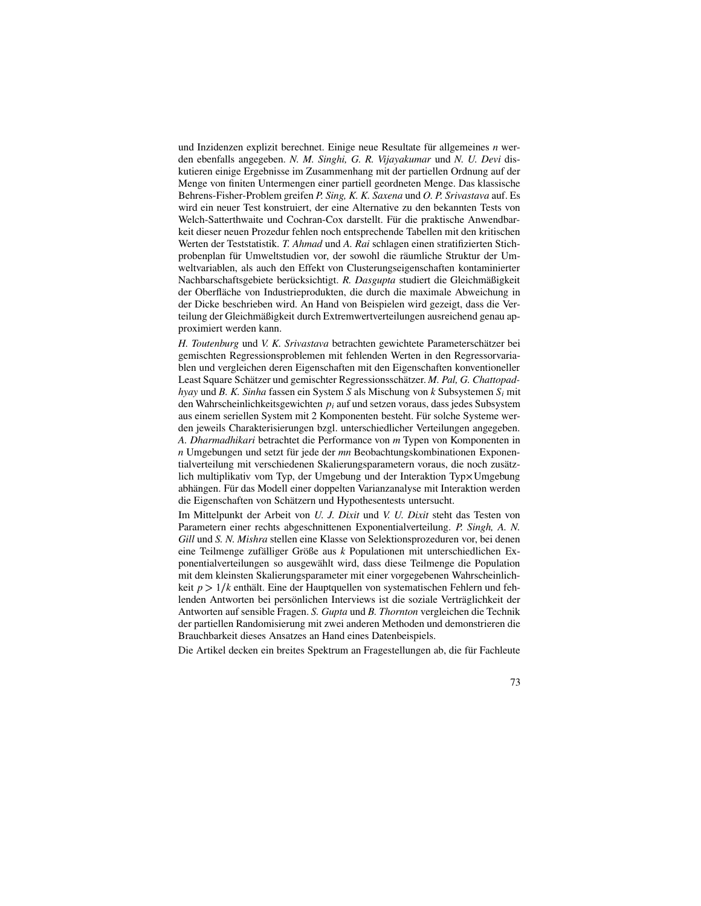und Inzidenzen explizit berechnet. Einige neue Resultate für allgemeines *n* werden ebenfalls angegeben. *N. M. Singhi, G. R. Vijayakumar* und *N. U. Devi* diskutieren einige Ergebnisse im Zusammenhang mit der partiellen Ordnung auf der Menge von finiten Untermengen einer partiell geordneten Menge. Das klassische Behrens-Fisher-Problem greifen *P. Sing, K. K. Saxena* und *O. P. Srivastava* auf. Es wird ein neuer Test konstruiert, der eine Alternative zu den bekannten Tests von Welch-Satterthwaite und Cochran-Cox darstellt. Für die praktische Anwendbarkeit dieser neuen Prozedur fehlen noch entsprechende Tabellen mit den kritischen Werten der Teststatistik. *T. Ahmad* und *A. Rai* schlagen einen stratifizierten Stichprobenplan für Umweltstudien vor, der sowohl die räumliche Struktur der Umweltvariablen, als auch den Effekt von Clusterungseigenschaften kontaminierter Nachbarschaftsgebiete berücksichtigt. *R. Dasgupta* studiert die Gleichmäßigkeit der Oberfläche von Industrieprodukten, die durch die maximale Abweichung in der Dicke beschrieben wird. An Hand von Beispielen wird gezeigt, dass die Verteilung der Gleichmäßigkeit durch Extremwertverteilungen ausreichend genau approximiert werden kann.

*H. Toutenburg* und *V. K. Srivastava* betrachten gewichtete Parameterschätzer bei gemischten Regressionsproblemen mit fehlenden Werten in den Regressorvariablen und vergleichen deren Eigenschaften mit den Eigenschaften konventioneller Least Square Schätzer und gemischter Regressionsschätzer. *M. Pal, G. Chattopadhyay* und *B. K. Sinha* fassen ein System *S* als Mischung von *k* Subsystemen *S<sup>i</sup>* mit den Wahrscheinlichkeitsgewichten *p<sup>i</sup>* auf und setzen voraus, dass jedes Subsystem aus einem seriellen System mit 2 Komponenten besteht. Für solche Systeme werden jeweils Charakterisierungen bzgl. unterschiedlicher Verteilungen angegeben. *A. Dharmadhikari* betrachtet die Performance von *m* Typen von Komponenten in *n* Umgebungen und setzt für jede der *mn* Beobachtungskombinationen Exponentialverteilung mit verschiedenen Skalierungsparametern voraus, die noch zusätzlich multiplikativ vom Typ, der Umgebung und der Interaktion Typ \ Umgebung abhängen. Für das Modell einer doppelten Varianzanalyse mit Interaktion werden die Eigenschaften von Schätzern und Hypothesentests untersucht.

Im Mittelpunkt der Arbeit von *U. J. Dixit* und *V. U. Dixit* steht das Testen von Parametern einer rechts abgeschnittenen Exponentialverteilung. *P. Singh, A. N. Gill* und *S. N. Mishra* stellen eine Klasse von Selektionsprozeduren vor, bei denen eine Teilmenge zufälliger Größe aus *k* Populationen mit unterschiedlichen Exponentialverteilungen so ausgewählt wird, dass diese Teilmenge die Population mit dem kleinsten Skalierungsparameter mit einer vorgegebenen Wahrscheinlichkeit  $p > 1/k$  enthält. Eine der Hauptquellen von systematischen Fehlern und fehlenden Antworten bei persönlichen Interviews ist die soziale Verträglichkeit der Antworten auf sensible Fragen. *S. Gupta* und *B. Thornton* vergleichen die Technik der partiellen Randomisierung mit zwei anderen Methoden und demonstrieren die Brauchbarkeit dieses Ansatzes an Hand eines Datenbeispiels.

Die Artikel decken ein breites Spektrum an Fragestellungen ab, die für Fachleute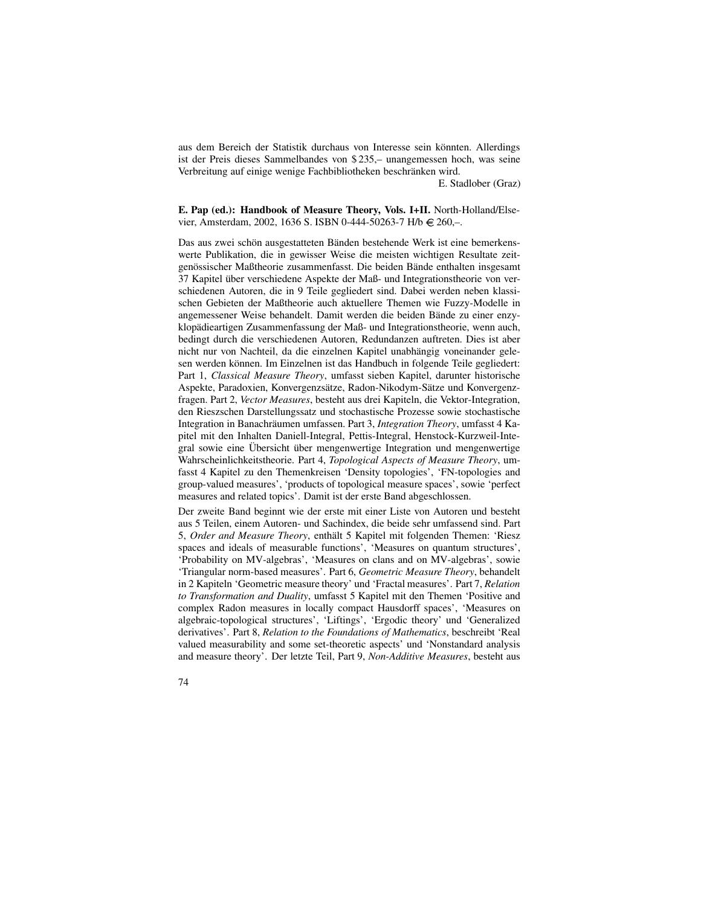aus dem Bereich der Statistik durchaus von Interesse sein könnten. Allerdings ist der Preis dieses Sammelbandes von \$ 235,– unangemessen hoch, was seine Verbreitung auf einige wenige Fachbibliotheken beschränken wird.

E. Stadlober (Graz)

### **E. Pap (ed.): Handbook of Measure Theory, Vols. I+II.** North-Holland/Elsevier, Amsterdam, 2002, 1636 S. ISBN 0-444-50263-7 H/b  $\in$  260,-.

Das aus zwei schön ausgestatteten Bänden bestehende Werk ist eine bemerkenswerte Publikation, die in gewisser Weise die meisten wichtigen Resultate zeitgenössischer Maßtheorie zusammenfasst. Die beiden Bände enthalten insgesamt 37 Kapitel über verschiedene Aspekte der Maß- und Integrationstheorie von verschiedenen Autoren, die in 9 Teile gegliedert sind. Dabei werden neben klassischen Gebieten der Maßtheorie auch aktuellere Themen wie Fuzzy-Modelle in angemessener Weise behandelt. Damit werden die beiden Bände zu einer enzyklopädieartigen Zusammenfassung der Maß- und Integrationstheorie, wenn auch, bedingt durch die verschiedenen Autoren, Redundanzen auftreten. Dies ist aber nicht nur von Nachteil, da die einzelnen Kapitel unabhängig voneinander gelesen werden können. Im Einzelnen ist das Handbuch in folgende Teile gegliedert: Part 1, *Classical Measure Theory*, umfasst sieben Kapitel, darunter historische Aspekte, Paradoxien, Konvergenzsätze, Radon-Nikodym-Sätze und Konvergenzfragen. Part 2, *Vector Measures*, besteht aus drei Kapiteln, die Vektor-Integration, den Rieszschen Darstellungssatz und stochastische Prozesse sowie stochastische Integration in Banachräumen umfassen. Part 3, *Integration Theory*, umfasst 4 Kapitel mit den Inhalten Daniell-Integral, Pettis-Integral, Henstock-Kurzweil-Integral sowie eine Übersicht über mengenwertige Integration und mengenwertige Wahrscheinlichkeitstheorie. Part 4, *Topological Aspects of Measure Theory*, umfasst 4 Kapitel zu den Themenkreisen 'Density topologies', 'FN-topologies and group-valued measures', 'products of topological measure spaces', sowie 'perfect measures and related topics'. Damit ist der erste Band abgeschlossen.

Der zweite Band beginnt wie der erste mit einer Liste von Autoren und besteht aus 5 Teilen, einem Autoren- und Sachindex, die beide sehr umfassend sind. Part 5, Order and Measure Theory, enthält 5 Kapitel mit folgenden Themen: 'Riesz spaces and ideals of measurable functions', 'Measures on quantum structures', 'Probability on MV-algebras', 'Measures on clans and on MV-algebras', sowie 'Triangular norm-based measures'. Part 6, *Geometric Measure Theory*, behandelt in 2 Kapiteln 'Geometric measure theory' und 'Fractal measures'. Part 7, *Relation to Transformation and Duality*, umfasst 5 Kapitel mit den Themen 'Positive and complex Radon measures in locally compact Hausdorff spaces', 'Measures on algebraic-topological structures', 'Liftings', 'Ergodic theory' und 'Generalized derivatives'. Part 8, *Relation to the Foundations of Mathematics*, beschreibt 'Real valued measurability and some set-theoretic aspects' und 'Nonstandard analysis and measure theory'. Der letzte Teil, Part 9, *Non-Additive Measures*, besteht aus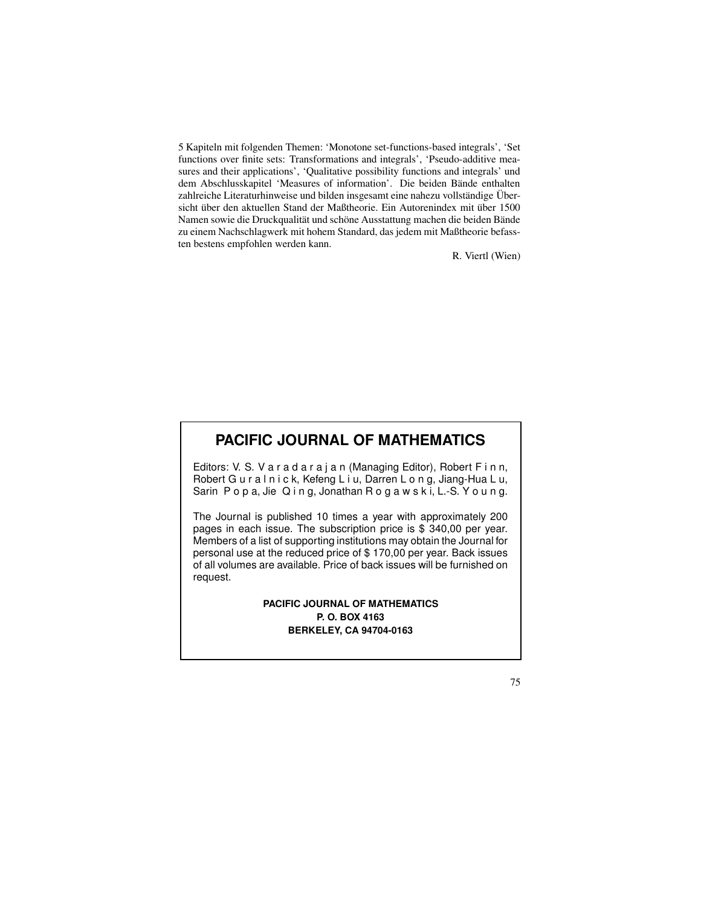5 Kapiteln mit folgenden Themen: 'Monotone set-functions-based integrals', 'Set functions over finite sets: Transformations and integrals', 'Pseudo-additive measures and their applications', 'Qualitative possibility functions and integrals' und dem Abschlusskapitel 'Measures of information'. Die beiden Bände enthalten zahlreiche Literaturhinweise und bilden insgesamt eine nahezu vollständige Übersicht über den aktuellen Stand der Maßtheorie. Ein Autorenindex mit über 1500 Namen sowie die Druckqualität und schöne Ausstattung machen die beiden Bände zu einem Nachschlagwerk mit hohem Standard, das jedem mit Maßtheorie befassten bestens empfohlen werden kann.

R. Viertl (Wien)

### **PACIFIC JOURNAL OF MATHEMATICS**

Editors: V. S. V a r a d a r a j a n (Managing Editor), Robert F i n n, Robert G u r a l n i c k, Kefeng L i u, Darren L o n g, Jiang-Hua L u, Sarin P o p a, Jie Q i n g, Jonathan R o g a w s k i, L.-S. Y o u n g.

The Journal is published 10 times a year with approximately 200 pages in each issue. The subscription price is \$ 340,00 per year. Members of a list of supporting institutions may obtain the Journal for personal use at the reduced price of \$ 170,00 per year. Back issues of all volumes are available. Price of back issues will be furnished on request.

### **PACIFIC JOURNAL OF MATHEMATICS P. O. BOX 4163 BERKELEY, CA 94704-0163**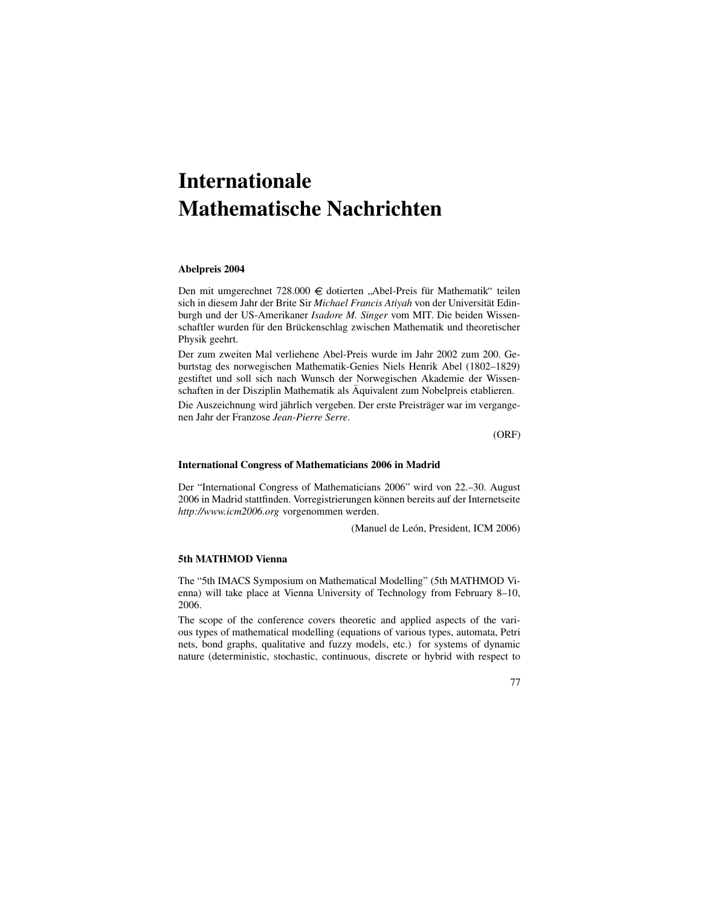# **Internationale Mathematische Nachrichten**

### **Abelpreis 2004**

Den mit umgerechnet 728.000 € dotierten "Abel-Preis für Mathematik" teilen sich in diesem Jahr der Brite Sir *Michael Francis Atiyah* von der Universität Edinburgh und der US-Amerikaner *Isadore M. Singer* vom MIT. Die beiden Wissenschaftler wurden für den Brückenschlag zwischen Mathematik und theoretischer Physik geehrt.

Der zum zweiten Mal verliehene Abel-Preis wurde im Jahr 2002 zum 200. Geburtstag des norwegischen Mathematik-Genies Niels Henrik Abel (1802–1829) gestiftet und soll sich nach Wunsch der Norwegischen Akademie der Wissenschaften in der Disziplin Mathematik als Äquivalent zum Nobelpreis etablieren.

Die Auszeichnung wird jährlich vergeben. Der erste Preisträger war im vergangenen Jahr der Franzose *Jean-Pierre Serre*.

(ORF)

### **International Congress of Mathematicians 2006 in Madrid**

Der "International Congress of Mathematicians 2006" wird von 22.–30. August 2006 in Madrid stattfinden. Vorregistrierungen können bereits auf der Internetseite *http://www.icm2006.org* vorgenommen werden.

(Manuel de León, President, ICM 2006)

### **5th MATHMOD Vienna**

The "5th IMACS Symposium on Mathematical Modelling" (5th MATHMOD Vienna) will take place at Vienna University of Technology from February 8–10, 2006.

The scope of the conference covers theoretic and applied aspects of the various types of mathematical modelling (equations of various types, automata, Petri nets, bond graphs, qualitative and fuzzy models, etc.) for systems of dynamic nature (deterministic, stochastic, continuous, discrete or hybrid with respect to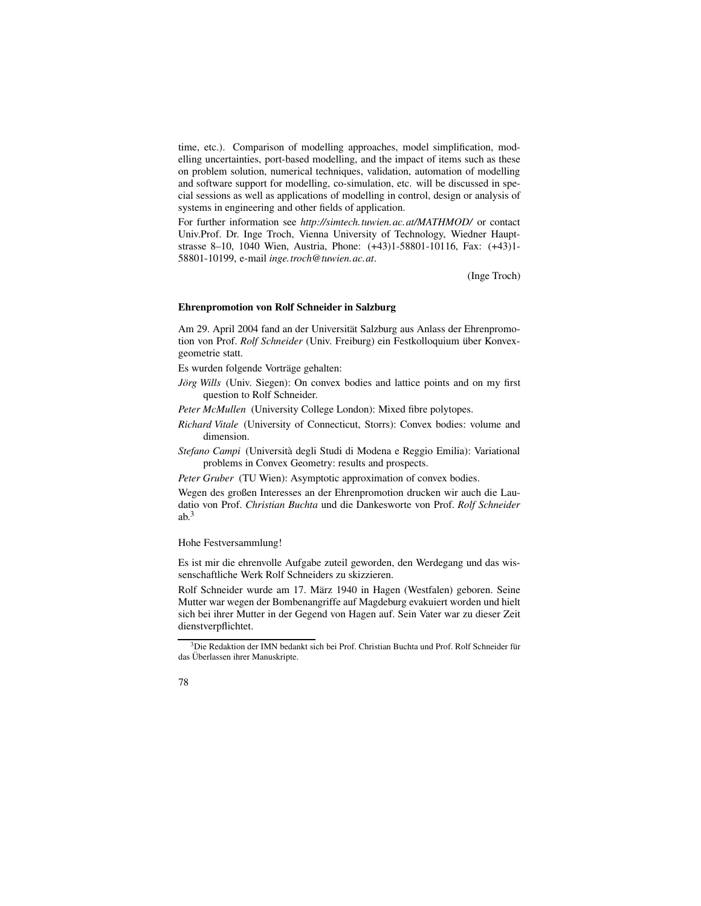time, etc.). Comparison of modelling approaches, model simplification, modelling uncertainties, port-based modelling, and the impact of items such as these on problem solution, numerical techniques, validation, automation of modelling and software support for modelling, co-simulation, etc. will be discussed in special sessions as well as applications of modelling in control, design or analysis of systems in engineering and other fields of application.

For further information see *http://simtech.tuwien.ac.at/MATHMOD/* or contact Univ.Prof. Dr. Inge Troch, Vienna University of Technology, Wiedner Hauptstrasse 8–10, 1040 Wien, Austria, Phone: (+43)1-58801-10116, Fax: (+43)1- 58801-10199, e-mail *inge.troch@tuwien.ac.at*.

(Inge Troch)

### **Ehrenpromotion von Rolf Schneider in Salzburg**

Am 29. April 2004 fand an der Universität Salzburg aus Anlass der Ehrenpromotion von Prof. *Rolf Schneider* (Univ. Freiburg) ein Festkolloquium über Konvexgeometrie statt.

Es wurden folgende Vorträge gehalten:

- *Jörg Wills* (Univ. Siegen): On convex bodies and lattice points and on my first question to Rolf Schneider.
- *Peter McMullen* (University College London): Mixed fibre polytopes.
- *Richard Vitale* (University of Connecticut, Storrs): Convex bodies: volume and dimension.
- *Stefano Campi* (Universita` degli Studi di Modena e Reggio Emilia): Variational problems in Convex Geometry: results and prospects.

*Peter Gruber* (TU Wien): Asymptotic approximation of convex bodies.

Wegen des großen Interesses an der Ehrenpromotion drucken wir auch die Laudatio von Prof. *Christian Buchta* und die Dankesworte von Prof. *Rolf Schneider*  $ab^3$ 

Hohe Festversammlung!

Es ist mir die ehrenvolle Aufgabe zuteil geworden, den Werdegang und das wissenschaftliche Werk Rolf Schneiders zu skizzieren.

Rolf Schneider wurde am 17. März 1940 in Hagen (Westfalen) geboren. Seine Mutter war wegen der Bombenangriffe auf Magdeburg evakuiert worden und hielt sich bei ihrer Mutter in der Gegend von Hagen auf. Sein Vater war zu dieser Zeit dienstverpflichtet.

<sup>&</sup>lt;sup>3</sup>Die Redaktion der IMN bedankt sich bei Prof. Christian Buchta und Prof. Rolf Schneider für das Überlassen ihrer Manuskripte.

<sup>78</sup>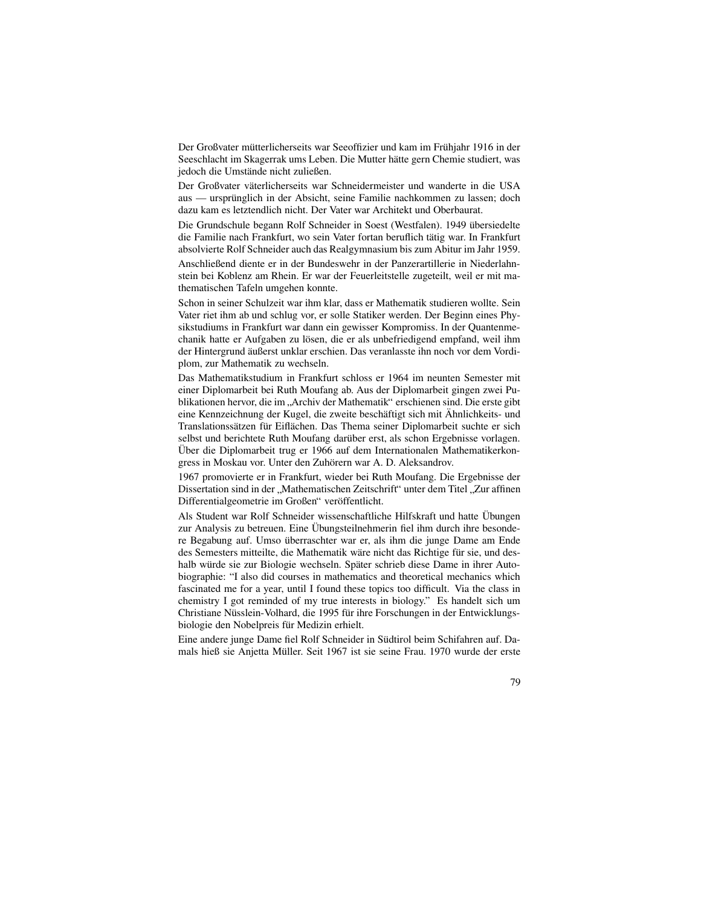Der Großvater mütterlicherseits war Seeoffizier und kam im Frühjahr 1916 in der Seeschlacht im Skagerrak ums Leben. Die Mutter hätte gern Chemie studiert, was jedoch die Umstände nicht zuließen.

Der Großvater väterlicherseits war Schneidermeister und wanderte in die USA aus — ursprünglich in der Absicht, seine Familie nachkommen zu lassen; doch dazu kam es letztendlich nicht. Der Vater war Architekt und Oberbaurat.

Die Grundschule begann Rolf Schneider in Soest (Westfalen). 1949 übersiedelte die Familie nach Frankfurt, wo sein Vater fortan beruflich tätig war. In Frankfurt absolvierte Rolf Schneider auch das Realgymnasium bis zum Abitur im Jahr 1959.

Anschließend diente er in der Bundeswehr in der Panzerartillerie in Niederlahnstein bei Koblenz am Rhein. Er war der Feuerleitstelle zugeteilt, weil er mit mathematischen Tafeln umgehen konnte.

Schon in seiner Schulzeit war ihm klar, dass er Mathematik studieren wollte. Sein Vater riet ihm ab und schlug vor, er solle Statiker werden. Der Beginn eines Physikstudiums in Frankfurt war dann ein gewisser Kompromiss. In der Quantenmechanik hatte er Aufgaben zu lösen, die er als unbefriedigend empfand, weil ihm der Hintergrund äußerst unklar erschien. Das veranlasste ihn noch vor dem Vordiplom, zur Mathematik zu wechseln.

Das Mathematikstudium in Frankfurt schloss er 1964 im neunten Semester mit einer Diplomarbeit bei Ruth Moufang ab. Aus der Diplomarbeit gingen zwei Publikationen hervor, die im "Archiv der Mathematik" erschienen sind. Die erste gibt<br>sine Konnecishnung der Kugal, die gweite beschäftigt sich mit Ähnlichkeite, und eine Kennzeichnung der Kugel, die zweite beschäftigt sich mit Ähnlichkeits- und Translationssätzen für Eiflächen. Das Thema seiner Diplomarbeit suchte er sich selbst und berichtete Ruth Moufang darüber erst, als schon Ergebnisse vorlagen. Über die Diplomarbeit trug er 1966 auf dem Internationalen Mathematikerkongress in Moskau vor. Unter den Zuhörern war A. D. Aleksandrov.

1967 promovierte er in Frankfurt, wieder bei Ruth Moufang. Die Ergebnisse der Dissertation sind in der "Mathematischen Zeitschrift" unter dem Titel "Zur affinen<br>Differentielscomatrie im Großor" veröffentlicht Differentialgeometrie im Großen" veröffentlicht.

Als Student war Rolf Schneider wissenschaftliche Hilfskraft und hatte Übungen zur Analysis zu betreuen. Eine Übungsteilnehmerin fiel ihm durch ihre besondere Begabung auf. Umso überraschter war er, als ihm die junge Dame am Ende des Semesters mitteilte, die Mathematik wäre nicht das Richtige für sie, und deshalb würde sie zur Biologie wechseln. Später schrieb diese Dame in ihrer Autobiographie: "I also did courses in mathematics and theoretical mechanics which fascinated me for a year, until I found these topics too difficult. Via the class in chemistry I got reminded of my true interests in biology." Es handelt sich um Christiane Nüsslein-Volhard, die 1995 für ihre Forschungen in der Entwicklungsbiologie den Nobelpreis für Medizin erhielt.

Eine andere junge Dame fiel Rolf Schneider in Südtirol beim Schifahren auf. Damals hieß sie Anjetta Müller. Seit 1967 ist sie seine Frau. 1970 wurde der erste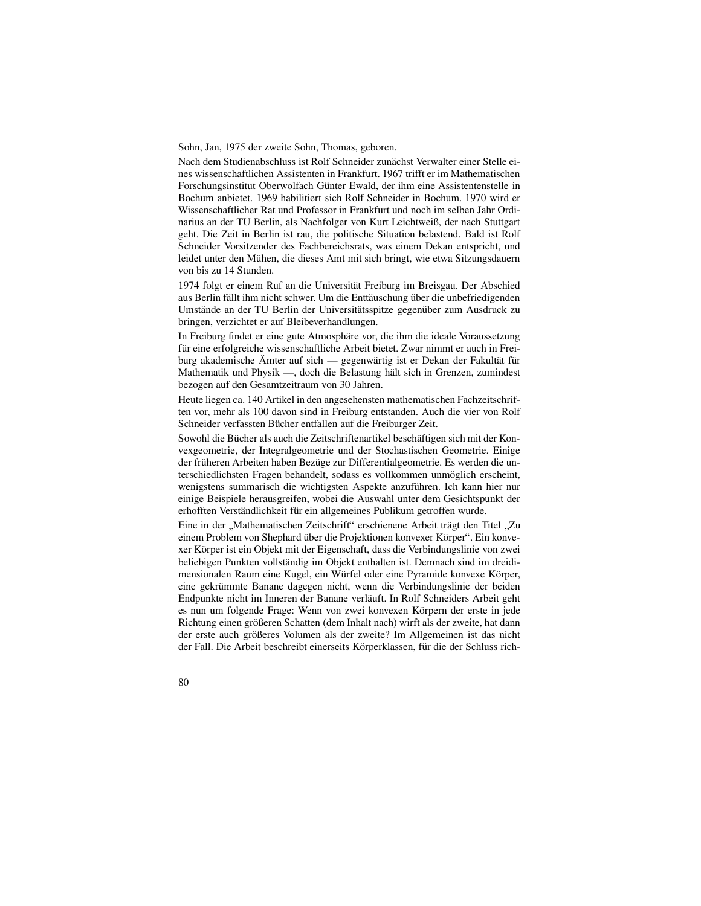Sohn, Jan, 1975 der zweite Sohn, Thomas, geboren.

Nach dem Studienabschluss ist Rolf Schneider zunächst Verwalter einer Stelle eines wissenschaftlichen Assistenten in Frankfurt. 1967 trifft er im Mathematischen Forschungsinstitut Oberwolfach Günter Ewald, der ihm eine Assistentenstelle in Bochum anbietet. 1969 habilitiert sich Rolf Schneider in Bochum. 1970 wird er Wissenschaftlicher Rat und Professor in Frankfurt und noch im selben Jahr Ordinarius an der TU Berlin, als Nachfolger von Kurt Leichtweiß, der nach Stuttgart geht. Die Zeit in Berlin ist rau, die politische Situation belastend. Bald ist Rolf Schneider Vorsitzender des Fachbereichsrats, was einem Dekan entspricht, und leidet unter den Mühen, die dieses Amt mit sich bringt, wie etwa Sitzungsdauern von bis zu 14 Stunden.

1974 folgt er einem Ruf an die Universität Freiburg im Breisgau. Der Abschied aus Berlin fällt ihm nicht schwer. Um die Enttäuschung über die unbefriedigenden Umstände an der TU Berlin der Universitätsspitze gegenüber zum Ausdruck zu bringen, verzichtet er auf Bleibeverhandlungen.

In Freiburg findet er eine gute Atmosphäre vor, die ihm die ideale Voraussetzung für eine erfolgreiche wissenschaftliche Arbeit bietet. Zwar nimmt er auch in Freiburg akademische Ämter auf sich — gegenwärtig ist er Dekan der Fakultät für Mathematik und Physik —, doch die Belastung hält sich in Grenzen, zumindest bezogen auf den Gesamtzeitraum von 30 Jahren.

Heute liegen ca. 140 Artikel in den angesehensten mathematischen Fachzeitschriften vor, mehr als 100 davon sind in Freiburg entstanden. Auch die vier von Rolf Schneider verfassten Bücher entfallen auf die Freiburger Zeit.

Sowohl die Bücher als auch die Zeitschriftenartikel beschäftigen sich mit der Konvexgeometrie, der Integralgeometrie und der Stochastischen Geometrie. Einige der früheren Arbeiten haben Bezüge zur Differentialgeometrie. Es werden die unterschiedlichsten Fragen behandelt, sodass es vollkommen unmöglich erscheint, wenigstens summarisch die wichtigsten Aspekte anzuführen. Ich kann hier nur einige Beispiele herausgreifen, wobei die Auswahl unter dem Gesichtspunkt der erhofften Verständlichkeit für ein allgemeines Publikum getroffen wurde.

Eine in der "Mathematischen Zeitschrift" erschienene Arbeit trägt den Titel "Zu alnam Broblem von Shaphard über die Broiektienen konvexer Körper". Ein konve einem Problem von Shephard über die Projektionen konvexer Körper". Ein konvexer Körper ist ein Objekt mit der Eigenschaft, dass die Verbindungslinie von zwei beliebigen Punkten vollständig im Objekt enthalten ist. Demnach sind im dreidimensionalen Raum eine Kugel, ein Würfel oder eine Pyramide konvexe Körper, eine gekrümmte Banane dagegen nicht, wenn die Verbindungslinie der beiden Endpunkte nicht im Inneren der Banane verläuft. In Rolf Schneiders Arbeit geht es nun um folgende Frage: Wenn von zwei konvexen Körpern der erste in jede Richtung einen größeren Schatten (dem Inhalt nach) wirft als der zweite, hat dann der erste auch größeres Volumen als der zweite? Im Allgemeinen ist das nicht der Fall. Die Arbeit beschreibt einerseits Körperklassen, für die der Schluss rich-

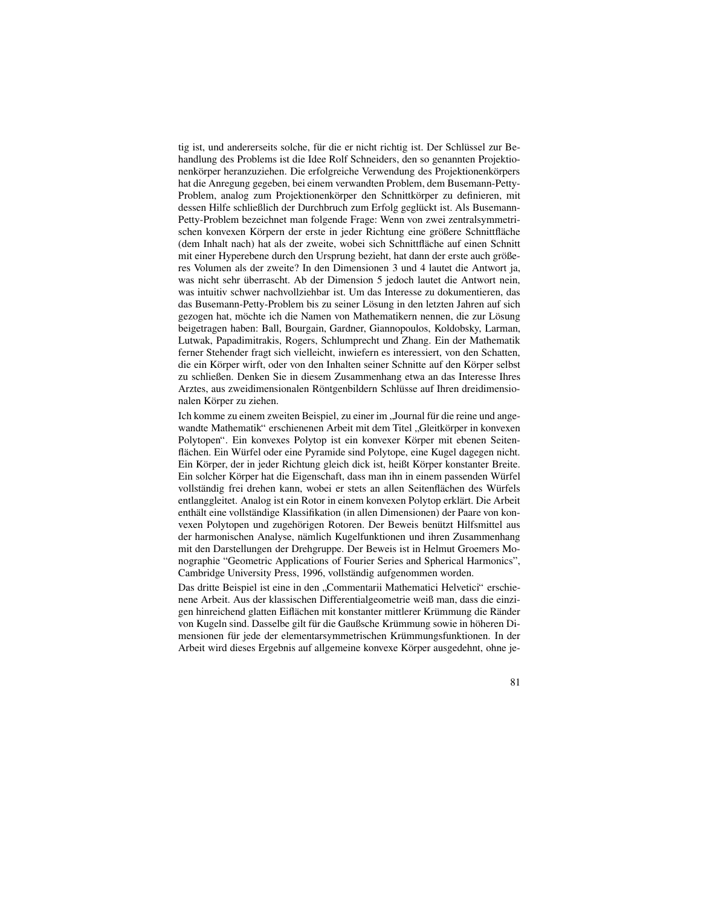tig ist, und andererseits solche, für die er nicht richtig ist. Der Schlüssel zur Behandlung des Problems ist die Idee Rolf Schneiders, den so genannten Projektionenkörper heranzuziehen. Die erfolgreiche Verwendung des Projektionenkörpers hat die Anregung gegeben, bei einem verwandten Problem, dem Busemann-Petty-Problem, analog zum Projektionenkörper den Schnittkörper zu definieren, mit dessen Hilfe schließlich der Durchbruch zum Erfolg geglückt ist. Als Busemann-Petty-Problem bezeichnet man folgende Frage: Wenn von zwei zentralsymmetrischen konvexen Körpern der erste in jeder Richtung eine größere Schnittfläche (dem Inhalt nach) hat als der zweite, wobei sich Schnittfläche auf einen Schnitt mit einer Hyperebene durch den Ursprung bezieht, hat dann der erste auch größeres Volumen als der zweite? In den Dimensionen 3 und 4 lautet die Antwort ja, was nicht sehr überrascht. Ab der Dimension 5 jedoch lautet die Antwort nein, was intuitiv schwer nachvollziehbar ist. Um das Interesse zu dokumentieren, das das Busemann-Petty-Problem bis zu seiner Lösung in den letzten Jahren auf sich gezogen hat, möchte ich die Namen von Mathematikern nennen, die zur Lösung beigetragen haben: Ball, Bourgain, Gardner, Giannopoulos, Koldobsky, Larman, Lutwak, Papadimitrakis, Rogers, Schlumprecht und Zhang. Ein der Mathematik ferner Stehender fragt sich vielleicht, inwiefern es interessiert, von den Schatten, die ein Körper wirft, oder von den Inhalten seiner Schnitte auf den Körper selbst zu schließen. Denken Sie in diesem Zusammenhang etwa an das Interesse Ihres Arztes, aus zweidimensionalen Röntgenbildern Schlüsse auf Ihren dreidimensionalen Körper zu ziehen.

Ich komme zu einem zweiten Beispiel, zu einer im "Journal für die reine und ange-<br>wordte Methemetik" erschienenen Arbeit mit dem Titel. Gleitkörper in konvexen wandte Mathematik" erschienenen Arbeit mit dem Titel "Gleitkörper in konvexen<br>Politienen", Ein konvexes Politien ist ein konvexen Kömen mit ehenen Seiten Polytopen". Ein konvexes Polytop ist ein konvexer Körper mit ebenen Seitenflächen. Ein Würfel oder eine Pyramide sind Polytope, eine Kugel dagegen nicht. Ein Körper, der in jeder Richtung gleich dick ist, heißt Körper konstanter Breite. Ein solcher Körper hat die Eigenschaft, dass man ihn in einem passenden Würfel vollständig frei drehen kann, wobei er stets an allen Seitenflächen des Würfels entlanggleitet. Analog ist ein Rotor in einem konvexen Polytop erklärt. Die Arbeit enthält eine vollständige Klassifikation (in allen Dimensionen) der Paare von konvexen Polytopen und zugehörigen Rotoren. Der Beweis benützt Hilfsmittel aus der harmonischen Analyse, nämlich Kugelfunktionen und ihren Zusammenhang mit den Darstellungen der Drehgruppe. Der Beweis ist in Helmut Groemers Monographie "Geometric Applications of Fourier Series and Spherical Harmonics", Cambridge University Press, 1996, vollständig aufgenommen worden.

Das dritte Beispiel ist eine in den " Commentarii Mathematici Helvetici" erschienene Arbeit. Aus der klassischen Differentialgeometrie weiß man, dass die einzigen hinreichend glatten Eiflächen mit konstanter mittlerer Krümmung die Ränder von Kugeln sind. Dasselbe gilt für die Gaußsche Krümmung sowie in höheren Dimensionen für jede der elementarsymmetrischen Krümmungsfunktionen. In der Arbeit wird dieses Ergebnis auf allgemeine konvexe Körper ausgedehnt, ohne je-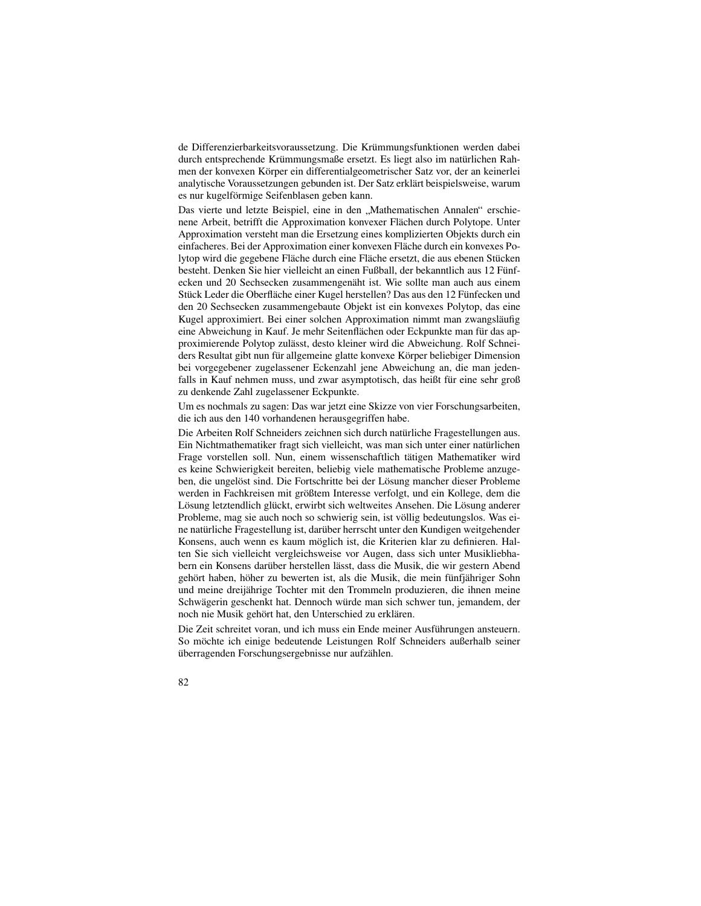de Differenzierbarkeitsvoraussetzung. Die Krümmungsfunktionen werden dabei durch entsprechende Krümmungsmaße ersetzt. Es liegt also im natürlichen Rahmen der konvexen Körper ein differentialgeometrischer Satz vor, der an keinerlei analytische Voraussetzungen gebunden ist. Der Satz erklärt beispielsweise, warum es nur kugelförmige Seifenblasen geben kann.

Das vierte und letzte Beispiel, eine in den "Mathematischen Annalen" erschie-<br>nana Arbeit, hatzifft die Annazyimation konvexer Flächen durch Bolytone, Unter nene Arbeit, betrifft die Approximation konvexer Flächen durch Polytope. Unter Approximation versteht man die Ersetzung eines komplizierten Objekts durch ein einfacheres. Bei der Approximation einer konvexen Fläche durch ein konvexes Polytop wird die gegebene Fläche durch eine Fläche ersetzt, die aus ebenen Stücken besteht. Denken Sie hier vielleicht an einen Fußball, der bekanntlich aus 12 Funf- ¨ ecken und 20 Sechsecken zusammengenäht ist. Wie sollte man auch aus einem Stück Leder die Oberfläche einer Kugel herstellen? Das aus den 12 Fünfecken und den 20 Sechsecken zusammengebaute Objekt ist ein konvexes Polytop, das eine Kugel approximiert. Bei einer solchen Approximation nimmt man zwangsläufig eine Abweichung in Kauf. Je mehr Seitenflächen oder Eckpunkte man für das approximierende Polytop zulässt, desto kleiner wird die Abweichung. Rolf Schneiders Resultat gibt nun für allgemeine glatte konvexe Körper beliebiger Dimension bei vorgegebener zugelassener Eckenzahl jene Abweichung an, die man jedenfalls in Kauf nehmen muss, und zwar asymptotisch, das heißt für eine sehr groß zu denkende Zahl zugelassener Eckpunkte.

Um es nochmals zu sagen: Das war jetzt eine Skizze von vier Forschungsarbeiten, die ich aus den 140 vorhandenen herausgegriffen habe.

Die Arbeiten Rolf Schneiders zeichnen sich durch natürliche Fragestellungen aus. Ein Nichtmathematiker fragt sich vielleicht, was man sich unter einer natürlichen Frage vorstellen soll. Nun, einem wissenschaftlich tätigen Mathematiker wird es keine Schwierigkeit bereiten, beliebig viele mathematische Probleme anzugeben, die ungelöst sind. Die Fortschritte bei der Lösung mancher dieser Probleme werden in Fachkreisen mit größtem Interesse verfolgt, und ein Kollege, dem die Lösung letztendlich glückt, erwirbt sich weltweites Ansehen. Die Lösung anderer Probleme, mag sie auch noch so schwierig sein, ist völlig bedeutungslos. Was eine natürliche Fragestellung ist, darüber herrscht unter den Kundigen weitgehender Konsens, auch wenn es kaum möglich ist, die Kriterien klar zu definieren. Halten Sie sich vielleicht vergleichsweise vor Augen, dass sich unter Musikliebhabern ein Konsens darüber herstellen lässt, dass die Musik, die wir gestern Abend gehört haben, höher zu bewerten ist, als die Musik, die mein fünfjähriger Sohn und meine dreijährige Tochter mit den Trommeln produzieren, die ihnen meine Schwägerin geschenkt hat. Dennoch würde man sich schwer tun, jemandem, der noch nie Musik gehört hat, den Unterschied zu erklären.

Die Zeit schreitet voran, und ich muss ein Ende meiner Ausführungen ansteuern. So möchte ich einige bedeutende Leistungen Rolf Schneiders außerhalb seiner überragenden Forschungsergebnisse nur aufzählen.

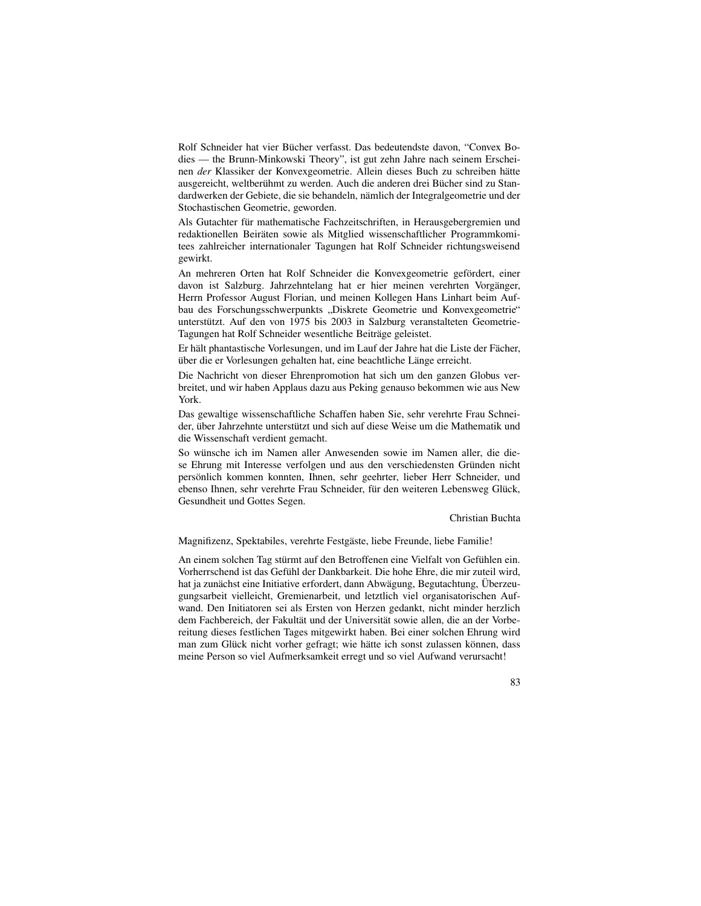Rolf Schneider hat vier Bücher verfasst. Das bedeutendste davon, "Convex Bodies — the Brunn-Minkowski Theory", ist gut zehn Jahre nach seinem Erscheinen *der* Klassiker der Konvexgeometrie. Allein dieses Buch zu schreiben hätte ausgereicht, weltberühmt zu werden. Auch die anderen drei Bücher sind zu Standardwerken der Gebiete, die sie behandeln, nämlich der Integralgeometrie und der Stochastischen Geometrie, geworden.

Als Gutachter für mathematische Fachzeitschriften, in Herausgebergremien und redaktionellen Beiräten sowie als Mitglied wissenschaftlicher Programmkomitees zahlreicher internationaler Tagungen hat Rolf Schneider richtungsweisend gewirkt.

An mehreren Orten hat Rolf Schneider die Konvexgeometrie gefördert, einer davon ist Salzburg. Jahrzehntelang hat er hier meinen verehrten Vorgänger, Herrn Professor August Florian, und meinen Kollegen Hans Linhart beim Aufbau des Forschungsschwerpunkts "Diskrete Geometrie und Konvexgeometrie"<br>unterstützt, Auf den von 1975 bie 2002 in Selzburg veronstelteten Geometrie unterstützt. Auf den von 1975 bis 2003 in Salzburg veranstalteten Geometrie-Tagungen hat Rolf Schneider wesentliche Beiträge geleistet.

Er hält phantastische Vorlesungen, und im Lauf der Jahre hat die Liste der Fächer, über die er Vorlesungen gehalten hat, eine beachtliche Länge erreicht.

Die Nachricht von dieser Ehrenpromotion hat sich um den ganzen Globus verbreitet, und wir haben Applaus dazu aus Peking genauso bekommen wie aus New York.

Das gewaltige wissenschaftliche Schaffen haben Sie, sehr verehrte Frau Schneider, über Jahrzehnte unterstützt und sich auf diese Weise um die Mathematik und die Wissenschaft verdient gemacht.

So wünsche ich im Namen aller Anwesenden sowie im Namen aller, die diese Ehrung mit Interesse verfolgen und aus den verschiedensten Gründen nicht persönlich kommen konnten, Ihnen, sehr geehrter, lieber Herr Schneider, und ebenso Ihnen, sehr verehrte Frau Schneider, für den weiteren Lebensweg Glück, Gesundheit und Gottes Segen.

#### Christian Buchta

Magnifizenz, Spektabiles, verehrte Festgäste, liebe Freunde, liebe Familie!

An einem solchen Tag stürmt auf den Betroffenen eine Vielfalt von Gefühlen ein. Vorherrschend ist das Gefühl der Dankbarkeit. Die hohe Ehre, die mir zuteil wird, hat ja zunächst eine Initiative erfordert, dann Abwägung, Begutachtung, Überzeugungsarbeit vielleicht, Gremienarbeit, und letztlich viel organisatorischen Aufwand. Den Initiatoren sei als Ersten von Herzen gedankt, nicht minder herzlich dem Fachbereich, der Fakultät und der Universität sowie allen, die an der Vorbereitung dieses festlichen Tages mitgewirkt haben. Bei einer solchen Ehrung wird man zum Glück nicht vorher gefragt; wie hätte ich sonst zulassen können, dass meine Person so viel Aufmerksamkeit erregt und so viel Aufwand verursacht!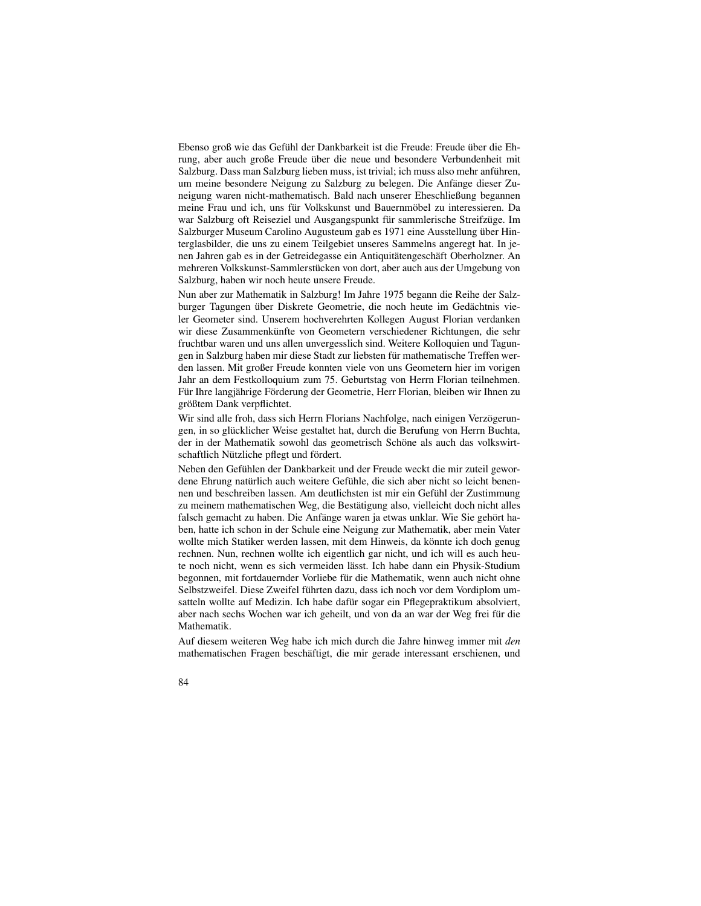Ebenso groß wie das Gefühl der Dankbarkeit ist die Freude: Freude über die Ehrung, aber auch große Freude über die neue und besondere Verbundenheit mit Salzburg. Dass man Salzburg lieben muss, ist trivial; ich muss also mehr anfuhren, ¨ um meine besondere Neigung zu Salzburg zu belegen. Die Anfänge dieser Zuneigung waren nicht-mathematisch. Bald nach unserer Eheschließung begannen meine Frau und ich, uns für Volkskunst und Bauernmöbel zu interessieren. Da war Salzburg oft Reiseziel und Ausgangspunkt für sammlerische Streifzüge. Im Salzburger Museum Carolino Augusteum gab es 1971 eine Ausstellung über Hinterglasbilder, die uns zu einem Teilgebiet unseres Sammelns angeregt hat. In jenen Jahren gab es in der Getreidegasse ein Antiquitätengeschäft Oberholzner. An mehreren Volkskunst-Sammlerstücken von dort, aber auch aus der Umgebung von Salzburg, haben wir noch heute unsere Freude.

Nun aber zur Mathematik in Salzburg! Im Jahre 1975 begann die Reihe der Salzburger Tagungen über Diskrete Geometrie, die noch heute im Gedächtnis vieler Geometer sind. Unserem hochverehrten Kollegen August Florian verdanken wir diese Zusammenkünfte von Geometern verschiedener Richtungen, die sehr fruchtbar waren und uns allen unvergesslich sind. Weitere Kolloquien und Tagungen in Salzburg haben mir diese Stadt zur liebsten für mathematische Treffen werden lassen. Mit großer Freude konnten viele von uns Geometern hier im vorigen Jahr an dem Festkolloquium zum 75. Geburtstag von Herrn Florian teilnehmen. Für Ihre langjährige Förderung der Geometrie, Herr Florian, bleiben wir Ihnen zu größtem Dank verpflichtet.

Wir sind alle froh, dass sich Herrn Florians Nachfolge, nach einigen Verzögerungen, in so glücklicher Weise gestaltet hat, durch die Berufung von Herrn Buchta, der in der Mathematik sowohl das geometrisch Schöne als auch das volkswirtschaftlich Nützliche pflegt und fördert.

Neben den Gefühlen der Dankbarkeit und der Freude weckt die mir zuteil gewordene Ehrung natürlich auch weitere Gefühle, die sich aber nicht so leicht benennen und beschreiben lassen. Am deutlichsten ist mir ein Gefühl der Zustimmung zu meinem mathematischen Weg, die Bestätigung also, vielleicht doch nicht alles falsch gemacht zu haben. Die Anfänge waren ja etwas unklar. Wie Sie gehört haben, hatte ich schon in der Schule eine Neigung zur Mathematik, aber mein Vater wollte mich Statiker werden lassen, mit dem Hinweis, da könnte ich doch genug rechnen. Nun, rechnen wollte ich eigentlich gar nicht, und ich will es auch heute noch nicht, wenn es sich vermeiden lässt. Ich habe dann ein Physik-Studium begonnen, mit fortdauernder Vorliebe für die Mathematik, wenn auch nicht ohne Selbstzweifel. Diese Zweifel führten dazu, dass ich noch vor dem Vordiplom umsatteln wollte auf Medizin. Ich habe dafür sogar ein Pflegepraktikum absolviert, aber nach sechs Wochen war ich geheilt, und von da an war der Weg frei für die Mathematik.

Auf diesem weiteren Weg habe ich mich durch die Jahre hinweg immer mit *den* mathematischen Fragen beschäftigt, die mir gerade interessant erschienen, und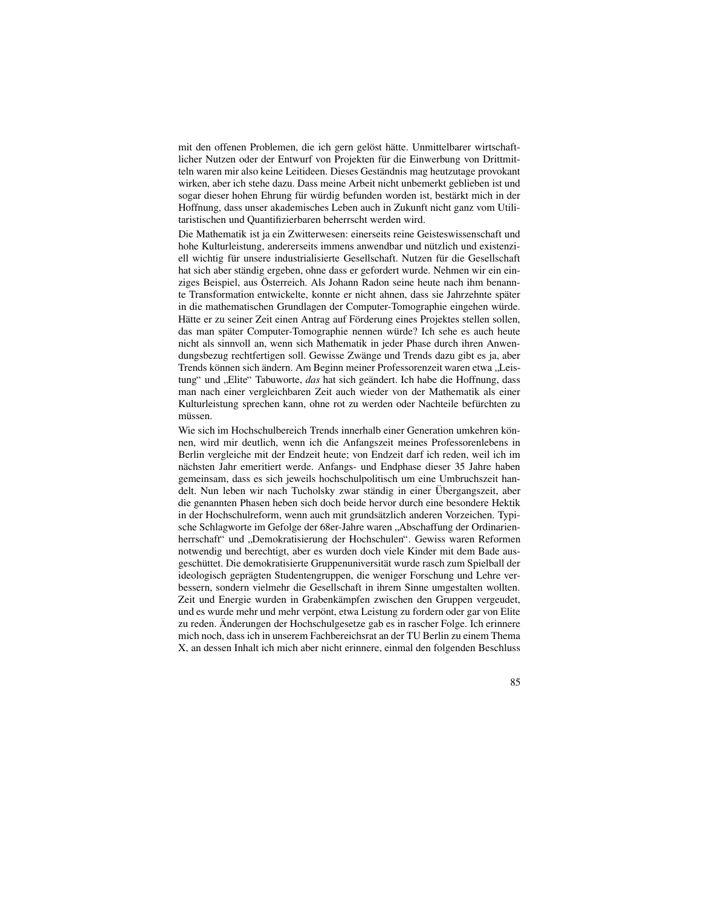mit den offenen Problemen, die ich gern gelöst hätte. Unmittelbarer wirtschaftlicher Nutzen oder der Entwurf von Projekten für die Einwerbung von Drittmitteln waren mir also keine Leitideen. Dieses Geständnis mag heutzutage provokant wirken, aber ich stehe dazu. Dass meine Arbeit nicht unbemerkt geblieben ist und sogar dieser hohen Ehrung für würdig befunden worden ist, bestärkt mich in der Hoffnung, dass unser akademisches Leben auch in Zukunft nicht ganz vom Utilitaristischen und Quantifizierbaren beherrscht werden wird.

Die Mathematik ist ja ein Zwitterwesen: einerseits reine Geisteswissenschaft und hohe Kulturleistung, andererseits immens anwendbar und nützlich und existenziell wichtig für unsere industrialisierte Gesellschaft. Nutzen für die Gesellschaft hat sich aber ständig ergeben, ohne dass er gefordert wurde. Nehmen wir ein einziges Beispiel, aus Österreich. Als Johann Radon seine heute nach ihm benannte Transformation entwickelte, konnte er nicht ahnen, dass sie Jahrzehnte später in die mathematischen Grundlagen der Computer-Tomographie eingehen würde. Hätte er zu seiner Zeit einen Antrag auf Förderung eines Projektes stellen sollen, das man später Computer-Tomographie nennen würde? Ich sehe es auch heute nicht als sinnvoll an, wenn sich Mathematik in jeder Phase durch ihren Anwendungsbezug rechtfertigen soll. Gewisse Zwänge und Trends dazu gibt es ja, aber Trends können sich ändern. Am Beginn meiner Professorenzeit waren etwa "Leistung" und "Elite" Tabuworte, *das* hat sich geändert. Ich habe die Hoffnung, dass<br>tung" und "Elite" Tabuworte, *das* hat sich geändert. Ich habe die Hoffnung, dass man nach einer vergleichbaren Zeit auch wieder von der Mathematik als einer Kulturleistung sprechen kann, ohne rot zu werden oder Nachteile befürchten zu müssen.

Wie sich im Hochschulbereich Trends innerhalb einer Generation umkehren können, wird mir deutlich, wenn ich die Anfangszeit meines Professorenlebens in Berlin vergleiche mit der Endzeit heute; von Endzeit darf ich reden, weil ich im nächsten Jahr emeritiert werde. Anfangs- und Endphase dieser 35 Jahre haben gemeinsam, dass es sich jeweils hochschulpolitisch um eine Umbruchszeit handelt. Nun leben wir nach Tucholsky zwar ständig in einer Übergangszeit, aber die genannten Phasen heben sich doch beide hervor durch eine besondere Hektik in der Hochschulreform, wenn auch mit grundsätzlich anderen Vorzeichen. Typische Schlagworte im Gefolge der 68er-Jahre waren " Abschaffung der Ordinarienherrschaft" und "Demokratisierung der Hochschulen". Gewiss waren Reformen<br>networdig und berechtigt, eber es wurden doch viele Kinder mit dem Bede aus notwendig und berechtigt, aber es wurden doch viele Kinder mit dem Bade ausgeschüttet. Die demokratisierte Gruppenuniversität wurde rasch zum Spielball der ideologisch geprägten Studentengruppen, die weniger Forschung und Lehre verbessern, sondern vielmehr die Gesellschaft in ihrem Sinne umgestalten wollten. Zeit und Energie wurden in Grabenkämpfen zwischen den Gruppen vergeudet, und es wurde mehr und mehr verpönt, etwa Leistung zu fordern oder gar von Elite zu reden. Änderungen der Hochschulgesetze gab es in rascher Folge. Ich erinnere mich noch, dass ich in unserem Fachbereichsrat an der TU Berlin zu einem Thema X, an dessen Inhalt ich mich aber nicht erinnere, einmal den folgenden Beschluss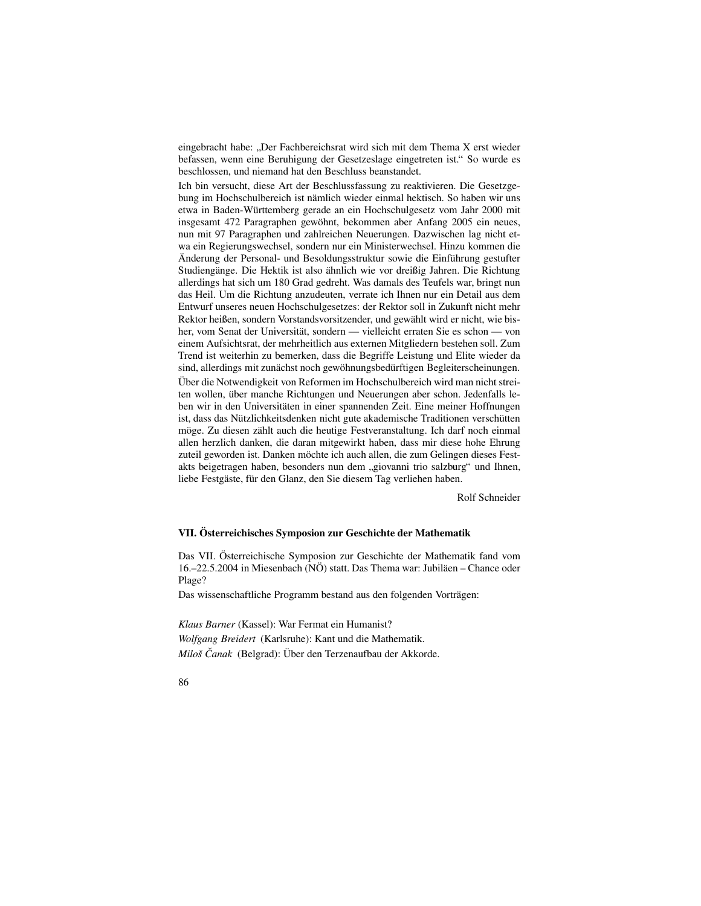eingebracht habe: "Der Fachbereichsrat wird sich mit dem Thema X erst wieder<br>haberenn wann eine Bambiaung der Geestzeelege eingetreten ist." So wurde es befassen, wenn eine Beruhigung der Gesetzeslage eingetreten ist." So wurde es beschlossen, und niemand hat den Beschluss beanstandet.

Ich bin versucht, diese Art der Beschlussfassung zu reaktivieren. Die Gesetzgebung im Hochschulbereich ist nämlich wieder einmal hektisch. So haben wir uns etwa in Baden-Württemberg gerade an ein Hochschulgesetz vom Jahr 2000 mit insgesamt 472 Paragraphen gewöhnt, bekommen aber Anfang 2005 ein neues, nun mit 97 Paragraphen und zahlreichen Neuerungen. Dazwischen lag nicht etwa ein Regierungswechsel, sondern nur ein Ministerwechsel. Hinzu kommen die Änderung der Personal- und Besoldungsstruktur sowie die Einführung gestufter Studiengänge. Die Hektik ist also ähnlich wie vor dreißig Jahren. Die Richtung allerdings hat sich um 180 Grad gedreht. Was damals des Teufels war, bringt nun das Heil. Um die Richtung anzudeuten, verrate ich Ihnen nur ein Detail aus dem Entwurf unseres neuen Hochschulgesetzes: der Rektor soll in Zukunft nicht mehr Rektor heißen, sondern Vorstandsvorsitzender, und gewählt wird er nicht, wie bisher, vom Senat der Universität, sondern — vielleicht erraten Sie es schon — von einem Aufsichtsrat, der mehrheitlich aus externen Mitgliedern bestehen soll. Zum Trend ist weiterhin zu bemerken, dass die Begriffe Leistung und Elite wieder da sind, allerdings mit zunächst noch gewöhnungsbedürftigen Begleiterscheinungen. Über die Notwendigkeit von Reformen im Hochschulbereich wird man nicht streiten wollen, über manche Richtungen und Neuerungen aber schon. Jedenfalls leben wir in den Universitäten in einer spannenden Zeit. Eine meiner Hoffnungen ist, dass das Nützlichkeitsdenken nicht gute akademische Traditionen verschütten möge. Zu diesen zählt auch die heutige Festveranstaltung. Ich darf noch einmal allen herzlich danken, die daran mitgewirkt haben, dass mir diese hohe Ehrung zuteil geworden ist. Danken möchte ich auch allen, die zum Gelingen dieses Festakts beigetragen haben, besonders nun dem "giovanni trio salzburg" und Ihnen,<br>liebe Festgäste für den Glanz, den Sie diesem Teg verlieben behen. liebe Festgäste, für den Glanz, den Sie diesem Tag verliehen haben.

Rolf Schneider

### **VII. Osterr ¨ eichisches Symposion zur Geschichte der Mathematik**

Das VII. Österreichische Symposion zur Geschichte der Mathematik fand vom  $16,-22.5.2004$  in Miesenbach (NÖ) statt. Das Thema war: Jubiläen – Chance oder Plage?

Das wissenschaftliche Programm bestand aus den folgenden Vorträgen:

*Klaus Barner* (Kassel): War Fermat ein Humanist? *Wolfgang Breidert* (Karlsruhe): Kant und die Mathematik. *Miloš Čanak* (Belgrad): Über den Terzenaufbau der Akkorde.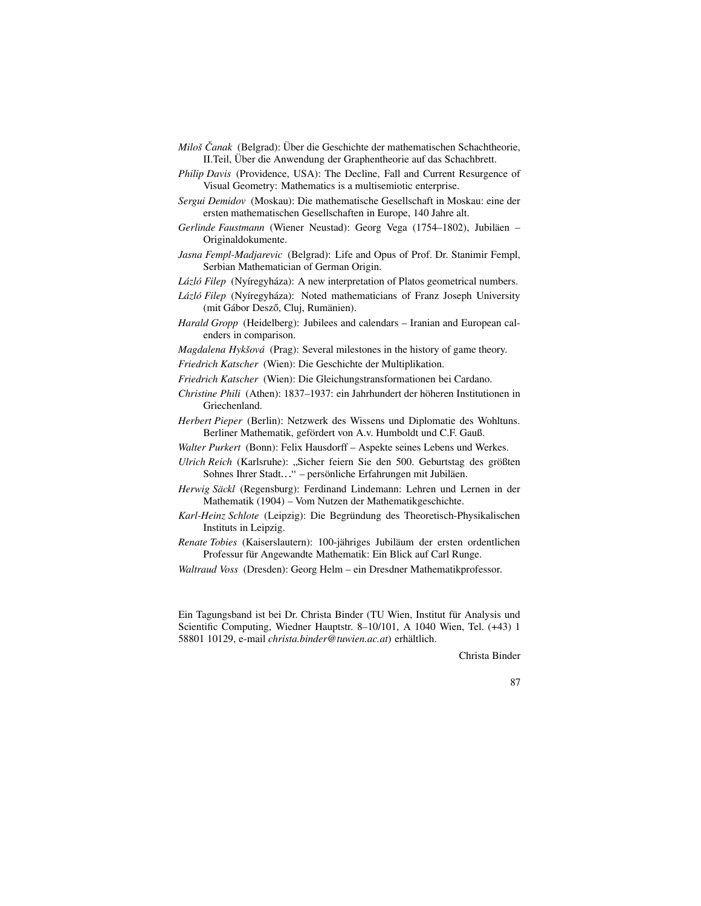- *Miloš Čanak* (Belgrad): Über die Geschichte der mathematischen Schachtheorie, II. Teil, Über die Anwendung der Graphentheorie auf das Schachbrett.
- *Philip Davis* (Providence, USA): The Decline, Fall and Current Resurgence of Visual Geometry: Mathematics is a multisemiotic enterprise.
- *Sergui Demidov* (Moskau): Die mathematische Gesellschaft in Moskau: eine der ersten mathematischen Gesellschaften in Europe, 140 Jahre alt.
- *Gerlinde Faustmann* (Wiener Neustad): Georg Vega (1754–1802), Jubiläen Originaldokumente.
- *Jasna Fempl-Madjarevic* (Belgrad): Life and Opus of Prof. Dr. Stanimir Fempl, Serbian Mathematician of German Origin.
- *Lázló Filep* (Nyíregyháza): A new interpretation of Platos geometrical numbers.
- *Lázló Filep* (Nyíregyháza): Noted mathematicians of Franz Joseph University (mit Gábor Desző, Cluj, Rumänien).
- *Harald Gropp* (Heidelberg): Jubilees and calendars Iranian and European calenders in comparison.
- *Magdalena Hykšová* (Prag): Several milestones in the history of game theory.
- *Friedrich Katscher* (Wien): Die Geschichte der Multiplikation.
- *Friedrich Katscher* (Wien): Die Gleichungstransformationen bei Cardano.
- *Christine Phili* (Athen): 1837–1937: ein Jahrhundert der höheren Institutionen in Griechenland.
- *Herbert Pieper* (Berlin): Netzwerk des Wissens und Diplomatie des Wohltuns. Berliner Mathematik, gefördert von A.v. Humboldt und C.F. Gauß.
- *Walter Purkert* (Bonn): Felix Hausdorff Aspekte seines Lebens und Werkes.
- *Ulrich Reich* (Karlsruhe): "Sicher feiern Sie den 500. Geburtstag des größten Schnes Ibrer Stedt." persönliche Erfebrungen mit Jubilöen Sohnes Ihrer Stadt. " - persönliche Erfahrungen mit Jubiläen.
- *Herwig Säckl* (Regensburg): Ferdinand Lindemann: Lehren und Lernen in der Mathematik (1904) – Vom Nutzen der Mathematikgeschichte.
- Karl-Heinz Schlote (Leipzig): Die Begründung des Theoretisch-Physikalischen Instituts in Leipzig.
- *Renate Tobies* (Kaiserslautern): 100-jähriges Jubiläum der ersten ordentlichen Professur für Angewandte Mathematik: Ein Blick auf Carl Runge.
- *Waltraud Voss* (Dresden): Georg Helm ein Dresdner Mathematikprofessor.

Ein Tagungsband ist bei Dr. Christa Binder (TU Wien, Institut für Analysis und Scientific Computing, Wiedner Hauptstr. 8–10/101, A 1040 Wien, Tel. (+43) 1 58801 10129, e-mail *christa.binder@tuwien.ac.at*) erhaltlich. ¨

Christa Binder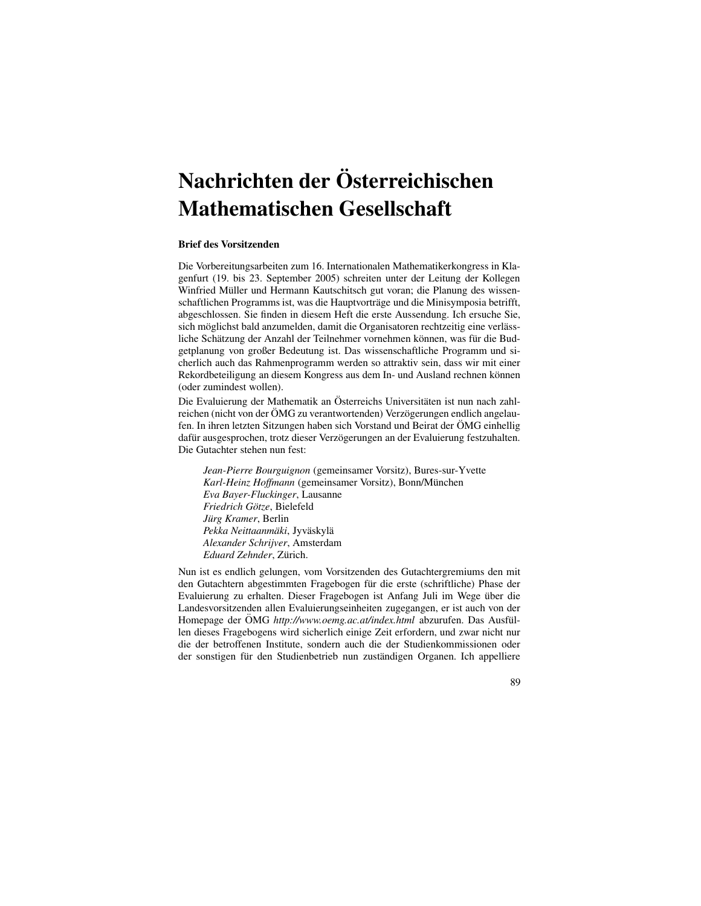# **Nachrichten der Osterr ¨ eichischen Mathematischen Gesellschaft**

### **Brief des Vorsitzenden**

Die Vorbereitungsarbeiten zum 16. Internationalen Mathematikerkongress in Klagenfurt (19. bis 23. September 2005) schreiten unter der Leitung der Kollegen Winfried Müller und Hermann Kautschitsch gut voran; die Planung des wissenschaftlichen Programms ist, was die Hauptvorträge und die Minisymposia betrifft, abgeschlossen. Sie finden in diesem Heft die erste Aussendung. Ich ersuche Sie, sich möglichst bald anzumelden, damit die Organisatoren rechtzeitig eine verlässliche Schätzung der Anzahl der Teilnehmer vornehmen können, was für die Budgetplanung von großer Bedeutung ist. Das wissenschaftliche Programm und sicherlich auch das Rahmenprogramm werden so attraktiv sein, dass wir mit einer Rekordbeteiligung an diesem Kongress aus dem In- und Ausland rechnen können (oder zumindest wollen).

Die Evaluierung der Mathematik an Österreichs Universitäten ist nun nach zahlreichen (nicht von der ÖMG zu verantwortenden) Verzögerungen endlich angelaufen. In ihren letzten Sitzungen haben sich Vorstand und Beirat der ÖMG einhellig dafür ausgesprochen, trotz dieser Verzögerungen an der Evaluierung festzuhalten. Die Gutachter stehen nun fest:

*Jean-Pierre Bourguignon* (gemeinsamer Vorsitz), Bures-sur-Yvette *Karl-Heinz Hoffmann* (gemeinsamer Vorsitz), Bonn/Munchen ¨ *Eva Bayer-Fluckinger*, Lausanne *Friedrich Gotze ¨* , Bielefeld *Jürg Kramer*, Berlin  $Pekka Neittaanmäki, Jyväskylä$ *Alexander Schrijver*, Amsterdam *Eduard Zehnder*, Zurich. ¨

Nun ist es endlich gelungen, vom Vorsitzenden des Gutachtergremiums den mit den Gutachtern abgestimmten Fragebogen für die erste (schriftliche) Phase der Evaluierung zu erhalten. Dieser Fragebogen ist Anfang Juli im Wege über die Landesvorsitzenden allen Evaluierungseinheiten zugegangen, er ist auch von der Homepage der OMG http://www.oemg.ac.at/index.html abzurufen. Das Ausfüllen dieses Fragebogens wird sicherlich einige Zeit erfordern, und zwar nicht nur die der betroffenen Institute, sondern auch die der Studienkommissionen oder der sonstigen für den Studienbetrieb nun zuständigen Organen. Ich appelliere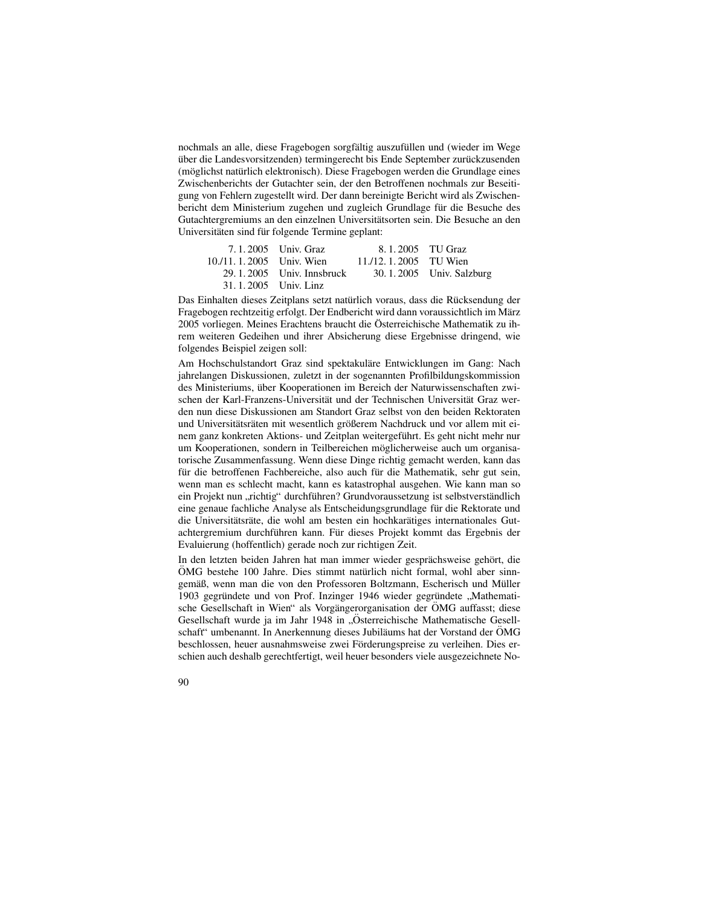nochmals an alle, diese Fragebogen sorgfältig auszufüllen und (wieder im Wege über die Landesvorsitzenden) termingerecht bis Ende September zurückzusenden (möglichst natürlich elektronisch). Diese Fragebogen werden die Grundlage eines Zwischenberichts der Gutachter sein, der den Betroffenen nochmals zur Beseitigung von Fehlern zugestellt wird. Der dann bereinigte Bericht wird als Zwischenbericht dem Ministerium zugehen und zugleich Grundlage für die Besuche des Gutachtergremiums an den einzelnen Universitätsorten sein. Die Besuche an den Universitäten sind für folgende Termine geplant:

|                            | 7.1.2005 Univ. Graz         | 8.1.2005 TU Graz      |                          |
|----------------------------|-----------------------------|-----------------------|--------------------------|
| 10./11, 1, 2005 Univ. Wien |                             | 11./12.1.2005 TU Wien |                          |
|                            | $29.1.2005$ Univ. Innsbruck |                       | 30.1.2005 Univ. Salzburg |
|                            | 31.1.2005 Univ. Linz        |                       |                          |

Das Einhalten dieses Zeitplans setzt natürlich voraus, dass die Rücksendung der Fragebogen rechtzeitig erfolgt. Der Endbericht wird dann voraussichtlich im März 2005 vorliegen. Meines Erachtens braucht die Österreichische Mathematik zu ihrem weiteren Gedeihen und ihrer Absicherung diese Ergebnisse dringend, wie folgendes Beispiel zeigen soll:

Am Hochschulstandort Graz sind spektakuläre Entwicklungen im Gang: Nach jahrelangen Diskussionen, zuletzt in der sogenannten Profilbildungskommission des Ministeriums, über Kooperationen im Bereich der Naturwissenschaften zwischen der Karl-Franzens-Universität und der Technischen Universität Graz werden nun diese Diskussionen am Standort Graz selbst von den beiden Rektoraten und Universitätsräten mit wesentlich größerem Nachdruck und vor allem mit einem ganz konkreten Aktions- und Zeitplan weitergeführt. Es geht nicht mehr nur um Kooperationen, sondern in Teilbereichen möglicherweise auch um organisatorische Zusammenfassung. Wenn diese Dinge richtig gemacht werden, kann das für die betroffenen Fachbereiche, also auch für die Mathematik, sehr gut sein, wenn man es schlecht macht, kann es katastrophal ausgehen. Wie kann man so ein Projekt nun "richtig" durchführen? Grundvoraussetzung ist selbstverständlich<br>eine genaue fechliche Analyse als Entscheidungsgrundlage für die Bekterste und eine genaue fachliche Analyse als Entscheidungsgrundlage für die Rektorate und die Universitätsräte, die wohl am besten ein hochkarätiges internationales Gutachtergremium durchführen kann. Für dieses Projekt kommt das Ergebnis der Evaluierung (hoffentlich) gerade noch zur richtigen Zeit.

In den letzten beiden Jahren hat man immer wieder gesprächsweise gehört, die ÖMG bestehe 100 Jahre. Dies stimmt natürlich nicht formal, wohl aber sinngemäß, wenn man die von den Professoren Boltzmann, Escherisch und Müller 1903 gegründete und von Prof. Inzinger 1946 wieder gegründete "Mathematische Gesellschaft in Wien" als Vorgängerorganisation der ÖMG auffasst; diese Gesellschaft wurde ja im Jahr 1948 in "Österreichische Mathematische Gesellschaft" umbenannt. In Anerkennung dieses Jubiläums hat der Vorstand der ÖMG beschlossen, heuer ausnahmsweise zwei Förderungspreise zu verleihen. Dies erschien auch deshalb gerechtfertigt, weil heuer besonders viele ausgezeichnete No-

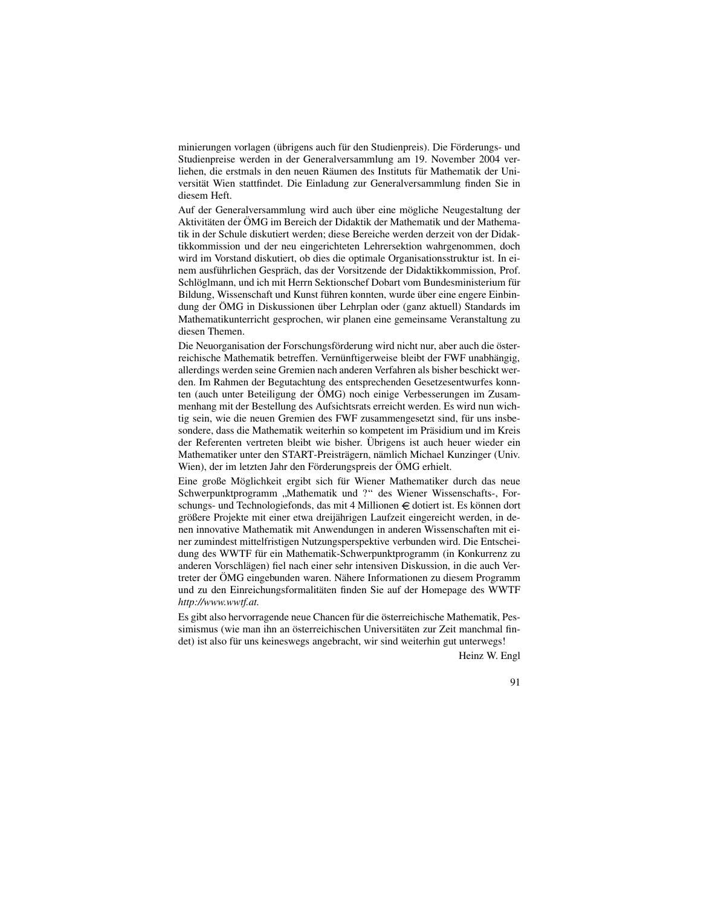minierungen vorlagen (übrigens auch für den Studienpreis). Die Förderungs- und Studienpreise werden in der Generalversammlung am 19. November 2004 verliehen, die erstmals in den neuen Räumen des Instituts für Mathematik der Universität Wien stattfindet. Die Einladung zur Generalversammlung finden Sie in diesem Heft.

Auf der Generalversammlung wird auch über eine mögliche Neugestaltung der Aktivitäten der ÖMG im Bereich der Didaktik der Mathematik und der Mathematik in der Schule diskutiert werden; diese Bereiche werden derzeit von der Didaktikkommission und der neu eingerichteten Lehrersektion wahrgenommen, doch wird im Vorstand diskutiert, ob dies die optimale Organisationsstruktur ist. In einem ausführlichen Gespräch, das der Vorsitzende der Didaktikkommission, Prof. Schlöglmann, und ich mit Herrn Sektionschef Dobart vom Bundesministerium für Bildung, Wissenschaft und Kunst führen konnten, wurde über eine engere Einbindung der ÖMG in Diskussionen über Lehrplan oder (ganz aktuell) Standards im Mathematikunterricht gesprochen, wir planen eine gemeinsame Veranstaltung zu diesen Themen.

Die Neuorganisation der Forschungsförderung wird nicht nur, aber auch die österreichische Mathematik betreffen. Vernünftigerweise bleibt der FWF unabhängig, allerdings werden seine Gremien nach anderen Verfahren als bisher beschickt werden. Im Rahmen der Begutachtung des entsprechenden Gesetzesentwurfes konnten (auch unter Beteiligung der ÖMG) noch einige Verbesserungen im Zusammenhang mit der Bestellung des Aufsichtsrats erreicht werden. Es wird nun wichtig sein, wie die neuen Gremien des FWF zusammengesetzt sind, für uns insbesondere, dass die Mathematik weiterhin so kompetent im Präsidium und im Kreis der Referenten vertreten bleibt wie bisher. Übrigens ist auch heuer wieder ein Mathematiker unter den START-Preisträgern, nämlich Michael Kunzinger (Univ. Wien), der im letzten Jahr den Förderungspreis der ÖMG erhielt.

Eine große Möglichkeit ergibt sich für Wiener Mathematiker durch das neue Schwerpunktprogramm, "Mathematik und ?" des Wiener Wissenschafts-, For-<br>schungs und Technologisfands des mit 4 Millioner G detiert ist. Es können dert schungs- und Technologiefonds, das mit 4 Millionen € dotiert ist. Es können dort größere Projekte mit einer etwa dreijährigen Laufzeit eingereicht werden, in denen innovative Mathematik mit Anwendungen in anderen Wissenschaften mit einer zumindest mittelfristigen Nutzungsperspektive verbunden wird. Die Entscheidung des WWTF für ein Mathematik-Schwerpunktprogramm (in Konkurrenz zu anderen Vorschlägen) fiel nach einer sehr intensiven Diskussion, in die auch Vertreter der ÖMG eingebunden waren. Nähere Informationen zu diesem Programm und zu den Einreichungsformalitäten finden Sie auf der Homepage des WWTF *http://www.wwtf.at.*

Es gibt also hervorragende neue Chancen für die österreichische Mathematik, Pessimismus (wie man ihn an österreichischen Universitäten zur Zeit manchmal findet) ist also für uns keineswegs angebracht, wir sind weiterhin gut unterwegs!

Heinz W. Engl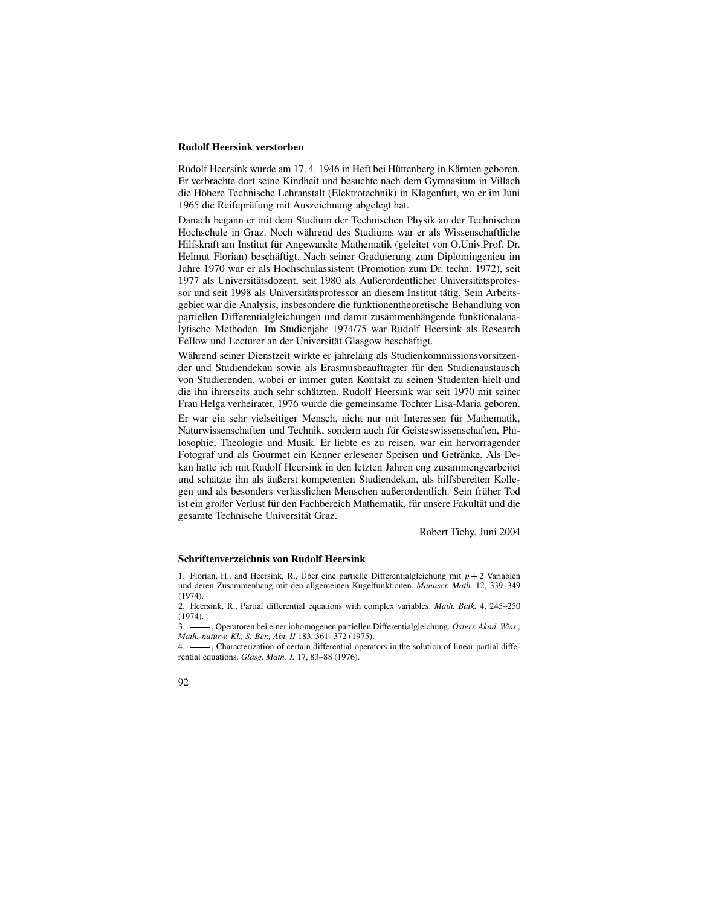### **Rudolf Heersink verstorben**

Rudolf Heersink wurde am 17. 4. 1946 in Heft bei Hüttenberg in Kärnten geboren. Er verbrachte dort seine Kindheit und besuchte nach dem Gymnasium in Villach die Höhere Technische Lehranstalt (Elektrotechnik) in Klagenfurt, wo er im Juni 1965 die Reifeprüfung mit Auszeichnung abgelegt hat.

Danach begann er mit dem Studium der Technischen Physik an der Technischen Hochschule in Graz. Noch während des Studiums war er als Wissenschaftliche Hilfskraft am Institut für Angewandte Mathematik (geleitet von O.Univ.Prof. Dr. Helmut Florian) beschäftigt. Nach seiner Graduierung zum Diplomingenieu im Jahre 1970 war er als Hochschulassistent (Promotion zum Dr. techn. 1972), seit 1977 als Universitätsdozent, seit 1980 als Außerordentlicher Universitätsprofessor und seit 1998 als Universitätsprofessor an diesem Institut tätig. Sein Arbeitsgebiet war die Analysis, insbesondere die funktionentheoretische Behandlung von partiellen Differentialgleichungen und damit zusammenhängende funktionalanalytische Methoden. Im Studienjahr 1974/75 war Rudolf Heersink als Research FeIlow und Lecturer an der Universität Glasgow beschäftigt.

Während seiner Dienstzeit wirkte er jahrelang als Studienkommissionsvorsitzender und Studiendekan sowie als Erasmusbeauftragter für den Studienaustausch von Studierenden, wobei er immer guten Kontakt zu seinen Studenten hielt und die ihn ihrerseits auch sehr schätzten. Rudolf Heersink war seit 1970 mit seiner Frau Helga verheiratet, 1976 wurde die gemeinsame Tochter Lisa-Maria geboren.

Er war ein sehr vielseitiger Mensch, nicht nur mit Interessen für Mathematik, Naturwissenschaften und Technik, sondern auch für Geisteswissenschaften, Philosophie, Theologie und Musik. Er liebte es zu reisen, war ein hervorragender Fotograf und als Gourmet ein Kenner erlesener Speisen und Getränke. Als Dekan hatte ich mit Rudolf Heersink in den letzten Jahren eng zusammengearbeitet und schätzte ihn als äußerst kompetenten Studiendekan, als hilfsbereiten Kollegen und als besonders verlässlichen Menschen außerordentlich. Sein früher Tod ist ein großer Verlust für den Fachbereich Mathematik, für unsere Fakultät und die gesamte Technische Universität Graz.

Robert Tichy, Juni 2004

### **Schriftenverzeichnis von Rudolf Heersink**

1. Florian, H., and Heersink, R., Über eine partielle Differentialgleichung mit  $p + 2$  Variablen und deren Zusammenhang mit den allgemeinen Kugelfunktionen. *Manuscr. Math.* 12, 339–349  $(1974)$ 

2. Heersink, R., Partial differential equations with complex variables. *Math. Balk.* 4, 245–250 (1974).

3. - , Operatoren bei einer inhomogenen partiellen Differentialgleichung. Österr. Akad. Wiss., *Math.-naturw. Kl., S.-Ber., Abt. II* 183, 361- 372 (1975).

4.  $\frac{1}{100}$ , Characterization of certain differential operators in the solution of linear partial differential equations. *Glasg. Math. J.* 17, 83–88 (1976).

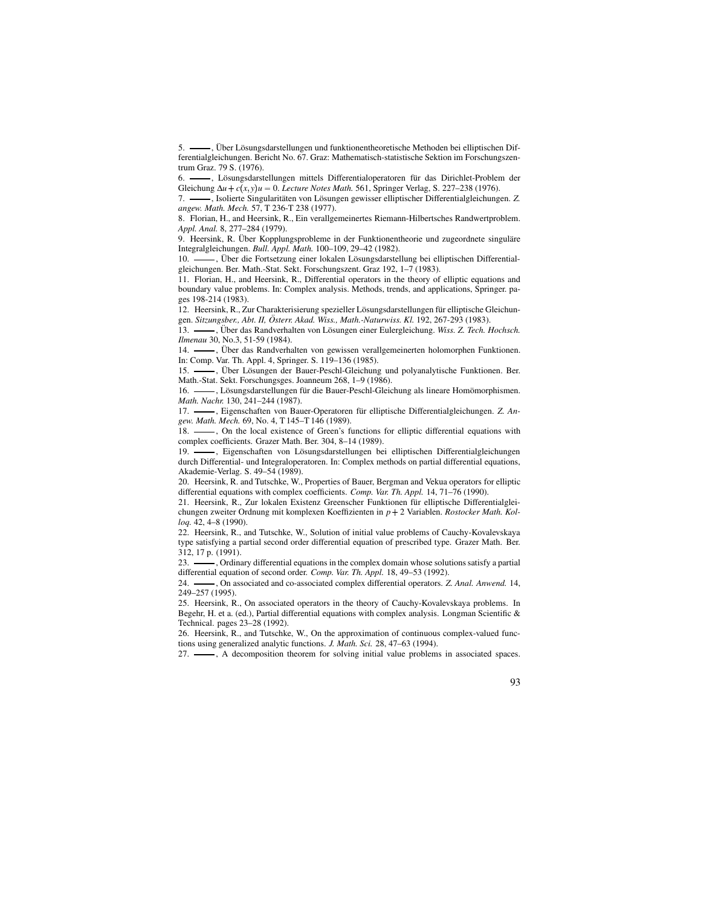-, Über Lösungsdarstellungen und funktionentheoretische Methoden bei elliptischen Differentialgleichungen. Bericht No. 67. Graz: Mathematisch-statistische Sektion im Forschungszentrum Graz. 79 S. (1976).

6.  $\longrightarrow$ , Lösungsdarstellungen mittels Differentialoperatoren für das Dirichlet-Problem der Gleichung  $\Delta u + c(x, y)u = 0$ . *Lecture Notes Math.* 561, Springer Verlag, S. 227–238 (1976).

7. - , Isolierte Singularitäten von Lösungen gewisser elliptischer Differentialgleichungen. Z. *angew. Math. Mech.* 57, T 236-T 238 (1977).

8. Florian, H., and Heersink, R., Ein verallgemeinertes Riemann-Hilbertsches Randwertproblem. *Appl. Anal.* 8, 277–284 (1979).

9. Heersink, R. Über Kopplungsprobleme in der Funktionentheorie und zugeordnete singuläre Integralgleichungen. *Bull. Appl. Math.* 100–109, 29–42 (1982).

-, Über die Fortsetzung einer lokalen Lösungsdarstellung bei elliptischen Differentialgleichungen. Ber. Math.-Stat. Sekt. Forschungszent. Graz 192, 1–7 (1983).

11. Florian, H., and Heersink, R., Differential operators in the theory of elliptic equations and boundary value problems. In: Complex analysis. Methods, trends, and applications, Springer. pages 198-214 (1983).

12. Heersink, R., Zur Charakterisierung spezieller Lösungsdarstellungen für elliptische Gleichungen. *Sitzungsber., Abt. II, Osterr ¨ . Akad. Wiss., Math.-Naturwiss. Kl.* 192, 267-293 (1983).

13.  $\_\_\_\$ , Über das Randverhalten von Lösungen einer Eulergleichung. *Wiss. Z. Tech. Hochsch. Ilmenau* 30, No.3, 51-59 (1984).<br>14. **......** Über das Randverha

, Über das Randverhalten von gewissen verallgemeinerten holomorphen Funktionen. In: Comp. Var. Th. Appl. 4, Springer. S. 119–136 (1985).

15.  $\_\_\$ n, Über Lösungen der Bauer-Peschl-Gleichung und polyanalytische Funktionen. Ber. Math.-Stat. Sekt. Forschungsges. Joanneum 268, 1–9 (1986).

16.  $\_\_\_\$ ngsdarstellungen für die Bauer-Peschl-Gleichung als lineare Homömorphismen. *Math. Nachr.* 130, 241–244 (1987).

17.  $\frac{17}{2}$ , Eigenschaften von Bauer-Operatoren für elliptische Differentialgleichungen. *Z. Angew. Math. Mech.* 69, No. 4, T 145–T 146 (1989).

18.  $\frac{1}{18}$ , On the local existence of Green's functions for elliptic differential equations with complex coefficients. Grazer Math. Ber. 304, 8–14 (1989).

19.  $\frac{1}{2}$ , Eigenschaften von Lösungsdarstellungen bei elliptischen Differentialgleichungen durch Differential- und Integraloperatoren. In: Complex methods on partial differential equations, Akademie-Verlag. S. 49–54 (1989).

20. Heersink, R. and Tutschke, W., Properties of Bauer, Bergman and Vekua operators for elliptic differential equations with complex coefficients. *Comp. Var. Th. Appl.* 14, 71–76 (1990).

21. Heersink, R., Zur lokalen Existenz Greenscher Funktionen für elliptische Differentialgleichungen zweiter Ordnung mit komplexen Koeffizienten in *p* 2 Variablen. *Rostocker Math. Kolloq.* 42, 4–8 (1990).

22. Heersink, R., and Tutschke, W., Solution of initial value problems of Cauchy-Kovalevskaya type satisfying a partial second order differential equation of prescribed type. Grazer Math. Ber. 312, 17 p. (1991).

23.  $\frac{1}{2}$ , Ordinary differential equations in the complex domain whose solutions satisfy a partial differential equation of second order. *Comp. Var. Th. Appl.* 18, 49–53 (1992).

24. , On associated and co-associated complex differential operators. *Z. Anal. Anwend.* 14, 249–257 (1995).

25. Heersink, R., On associated operators in the theory of Cauchy-Kovalevskaya problems. In Begehr, H. et a. (ed.), Partial differential equations with complex analysis. Longman Scientific & Technical. pages 23–28 (1992).

26. Heersink, R., and Tutschke, W., On the approximation of continuous complex-valued functions using generalized analytic functions. *J. Math. Sci.* 28, 47–63 (1994).

27.  $\longrightarrow$ , A decomposition theorem for solving initial value problems in associated spaces.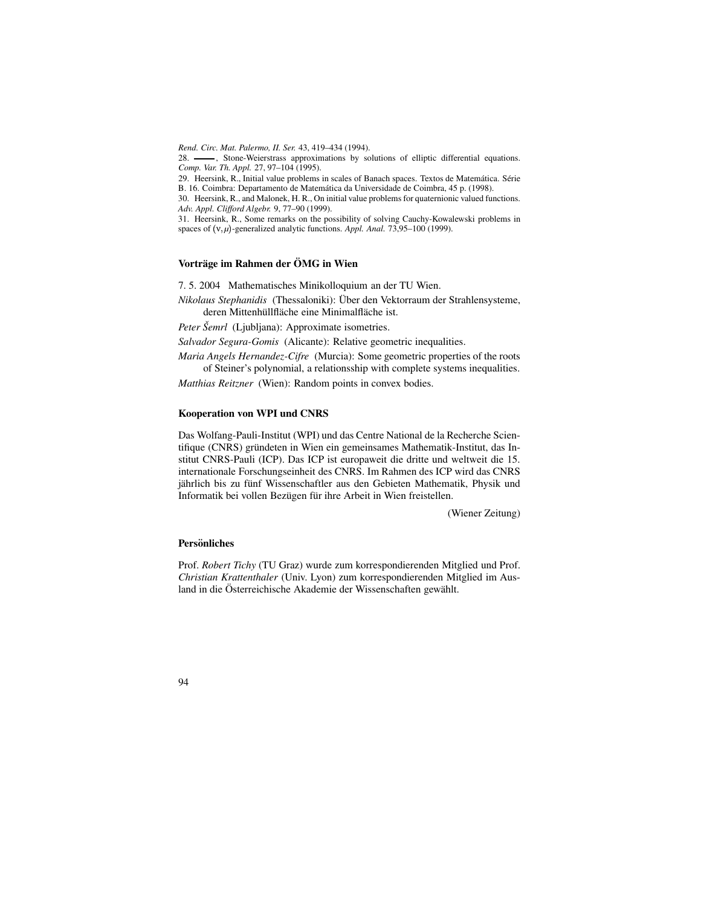*Rend. Circ. Mat. Palermo, II. Ser.* 43, 419–434 (1994).

28.  $\frac{1}{28}$ , Stone-Weierstrass approximations by solutions of elliptic differential equations. *Comp. Var. Th. Appl.* 27, 97–104 (1995).

29. Heersink, R., Initial value problems in scales of Banach spaces. Textos de Matemática. Série B. 16. Coimbra: Departamento de Matemática da Universidade de Coimbra, 45 p. (1998).

30. Heersink, R., and Malonek, H. R., On initial value problems for quaternionic valued functions. *Adv. Appl. Clifford Algebr.* 9, 77–90 (1999).

31. Heersink, R., Some remarks on the possibility of solving Cauchy-Kowalewski problems in spaces of (v, μ)-generalized analytic functions. *Appl. Anal.* 73,95–100 (1999).

### **Vortrage ¨ im Rahmen der OMG ¨ in Wien**

7. 5. 2004 Mathematisches Minikolloquium an der TU Wien.

*Nikolaus Stephanidis* (Thessaloniki): Über den Vektorraum der Strahlensysteme, deren Mittenhüllfläche eine Minimalfläche ist.

*Peter Šemrl* (Ljubljana): Approximate isometries.

*Salvador Segura-Gomis* (Alicante): Relative geometric inequalities.

*Maria Angels Hernandez-Cifre* (Murcia): Some geometric properties of the roots of Steiner's polynomial, a relationsship with complete systems inequalities.

*Matthias Reitzner* (Wien): Random points in convex bodies.

### **Kooperation von WPI und CNRS**

Das Wolfang-Pauli-Institut (WPI) und das Centre National de la Recherche Scientifique (CNRS) gründeten in Wien ein gemeinsames Mathematik-Institut, das Institut CNRS-Pauli (ICP). Das ICP ist europaweit die dritte und weltweit die 15. internationale Forschungseinheit des CNRS. Im Rahmen des ICP wird das CNRS jährlich bis zu fünf Wissenschaftler aus den Gebieten Mathematik, Physik und Informatik bei vollen Bezügen für ihre Arbeit in Wien freistellen.

(Wiener Zeitung)

### **Personliches ¨**

Prof. *Robert Tichy* (TU Graz) wurde zum korrespondierenden Mitglied und Prof. *Christian Krattenthaler* (Univ. Lyon) zum korrespondierenden Mitglied im Ausland in die Österreichische Akademie der Wissenschaften gewählt.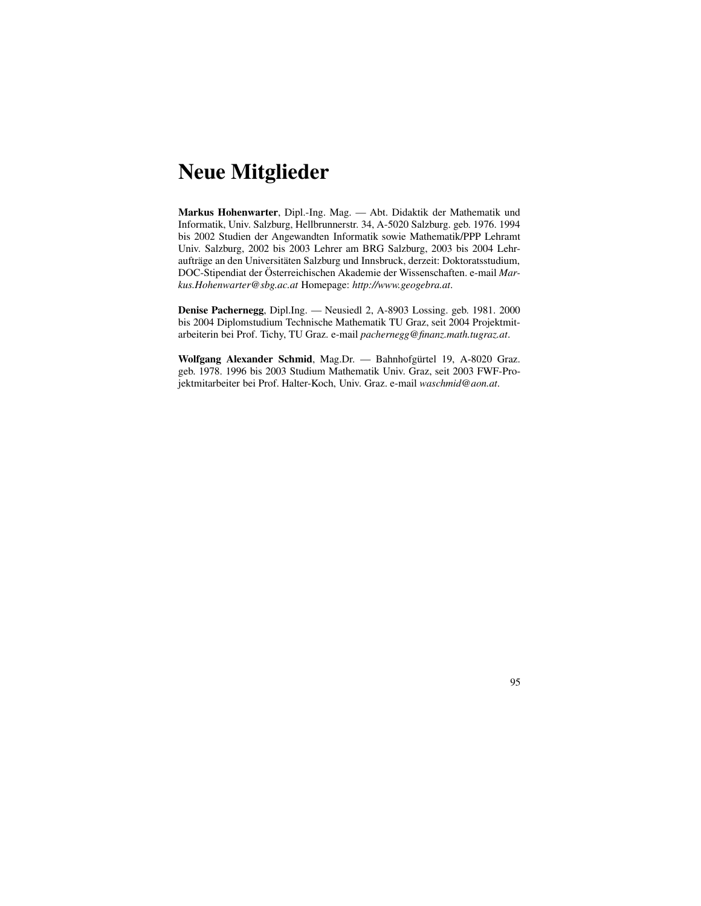## **Neue Mitglieder**

**Markus Hohenwarter**, Dipl.-Ing. Mag. — Abt. Didaktik der Mathematik und Informatik, Univ. Salzburg, Hellbrunnerstr. 34, A-5020 Salzburg. geb. 1976. 1994 bis 2002 Studien der Angewandten Informatik sowie Mathematik/PPP Lehramt Univ. Salzburg, 2002 bis 2003 Lehrer am BRG Salzburg, 2003 bis 2004 Lehraufträge an den Universitäten Salzburg und Innsbruck, derzeit: Doktoratsstudium, DOC-Stipendiat der Österreichischen Akademie der Wissenschaften. e-mail Mar*kus.Hohenwarter@sbg.ac.at* Homepage: *http://www.geogebra.at*.

**Denise Pachernegg**, Dipl.Ing. — Neusiedl 2, A-8903 Lossing. geb. 1981. 2000 bis 2004 Diplomstudium Technische Mathematik TU Graz, seit 2004 Projektmitarbeiterin bei Prof. Tichy, TU Graz. e-mail *pachernegg@finanz.math.tugraz.at*.

**Wolfgang Alexander Schmid**, Mag.Dr. - Bahnhofgürtel 19, A-8020 Graz. geb. 1978. 1996 bis 2003 Studium Mathematik Univ. Graz, seit 2003 FWF-Projektmitarbeiter bei Prof. Halter-Koch, Univ. Graz. e-mail *waschmid@aon.at*.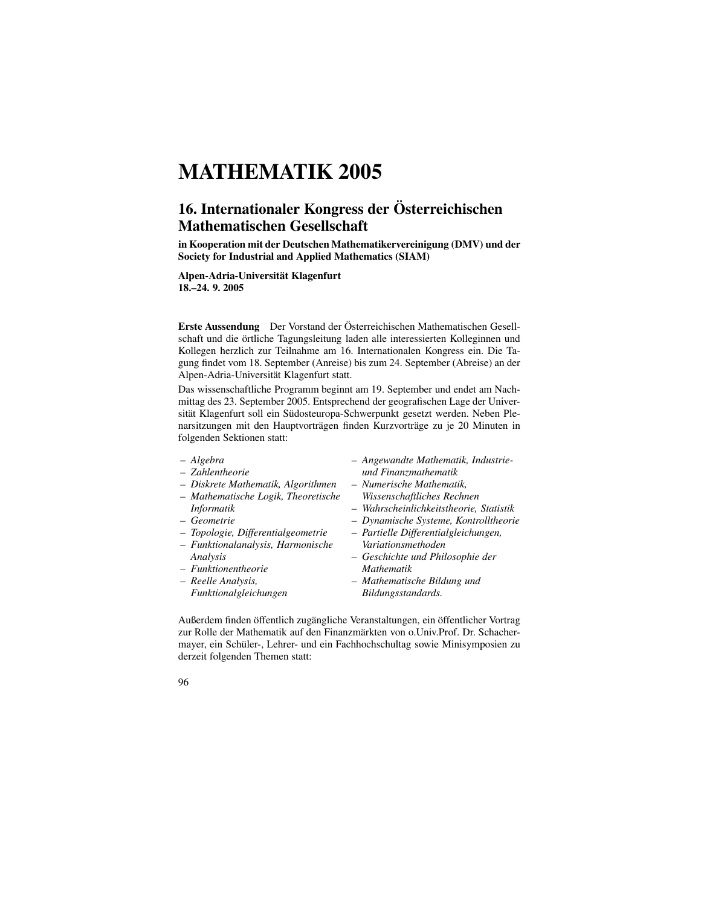# **MATHEMATIK 2005**

## **16. Internationaler Kongress der Osterr ¨ eichischen Mathematischen Gesellschaft**

**in Kooperation mit der Deutschen Mathematikervereinigung (DMV) und der Society for Industrial and Applied Mathematics (SIAM)**

**Alpen-Adria-Universitat¨ Klagenfurt 18.–24. 9. 2005**

Erste Aussendung Der Vorstand der Österreichischen Mathematischen Gesellschaft und die örtliche Tagungsleitung laden alle interessierten Kolleginnen und Kollegen herzlich zur Teilnahme am 16. Internationalen Kongress ein. Die Tagung findet vom 18. September (Anreise) bis zum 24. September (Abreise) an der Alpen-Adria-Universität Klagenfurt statt.

Das wissenschaftliche Programm beginnt am 19. September und endet am Nachmittag des 23. September 2005. Entsprechend der geografischen Lage der Universität Klagenfurt soll ein Südosteuropa-Schwerpunkt gesetzt werden. Neben Plenarsitzungen mit den Hauptvorträgen finden Kurzvorträge zu je 20 Minuten in folgenden Sektionen statt:

- *Algebra*
- *– Zahlentheorie*
- *– Diskrete Mathematik, Algorithmen*
- *– Mathematische Logik, Theoretische Informatik*
- *– Geometrie*
- *– Topologie, Differentialgeometrie*
- *– Funktionalanalysis, Harmonische Analysis*
- *– Funktionentheorie*
- *– Reelle Analysis, Funktionalgleichungen*
- *– Angewandte Mathematik, Industrieund Finanzmathematik*
- *– Numerische Mathematik, Wissenschaftliches Rechnen*
- *– Wahrscheinlichkeitstheorie, Statistik*
- *– Dynamische Systeme, Kontrolltheorie*
- *– Partielle Differentialgleichungen, Variationsmethoden*
- *– Geschichte und Philosophie der Mathematik*
- *– Mathematische Bildung und Bildungsstandards.*

Außerdem finden öffentlich zugängliche Veranstaltungen, ein öffentlicher Vortrag zur Rolle der Mathematik auf den Finanzmärkten von o.Univ.Prof. Dr. Schachermayer, ein Schüler-, Lehrer- und ein Fachhochschultag sowie Minisymposien zu derzeit folgenden Themen statt:

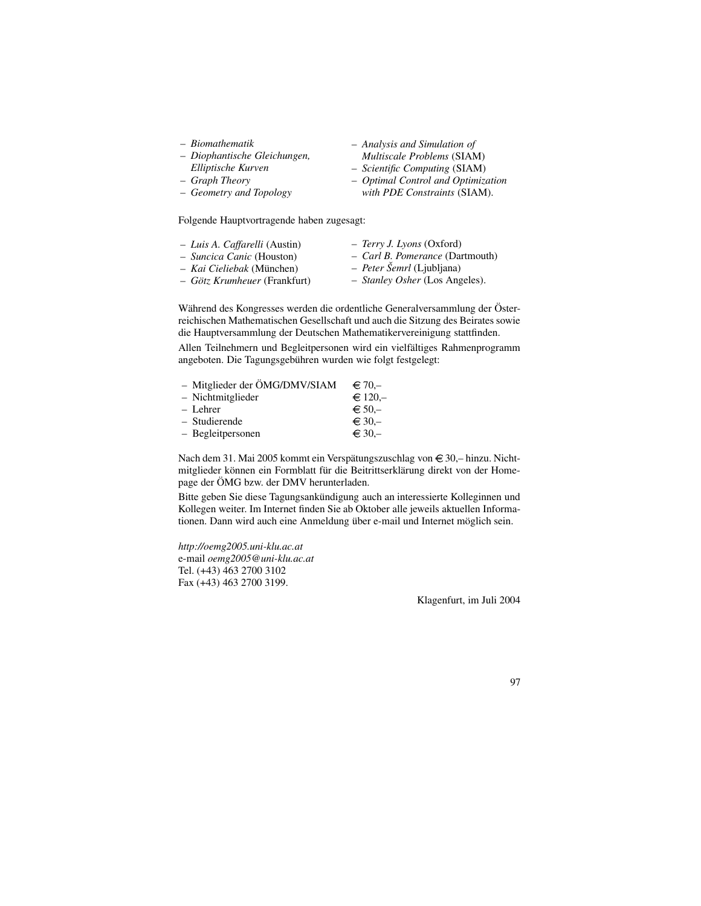- *Biomathematik*
- *Diophantische Gleichungen,*
- *Elliptische Kurven* – *Graph Theory*
- *Geometry and Topology*
- 

Folgende Hauptvortragende haben zugesagt:

- *Luis A. Caffarelli* (Austin)
- *Suncica Canic* (Houston)
- *Kai Cieliebak* (Munchen) ¨
- *Gotz ¨ Krumheuer* (Frankfurt)
- *Terry J. Lyons* (Oxford)

– *Analysis and Simulation of Multiscale Problems* (SIAM) – *Scientific Computing* (SIAM) – *Optimal Control and Optimization with PDE Constraints* (SIAM).

- *Carl B. Pomerance* (Dartmouth)
- *Peter Semrl ˇ* (Ljubljana)
- *Stanley Osher* (Los Angeles).

Während des Kongresses werden die ordentliche Generalversammlung der Österreichischen Mathematischen Gesellschaft und auch die Sitzung des Beirates sowie die Hauptversammlung der Deutschen Mathematikervereinigung stattfinden.

Allen Teilnehmern und Begleitpersonen wird ein vielfältiges Rahmenprogramm angeboten. Die Tagungsgebühren wurden wie folgt festgelegt:

| - Mitglieder der ÖMG/DMV/SIAM | $\in$ 70.-     |
|-------------------------------|----------------|
| - Nichtmitglieder             | $\in$ 120.-    |
| – Lehrer                      | $\epsilon$ 50. |
| - Studierende                 | $\in$ 30,-     |
| - Begleitpersonen             | $\in$ 30,-     |

Nach dem 31. Mai 2005 kommt ein Verspätungszuschlag von €30,– hinzu. Nichtmitglieder können ein Formblatt für die Beitrittserklärung direkt von der Homepage der ÖMG bzw. der DMV herunterladen.

Bitte geben Sie diese Tagungsankündigung auch an interessierte Kolleginnen und Kollegen weiter. Im Internet finden Sie ab Oktober alle jeweils aktuellen Informationen. Dann wird auch eine Anmeldung über e-mail und Internet möglich sein.

*http://oemg2005.uni-klu.ac.at* e-mail *oemg2005@uni-klu.ac.at* Tel. (+43) 463 2700 3102 Fax (+43) 463 2700 3199.

Klagenfurt, im Juli 2004